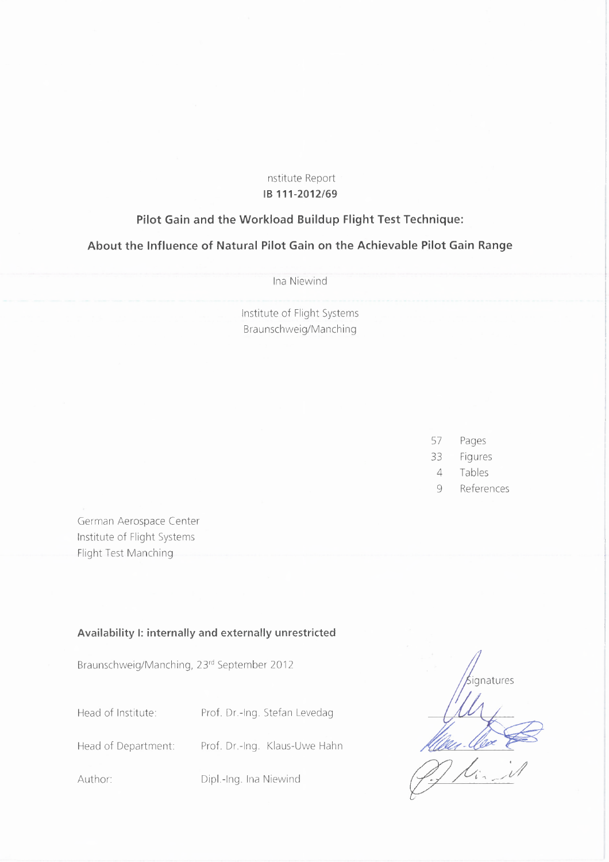## nstitute Report **IB 111-2012/69**

## **Pilot Gain and the Workload Buildup Flight Test Technique:**

**About the Influence of Natural Pilot Gain on the Achievable Pilot Gain Range**

Ina Niewind

Institute of Flight Systems Braunschweig/Manching

- 57 Pages
- 33 Figures
- 4 Tables
- 9 References

German Aerospace Center Institute of Flight Systems Flight Test Manching

## **Availability I: internally and externally unrestricted**

Braunschweig/Manching, 23rd September 2012

Head of Institute: Prof. Dr.-Ing. Stefan Levedag

Head of Department: Prof. Dr.-Ing. Klaus-Uwe Hahn

Author: Dipl.-Ing. Ina Niewind

**natures** <u>flitter (lo</u><br>J.J. Li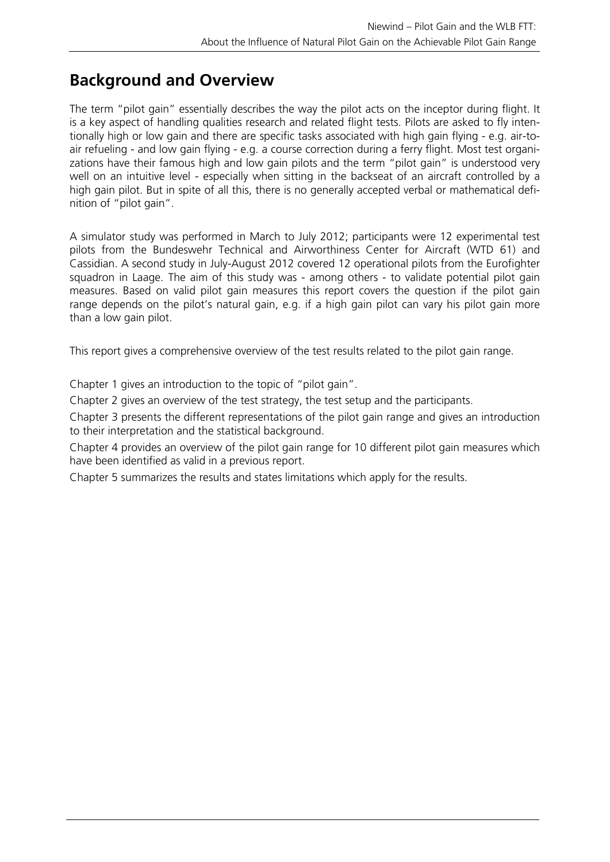# **Background and Overview**

The term "pilot gain" essentially describes the way the pilot acts on the inceptor during flight. It is a key aspect of handling qualities research and related flight tests. Pilots are asked to fly intentionally high or low gain and there are specific tasks associated with high gain flying - e.g. air-toair refueling - and low gain flying - e.g. a course correction during a ferry flight. Most test organizations have their famous high and low gain pilots and the term "pilot gain" is understood very well on an intuitive level - especially when sitting in the backseat of an aircraft controlled by a high gain pilot. But in spite of all this, there is no generally accepted verbal or mathematical definition of "pilot gain".

A simulator study was performed in March to July 2012; participants were 12 experimental test pilots from the Bundeswehr Technical and Airworthiness Center for Aircraft (WTD 61) and Cassidian. A second study in July-August 2012 covered 12 operational pilots from the Eurofighter squadron in Laage. The aim of this study was - among others - to validate potential pilot gain measures. Based on valid pilot gain measures this report covers the question if the pilot gain range depends on the pilot's natural gain, e.g. if a high gain pilot can vary his pilot gain more than a low gain pilot.

This report gives a comprehensive overview of the test results related to the pilot gain range.

Chapter 1 gives an introduction to the topic of "pilot gain".

Chapter 2 gives an overview of the test strategy, the test setup and the participants.

Chapter 3 presents the different representations of the pilot gain range and gives an introduction to their interpretation and the statistical background.

Chapter 4 provides an overview of the pilot gain range for 10 different pilot gain measures which have been identified as valid in a previous report.

Chapter 5 summarizes the results and states limitations which apply for the results.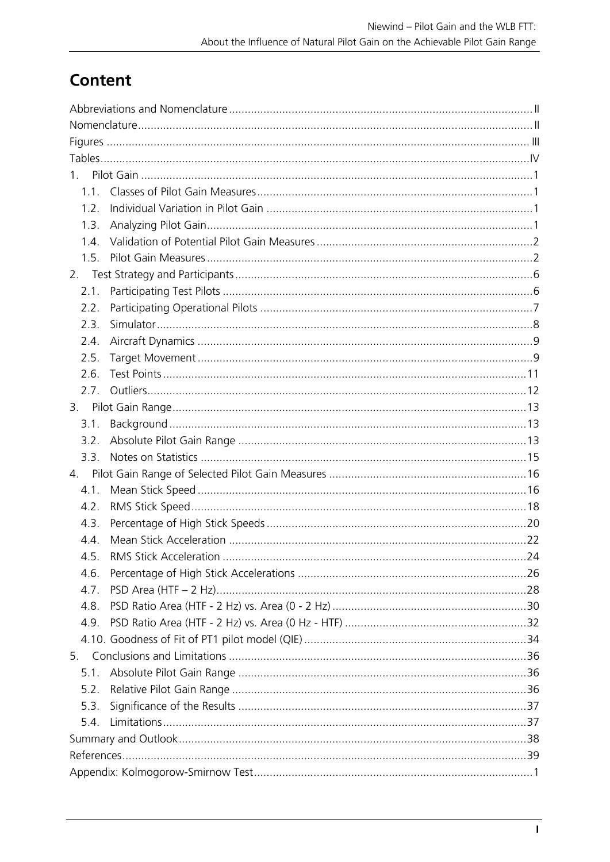# Content

| $1_{\ldots}$ |                        |    |  |  |  |  |  |
|--------------|------------------------|----|--|--|--|--|--|
| 1.1.         |                        |    |  |  |  |  |  |
| 1.2.         |                        |    |  |  |  |  |  |
| 1.3.         |                        |    |  |  |  |  |  |
| 1.4.         |                        |    |  |  |  |  |  |
| 1.5.         |                        |    |  |  |  |  |  |
| 2.           |                        |    |  |  |  |  |  |
| 2.1.         |                        |    |  |  |  |  |  |
| 2.2.         |                        |    |  |  |  |  |  |
| 2.3.         |                        |    |  |  |  |  |  |
| 2.4.         |                        |    |  |  |  |  |  |
| 2.5.         |                        |    |  |  |  |  |  |
| 2.6.         |                        |    |  |  |  |  |  |
| 2.7.         |                        |    |  |  |  |  |  |
|              |                        |    |  |  |  |  |  |
| 3.1.         |                        |    |  |  |  |  |  |
| 3.2.         |                        |    |  |  |  |  |  |
| 3.3.         |                        |    |  |  |  |  |  |
|              |                        |    |  |  |  |  |  |
| 4.1.         |                        |    |  |  |  |  |  |
| 4.2.         |                        |    |  |  |  |  |  |
| 4.3.         |                        |    |  |  |  |  |  |
| 4.4.         |                        |    |  |  |  |  |  |
| 4.5.         | RMS Stick Acceleration | 24 |  |  |  |  |  |
| 4.6.         |                        |    |  |  |  |  |  |
| 4.7.         |                        |    |  |  |  |  |  |
| 4.8.         |                        |    |  |  |  |  |  |
| 4.9.         |                        |    |  |  |  |  |  |
|              |                        |    |  |  |  |  |  |
|              |                        |    |  |  |  |  |  |
| 5.1.         |                        |    |  |  |  |  |  |
| 5.2.         |                        |    |  |  |  |  |  |
| 5.3.         |                        |    |  |  |  |  |  |
| 5.4.         |                        |    |  |  |  |  |  |
|              |                        |    |  |  |  |  |  |
|              |                        |    |  |  |  |  |  |
|              |                        |    |  |  |  |  |  |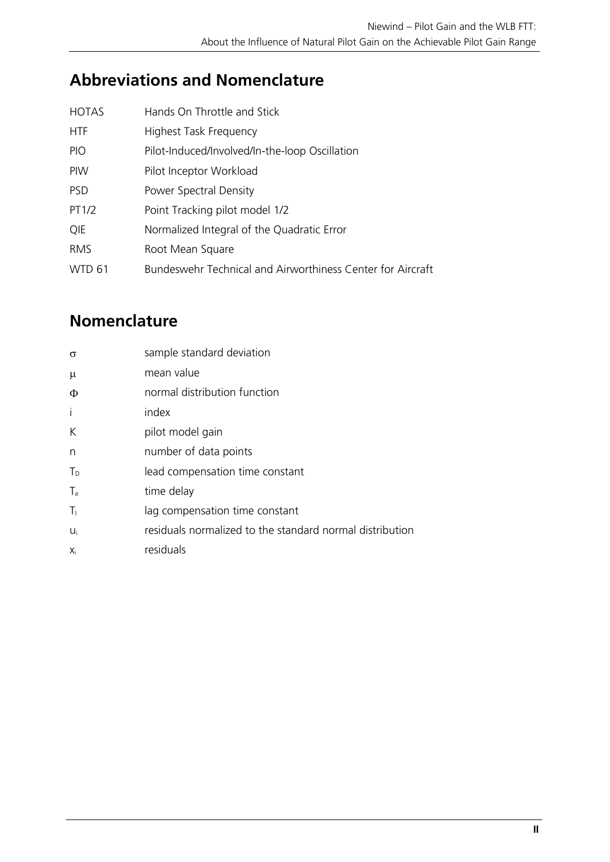# **Abbreviations and Nomenclature**

| <b>HOTAS</b>  | Hands On Throttle and Stick                                |
|---------------|------------------------------------------------------------|
| <b>HTF</b>    | <b>Highest Task Frequency</b>                              |
| <b>PIO</b>    | Pilot-Induced/Involved/In-the-loop Oscillation             |
| <b>PIW</b>    | Pilot Inceptor Workload                                    |
| <b>PSD</b>    | Power Spectral Density                                     |
| PT1/2         | Point Tracking pilot model 1/2                             |
| QIE           | Normalized Integral of the Quadratic Error                 |
| <b>RMS</b>    | Root Mean Square                                           |
| <b>WTD 61</b> | Bundeswehr Technical and Airworthiness Center for Aircraft |
|               |                                                            |

# **Nomenclature**

| $\sigma$ | sample standard deviation                                |
|----------|----------------------------------------------------------|
| $\mu$    | mean value                                               |
| Φ        | normal distribution function                             |
| i        | index                                                    |
| K        | pilot model gain                                         |
| n        | number of data points                                    |
| $T_{D}$  | lead compensation time constant                          |
| $T_e$    | time delay                                               |
| $T_1$    | lag compensation time constant                           |
| Ui       | residuals normalized to the standard normal distribution |
| Xi       | residuals                                                |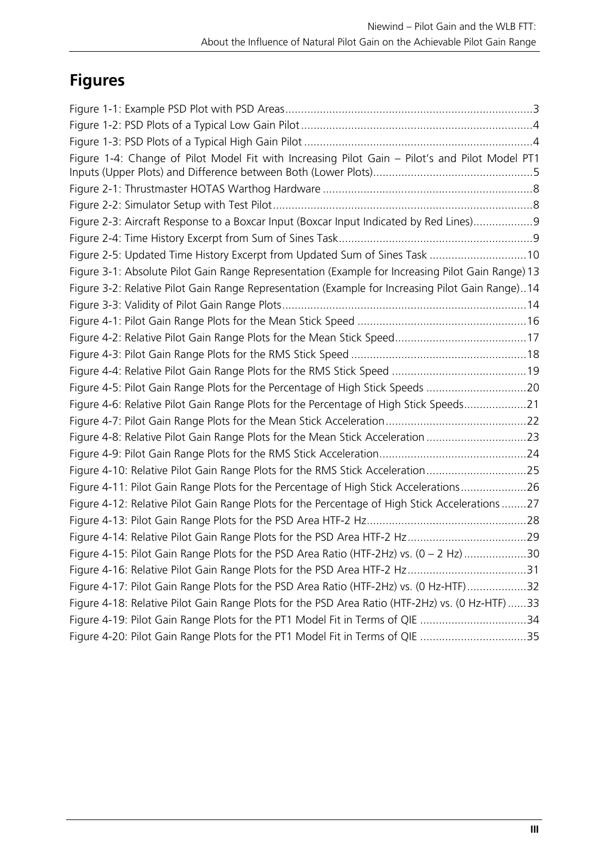# **Figures**

| Figure 1-4: Change of Pilot Model Fit with Increasing Pilot Gain - Pilot's and Pilot Model PT1    |  |
|---------------------------------------------------------------------------------------------------|--|
|                                                                                                   |  |
|                                                                                                   |  |
|                                                                                                   |  |
| Figure 2-3: Aircraft Response to a Boxcar Input (Boxcar Input Indicated by Red Lines)9            |  |
|                                                                                                   |  |
| Figure 2-5: Updated Time History Excerpt from Updated Sum of Sines Task 10                        |  |
| Figure 3-1: Absolute Pilot Gain Range Representation (Example for Increasing Pilot Gain Range) 13 |  |
| Figure 3-2: Relative Pilot Gain Range Representation (Example for Increasing Pilot Gain Range)14  |  |
|                                                                                                   |  |
|                                                                                                   |  |
|                                                                                                   |  |
|                                                                                                   |  |
|                                                                                                   |  |
| Figure 4-5: Pilot Gain Range Plots for the Percentage of High Stick Speeds 20                     |  |
| Figure 4-6: Relative Pilot Gain Range Plots for the Percentage of High Stick Speeds21             |  |
|                                                                                                   |  |
| Figure 4-8: Relative Pilot Gain Range Plots for the Mean Stick Acceleration 23                    |  |
|                                                                                                   |  |
| Figure 4-10: Relative Pilot Gain Range Plots for the RMS Stick Acceleration25                     |  |
| Figure 4-11: Pilot Gain Range Plots for the Percentage of High Stick Accelerations26              |  |
| Figure 4-12: Relative Pilot Gain Range Plots for the Percentage of High Stick Accelerations27     |  |
|                                                                                                   |  |
|                                                                                                   |  |
| Figure 4-15: Pilot Gain Range Plots for the PSD Area Ratio (HTF-2Hz) vs. (0 - 2 Hz) 30            |  |
|                                                                                                   |  |
| Figure 4-17: Pilot Gain Range Plots for the PSD Area Ratio (HTF-2Hz) vs. (0 Hz-HTF)32             |  |
| Figure 4-18: Relative Pilot Gain Range Plots for the PSD Area Ratio (HTF-2Hz) vs. (0 Hz-HTF)33    |  |
| Figure 4-19: Pilot Gain Range Plots for the PT1 Model Fit in Terms of QIE 34                      |  |
| Figure 4-20: Pilot Gain Range Plots for the PT1 Model Fit in Terms of QIE 35                      |  |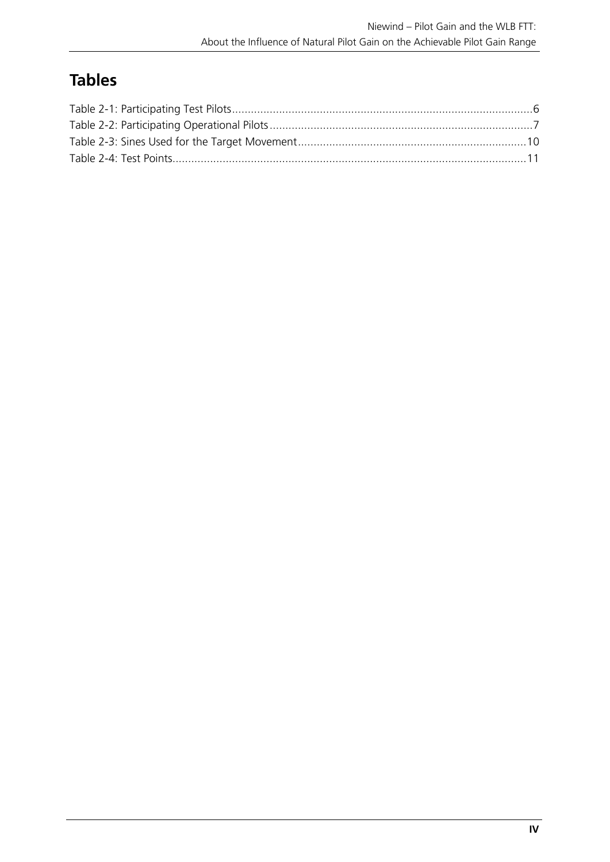# **Tables**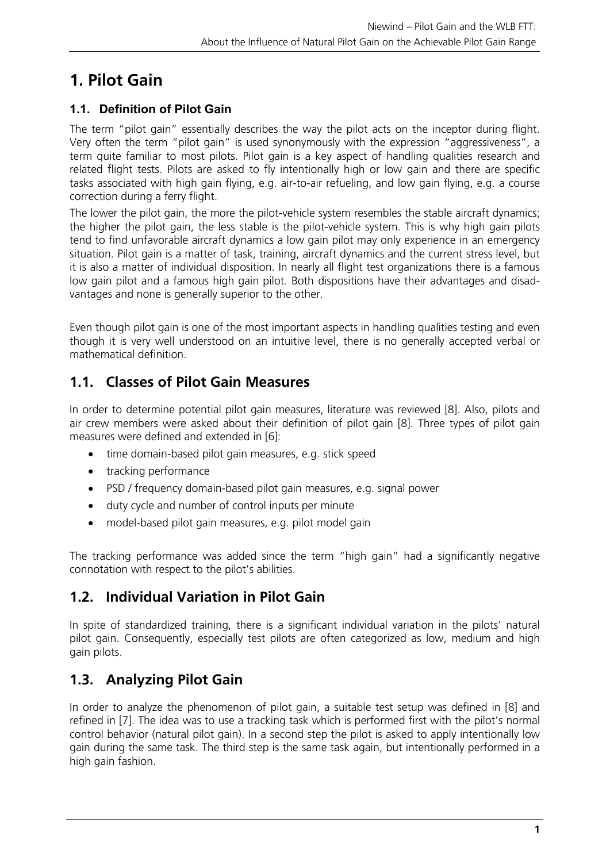# **1. Pilot Gain**

# **1.1. Definition of Pilot Gain**

The term "pilot gain" essentially describes the way the pilot acts on the inceptor during flight. Very often the term "pilot gain" is used synonymously with the expression "aggressiveness", a term quite familiar to most pilots. Pilot gain is a key aspect of handling qualities research and related flight tests. Pilots are asked to fly intentionally high or low gain and there are specific tasks associated with high gain flying, e.g. air-to-air refueling, and low gain flying, e.g. a course correction during a ferry flight.

The lower the pilot gain, the more the pilot-vehicle system resembles the stable aircraft dynamics; the higher the pilot gain, the less stable is the pilot-vehicle system. This is why high gain pilots tend to find unfavorable aircraft dynamics a low gain pilot may only experience in an emergency situation. Pilot gain is a matter of task, training, aircraft dynamics and the current stress level, but it is also a matter of individual disposition. In nearly all flight test organizations there is a famous low gain pilot and a famous high gain pilot. Both dispositions have their advantages and disadvantages and none is generally superior to the other.

Even though pilot gain is one of the most important aspects in handling qualities testing and even though it is very well understood on an intuitive level, there is no generally accepted verbal or mathematical definition.

# **1.1. Classes of Pilot Gain Measures**

In order to determine potential pilot gain measures, literature was reviewed [8]. Also, pilots and air crew members were asked about their definition of pilot gain [8]. Three types of pilot gain measures were defined and extended in [6]:

- time domain-based pilot gain measures, e.g. stick speed
- tracking performance
- PSD / frequency domain-based pilot gain measures, e.g. signal power
- duty cycle and number of control inputs per minute
- model-based pilot gain measures, e.g. pilot model gain

The tracking performance was added since the term "high gain" had a significantly negative connotation with respect to the pilot's abilities.

# **1.2. Individual Variation in Pilot Gain**

In spite of standardized training, there is a significant individual variation in the pilots' natural pilot gain. Consequently, especially test pilots are often categorized as low, medium and high gain pilots.

# **1.3. Analyzing Pilot Gain**

In order to analyze the phenomenon of pilot gain, a suitable test setup was defined in [8] and refined in [7]. The idea was to use a tracking task which is performed first with the pilot's normal control behavior (natural pilot gain). In a second step the pilot is asked to apply intentionally low gain during the same task. The third step is the same task again, but intentionally performed in a high gain fashion.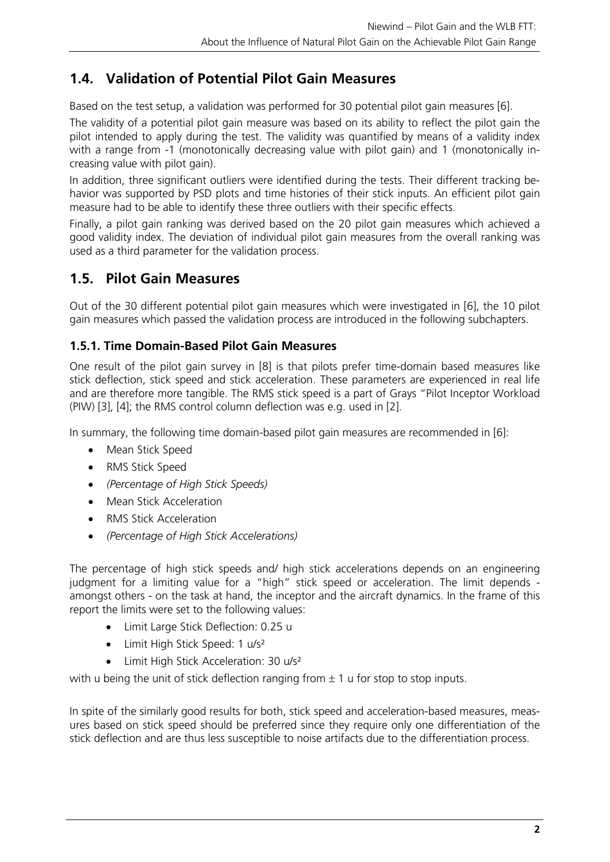# **1.4. Validation of Potential Pilot Gain Measures**

Based on the test setup, a validation was performed for 30 potential pilot gain measures [6].

The validity of a potential pilot gain measure was based on its ability to reflect the pilot gain the pilot intended to apply during the test. The validity was quantified by means of a validity index with a range from -1 (monotonically decreasing value with pilot gain) and 1 (monotonically increasing value with pilot gain).

In addition, three significant outliers were identified during the tests. Their different tracking behavior was supported by PSD plots and time histories of their stick inputs. An efficient pilot gain measure had to be able to identify these three outliers with their specific effects.

Finally, a pilot gain ranking was derived based on the 20 pilot gain measures which achieved a good validity index. The deviation of individual pilot gain measures from the overall ranking was used as a third parameter for the validation process.

# **1.5. Pilot Gain Measures**

Out of the 30 different potential pilot gain measures which were investigated in [6], the 10 pilot gain measures which passed the validation process are introduced in the following subchapters.

## **1.5.1. Time Domain-Based Pilot Gain Measures**

One result of the pilot gain survey in [8] is that pilots prefer time-domain based measures like stick deflection, stick speed and stick acceleration. These parameters are experienced in real life and are therefore more tangible. The RMS stick speed is a part of Grays "Pilot Inceptor Workload (PIW) [3], [4]; the RMS control column deflection was e.g. used in [2].

In summary, the following time domain-based pilot gain measures are recommended in [6]:

- Mean Stick Speed
- RMS Stick Speed
- *(Percentage of High Stick Speeds)*
- Mean Stick Acceleration
- RMS Stick Acceleration
- *(Percentage of High Stick Accelerations)*

The percentage of high stick speeds and/ high stick accelerations depends on an engineering judgment for a limiting value for a "high" stick speed or acceleration. The limit depends amongst others - on the task at hand, the inceptor and the aircraft dynamics. In the frame of this report the limits were set to the following values:

- Limit Large Stick Deflection: 0.25 u
- Limit High Stick Speed: 1 u/s<sup>2</sup>
- Limit High Stick Acceleration: 30 u/s<sup>2</sup>

with u being the unit of stick deflection ranging from  $\pm 1$  u for stop to stop inputs.

In spite of the similarly good results for both, stick speed and acceleration-based measures, measures based on stick speed should be preferred since they require only one differentiation of the stick deflection and are thus less susceptible to noise artifacts due to the differentiation process.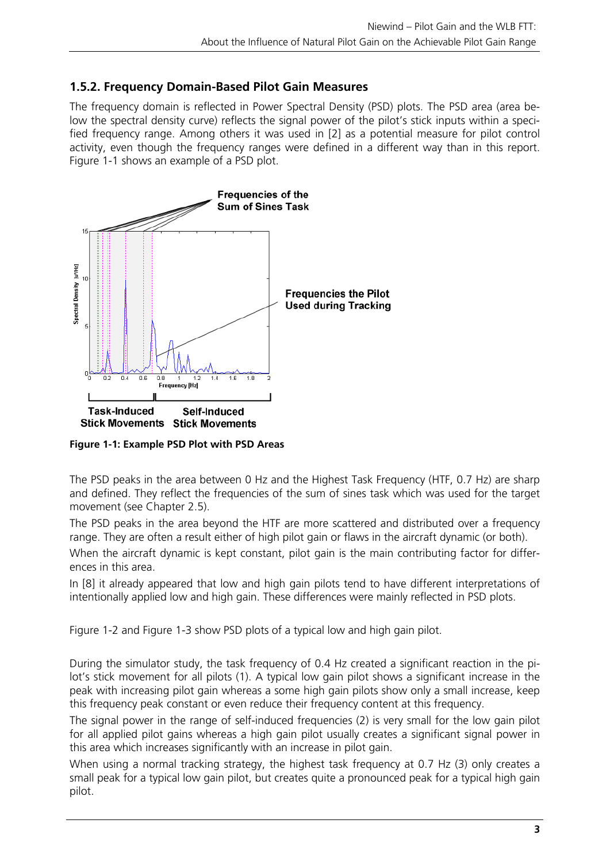## **1.5.2. Frequency Domain-Based Pilot Gain Measures**

The frequency domain is reflected in Power Spectral Density (PSD) plots. The PSD area (area below the spectral density curve) reflects the signal power of the pilot's stick inputs within a specified frequency range. Among others it was used in [2] as a potential measure for pilot control activity, even though the frequency ranges were defined in a different way than in this report. Figure 1-1 shows an example of a PSD plot.



**Figure 1-1: Example PSD Plot with PSD Areas** 

The PSD peaks in the area between 0 Hz and the Highest Task Frequency (HTF, 0.7 Hz) are sharp and defined. They reflect the frequencies of the sum of sines task which was used for the target movement (see Chapter 2.5).

The PSD peaks in the area beyond the HTF are more scattered and distributed over a frequency range. They are often a result either of high pilot gain or flaws in the aircraft dynamic (or both).

When the aircraft dynamic is kept constant, pilot gain is the main contributing factor for differences in this area.

In [8] it already appeared that low and high gain pilots tend to have different interpretations of intentionally applied low and high gain. These differences were mainly reflected in PSD plots.

Figure 1-2 and Figure 1-3 show PSD plots of a typical low and high gain pilot.

During the simulator study, the task frequency of 0.4 Hz created a significant reaction in the pilot's stick movement for all pilots (1). A typical low gain pilot shows a significant increase in the peak with increasing pilot gain whereas a some high gain pilots show only a small increase, keep this frequency peak constant or even reduce their frequency content at this frequency.

The signal power in the range of self-induced frequencies (2) is very small for the low gain pilot for all applied pilot gains whereas a high gain pilot usually creates a significant signal power in this area which increases significantly with an increase in pilot gain.

When using a normal tracking strategy, the highest task frequency at 0.7 Hz (3) only creates a small peak for a typical low gain pilot, but creates quite a pronounced peak for a typical high gain pilot.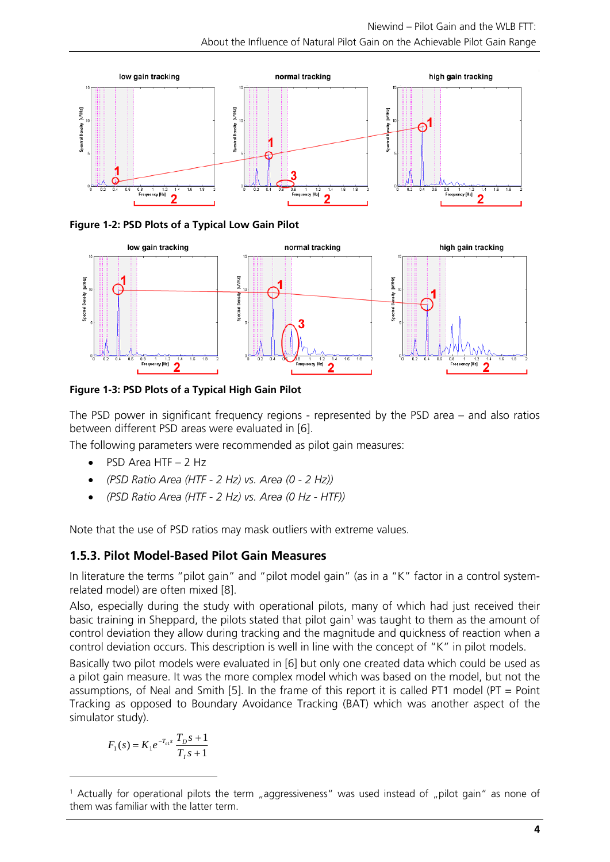

**Figure 1-2: PSD Plots of a Typical Low Gain Pilot** 



**Figure 1-3: PSD Plots of a Typical High Gain Pilot** 

The PSD power in significant frequency regions - represented by the PSD area – and also ratios between different PSD areas were evaluated in [6].

The following parameters were recommended as pilot gain measures:

- PSD Area HTF 2 Hz
- *(PSD Ratio Area (HTF 2 Hz) vs. Area (0 2 Hz))*
- *(PSD Ratio Area (HTF 2 Hz) vs. Area (0 Hz HTF))*

Note that the use of PSD ratios may mask outliers with extreme values.

## **1.5.3. Pilot Model-Based Pilot Gain Measures**

In literature the terms "pilot gain" and "pilot model gain" (as in a "K" factor in a control systemrelated model) are often mixed [8].

Also, especially during the study with operational pilots, many of which had just received their basic training in Sheppard, the pilots stated that pilot gain<sup>1</sup> was taught to them as the amount of control deviation they allow during tracking and the magnitude and quickness of reaction when a control deviation occurs. This description is well in line with the concept of "K" in pilot models.

Basically two pilot models were evaluated in [6] but only one created data which could be used as a pilot gain measure. It was the more complex model which was based on the model, but not the assumptions, of Neal and Smith [5]. In the frame of this report it is called PT1 model (PT = Point Tracking as opposed to Boundary Avoidance Tracking (BAT) which was another aspect of the simulator study).

$$
F_1(s) = K_1 e^{-T_{e1}s} \frac{T_{D}s + 1}{T_{I}s + 1}
$$

 $\overline{a}$ 

<sup>&</sup>lt;sup>1</sup> Actually for operational pilots the term "aggressiveness" was used instead of "pilot gain" as none of them was familiar with the latter term.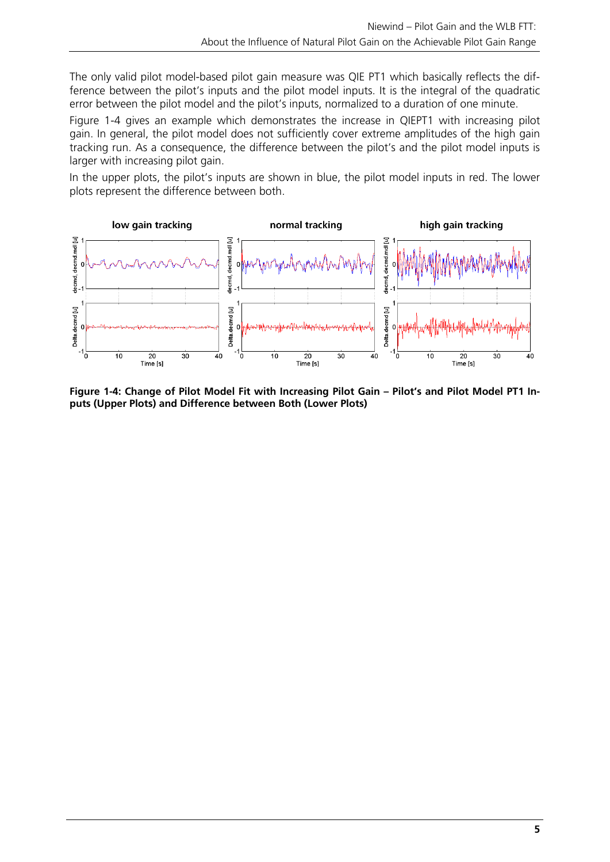The only valid pilot model-based pilot gain measure was QIE PT1 which basically reflects the difference between the pilot's inputs and the pilot model inputs. It is the integral of the quadratic error between the pilot model and the pilot's inputs, normalized to a duration of one minute.

Figure 1-4 gives an example which demonstrates the increase in QIEPT1 with increasing pilot gain. In general, the pilot model does not sufficiently cover extreme amplitudes of the high gain tracking run. As a consequence, the difference between the pilot's and the pilot model inputs is larger with increasing pilot gain.

In the upper plots, the pilot's inputs are shown in blue, the pilot model inputs in red. The lower plots represent the difference between both.



**Figure 1-4: Change of Pilot Model Fit with Increasing Pilot Gain – Pilot's and Pilot Model PT1 Inputs (Upper Plots) and Difference between Both (Lower Plots)**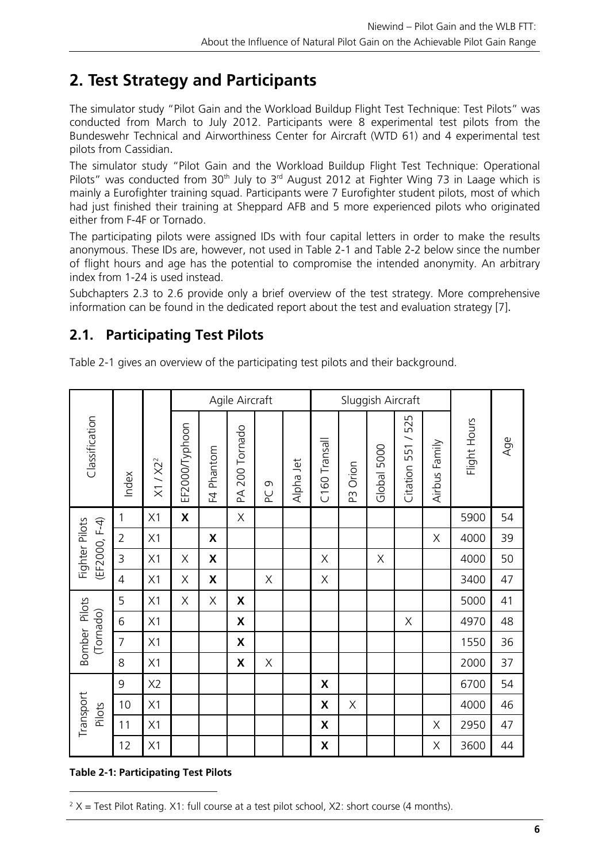# **2. Test Strategy and Participants**

The simulator study "Pilot Gain and the Workload Buildup Flight Test Technique: Test Pilots" was conducted from March to July 2012. Participants were 8 experimental test pilots from the Bundeswehr Technical and Airworthiness Center for Aircraft (WTD 61) and 4 experimental test pilots from Cassidian.

The simulator study "Pilot Gain and the Workload Buildup Flight Test Technique: Operational Pilots" was conducted from  $30<sup>th</sup>$  July to  $3<sup>rd</sup>$  August 2012 at Fighter Wing 73 in Laage which is mainly a Eurofighter training squad. Participants were 7 Eurofighter student pilots, most of which had just finished their training at Sheppard AFB and 5 more experienced pilots who originated either from F-4F or Tornado.

The participating pilots were assigned IDs with four capital letters in order to make the results anonymous. These IDs are, however, not used in Table 2-1 and Table 2-2 below since the number of flight hours and age has the potential to compromise the intended anonymity. An arbitrary index from 1-24 is used instead.

Subchapters 2.3 to 2.6 provide only a brief overview of the test strategy. More comprehensive information can be found in the dedicated report about the test and evaluation strategy [7].

# **2.1. Participating Test Pilots**

Table 2-1 gives an overview of the participating test pilots and their background.

|                                 |                |                      |                    |                           | Agile Aircraft            |             |           |                           |             | Sluggish Aircraft |                     |               |              | Age<br>54 |
|---------------------------------|----------------|----------------------|--------------------|---------------------------|---------------------------|-------------|-----------|---------------------------|-------------|-------------------|---------------------|---------------|--------------|-----------|
| Classification                  | Index          | X1 / X2 <sup>2</sup> | EF2000/Typhoon     | F4 Phantom                | PA 200 Tornado            | ന<br>오      | Alpha Jet | C <sub>160</sub> Transall | Orion<br>ΕŚ | 5000<br>Global    | 551/525<br>Citation | Airbus Family | Flight Hours |           |
|                                 | 1              | X1                   | $\pmb{\mathsf{X}}$ |                           | X                         |             |           |                           |             |                   |                     |               | 5900         |           |
| (EF2000, F-4)<br>Fighter Pilots | $\overline{2}$ | X1                   |                    | X                         |                           |             |           |                           |             |                   |                     | X             | 4000         | 39        |
|                                 | $\mathsf{3}$   | X1                   | X                  | $\boldsymbol{\mathsf{X}}$ |                           |             |           | $\mathsf X$               |             | X                 |                     |               | 4000         | 50        |
|                                 | $\overline{4}$ | X1                   | Χ                  | $\pmb{\mathsf{X}}$        |                           | X           |           | $\mathsf X$               |             |                   |                     |               | 3400         | 47        |
|                                 | 5              | X1                   | X                  | X                         | X                         |             |           |                           |             |                   |                     |               | 5000         | 41        |
| Bomber Pilots<br>(Tornado)      | 6              | X1                   |                    |                           | X                         |             |           |                           |             |                   | $\mathsf X$         |               | 4970         | 48        |
|                                 | $\overline{7}$ | X1                   |                    |                           | $\boldsymbol{\mathsf{X}}$ |             |           |                           |             |                   |                     |               | 1550         | 36        |
|                                 | 8              | X1                   |                    |                           | $\boldsymbol{\mathsf{X}}$ | $\mathsf X$ |           |                           |             |                   |                     |               | 2000         | 37        |
|                                 | 9              | X <sub>2</sub>       |                    |                           |                           |             |           | X                         |             |                   |                     |               | 6700         | 54        |
| Transport<br>Pilots             | 10             | X1                   |                    |                           |                           |             |           | X                         | Χ           |                   |                     |               | 4000         | 46        |
|                                 | 11             | X1                   |                    |                           |                           |             |           | X                         |             |                   |                     | Χ             | 2950         | 47        |
|                                 | 12             | X1                   |                    |                           |                           |             |           | X                         |             |                   |                     | Χ             | 3600         | 44        |

## **Table 2-1: Participating Test Pilots**

 $\overline{a}$ 

 $2 X =$  Test Pilot Rating. X1: full course at a test pilot school, X2: short course (4 months).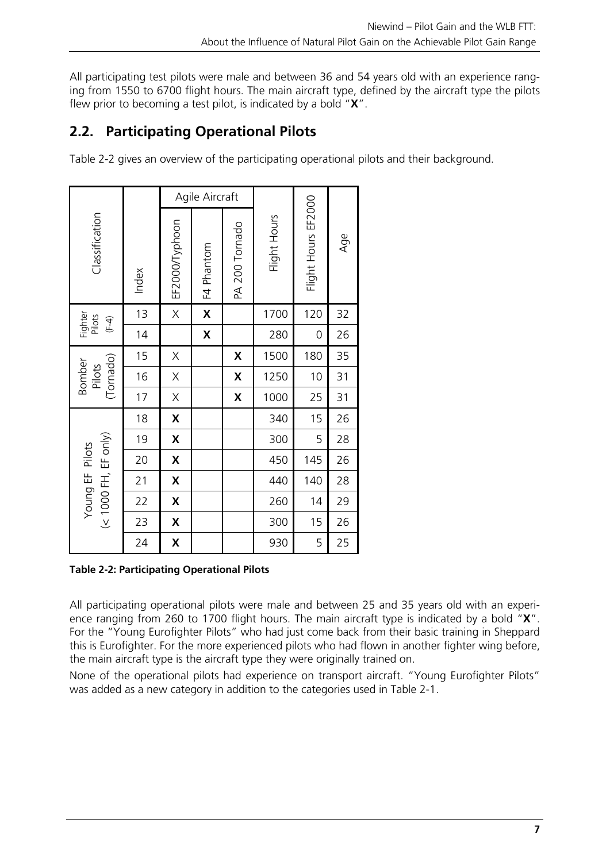All participating test pilots were male and between 36 and 54 years old with an experience ranging from 1550 to 6700 flight hours. The main aircraft type, defined by the aircraft type the pilots flew prior to becoming a test pilot, is indicated by a bold "**X**".

# **2.2. Participating Operational Pilots**

Table 2-2 gives an overview of the participating operational pilots and their background.

|                                         |       |                | Agile Aircraft |                |              |                     |     |
|-----------------------------------------|-------|----------------|----------------|----------------|--------------|---------------------|-----|
| Classification                          | Index | EF2000/Typhoon | F4 Phantom     | PA 200 Tornado | Flight Hours | Flight Hours EF2000 | Age |
| Fighter<br>Pilots<br>$(F-4)$            | 13    | X              | X              |                | 1700         | 120                 | 32  |
|                                         | 14    |                | X              |                | 280          | $\mathbf 0$         | 26  |
|                                         | 15    | Χ              |                | X              | 1500         | 180                 | 35  |
| (Tornado)<br>Bomber<br>Pilots           | 16    | X              |                | X              | 1250         | 10                  | 31  |
|                                         | 17    | X              |                | X              | 1000         | 25                  | 31  |
|                                         | 18    | X              |                |                | 340          | 15                  | 26  |
|                                         | 19    | X              |                |                | 300          | 5                   | 28  |
|                                         | 20    | X              |                |                | 450          | 145                 | 26  |
|                                         | 21    | X              |                |                | 440          | 140                 | 28  |
| (< 1000 FH, EF only)<br>Young EF Pilots | 22    | X              |                |                | 260          | 14                  | 29  |
|                                         | 23    | X              |                |                | 300          | 15                  | 26  |
|                                         | 24    | X              |                |                | 930          | 5                   | 25  |

**Table 2-2: Participating Operational Pilots** 

All participating operational pilots were male and between 25 and 35 years old with an experience ranging from 260 to 1700 flight hours. The main aircraft type is indicated by a bold "**X**". For the "Young Eurofighter Pilots" who had just come back from their basic training in Sheppard this is Eurofighter. For the more experienced pilots who had flown in another fighter wing before, the main aircraft type is the aircraft type they were originally trained on.

None of the operational pilots had experience on transport aircraft. "Young Eurofighter Pilots" was added as a new category in addition to the categories used in Table 2-1.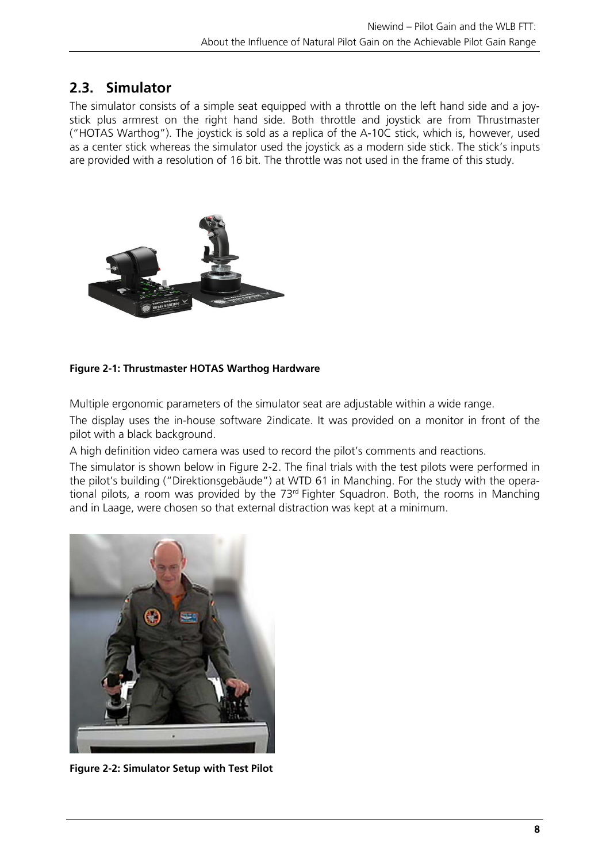# **2.3. Simulator**

The simulator consists of a simple seat equipped with a throttle on the left hand side and a joystick plus armrest on the right hand side. Both throttle and joystick are from Thrustmaster ("HOTAS Warthog"). The joystick is sold as a replica of the A-10C stick, which is, however, used as a center stick whereas the simulator used the joystick as a modern side stick. The stick's inputs are provided with a resolution of 16 bit. The throttle was not used in the frame of this study.



## **Figure 2-1: Thrustmaster HOTAS Warthog Hardware**

Multiple ergonomic parameters of the simulator seat are adjustable within a wide range.

The display uses the in-house software 2indicate. It was provided on a monitor in front of the pilot with a black background.

A high definition video camera was used to record the pilot's comments and reactions.

The simulator is shown below in Figure 2-2. The final trials with the test pilots were performed in the pilot's building ("Direktionsgebäude") at WTD 61 in Manching. For the study with the operational pilots, a room was provided by the  $73<sup>rd</sup>$  Fighter Squadron. Both, the rooms in Manching and in Laage, were chosen so that external distraction was kept at a minimum.



**Figure 2-2: Simulator Setup with Test Pilot**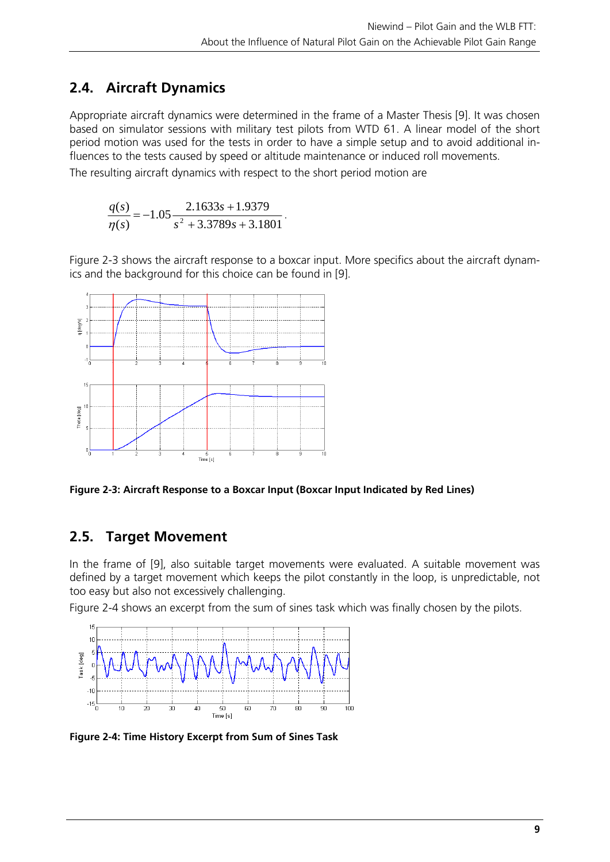# **2.4. Aircraft Dynamics**

Appropriate aircraft dynamics were determined in the frame of a Master Thesis [9]. It was chosen based on simulator sessions with military test pilots from WTD 61. A linear model of the short period motion was used for the tests in order to have a simple setup and to avoid additional influences to the tests caused by speed or altitude maintenance or induced roll movements.

The resulting aircraft dynamics with respect to the short period motion are

$$
\frac{q(s)}{\eta(s)} = -1.05 \frac{2.1633s + 1.9379}{s^2 + 3.3789s + 3.1801}.
$$

Figure 2-3 shows the aircraft response to a boxcar input. More specifics about the aircraft dynamics and the background for this choice can be found in [9].



**Figure 2-3: Aircraft Response to a Boxcar Input (Boxcar Input Indicated by Red Lines)** 

# **2.5. Target Movement**

In the frame of [9], also suitable target movements were evaluated. A suitable movement was defined by a target movement which keeps the pilot constantly in the loop, is unpredictable, not too easy but also not excessively challenging.

Figure 2-4 shows an excerpt from the sum of sines task which was finally chosen by the pilots.



**Figure 2-4: Time History Excerpt from Sum of Sines Task**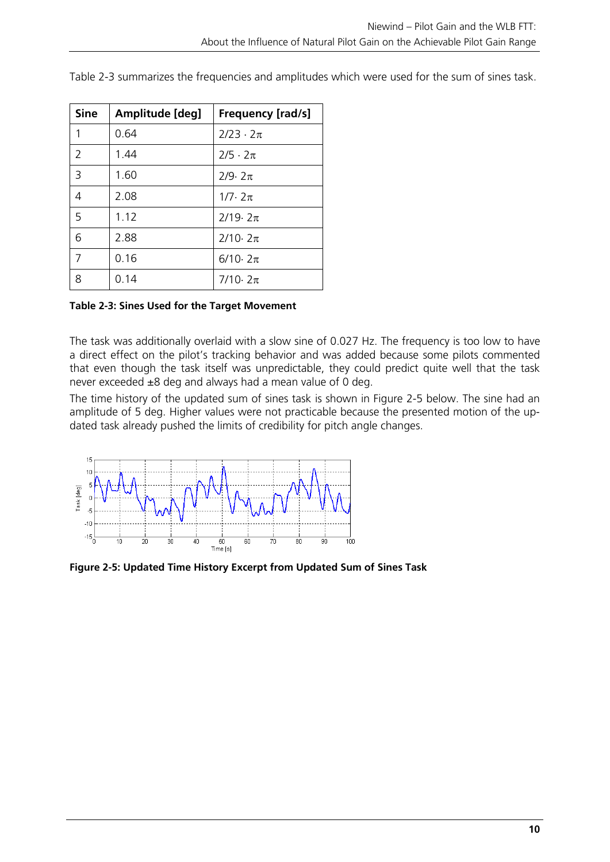| <b>Sine</b> | Amplitude [deg] | <b>Frequency [rad/s]</b> |
|-------------|-----------------|--------------------------|
| 1           | 0.64            | $2/23 \cdot 2\pi$        |
| 2           | 1.44            | $2/5 \cdot 2\pi$         |
| 3           | 1.60            | $7/9.7\pi$               |
| 4           | 2.08            | $1/7.2\pi$               |
| 5           | 1.12            | $2/19.2\pi$              |
| 6           | 2.88            | $2/10.2\pi$              |
| 7           | 0.16            | $6/10.2\pi$              |
| 8           | 0.14            | $7/10.2\pi$              |

Table 2-3 summarizes the frequencies and amplitudes which were used for the sum of sines task.

## **Table 2-3: Sines Used for the Target Movement**

The task was additionally overlaid with a slow sine of 0.027 Hz. The frequency is too low to have a direct effect on the pilot's tracking behavior and was added because some pilots commented that even though the task itself was unpredictable, they could predict quite well that the task never exceeded  $\pm 8$  deg and always had a mean value of 0 deg.

The time history of the updated sum of sines task is shown in Figure 2-5 below. The sine had an amplitude of 5 deg. Higher values were not practicable because the presented motion of the updated task already pushed the limits of credibility for pitch angle changes.



**Figure 2-5: Updated Time History Excerpt from Updated Sum of Sines Task**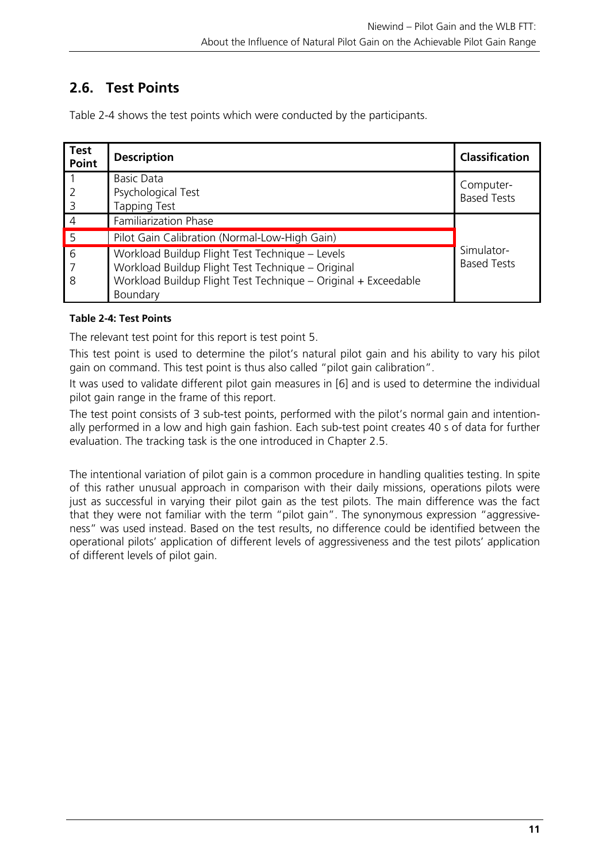# **2.6. Test Points**

| <b>Test</b><br>Point                  | <b>Description</b>                                                                                                                                                                 | <b>Classification</b>            |
|---------------------------------------|------------------------------------------------------------------------------------------------------------------------------------------------------------------------------------|----------------------------------|
| $\overline{3}$                        | <b>Basic Data</b><br>Psychological Test<br><b>Tapping Test</b>                                                                                                                     | Computer-<br><b>Based Tests</b>  |
| $\overline{4}$                        | Familiarization Phase                                                                                                                                                              |                                  |
| $\sqrt{5}$                            | Pilot Gain Calibration (Normal-Low-High Gain)                                                                                                                                      |                                  |
| $\overline{6}$<br>$\overline{1}$<br>8 | Workload Buildup Flight Test Technique - Levels<br>Workload Buildup Flight Test Technique - Original<br>Workload Buildup Flight Test Technique - Original + Exceedable<br>Boundary | Simulator-<br><b>Based Tests</b> |

Table 2-4 shows the test points which were conducted by the participants.

## **Table 2-4: Test Points**

The relevant test point for this report is test point 5.

This test point is used to determine the pilot's natural pilot gain and his ability to vary his pilot gain on command. This test point is thus also called "pilot gain calibration".

It was used to validate different pilot gain measures in [6] and is used to determine the individual pilot gain range in the frame of this report.

The test point consists of 3 sub-test points, performed with the pilot's normal gain and intentionally performed in a low and high gain fashion. Each sub-test point creates 40 s of data for further evaluation. The tracking task is the one introduced in Chapter 2.5.

The intentional variation of pilot gain is a common procedure in handling qualities testing. In spite of this rather unusual approach in comparison with their daily missions, operations pilots were just as successful in varying their pilot gain as the test pilots. The main difference was the fact that they were not familiar with the term "pilot gain". The synonymous expression "aggressiveness" was used instead. Based on the test results, no difference could be identified between the operational pilots' application of different levels of aggressiveness and the test pilots' application of different levels of pilot gain.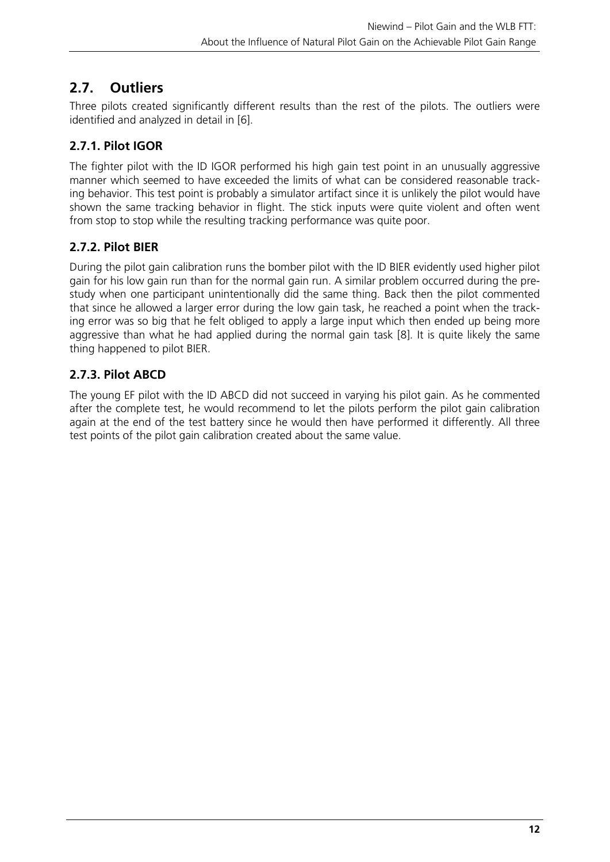# **2.7. Outliers**

Three pilots created significantly different results than the rest of the pilots. The outliers were identified and analyzed in detail in [6].

# **2.7.1. Pilot IGOR**

The fighter pilot with the ID IGOR performed his high gain test point in an unusually aggressive manner which seemed to have exceeded the limits of what can be considered reasonable tracking behavior. This test point is probably a simulator artifact since it is unlikely the pilot would have shown the same tracking behavior in flight. The stick inputs were quite violent and often went from stop to stop while the resulting tracking performance was quite poor.

# **2.7.2. Pilot BIER**

During the pilot gain calibration runs the bomber pilot with the ID BIER evidently used higher pilot gain for his low gain run than for the normal gain run. A similar problem occurred during the prestudy when one participant unintentionally did the same thing. Back then the pilot commented that since he allowed a larger error during the low gain task, he reached a point when the tracking error was so big that he felt obliged to apply a large input which then ended up being more aggressive than what he had applied during the normal gain task [8]. It is quite likely the same thing happened to pilot BIER.

# **2.7.3. Pilot ABCD**

The young EF pilot with the ID ABCD did not succeed in varying his pilot gain. As he commented after the complete test, he would recommend to let the pilots perform the pilot gain calibration again at the end of the test battery since he would then have performed it differently. All three test points of the pilot gain calibration created about the same value.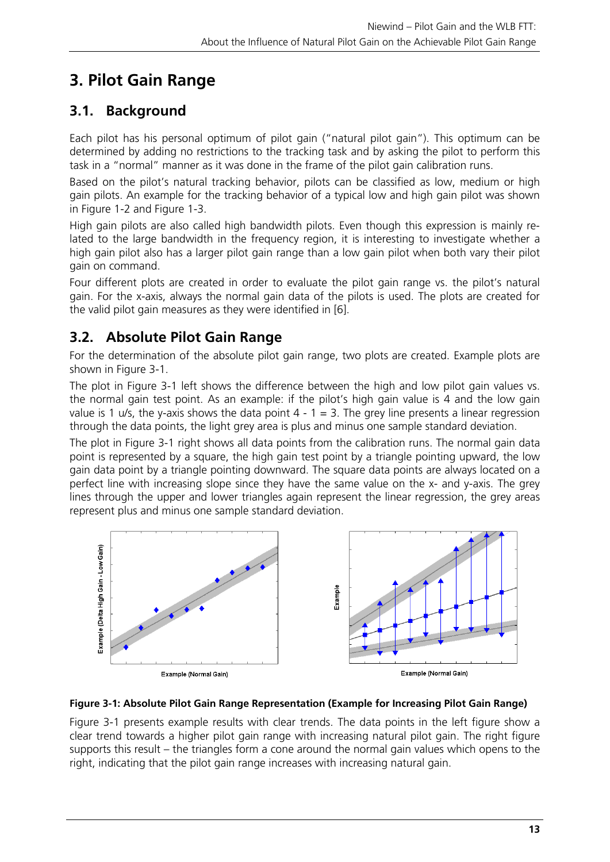# **3. Pilot Gain Range**

# **3.1. Background**

Each pilot has his personal optimum of pilot gain ("natural pilot gain"). This optimum can be determined by adding no restrictions to the tracking task and by asking the pilot to perform this task in a "normal" manner as it was done in the frame of the pilot gain calibration runs.

Based on the pilot's natural tracking behavior, pilots can be classified as low, medium or high gain pilots. An example for the tracking behavior of a typical low and high gain pilot was shown in Figure 1-2 and Figure 1-3.

High gain pilots are also called high bandwidth pilots. Even though this expression is mainly related to the large bandwidth in the frequency region, it is interesting to investigate whether a high gain pilot also has a larger pilot gain range than a low gain pilot when both vary their pilot gain on command.

Four different plots are created in order to evaluate the pilot gain range vs. the pilot's natural gain. For the x-axis, always the normal gain data of the pilots is used. The plots are created for the valid pilot gain measures as they were identified in [6].

# **3.2. Absolute Pilot Gain Range**

For the determination of the absolute pilot gain range, two plots are created. Example plots are shown in Figure 3-1.

The plot in Figure 3-1 left shows the difference between the high and low pilot gain values vs. the normal gain test point. As an example: if the pilot's high gain value is 4 and the low gain value is 1 u/s, the y-axis shows the data point  $4 - 1 = 3$ . The grey line presents a linear regression through the data points, the light grey area is plus and minus one sample standard deviation.

The plot in Figure 3-1 right shows all data points from the calibration runs. The normal gain data point is represented by a square, the high gain test point by a triangle pointing upward, the low gain data point by a triangle pointing downward. The square data points are always located on a perfect line with increasing slope since they have the same value on the x- and y-axis. The grey lines through the upper and lower triangles again represent the linear regression, the grey areas represent plus and minus one sample standard deviation.





Figure 3-1 presents example results with clear trends. The data points in the left figure show a clear trend towards a higher pilot gain range with increasing natural pilot gain. The right figure supports this result – the triangles form a cone around the normal gain values which opens to the right, indicating that the pilot gain range increases with increasing natural gain.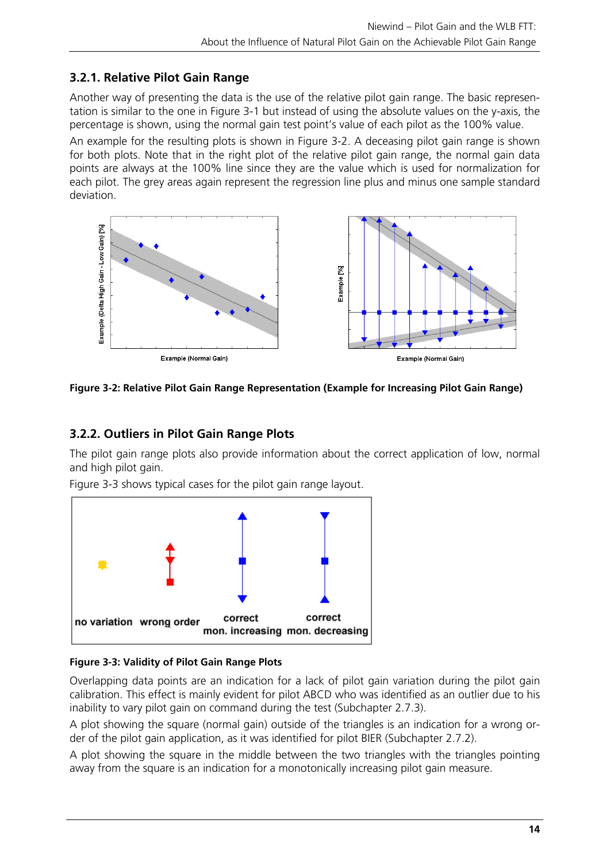## **3.2.1. Relative Pilot Gain Range**

Another way of presenting the data is the use of the relative pilot gain range. The basic representation is similar to the one in Figure 3-1 but instead of using the absolute values on the y-axis, the percentage is shown, using the normal gain test point's value of each pilot as the 100% value.

An example for the resulting plots is shown in Figure 3-2. A deceasing pilot gain range is shown for both plots. Note that in the right plot of the relative pilot gain range, the normal gain data points are always at the 100% line since they are the value which is used for normalization for each pilot. The grey areas again represent the regression line plus and minus one sample standard deviation.



**Figure 3-2: Relative Pilot Gain Range Representation (Example for Increasing Pilot Gain Range)** 

# **3.2.2. Outliers in Pilot Gain Range Plots**

The pilot gain range plots also provide information about the correct application of low, normal and high pilot gain.



Figure 3-3 shows typical cases for the pilot gain range layout.

## **Figure 3-3: Validity of Pilot Gain Range Plots**

Overlapping data points are an indication for a lack of pilot gain variation during the pilot gain calibration. This effect is mainly evident for pilot ABCD who was identified as an outlier due to his inability to vary pilot gain on command during the test (Subchapter 2.7.3).

A plot showing the square (normal gain) outside of the triangles is an indication for a wrong order of the pilot gain application, as it was identified for pilot BIER (Subchapter 2.7.2).

A plot showing the square in the middle between the two triangles with the triangles pointing away from the square is an indication for a monotonically increasing pilot gain measure.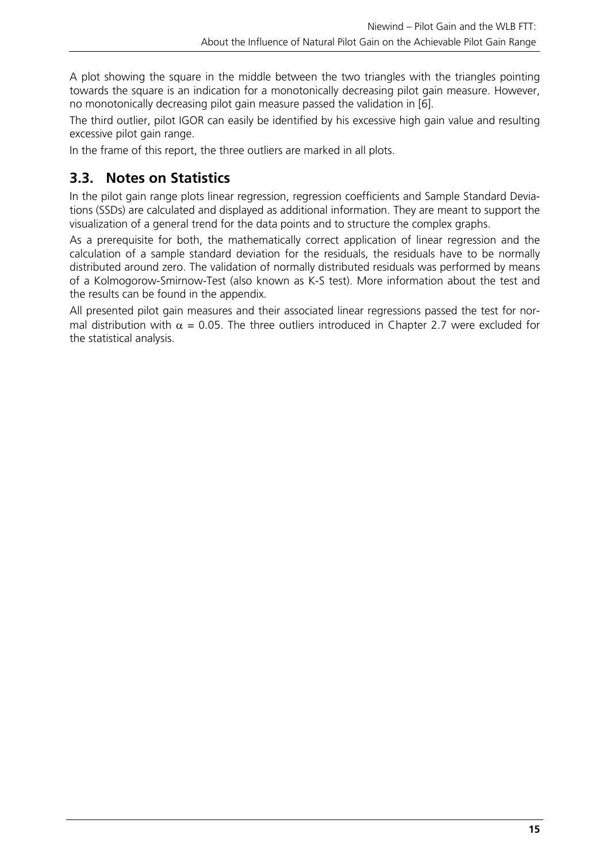A plot showing the square in the middle between the two triangles with the triangles pointing towards the square is an indication for a monotonically decreasing pilot gain measure. However, no monotonically decreasing pilot gain measure passed the validation in [6].

The third outlier, pilot IGOR can easily be identified by his excessive high gain value and resulting excessive pilot gain range.

In the frame of this report, the three outliers are marked in all plots.

# **3.3. Notes on Statistics**

In the pilot gain range plots linear regression, regression coefficients and Sample Standard Deviations (SSDs) are calculated and displayed as additional information. They are meant to support the visualization of a general trend for the data points and to structure the complex graphs.

As a prerequisite for both, the mathematically correct application of linear regression and the calculation of a sample standard deviation for the residuals, the residuals have to be normally distributed around zero. The validation of normally distributed residuals was performed by means of a Kolmogorow-Smirnow-Test (also known as K-S test). More information about the test and the results can be found in the appendix.

All presented pilot gain measures and their associated linear regressions passed the test for normal distribution with  $\alpha = 0.05$ . The three outliers introduced in Chapter 2.7 were excluded for the statistical analysis.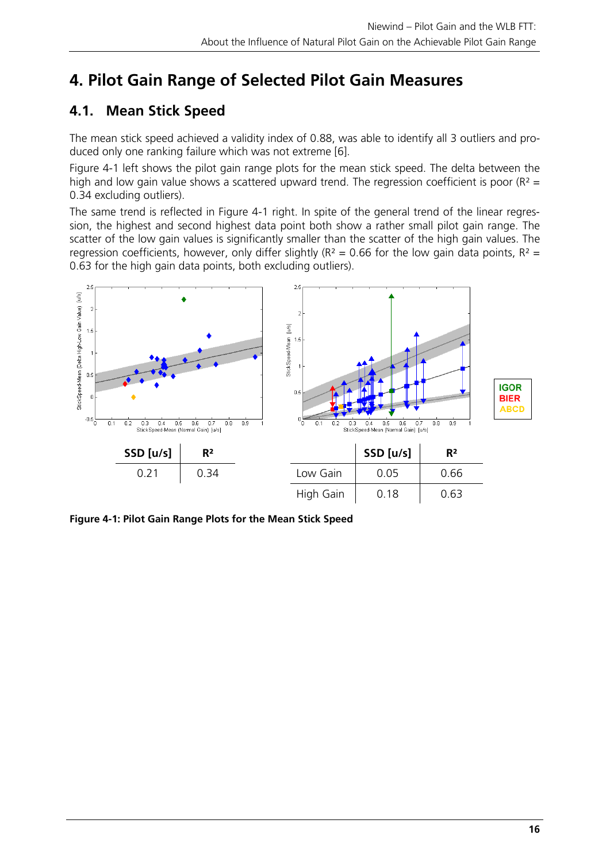# **4. Pilot Gain Range of Selected Pilot Gain Measures**

# **4.1. Mean Stick Speed**

The mean stick speed achieved a validity index of 0.88, was able to identify all 3 outliers and produced only one ranking failure which was not extreme [6].

Figure 4-1 left shows the pilot gain range plots for the mean stick speed. The delta between the high and low gain value shows a scattered upward trend. The regression coefficient is poor ( $R^2$  = 0.34 excluding outliers).

The same trend is reflected in Figure 4-1 right. In spite of the general trend of the linear regression, the highest and second highest data point both show a rather small pilot gain range. The scatter of the low gain values is significantly smaller than the scatter of the high gain values. The regression coefficients, however, only differ slightly ( $R^2 = 0.66$  for the low gain data points,  $R^2 =$ 0.63 for the high gain data points, both excluding outliers).



**Figure 4-1: Pilot Gain Range Plots for the Mean Stick Speed**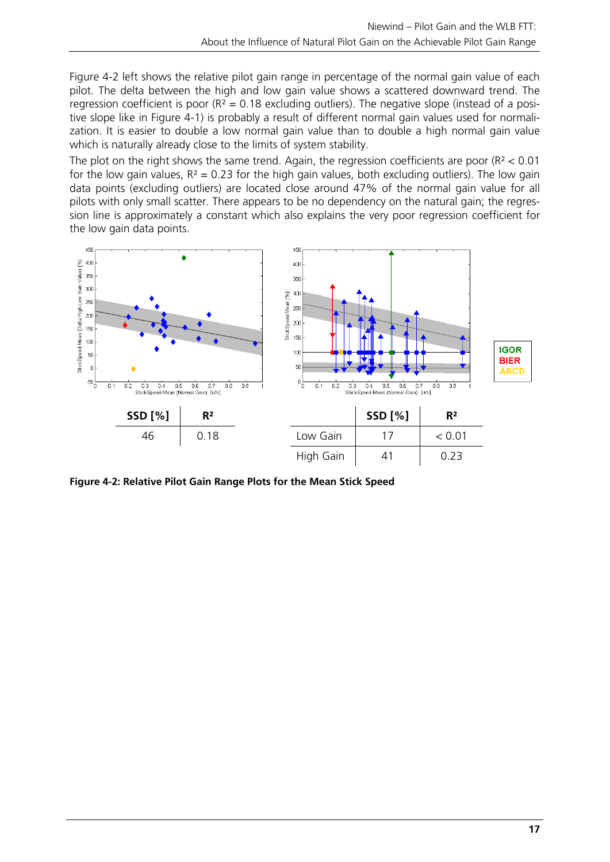Figure 4-2 left shows the relative pilot gain range in percentage of the normal gain value of each pilot. The delta between the high and low gain value shows a scattered downward trend. The regression coefficient is poor ( $R^2 = 0.18$  excluding outliers). The negative slope (instead of a positive slope like in Figure 4-1) is probably a result of different normal gain values used for normalization. It is easier to double a low normal gain value than to double a high normal gain value which is naturally already close to the limits of system stability.

The plot on the right shows the same trend. Again, the regression coefficients are poor ( $R<sup>2</sup> < 0.01$ ) for the low gain values,  $R^2 = 0.23$  for the high gain values, both excluding outliers). The low gain data points (excluding outliers) are located close around 47% of the normal gain value for all pilots with only small scatter. There appears to be no dependency on the natural gain; the regression line is approximately a constant which also explains the very poor regression coefficient for the low gain data points.



**Figure 4-2: Relative Pilot Gain Range Plots for the Mean Stick Speed**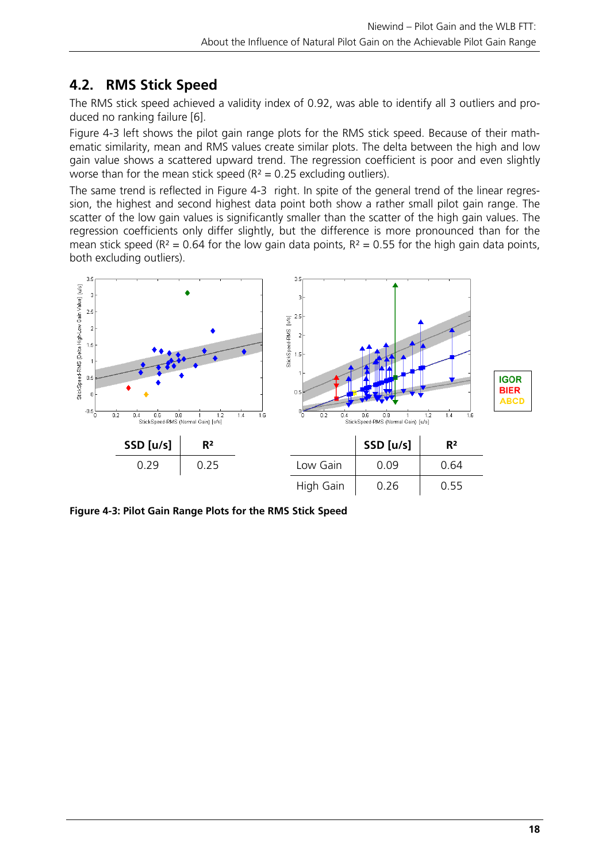# **4.2. RMS Stick Speed**

The RMS stick speed achieved a validity index of 0.92, was able to identify all 3 outliers and produced no ranking failure [6].

Figure 4-3 left shows the pilot gain range plots for the RMS stick speed. Because of their mathematic similarity, mean and RMS values create similar plots. The delta between the high and low gain value shows a scattered upward trend. The regression coefficient is poor and even slightly worse than for the mean stick speed ( $R^2 = 0.25$  excluding outliers).

The same trend is reflected in Figure 4-3 right. In spite of the general trend of the linear regression, the highest and second highest data point both show a rather small pilot gain range. The scatter of the low gain values is significantly smaller than the scatter of the high gain values. The regression coefficients only differ slightly, but the difference is more pronounced than for the mean stick speed ( $R^2$  = 0.64 for the low gain data points,  $R^2$  = 0.55 for the high gain data points, both excluding outliers).



**Figure 4-3: Pilot Gain Range Plots for the RMS Stick Speed**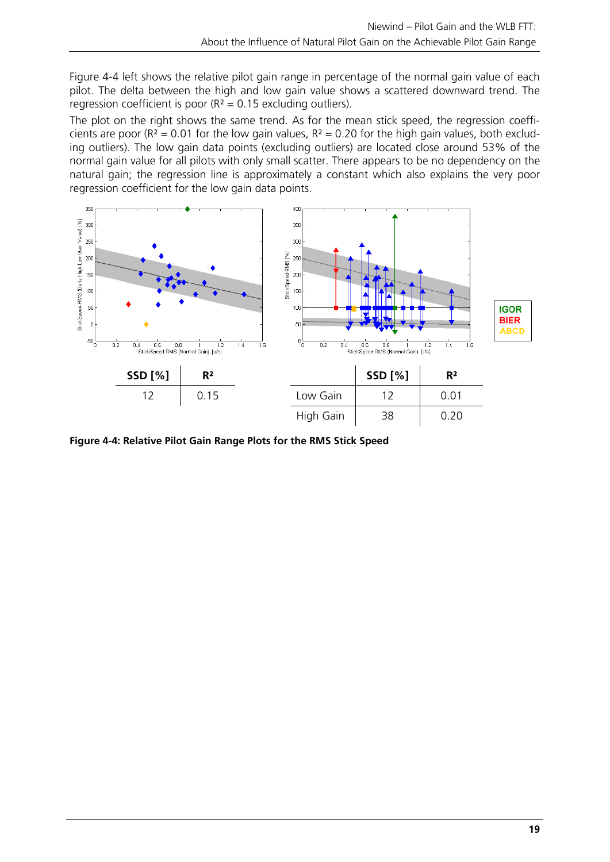Figure 4-4 left shows the relative pilot gain range in percentage of the normal gain value of each pilot. The delta between the high and low gain value shows a scattered downward trend. The regression coefficient is poor  $(R^2 = 0.15$  excluding outliers).

The plot on the right shows the same trend. As for the mean stick speed, the regression coefficients are poor ( $R^2 = 0.01$  for the low gain values,  $R^2 = 0.20$  for the high gain values, both excluding outliers). The low gain data points (excluding outliers) are located close around 53% of the normal gain value for all pilots with only small scatter. There appears to be no dependency on the natural gain; the regression line is approximately a constant which also explains the very poor regression coefficient for the low gain data points.



**Figure 4-4: Relative Pilot Gain Range Plots for the RMS Stick Speed**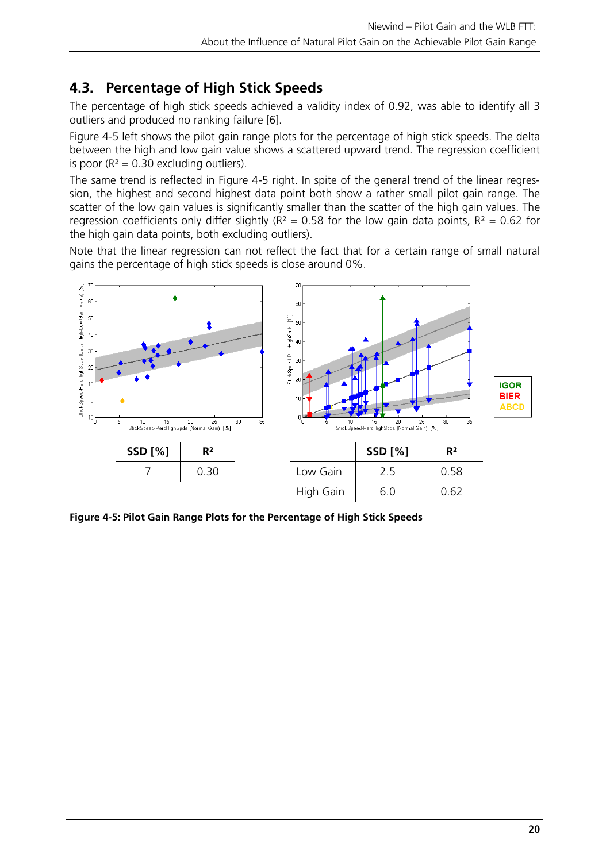# **4.3. Percentage of High Stick Speeds**

The percentage of high stick speeds achieved a validity index of 0.92, was able to identify all 3 outliers and produced no ranking failure [6].

Figure 4-5 left shows the pilot gain range plots for the percentage of high stick speeds. The delta between the high and low gain value shows a scattered upward trend. The regression coefficient is poor ( $R^2 = 0.30$  excluding outliers).

The same trend is reflected in Figure 4-5 right. In spite of the general trend of the linear regression, the highest and second highest data point both show a rather small pilot gain range. The scatter of the low gain values is significantly smaller than the scatter of the high gain values. The regression coefficients only differ slightly ( $R^2 = 0.58$  for the low gain data points,  $R^2 = 0.62$  for the high gain data points, both excluding outliers).

Note that the linear regression can not reflect the fact that for a certain range of small natural gains the percentage of high stick speeds is close around 0%.



**Figure 4-5: Pilot Gain Range Plots for the Percentage of High Stick Speeds**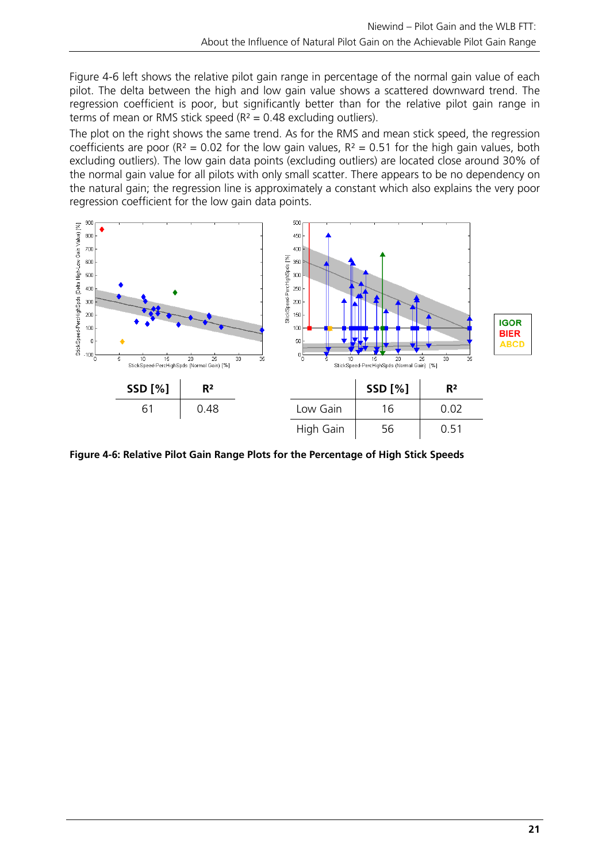Figure 4-6 left shows the relative pilot gain range in percentage of the normal gain value of each pilot. The delta between the high and low gain value shows a scattered downward trend. The regression coefficient is poor, but significantly better than for the relative pilot gain range in terms of mean or RMS stick speed ( $R^2 = 0.48$  excluding outliers).

The plot on the right shows the same trend. As for the RMS and mean stick speed, the regression coefficients are poor ( $R^2 = 0.02$  for the low gain values,  $R^2 = 0.51$  for the high gain values, both excluding outliers). The low gain data points (excluding outliers) are located close around 30% of the normal gain value for all pilots with only small scatter. There appears to be no dependency on the natural gain; the regression line is approximately a constant which also explains the very poor regression coefficient for the low gain data points.



**Figure 4-6: Relative Pilot Gain Range Plots for the Percentage of High Stick Speeds**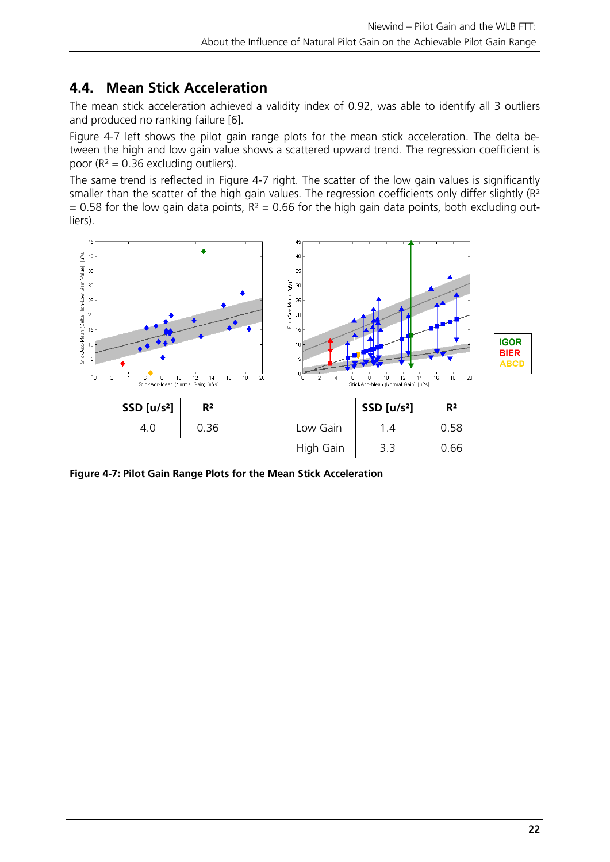# **4.4. Mean Stick Acceleration**

The mean stick acceleration achieved a validity index of 0.92, was able to identify all 3 outliers and produced no ranking failure [6].

Figure 4-7 left shows the pilot gain range plots for the mean stick acceleration. The delta between the high and low gain value shows a scattered upward trend. The regression coefficient is poor ( $R^2 = 0.36$  excluding outliers).

The same trend is reflected in Figure 4-7 right. The scatter of the low gain values is significantly smaller than the scatter of the high gain values. The regression coefficients only differ slightly (R<sup>2</sup>)  $= 0.58$  for the low gain data points,  $R<sup>2</sup> = 0.66$  for the high gain data points, both excluding outliers).



**Figure 4-7: Pilot Gain Range Plots for the Mean Stick Acceleration**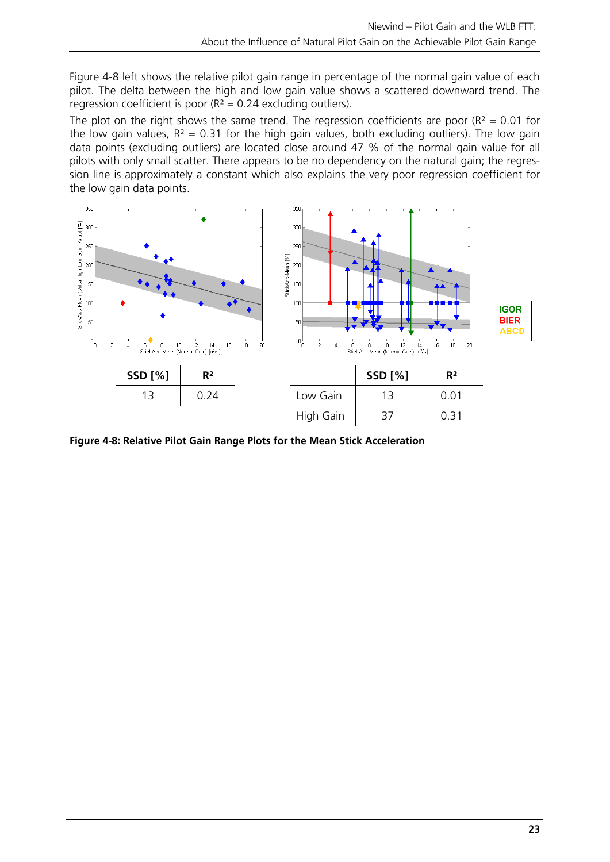Figure 4-8 left shows the relative pilot gain range in percentage of the normal gain value of each pilot. The delta between the high and low gain value shows a scattered downward trend. The regression coefficient is poor  $(R^2 = 0.24$  excluding outliers).

The plot on the right shows the same trend. The regression coefficients are poor ( $R^2 = 0.01$  for the low gain values,  $R^2 = 0.31$  for the high gain values, both excluding outliers). The low gain data points (excluding outliers) are located close around 47 % of the normal gain value for all pilots with only small scatter. There appears to be no dependency on the natural gain; the regression line is approximately a constant which also explains the very poor regression coefficient for the low gain data points.



**Figure 4-8: Relative Pilot Gain Range Plots for the Mean Stick Acceleration**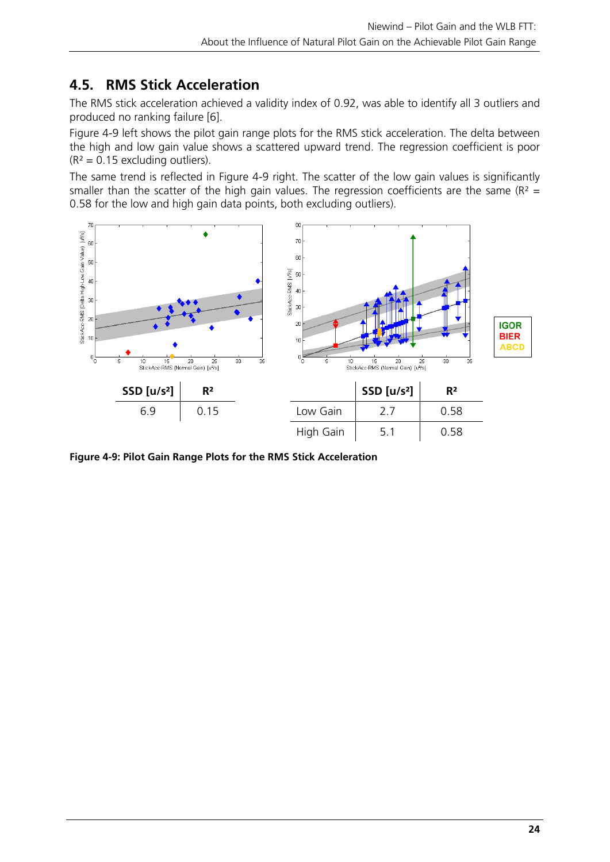# **4.5. RMS Stick Acceleration**

The RMS stick acceleration achieved a validity index of 0.92, was able to identify all 3 outliers and produced no ranking failure [6].

Figure 4-9 left shows the pilot gain range plots for the RMS stick acceleration. The delta between the high and low gain value shows a scattered upward trend. The regression coefficient is poor  $(R<sup>2</sup> = 0.15$  excluding outliers).

The same trend is reflected in Figure 4-9 right. The scatter of the low gain values is significantly smaller than the scatter of the high gain values. The regression coefficients are the same ( $R^2$  = 0.58 for the low and high gain data points, both excluding outliers).



**Figure 4-9: Pilot Gain Range Plots for the RMS Stick Acceleration**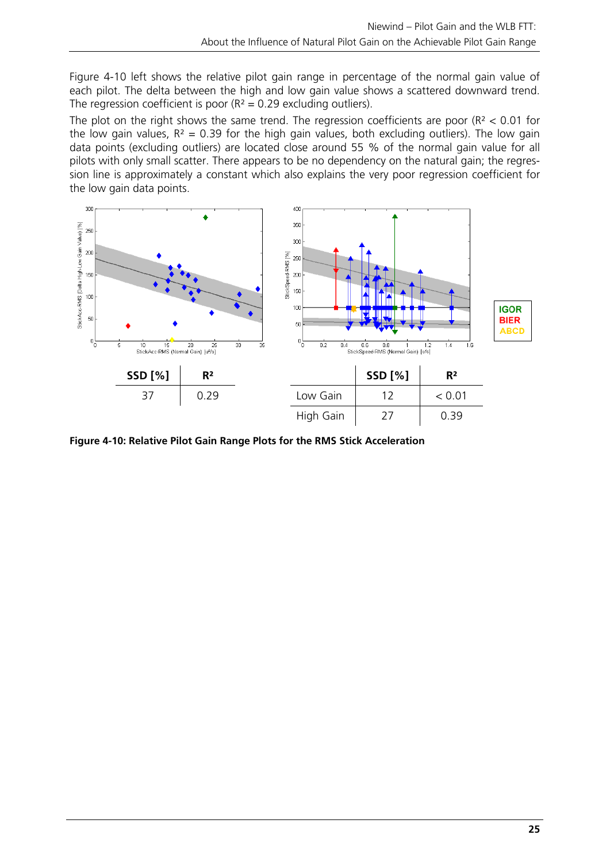Figure 4-10 left shows the relative pilot gain range in percentage of the normal gain value of each pilot. The delta between the high and low gain value shows a scattered downward trend. The regression coefficient is poor  $(R^2 = 0.29$  excluding outliers).

The plot on the right shows the same trend. The regression coefficients are poor ( $R<sup>2</sup> < 0.01$  for the low gain values,  $R^2 = 0.39$  for the high gain values, both excluding outliers). The low gain data points (excluding outliers) are located close around 55 % of the normal gain value for all pilots with only small scatter. There appears to be no dependency on the natural gain; the regression line is approximately a constant which also explains the very poor regression coefficient for the low gain data points.



**Figure 4-10: Relative Pilot Gain Range Plots for the RMS Stick Acceleration**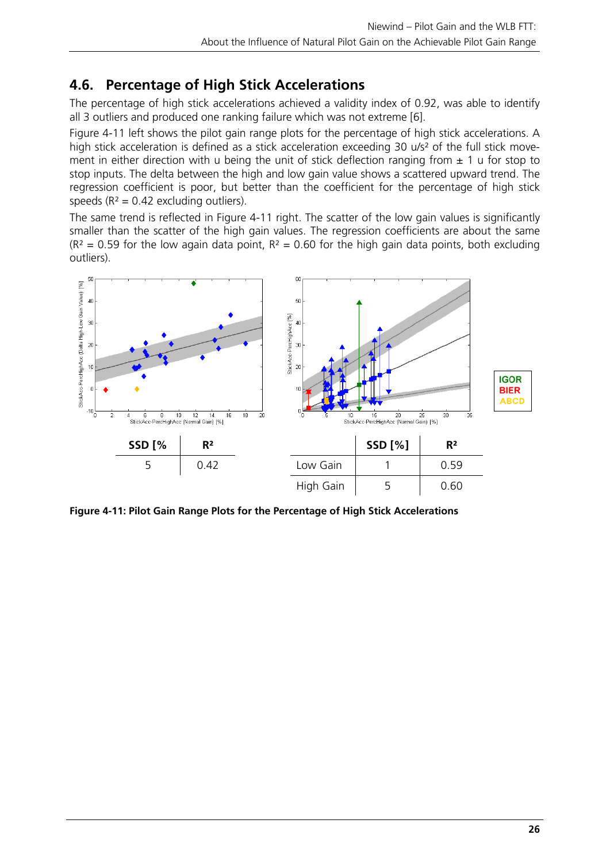# **4.6. Percentage of High Stick Accelerations**

The percentage of high stick accelerations achieved a validity index of 0.92, was able to identify all 3 outliers and produced one ranking failure which was not extreme [6].

Figure 4-11 left shows the pilot gain range plots for the percentage of high stick accelerations. A high stick acceleration is defined as a stick acceleration exceeding 30 u/s<sup>2</sup> of the full stick movement in either direction with u being the unit of stick deflection ranging from  $\pm$  1 u for stop to stop inputs. The delta between the high and low gain value shows a scattered upward trend. The regression coefficient is poor, but better than the coefficient for the percentage of high stick speeds ( $R^2 = 0.42$  excluding outliers).

The same trend is reflected in Figure 4-11 right. The scatter of the low gain values is significantly smaller than the scatter of the high gain values. The regression coefficients are about the same  $(R<sup>2</sup> = 0.59$  for the low again data point,  $R<sup>2</sup> = 0.60$  for the high gain data points, both excluding outliers).



**Figure 4-11: Pilot Gain Range Plots for the Percentage of High Stick Accelerations**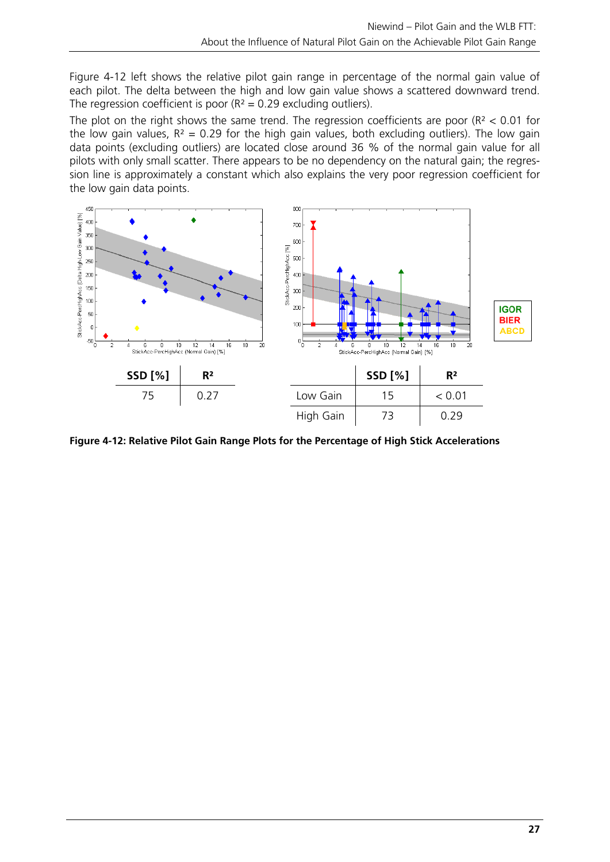Figure 4-12 left shows the relative pilot gain range in percentage of the normal gain value of each pilot. The delta between the high and low gain value shows a scattered downward trend. The regression coefficient is poor  $(R^2 = 0.29$  excluding outliers).

The plot on the right shows the same trend. The regression coefficients are poor ( $R<sup>2</sup> < 0.01$  for the low gain values,  $R^2 = 0.29$  for the high gain values, both excluding outliers). The low gain data points (excluding outliers) are located close around 36 % of the normal gain value for all pilots with only small scatter. There appears to be no dependency on the natural gain; the regression line is approximately a constant which also explains the very poor regression coefficient for the low gain data points.



**Figure 4-12: Relative Pilot Gain Range Plots for the Percentage of High Stick Accelerations**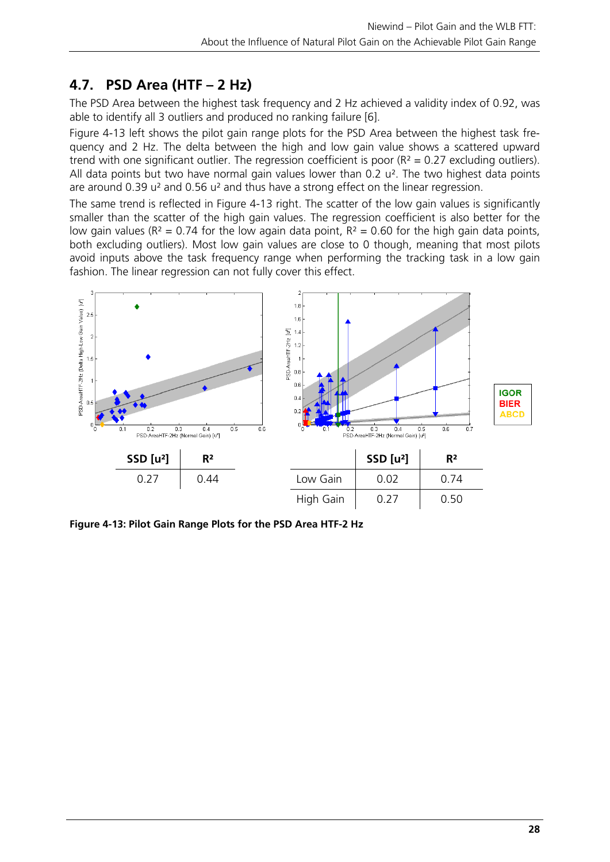# **4.7. PSD Area (HTF – 2 Hz)**

The PSD Area between the highest task frequency and 2 Hz achieved a validity index of 0.92, was able to identify all 3 outliers and produced no ranking failure [6].

Figure 4-13 left shows the pilot gain range plots for the PSD Area between the highest task frequency and 2 Hz. The delta between the high and low gain value shows a scattered upward trend with one significant outlier. The regression coefficient is poor  $(R^2 = 0.27$  excluding outliers). All data points but two have normal gain values lower than 0.2  $u^2$ . The two highest data points are around 0.39 u² and 0.56 u² and thus have a strong effect on the linear regression.

The same trend is reflected in Figure 4-13 right. The scatter of the low gain values is significantly smaller than the scatter of the high gain values. The regression coefficient is also better for the low gain values ( $R^2 = 0.74$  for the low again data point,  $R^2 = 0.60$  for the high gain data points, both excluding outliers). Most low gain values are close to 0 though, meaning that most pilots avoid inputs above the task frequency range when performing the tracking task in a low gain fashion. The linear regression can not fully cover this effect.



**Figure 4-13: Pilot Gain Range Plots for the PSD Area HTF-2 Hz**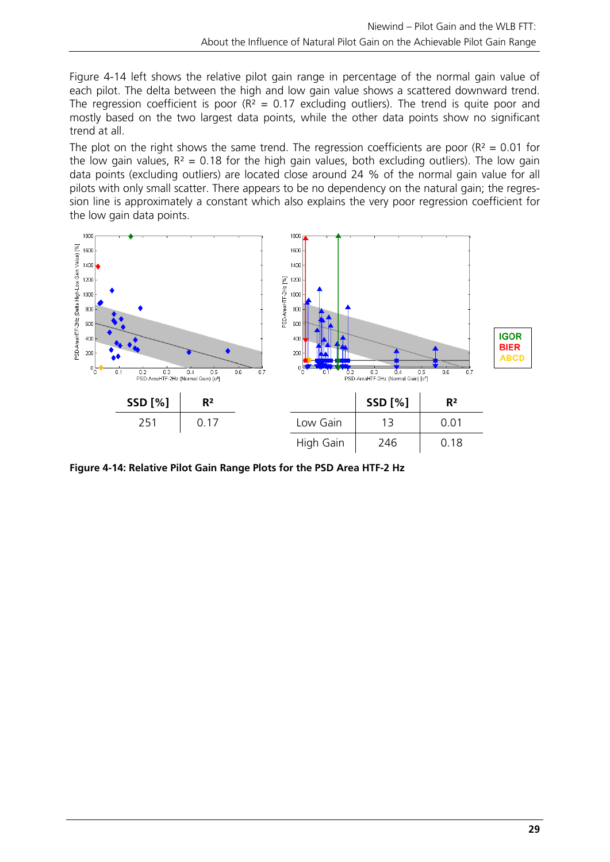Figure 4-14 left shows the relative pilot gain range in percentage of the normal gain value of each pilot. The delta between the high and low gain value shows a scattered downward trend. The regression coefficient is poor ( $R^2 = 0.17$  excluding outliers). The trend is quite poor and mostly based on the two largest data points, while the other data points show no significant trend at all.

The plot on the right shows the same trend. The regression coefficients are poor ( $R^2 = 0.01$  for the low gain values,  $R^2 = 0.18$  for the high gain values, both excluding outliers). The low gain data points (excluding outliers) are located close around 24 % of the normal gain value for all pilots with only small scatter. There appears to be no dependency on the natural gain; the regression line is approximately a constant which also explains the very poor regression coefficient for the low gain data points.



**Figure 4-14: Relative Pilot Gain Range Plots for the PSD Area HTF-2 Hz**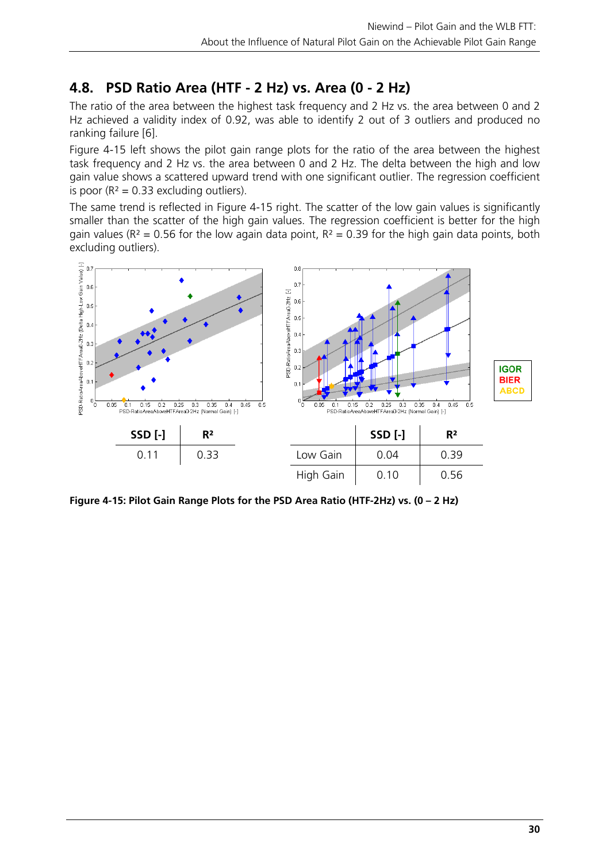# **4.8. PSD Ratio Area (HTF - 2 Hz) vs. Area (0 - 2 Hz)**

The ratio of the area between the highest task frequency and 2 Hz vs. the area between 0 and 2 Hz achieved a validity index of 0.92, was able to identify 2 out of 3 outliers and produced no ranking failure [6].

Figure 4-15 left shows the pilot gain range plots for the ratio of the area between the highest task frequency and 2 Hz vs. the area between 0 and 2 Hz. The delta between the high and low gain value shows a scattered upward trend with one significant outlier. The regression coefficient is poor ( $R^2 = 0.33$  excluding outliers).

The same trend is reflected in Figure 4-15 right. The scatter of the low gain values is significantly smaller than the scatter of the high gain values. The regression coefficient is better for the high gain values ( $R^2$  = 0.56 for the low again data point,  $R^2$  = 0.39 for the high gain data points, both excluding outliers).



**Figure 4-15: Pilot Gain Range Plots for the PSD Area Ratio (HTF-2Hz) vs. (0 – 2 Hz)**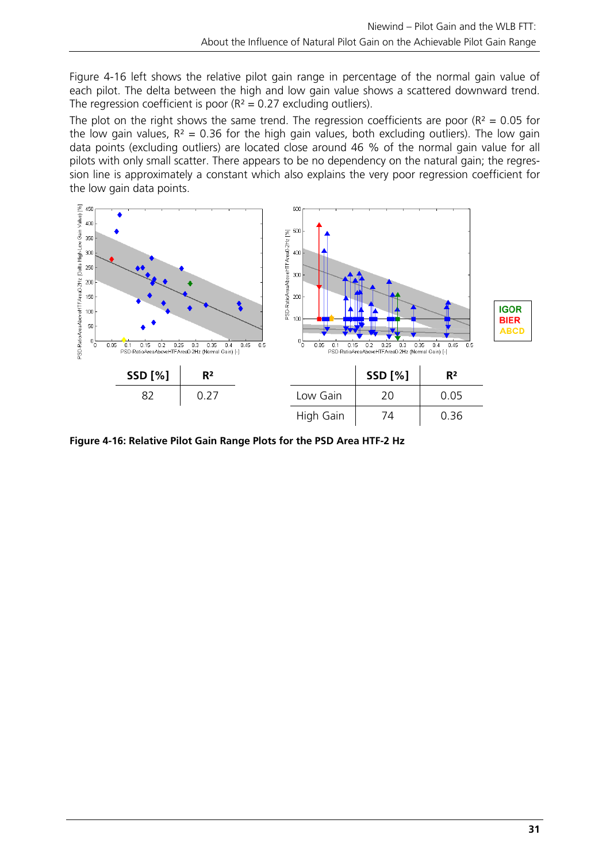Figure 4-16 left shows the relative pilot gain range in percentage of the normal gain value of each pilot. The delta between the high and low gain value shows a scattered downward trend. The regression coefficient is poor  $(R^2 = 0.27)$  excluding outliers).

The plot on the right shows the same trend. The regression coefficients are poor ( $R^2 = 0.05$  for the low gain values,  $R^2 = 0.36$  for the high gain values, both excluding outliers). The low gain data points (excluding outliers) are located close around 46 % of the normal gain value for all pilots with only small scatter. There appears to be no dependency on the natural gain; the regression line is approximately a constant which also explains the very poor regression coefficient for the low gain data points.



**Figure 4-16: Relative Pilot Gain Range Plots for the PSD Area HTF-2 Hz**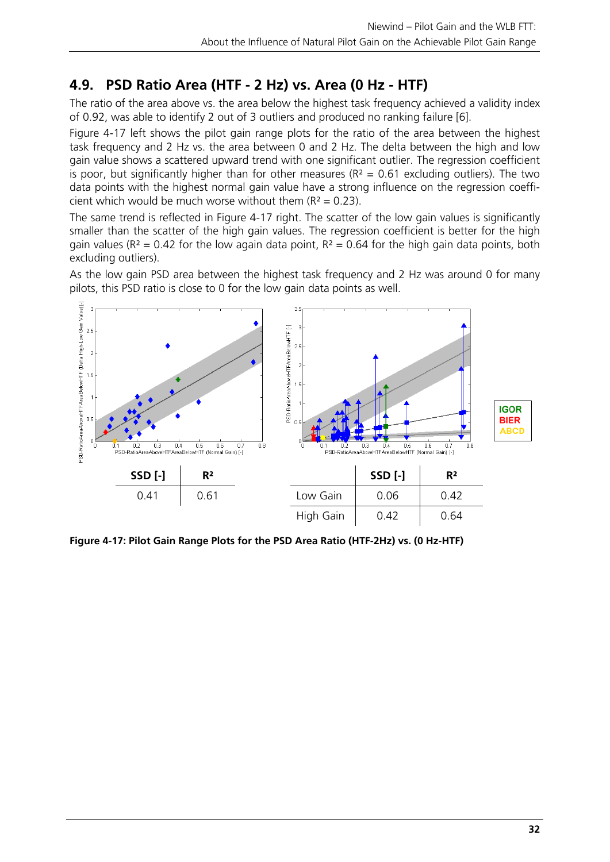# **4.9. PSD Ratio Area (HTF - 2 Hz) vs. Area (0 Hz - HTF)**

The ratio of the area above vs. the area below the highest task frequency achieved a validity index of 0.92, was able to identify 2 out of 3 outliers and produced no ranking failure [6].

Figure 4-17 left shows the pilot gain range plots for the ratio of the area between the highest task frequency and 2 Hz vs. the area between 0 and 2 Hz. The delta between the high and low gain value shows a scattered upward trend with one significant outlier. The regression coefficient is poor, but significantly higher than for other measures ( $R^2 = 0.61$  excluding outliers). The two data points with the highest normal gain value have a strong influence on the regression coefficient which would be much worse without them  $(R^2 = 0.23)$ .

The same trend is reflected in Figure 4-17 right. The scatter of the low gain values is significantly smaller than the scatter of the high gain values. The regression coefficient is better for the high gain values ( $R^2 = 0.42$  for the low again data point,  $R^2 = 0.64$  for the high gain data points, both excluding outliers).

As the low gain PSD area between the highest task frequency and 2 Hz was around 0 for many pilots, this PSD ratio is close to 0 for the low gain data points as well.



**Figure 4-17: Pilot Gain Range Plots for the PSD Area Ratio (HTF-2Hz) vs. (0 Hz-HTF)**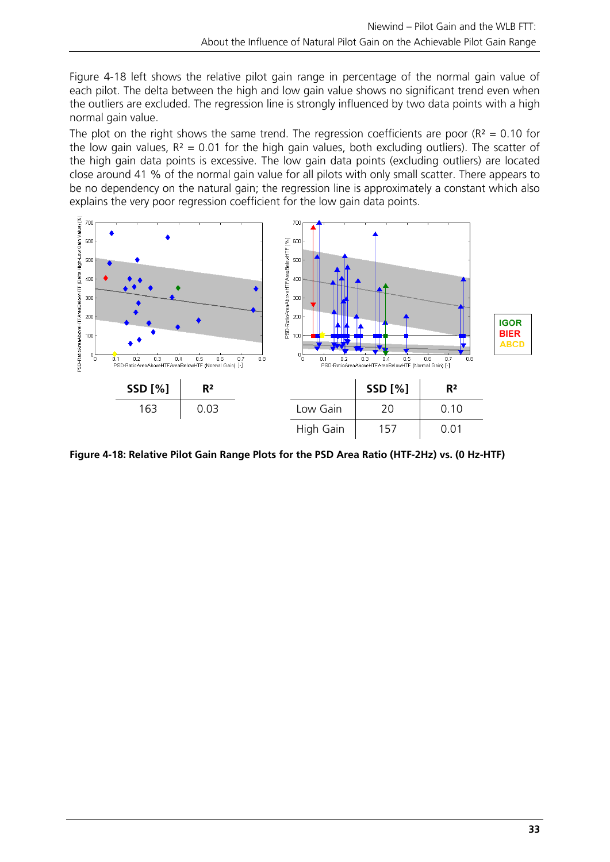Figure 4-18 left shows the relative pilot gain range in percentage of the normal gain value of each pilot. The delta between the high and low gain value shows no significant trend even when the outliers are excluded. The regression line is strongly influenced by two data points with a high normal gain value.

The plot on the right shows the same trend. The regression coefficients are poor ( $R^2 = 0.10$  for the low gain values,  $R^2 = 0.01$  for the high gain values, both excluding outliers). The scatter of the high gain data points is excessive. The low gain data points (excluding outliers) are located close around 41 % of the normal gain value for all pilots with only small scatter. There appears to be no dependency on the natural gain; the regression line is approximately a constant which also explains the very poor regression coefficient for the low gain data points.



**Figure 4-18: Relative Pilot Gain Range Plots for the PSD Area Ratio (HTF-2Hz) vs. (0 Hz-HTF)**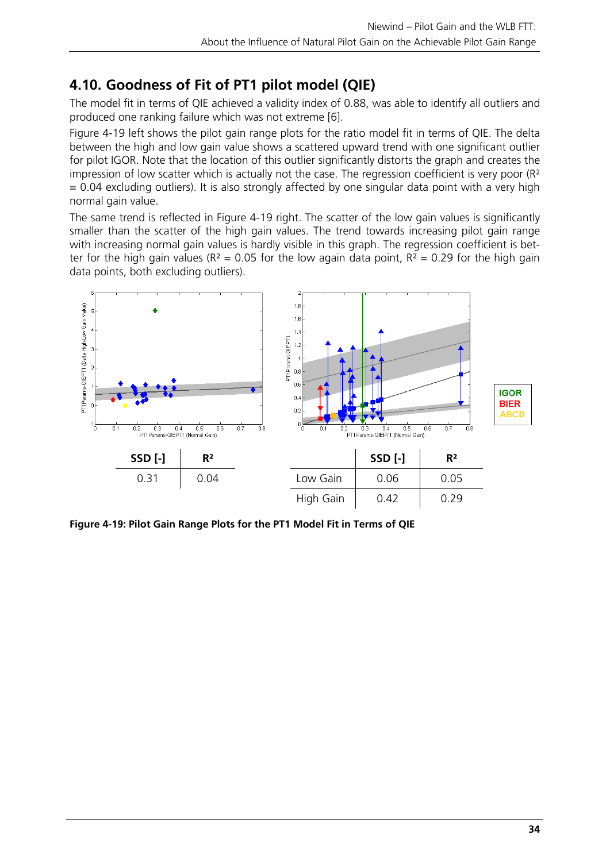# **4.10. Goodness of Fit of PT1 pilot model (QIE)**

The model fit in terms of QIE achieved a validity index of 0.88, was able to identify all outliers and produced one ranking failure which was not extreme [6].

Figure 4-19 left shows the pilot gain range plots for the ratio model fit in terms of QIE. The delta between the high and low gain value shows a scattered upward trend with one significant outlier for pilot IGOR. Note that the location of this outlier significantly distorts the graph and creates the impression of low scatter which is actually not the case. The regression coefficient is very poor (R<sup>2</sup>)  $= 0.04$  excluding outliers). It is also strongly affected by one singular data point with a very high normal gain value.

The same trend is reflected in Figure 4-19 right. The scatter of the low gain values is significantly smaller than the scatter of the high gain values. The trend towards increasing pilot gain range with increasing normal gain values is hardly visible in this graph. The regression coefficient is better for the high gain values ( $R^2 = 0.05$  for the low again data point,  $R^2 = 0.29$  for the high gain data points, both excluding outliers).



**Figure 4-19: Pilot Gain Range Plots for the PT1 Model Fit in Terms of QIE**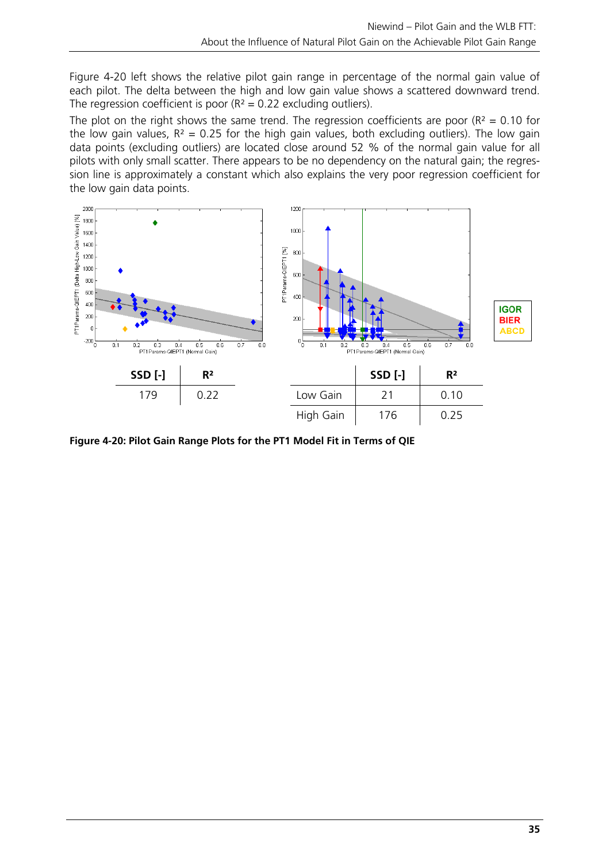Figure 4-20 left shows the relative pilot gain range in percentage of the normal gain value of each pilot. The delta between the high and low gain value shows a scattered downward trend. The regression coefficient is poor  $(R^2 = 0.22$  excluding outliers).

The plot on the right shows the same trend. The regression coefficients are poor ( $R^2 = 0.10$  for the low gain values,  $R^2 = 0.25$  for the high gain values, both excluding outliers). The low gain data points (excluding outliers) are located close around 52 % of the normal gain value for all pilots with only small scatter. There appears to be no dependency on the natural gain; the regression line is approximately a constant which also explains the very poor regression coefficient for the low gain data points.



**Figure 4-20: Pilot Gain Range Plots for the PT1 Model Fit in Terms of QIE**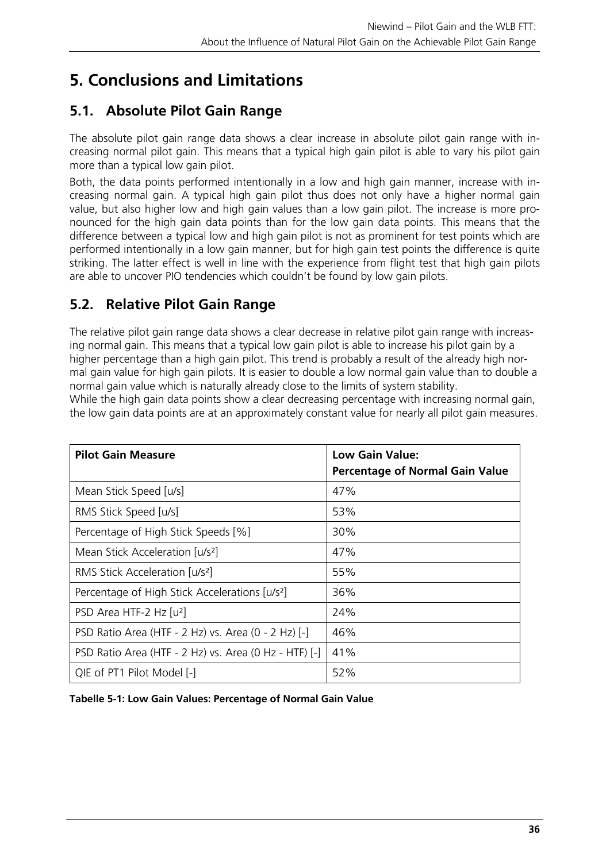# **5. Conclusions and Limitations**

# **5.1. Absolute Pilot Gain Range**

The absolute pilot gain range data shows a clear increase in absolute pilot gain range with increasing normal pilot gain. This means that a typical high gain pilot is able to vary his pilot gain more than a typical low gain pilot.

Both, the data points performed intentionally in a low and high gain manner, increase with increasing normal gain. A typical high gain pilot thus does not only have a higher normal gain value, but also higher low and high gain values than a low gain pilot. The increase is more pronounced for the high gain data points than for the low gain data points. This means that the difference between a typical low and high gain pilot is not as prominent for test points which are performed intentionally in a low gain manner, but for high gain test points the difference is quite striking. The latter effect is well in line with the experience from flight test that high gain pilots are able to uncover PIO tendencies which couldn't be found by low gain pilots.

# **5.2. Relative Pilot Gain Range**

The relative pilot gain range data shows a clear decrease in relative pilot gain range with increasing normal gain. This means that a typical low gain pilot is able to increase his pilot gain by a higher percentage than a high gain pilot. This trend is probably a result of the already high normal gain value for high gain pilots. It is easier to double a low normal gain value than to double a normal gain value which is naturally already close to the limits of system stability.

While the high gain data points show a clear decreasing percentage with increasing normal gain, the low gain data points are at an approximately constant value for nearly all pilot gain measures.

| <b>Pilot Gain Measure</b>                                  | <b>Low Gain Value:</b><br><b>Percentage of Normal Gain Value</b> |
|------------------------------------------------------------|------------------------------------------------------------------|
| Mean Stick Speed [u/s]                                     | 47%                                                              |
| RMS Stick Speed [u/s]                                      | 53%                                                              |
| Percentage of High Stick Speeds [%]                        | $30\%$                                                           |
| Mean Stick Acceleration [u/s <sup>2</sup> ]                | 47%                                                              |
| RMS Stick Acceleration [u/s <sup>2</sup> ]                 | 55%                                                              |
| Percentage of High Stick Accelerations [u/s <sup>2</sup> ] | 36%                                                              |
| PSD Area HTF-2 Hz [u <sup>2</sup> ]                        | 24%                                                              |
| PSD Ratio Area (HTF - 2 Hz) vs. Area (0 - 2 Hz) [-]        | 46%                                                              |
| PSD Ratio Area (HTF - 2 Hz) vs. Area (0 Hz - HTF) [-]      | 41%                                                              |
| QIE of PT1 Pilot Model [-]                                 | 52%                                                              |

**Tabelle 5-1: Low Gain Values: Percentage of Normal Gain Value**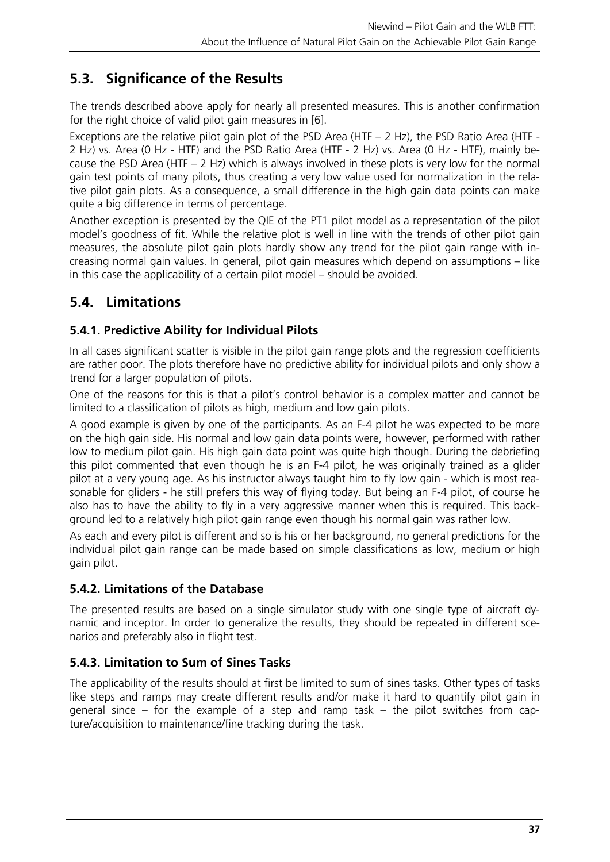# **5.3. Significance of the Results**

The trends described above apply for nearly all presented measures. This is another confirmation for the right choice of valid pilot gain measures in [6].

Exceptions are the relative pilot gain plot of the PSD Area (HTF – 2 Hz), the PSD Ratio Area (HTF - 2 Hz) vs. Area (0 Hz - HTF) and the PSD Ratio Area (HTF - 2 Hz) vs. Area (0 Hz - HTF), mainly because the PSD Area (HTF – 2 Hz) which is always involved in these plots is very low for the normal gain test points of many pilots, thus creating a very low value used for normalization in the relative pilot gain plots. As a consequence, a small difference in the high gain data points can make quite a big difference in terms of percentage.

Another exception is presented by the QIE of the PT1 pilot model as a representation of the pilot model's goodness of fit. While the relative plot is well in line with the trends of other pilot gain measures, the absolute pilot gain plots hardly show any trend for the pilot gain range with increasing normal gain values. In general, pilot gain measures which depend on assumptions – like in this case the applicability of a certain pilot model – should be avoided.

# **5.4. Limitations**

# **5.4.1. Predictive Ability for Individual Pilots**

In all cases significant scatter is visible in the pilot gain range plots and the regression coefficients are rather poor. The plots therefore have no predictive ability for individual pilots and only show a trend for a larger population of pilots.

One of the reasons for this is that a pilot's control behavior is a complex matter and cannot be limited to a classification of pilots as high, medium and low gain pilots.

A good example is given by one of the participants. As an F-4 pilot he was expected to be more on the high gain side. His normal and low gain data points were, however, performed with rather low to medium pilot gain. His high gain data point was quite high though. During the debriefing this pilot commented that even though he is an F-4 pilot, he was originally trained as a glider pilot at a very young age. As his instructor always taught him to fly low gain - which is most reasonable for gliders - he still prefers this way of flying today. But being an F-4 pilot, of course he also has to have the ability to fly in a very aggressive manner when this is required. This background led to a relatively high pilot gain range even though his normal gain was rather low.

As each and every pilot is different and so is his or her background, no general predictions for the individual pilot gain range can be made based on simple classifications as low, medium or high gain pilot.

# **5.4.2. Limitations of the Database**

The presented results are based on a single simulator study with one single type of aircraft dynamic and inceptor. In order to generalize the results, they should be repeated in different scenarios and preferably also in flight test.

# **5.4.3. Limitation to Sum of Sines Tasks**

The applicability of the results should at first be limited to sum of sines tasks. Other types of tasks like steps and ramps may create different results and/or make it hard to quantify pilot gain in general since – for the example of a step and ramp task – the pilot switches from capture/acquisition to maintenance/fine tracking during the task.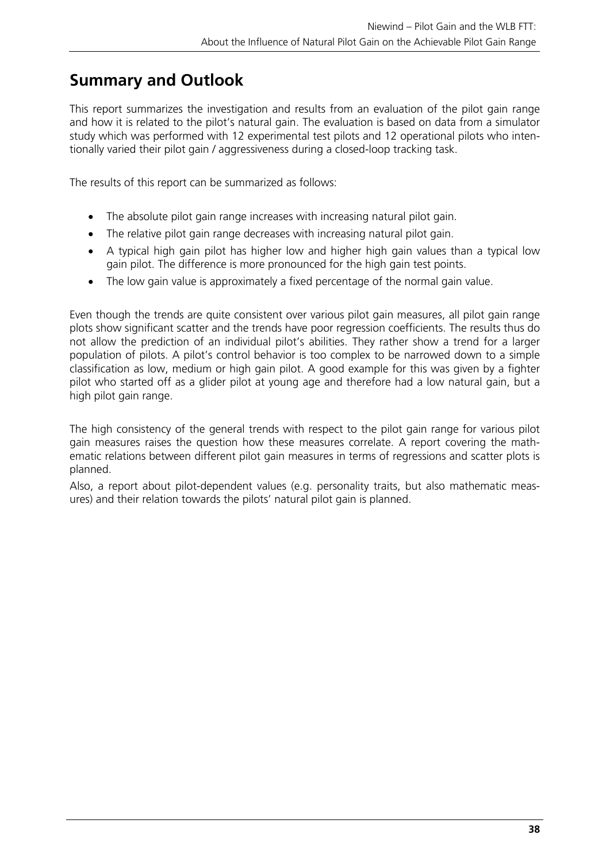# **Summary and Outlook**

This report summarizes the investigation and results from an evaluation of the pilot gain range and how it is related to the pilot's natural gain. The evaluation is based on data from a simulator study which was performed with 12 experimental test pilots and 12 operational pilots who intentionally varied their pilot gain / aggressiveness during a closed-loop tracking task.

The results of this report can be summarized as follows:

- The absolute pilot gain range increases with increasing natural pilot gain.
- The relative pilot gain range decreases with increasing natural pilot gain.
- A typical high gain pilot has higher low and higher high gain values than a typical low gain pilot. The difference is more pronounced for the high gain test points.
- The low gain value is approximately a fixed percentage of the normal gain value.

Even though the trends are quite consistent over various pilot gain measures, all pilot gain range plots show significant scatter and the trends have poor regression coefficients. The results thus do not allow the prediction of an individual pilot's abilities. They rather show a trend for a larger population of pilots. A pilot's control behavior is too complex to be narrowed down to a simple classification as low, medium or high gain pilot. A good example for this was given by a fighter pilot who started off as a glider pilot at young age and therefore had a low natural gain, but a high pilot gain range.

The high consistency of the general trends with respect to the pilot gain range for various pilot gain measures raises the question how these measures correlate. A report covering the mathematic relations between different pilot gain measures in terms of regressions and scatter plots is planned.

Also, a report about pilot-dependent values (e.g. personality traits, but also mathematic measures) and their relation towards the pilots' natural pilot gain is planned.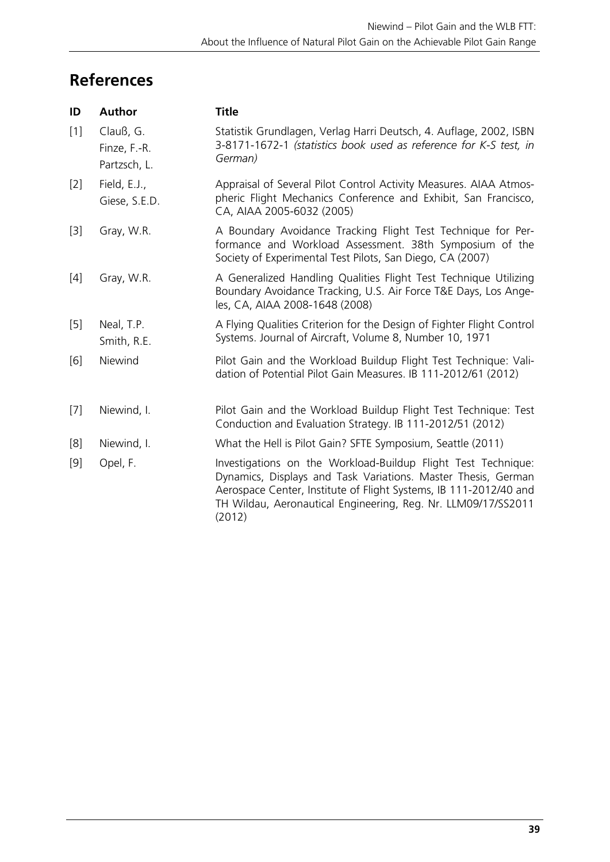# **References**

| ID    | Author                                    | <b>Title</b>                                                                                                                                                                                                                                                                   |
|-------|-------------------------------------------|--------------------------------------------------------------------------------------------------------------------------------------------------------------------------------------------------------------------------------------------------------------------------------|
| $[1]$ | Clauß, G.<br>Finze, F.-R.<br>Partzsch, L. | Statistik Grundlagen, Verlag Harri Deutsch, 4. Auflage, 2002, ISBN<br>3-8171-1672-1 (statistics book used as reference for K-S test, in<br>German)                                                                                                                             |
| $[2]$ | Field, E.J.,<br>Giese, S.E.D.             | Appraisal of Several Pilot Control Activity Measures. AIAA Atmos-<br>pheric Flight Mechanics Conference and Exhibit, San Francisco,<br>CA, AIAA 2005-6032 (2005)                                                                                                               |
| $[3]$ | Gray, W.R.                                | A Boundary Avoidance Tracking Flight Test Technique for Per-<br>formance and Workload Assessment. 38th Symposium of the<br>Society of Experimental Test Pilots, San Diego, CA (2007)                                                                                           |
| $[4]$ | Gray, W.R.                                | A Generalized Handling Qualities Flight Test Technique Utilizing<br>Boundary Avoidance Tracking, U.S. Air Force T&E Days, Los Ange-<br>les, CA, AIAA 2008-1648 (2008)                                                                                                          |
| $[5]$ | Neal, T.P.<br>Smith, R.E.                 | A Flying Qualities Criterion for the Design of Fighter Flight Control<br>Systems. Journal of Aircraft, Volume 8, Number 10, 1971                                                                                                                                               |
| [6]   | Niewind                                   | Pilot Gain and the Workload Buildup Flight Test Technique: Vali-<br>dation of Potential Pilot Gain Measures. IB 111-2012/61 (2012)                                                                                                                                             |
| $[7]$ | Niewind, I.                               | Pilot Gain and the Workload Buildup Flight Test Technique: Test<br>Conduction and Evaluation Strategy. IB 111-2012/51 (2012)                                                                                                                                                   |
| [8]   | Niewind, I.                               | What the Hell is Pilot Gain? SFTE Symposium, Seattle (2011)                                                                                                                                                                                                                    |
| $[9]$ | Opel, F.                                  | Investigations on the Workload-Buildup Flight Test Technique:<br>Dynamics, Displays and Task Variations. Master Thesis, German<br>Aerospace Center, Institute of Flight Systems, IB 111-2012/40 and<br>TH Wildau, Aeronautical Engineering, Reg. Nr. LLM09/17/SS2011<br>(2012) |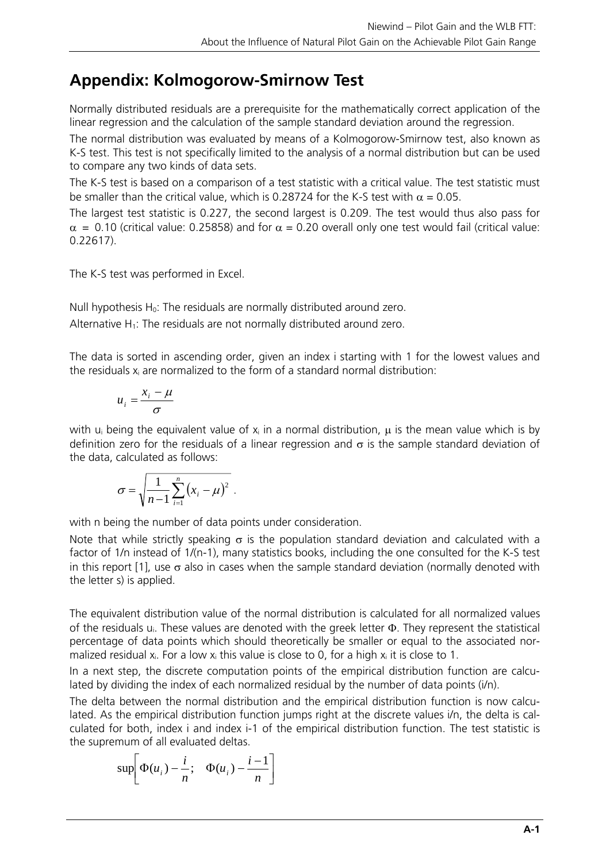# **Appendix: Kolmogorow-Smirnow Test**

Normally distributed residuals are a prerequisite for the mathematically correct application of the linear regression and the calculation of the sample standard deviation around the regression.

The normal distribution was evaluated by means of a Kolmogorow-Smirnow test, also known as K-S test. This test is not specifically limited to the analysis of a normal distribution but can be used to compare any two kinds of data sets.

The K-S test is based on a comparison of a test statistic with a critical value. The test statistic must be smaller than the critical value, which is 0.28724 for the K-S test with  $\alpha = 0.05$ .

The largest test statistic is 0.227, the second largest is 0.209. The test would thus also pass for  $\alpha$  = 0.10 (critical value: 0.25858) and for  $\alpha$  = 0.20 overall only one test would fail (critical value: 0.22617).

The K-S test was performed in Excel.

Null hypothesis H<sub>0</sub>: The residuals are normally distributed around zero. Alternative  $H_1$ : The residuals are not normally distributed around zero.

The data is sorted in ascending order, given an index i starting with 1 for the lowest values and the residuals  $x_i$  are normalized to the form of a standard normal distribution:

$$
u_i = \frac{x_i - \mu}{\sigma}
$$

with u<sub>i</sub> being the equivalent value of  $x_i$  in a normal distribution,  $\mu$  is the mean value which is by definition zero for the residuals of a linear regression and  $\sigma$  is the sample standard deviation of the data, calculated as follows:

$$
\sigma = \sqrt{\frac{1}{n-1}\sum_{i=1}^n (x_i - \mu)^2}.
$$

with n being the number of data points under consideration.

Note that while strictly speaking  $\sigma$  is the population standard deviation and calculated with a factor of 1/n instead of 1/(n-1), many statistics books, including the one consulted for the K-S test in this report [1], use  $\sigma$  also in cases when the sample standard deviation (normally denoted with the letter s) is applied.

The equivalent distribution value of the normal distribution is calculated for all normalized values of the residuals  $u_i$ . These values are denoted with the greek letter  $\Phi$ . They represent the statistical percentage of data points which should theoretically be smaller or equal to the associated normalized residual  $x_i$ . For a low  $x_i$  this value is close to 0, for a high  $x_i$  it is close to 1.

In a next step, the discrete computation points of the empirical distribution function are calculated by dividing the index of each normalized residual by the number of data points (i/n).

The delta between the normal distribution and the empirical distribution function is now calculated. As the empirical distribution function jumps right at the discrete values i/n, the delta is calculated for both, index i and index i-1 of the empirical distribution function. The test statistic is the supremum of all evaluated deltas.

$$
\sup\biggl[\Phi(u_i)-\frac{i}{n};\quad \Phi(u_i)-\frac{i-1}{n}\biggr]
$$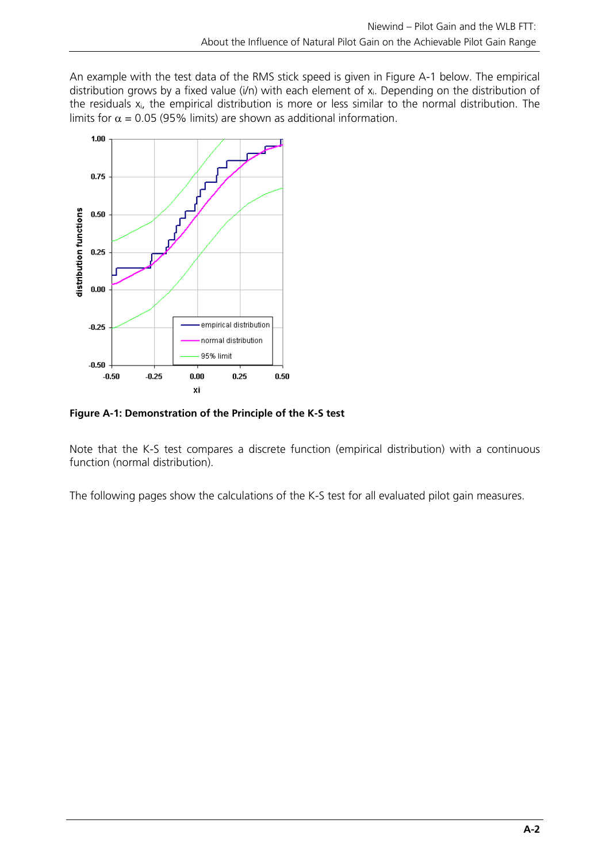An example with the test data of the RMS stick speed is given in Figure A-1 below. The empirical distribution grows by a fixed value (i/n) with each element of  $x_i$ . Depending on the distribution of the residuals  $x_i$ , the empirical distribution is more or less similar to the normal distribution. The limits for  $\alpha = 0.05$  (95% limits) are shown as additional information.



**Figure A-1: Demonstration of the Principle of the K-S test** 

Note that the K-S test compares a discrete function (empirical distribution) with a continuous function (normal distribution).

The following pages show the calculations of the K-S test for all evaluated pilot gain measures.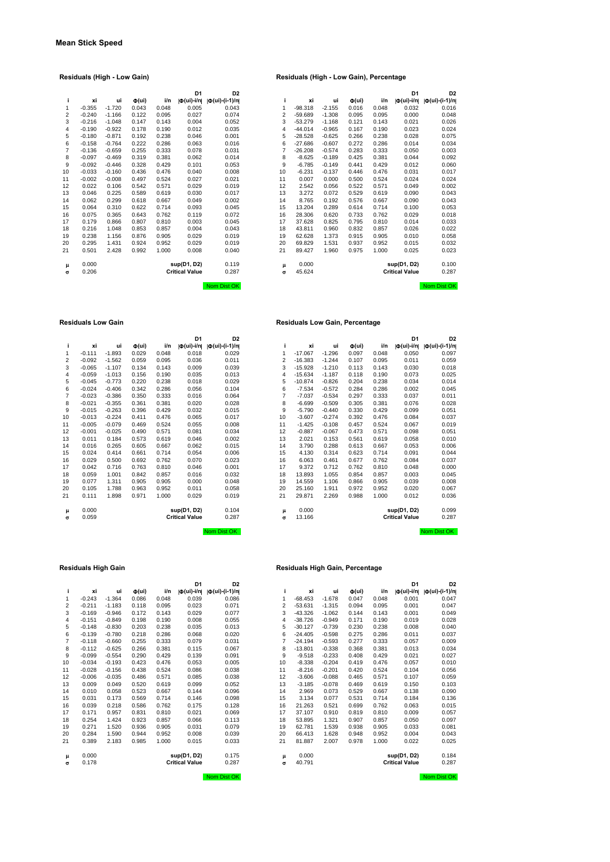|                         |          |          |                              |       | D1                    | D <sub>2</sub>       |
|-------------------------|----------|----------|------------------------------|-------|-----------------------|----------------------|
| i                       | хi       | ui       | $\Phi(\mathsf{u}\mathsf{i})$ | i/n   | O(ui)-i/n             | $ \Phi(ui)-(i-1)/n $ |
| 1                       | $-0.355$ | $-1.720$ | 0.043                        | 0.048 | 0.005                 | 0.043                |
| $\overline{\mathbf{c}}$ | $-0.240$ | $-1.166$ | 0.122                        | 0.095 | 0.027                 | 0.074                |
| 3                       | $-0.216$ | $-1.048$ | 0.147                        | 0.143 | 0.004                 | 0.052                |
| $\overline{4}$          | $-0.190$ | $-0.922$ | 0.178                        | 0.190 | 0.012                 | 0.035                |
| 5                       | $-0.180$ | $-0.871$ | 0.192                        | 0.238 | 0.046                 | 0.001                |
| 6                       | $-0.158$ | $-0.764$ | 0.222                        | 0.286 | 0.063                 | 0.016                |
| $\overline{7}$          | $-0.136$ | $-0.659$ | 0.255                        | 0.333 | 0.078                 | 0.031                |
| 8                       | $-0.097$ | $-0.469$ | 0.319                        | 0.381 | 0.062                 | 0.014                |
| 9                       | $-0.092$ | $-0.446$ | 0.328                        | 0.429 | 0.101                 | 0.053                |
| 10                      | $-0.033$ | $-0.160$ | 0.436                        | 0.476 | 0.040                 | 0.008                |
| 11                      | $-0.002$ | $-0.008$ | 0.497                        | 0.524 | 0.027                 | 0.021                |
| 12                      | 0.022    | 0.106    | 0.542                        | 0.571 | 0.029                 | 0.019                |
| 13                      | 0.046    | 0.225    | 0.589                        | 0.619 | 0.030                 | 0.017                |
| 14                      | 0.062    | 0.299    | 0.618                        | 0.667 | 0.049                 | 0.002                |
| 15                      | 0.064    | 0.310    | 0.622                        | 0.714 | 0.093                 | 0.045                |
| 16                      | 0.075    | 0.365    | 0.643                        | 0.762 | 0.119                 | 0.072                |
| 17                      | 0.179    | 0.866    | 0.807                        | 0.810 | 0.003                 | 0.045                |
| 18                      | 0.216    | 1.048    | 0.853                        | 0.857 | 0.004                 | 0.043                |
| 19                      | 0.238    | 1.156    | 0.876                        | 0.905 | 0.029                 | 0.019                |
| 20                      | 0.295    | 1.431    | 0.924                        | 0.952 | 0.029                 | 0.019                |
| 21                      | 0.501    | 2.428    | 0.992                        | 1.000 | 0.008                 | 0.040                |
| μ                       | 0.000    |          |                              |       | sup(D1, D2)           | 0.119                |
| $\sigma$                | 0.206    |          |                              |       | <b>Critical Value</b> | 0.287                |
|                         |          |          |                              |       |                       |                      |

|    |          |          |                   |       | D <sub>1</sub>           | D <sub>2</sub>       |                |           |          |                     |       | D <sub>1</sub>          | D <sub>2</sub>       |
|----|----------|----------|-------------------|-------|--------------------------|----------------------|----------------|-----------|----------|---------------------|-------|-------------------------|----------------------|
| j. | xi       | ui       | $\Phi(\text{ui})$ | i/n   | $  \Phi(\text{ui})$ -i/n | $ \Phi(ui)-(i-1)/n $ | i              | xi        | ui       | $\Phi(\mathsf{ui})$ | i/n   | $ \Phi(\text{ui})-i/n $ | $ \Phi(ui)-(i-1)/n $ |
| 1  | $-0.355$ | $-1.720$ | 0.043             | 0.048 | 0.005                    | 0.043                |                | $-98.318$ | $-2.155$ | 0.016               | 0.048 | 0.032                   | 0.016                |
| 2  | $-0.240$ | $-1.166$ | 0.122             | 0.095 | 0.027                    | 0.074                | $\overline{2}$ | $-59.689$ | $-1.308$ | 0.095               | 0.095 | 0.000                   | 0.048                |
| 3  | $-0.216$ | $-1.048$ | 0.147             | 0.143 | 0.004                    | 0.052                | 3              | $-53.279$ | $-1.168$ | 0.121               | 0.143 | 0.021                   | 0.026                |
| 4  | $-0.190$ | $-0.922$ | 0.178             | 0.190 | 0.012                    | 0.035                | $\overline{4}$ | $-44.014$ | $-0.965$ | 0.167               | 0.190 | 0.023                   | 0.024                |
| 5  | $-0.180$ | $-0.871$ | 0.192             | 0.238 | 0.046                    | 0.001                | 5              | $-28.528$ | $-0.625$ | 0.266               | 0.238 | 0.028                   | 0.075                |
| 6  | $-0.158$ | $-0.764$ | 0.222             | 0.286 | 0.063                    | 0.016                | 6              | $-27.686$ | $-0.607$ | 0.272               | 0.286 | 0.014                   | 0.034                |
| 7  | $-0.136$ | $-0.659$ | 0.255             | 0.333 | 0.078                    | 0.031                | 7              | $-26.208$ | $-0.574$ | 0.283               | 0.333 | 0.050                   | 0.003                |
| 8  | $-0.097$ | $-0.469$ | 0.319             | 0.381 | 0.062                    | 0.014                | 8              | $-8.625$  | $-0.189$ | 0.425               | 0.381 | 0.044                   | 0.092                |
| 9  | $-0.092$ | $-0.446$ | 0.328             | 0.429 | 0.101                    | 0.053                | 9              | $-6.785$  | $-0.149$ | 0.441               | 0.429 | 0.012                   | 0.060                |
| 10 | $-0.033$ | $-0.160$ | 0.436             | 0.476 | 0.040                    | 0.008                | 10             | $-6.231$  | $-0.137$ | 0.446               | 0.476 | 0.031                   | 0.017                |
| 11 | $-0.002$ | $-0.008$ | 0.497             | 0.524 | 0.027                    | 0.021                | 11             | 0.007     | 0.000    | 0.500               | 0.524 | 0.024                   | 0.024                |
| 12 | 0.022    | 0.106    | 0.542             | 0.571 | 0.029                    | 0.019                | 12             | 2.542     | 0.056    | 0.522               | 0.571 | 0.049                   | 0.002                |
| 13 | 0.046    | 0.225    | 0.589             | 0.619 | 0.030                    | 0.017                | 13             | 3.272     | 0.072    | 0.529               | 0.619 | 0.090                   | 0.043                |
| 14 | 0.062    | 0.299    | 0.618             | 0.667 | 0.049                    | 0.002                | 14             | 8.765     | 0.192    | 0.576               | 0.667 | 0.090                   | 0.043                |
| 15 | 0.064    | 0.310    | 0.622             | 0.714 | 0.093                    | 0.045                | 15             | 13.204    | 0.289    | 0.614               | 0.714 | 0.100                   | 0.053                |
| 16 | 0.075    | 0.365    | 0.643             | 0.762 | 0.119                    | 0.072                | 16             | 28.306    | 0.620    | 0.733               | 0.762 | 0.029                   | 0.018                |
| 17 | 0.179    | 0.866    | 0.807             | 0.810 | 0.003                    | 0.045                | 17             | 37.628    | 0.825    | 0.795               | 0.810 | 0.014                   | 0.033                |
| 18 | 0.216    | 1.048    | 0.853             | 0.857 | 0.004                    | 0.043                | 18             | 43.811    | 0.960    | 0.832               | 0.857 | 0.026                   | 0.022                |
| 19 | 0.238    | 1.156    | 0.876             | 0.905 | 0.029                    | 0.019                | 19             | 62.628    | 1.373    | 0.915               | 0.905 | 0.010                   | 0.058                |
| 20 | 0.295    | 1.431    | 0.924             | 0.952 | 0.029                    | 0.019                | 20             | 69.829    | 1.531    | 0.937               | 0.952 | 0.015                   | 0.032                |
| 21 | 0.501    | 2.428    | 0.992             | 1.000 | 0.008                    | 0.040                | 21             | 89.427    | 1.960    | 0.975               | 1.000 | 0.025                   | 0.023                |
| μ  | 0.000    |          |                   |       | sup(D1, D2)              | 0.119                | μ              | 0.000     |          |                     |       | sup(D1, D2)             | 0.100                |
| σ  | 0.206    |          |                   |       | <b>Critical Value</b>    | 0.287                | $\sigma$       | 45.624    |          |                     |       | <b>Critical Value</b>   | 0.287                |
|    |          |          |                   |       |                          | Nom Dist OK          |                |           |          |                     |       |                         | Nom Dist OK          |

### **Residuals Low Gain Residuals Low Gain, Percentage**

|    |          |          |                              |       | D <sub>1</sub>          | D <sub>2</sub>            |    |           |          |                              |       | D <sub>1</sub>                                              | D <sub>2</sub>       |
|----|----------|----------|------------------------------|-------|-------------------------|---------------------------|----|-----------|----------|------------------------------|-------|-------------------------------------------------------------|----------------------|
| j. | xi       | ui       | $\Phi(\mathsf{u}\mathsf{i})$ | i/n   | $ \Phi(\text{ui})$ -i/n | $  \Phi (ui) - (i-1)/n  $ | ī  | xi        | ui       | $\Phi(\mathsf{u}\mathsf{i})$ | i/n   | $ \Phi(\mathsf{u}\mathsf{i})\text{-}\mathsf{i}/\mathsf{n} $ | $ \Phi(ui)-(i-1)/n $ |
| 1  | $-0.111$ | $-1.893$ | 0.029                        | 0.048 | 0.018                   | 0.029                     |    | $-17.067$ | $-1.296$ | 0.097                        | 0.048 | 0.050                                                       | 0.097                |
| 2  | $-0.092$ | $-1.562$ | 0.059                        | 0.095 | 0.036                   | 0.011                     | 2  | $-16.383$ | $-1.244$ | 0.107                        | 0.095 | 0.011                                                       | 0.059                |
| 3  | $-0.065$ | $-1.107$ | 0.134                        | 0.143 | 0.009                   | 0.039                     | 3  | $-15.928$ | $-1.210$ | 0.113                        | 0.143 | 0.030                                                       | 0.018                |
| 4  | $-0.059$ | $-1.013$ | 0.156                        | 0.190 | 0.035                   | 0.013                     | 4  | $-15.634$ | $-1.187$ | 0.118                        | 0.190 | 0.073                                                       | 0.025                |
| 5  | $-0.045$ | $-0.773$ | 0.220                        | 0.238 | 0.018                   | 0.029                     | 5  | $-10.874$ | $-0.826$ | 0.204                        | 0.238 | 0.034                                                       | 0.014                |
| 6  | $-0.024$ | $-0.406$ | 0.342                        | 0.286 | 0.056                   | 0.104                     | 6  | $-7.534$  | $-0.572$ | 0.284                        | 0.286 | 0.002                                                       | 0.045                |
| 7  | $-0.023$ | $-0.386$ | 0.350                        | 0.333 | 0.016                   | 0.064                     | 7  | $-7.037$  | $-0.534$ | 0.297                        | 0.333 | 0.037                                                       | 0.011                |
| 8  | $-0.021$ | $-0.355$ | 0.361                        | 0.381 | 0.020                   | 0.028                     | 8  | $-6.699$  | $-0.509$ | 0.305                        | 0.381 | 0.076                                                       | 0.028                |
| 9  | $-0.015$ | $-0.263$ | 0.396                        | 0.429 | 0.032                   | 0.015                     | 9  | $-5.790$  | $-0.440$ | 0.330                        | 0.429 | 0.099                                                       | 0.051                |
| 10 | $-0.013$ | $-0.224$ | 0.411                        | 0.476 | 0.065                   | 0.017                     | 10 | $-3.607$  | $-0.274$ | 0.392                        | 0.476 | 0.084                                                       | 0.037                |
| 11 | $-0.005$ | $-0.079$ | 0.469                        | 0.524 | 0.055                   | 0.008                     | 11 | $-1.425$  | $-0.108$ | 0.457                        | 0.524 | 0.067                                                       | 0.019                |
| 12 | $-0.001$ | $-0.025$ | 0.490                        | 0.571 | 0.081                   | 0.034                     | 12 | $-0.887$  | $-0.067$ | 0.473                        | 0.571 | 0.098                                                       | 0.051                |
| 13 | 0.011    | 0.184    | 0.573                        | 0.619 | 0.046                   | 0.002                     | 13 | 2.021     | 0.153    | 0.561                        | 0.619 | 0.058                                                       | 0.010                |
| 14 | 0.016    | 0.265    | 0.605                        | 0.667 | 0.062                   | 0.015                     | 14 | 3.790     | 0.288    | 0.613                        | 0.667 | 0.053                                                       | 0.006                |
| 15 | 0.024    | 0.414    | 0.661                        | 0.714 | 0.054                   | 0.006                     | 15 | 4.130     | 0.314    | 0.623                        | 0.714 | 0.091                                                       | 0.044                |
| 16 | 0.029    | 0.500    | 0.692                        | 0.762 | 0.070                   | 0.023                     | 16 | 6.063     | 0.461    | 0.677                        | 0.762 | 0.084                                                       | 0.037                |
| 17 | 0.042    | 0.716    | 0.763                        | 0.810 | 0.046                   | 0.001                     | 17 | 9.372     | 0.712    | 0.762                        | 0.810 | 0.048                                                       | 0.000                |
| 18 | 0.059    | 1.001    | 0.842                        | 0.857 | 0.016                   | 0.032                     | 18 | 13.893    | 1.055    | 0.854                        | 0.857 | 0.003                                                       | 0.045                |
| 19 | 0.077    | 1.311    | 0.905                        | 0.905 | 0.000                   | 0.048                     | 19 | 14.559    | 1.106    | 0.866                        | 0.905 | 0.039                                                       | 0.008                |
| 20 | 0.105    | 1.788    | 0.963                        | 0.952 | 0.011                   | 0.058                     | 20 | 25.160    | 1.911    | 0.972                        | 0.952 | 0.020                                                       | 0.067                |
| 21 | 0.111    | 1.898    | 0.971                        | 1.000 | 0.029                   | 0.019                     | 21 | 29.871    | 2.269    | 0.988                        | 1.000 | 0.012                                                       | 0.036                |
| μ  | 0.000    |          |                              |       | sup(D1, D2)             | 0.104                     | μ  | 0.000     |          |                              |       | sup(D1, D2)                                                 | 0.099                |
| σ  | 0.059    |          |                              |       | <b>Critical Value</b>   | 0.287                     | σ  | 13.166    |          |                              |       | <b>Critical Value</b>                                       | 0.287                |
|    |          |          |                              |       |                         | Nom Dist OK               |    |           |          |                              |       |                                                             | Nom Dist OK          |

| i              | хi       | ui       | $\Phi(\mathsf{ui})$ | i/n   | Ф(ui)-i/n             | $  \Phi (ui) - (i-1)/n  $ |
|----------------|----------|----------|---------------------|-------|-----------------------|---------------------------|
| 1              | $-0.111$ | $-1.893$ | 0.029               | 0.048 | 0.018                 | 0.029                     |
| $\overline{2}$ | $-0.092$ | $-1.562$ | 0.059               | 0.095 | 0.036                 | 0.011                     |
| 3              | $-0.065$ | $-1.107$ | 0.134               | 0.143 | 0.009                 | 0.039                     |
| $\overline{4}$ | $-0.059$ | $-1.013$ | 0.156               | 0.190 | 0.035                 | 0.013                     |
| 5              | $-0.045$ | $-0.773$ | 0.220               | 0.238 | 0.018                 | 0.029                     |
| 6              | $-0.024$ | $-0.406$ | 0.342               | 0.286 | 0.056                 | 0.104                     |
| $\overline{7}$ | $-0.023$ | $-0.386$ | 0.350               | 0.333 | 0.016                 | 0.064                     |
| 8              | $-0.021$ | $-0.355$ | 0.361               | 0.381 | 0.020                 | 0.028                     |
| 9              | $-0.015$ | $-0.263$ | 0.396               | 0.429 | 0.032                 | 0.015                     |
| 10             | $-0.013$ | $-0.224$ | 0.411               | 0.476 | 0.065                 | 0.017                     |
| 11             | $-0.005$ | $-0.079$ | 0.469               | 0.524 | 0.055                 | 0.008                     |
| 12             | $-0.001$ | $-0.025$ | 0.490               | 0.571 | 0.081                 | 0.034                     |
| 13             | 0.011    | 0.184    | 0.573               | 0.619 | 0.046                 | 0.002                     |
| 14             | 0.016    | 0.265    | 0.605               | 0.667 | 0.062                 | 0.015                     |
| 15             | 0.024    | 0.414    | 0.661               | 0.714 | 0.054                 | 0.006                     |
| 16             | 0.029    | 0.500    | 0.692               | 0.762 | 0.070                 | 0.023                     |
| 17             | 0.042    | 0.716    | 0.763               | 0.810 | 0.046                 | 0.001                     |
| 18             | 0.059    | 1.001    | 0.842               | 0.857 | 0.016                 | 0.032                     |
| 19             | 0.077    | 1.311    | 0.905               | 0.905 | 0.000                 | 0.048                     |
| 20             | 0.105    | 1.788    | 0.963               | 0.952 | 0.011                 | 0.058                     |
| 21             | 0.111    | 1.898    | 0.971               | 1.000 | 0.029                 | 0.019                     |
| μ              | 0.000    |          |                     |       | sup(D1, D2)           | 0.104                     |
| σ              | 0.059    |          |                     |       | <b>Critical Value</b> | 0.287                     |

|          |          |          |                              |       | D1                                                 | D2                              |    |           |          |                              |       | D1                      | D2                  |
|----------|----------|----------|------------------------------|-------|----------------------------------------------------|---------------------------------|----|-----------|----------|------------------------------|-------|-------------------------|---------------------|
| j.       | хi       | ui       | $\Phi(\mathsf{u}\mathsf{i})$ | i/n   | $ \Phi(\mathsf{ui})\text{-}\mathsf{i}/\mathsf{n} $ | $  \Phi(\text{ui}) - (i-1)/n  $ | i  | xi        | ui       | $\Phi(\mathsf{u}\mathsf{i})$ | i/n   | $ \Phi(\text{ui})-i/n $ | $ \Phi(ui)-(i-1)/n$ |
| 1        | $-0.243$ | $-1.364$ | 0.086                        | 0.048 | 0.039                                              | 0.086                           | 1  | $-68.453$ | $-1.678$ | 0.047                        | 0.048 | 0.001                   | 0.047               |
| 2        | $-0.211$ | $-1.183$ | 0.118                        | 0.095 | 0.023                                              | 0.071                           | 2  | $-53.631$ | $-1.315$ | 0.094                        | 0.095 | 0.001                   | 0.047               |
| 3        | $-0.169$ | $-0.946$ | 0.172                        | 0.143 | 0.029                                              | 0.077                           | 3  | $-43.326$ | $-1.062$ | 0.144                        | 0.143 | 0.001                   | 0.049               |
| 4        | $-0.151$ | $-0.849$ | 0.198                        | 0.190 | 0.008                                              | 0.055                           | 4  | $-38.726$ | $-0.949$ | 0.171                        | 0.190 | 0.019                   | 0.028               |
| 5        | $-0.148$ | $-0.830$ | 0.203                        | 0.238 | 0.035                                              | 0.013                           | 5  | $-30.127$ | $-0.739$ | 0.230                        | 0.238 | 0.008                   | 0.040               |
| 6        | $-0.139$ | $-0.780$ | 0.218                        | 0.286 | 0.068                                              | 0.020                           | 6  | $-24.405$ | $-0.598$ | 0.275                        | 0.286 | 0.011                   | 0.037               |
| 7        | $-0.118$ | $-0.660$ | 0.255                        | 0.333 | 0.079                                              | 0.031                           |    | $-24.194$ | $-0.593$ | 0.277                        | 0.333 | 0.057                   | 0.009               |
| 8        | $-0.112$ | $-0.625$ | 0.266                        | 0.381 | 0.115                                              | 0.067                           | 8  | $-13.801$ | $-0.338$ | 0.368                        | 0.381 | 0.013                   | 0.034               |
| 9        | $-0.099$ | $-0.554$ | 0.290                        | 0.429 | 0.139                                              | 0.091                           | 9  | $-9.518$  | $-0.233$ | 0.408                        | 0.429 | 0.021                   | 0.027               |
| 10       | $-0.034$ | $-0.193$ | 0.423                        | 0.476 | 0.053                                              | 0.005                           | 10 | $-8.338$  | $-0.204$ | 0.419                        | 0.476 | 0.057                   | 0.01C               |
| 11       | $-0.028$ | $-0.156$ | 0.438                        | 0.524 | 0.086                                              | 0.038                           | 11 | $-8.216$  | $-0.201$ | 0.420                        | 0.524 | 0.104                   | 0.056               |
| 12       | $-0.006$ | $-0.035$ | 0.486                        | 0.571 | 0.085                                              | 0.038                           | 12 | $-3.606$  | $-0.088$ | 0.465                        | 0.571 | 0.107                   | 0.059               |
| 13       | 0.009    | 0.049    | 0.520                        | 0.619 | 0.099                                              | 0.052                           | 13 | $-3.185$  | $-0.078$ | 0.469                        | 0.619 | 0.150                   | 0.103               |
| 14       | 0.010    | 0.058    | 0.523                        | 0.667 | 0.144                                              | 0.096                           | 14 | 2.969     | 0.073    | 0.529                        | 0.667 | 0.138                   | 0.090               |
| 15       | 0.031    | 0.173    | 0.569                        | 0.714 | 0.146                                              | 0.098                           | 15 | 3.134     | 0.077    | 0.531                        | 0.714 | 0.184                   | 0.136               |
| 16       | 0.039    | 0.218    | 0.586                        | 0.762 | 0.175                                              | 0.128                           | 16 | 21.263    | 0.521    | 0.699                        | 0.762 | 0.063                   | 0.015               |
| 17       | 0.171    | 0.957    | 0.831                        | 0.810 | 0.021                                              | 0.069                           | 17 | 37.107    | 0.910    | 0.819                        | 0.810 | 0.009                   | 0.057               |
| 18       | 0.254    | 1.424    | 0.923                        | 0.857 | 0.066                                              | 0.113                           | 18 | 53.895    | 1.321    | 0.907                        | 0.857 | 0.050                   | 0.097               |
| 19       | 0.271    | 1.520    | 0.936                        | 0.905 | 0.031                                              | 0.079                           | 19 | 62.781    | 1.539    | 0.938                        | 0.905 | 0.033                   | 0.081               |
| 20       | 0.284    | 1.590    | 0.944                        | 0.952 | 0.008                                              | 0.039                           | 20 | 66.413    | 1.628    | 0.948                        | 0.952 | 0.004                   | 0.043               |
| 21       | 0.389    | 2.183    | 0.985                        | 1.000 | 0.015                                              | 0.033                           | 21 | 81.887    | 2.007    | 0.978                        | 1.000 | 0.022                   | 0.025               |
| μ        | 0.000    |          |                              |       | sup(D1, D2)                                        | 0.175                           | μ  | 0.000     |          |                              |       | sup(D1, D2)             | 0.184               |
| $\sigma$ | 0.178    |          |                              |       | <b>Critical Value</b>                              | 0.287                           | σ  | 40.791    |          |                              |       | <b>Critical Value</b>   | 0.287               |
|          |          |          |                              |       |                                                    |                                 |    |           |          |                              |       |                         |                     |

## **Residuals High Gain Residuals High Gain, Percentage**

|    |          |          |                              |       | D <sub>1</sub>                                     | D <sub>2</sub>        |    |           |          |                              |       | D <sub>1</sub>          | D <sub>2</sub>        |
|----|----------|----------|------------------------------|-------|----------------------------------------------------|-----------------------|----|-----------|----------|------------------------------|-------|-------------------------|-----------------------|
| i. | хi       | ui       | $\Phi(\mathsf{u}\mathsf{i})$ | i/n   | $ \Phi(\mathsf{ui})\text{-}\mathsf{i}/\mathsf{n} $ | $ \Phi (ui)-(i-1)/n $ |    | xi        | ui       | $\Phi(\mathsf{u}\mathsf{i})$ | i/n   | $ \Phi(\text{ui})-i/n $ | $ \Phi (ui)-(i-1)/n $ |
| 1  | $-0.243$ | $-1.364$ | 0.086                        | 0.048 | 0.039                                              | 0.086                 | 1  | $-68.453$ | $-1.678$ | 0.047                        | 0.048 | 0.001                   | 0.047                 |
| 2  | $-0.211$ | $-1.183$ | 0.118                        | 0.095 | 0.023                                              | 0.071                 | 2  | $-53.631$ | $-1.315$ | 0.094                        | 0.095 | 0.001                   | 0.047                 |
| 3  | $-0.169$ | $-0.946$ | 0.172                        | 0.143 | 0.029                                              | 0.077                 | 3  | $-43.326$ | $-1.062$ | 0.144                        | 0.143 | 0.001                   | 0.049                 |
| 4  | $-0.151$ | $-0.849$ | 0.198                        | 0.190 | 0.008                                              | 0.055                 | 4  | $-38.726$ | $-0.949$ | 0.171                        | 0.190 | 0.019                   | 0.028                 |
| 5  | $-0.148$ | $-0.830$ | 0.203                        | 0.238 | 0.035                                              | 0.013                 | 5  | $-30.127$ | $-0.739$ | 0.230                        | 0.238 | 0.008                   | 0.040                 |
| 6  | $-0.139$ | $-0.780$ | 0.218                        | 0.286 | 0.068                                              | 0.020                 | 6  | $-24.405$ | $-0.598$ | 0.275                        | 0.286 | 0.011                   | 0.037                 |
| 7  | $-0.118$ | $-0.660$ | 0.255                        | 0.333 | 0.079                                              | 0.031                 | 7  | $-24.194$ | $-0.593$ | 0.277                        | 0.333 | 0.057                   | 0.009                 |
| 8  | $-0.112$ | $-0.625$ | 0.266                        | 0.381 | 0.115                                              | 0.067                 | 8  | $-13.801$ | $-0.338$ | 0.368                        | 0.381 | 0.013                   | 0.034                 |
| 9  | $-0.099$ | $-0.554$ | 0.290                        | 0.429 | 0.139                                              | 0.091                 | 9  | $-9.518$  | $-0.233$ | 0.408                        | 0.429 | 0.021                   | 0.027                 |
| 0  | $-0.034$ | $-0.193$ | 0.423                        | 0.476 | 0.053                                              | 0.005                 | 10 | $-8.338$  | $-0.204$ | 0.419                        | 0.476 | 0.057                   | 0.010                 |
| 1  | $-0.028$ | $-0.156$ | 0.438                        | 0.524 | 0.086                                              | 0.038                 | 11 | $-8.216$  | $-0.201$ | 0.420                        | 0.524 | 0.104                   | 0.056                 |
| 2  | $-0.006$ | $-0.035$ | 0.486                        | 0.571 | 0.085                                              | 0.038                 | 12 | $-3.606$  | $-0.088$ | 0.465                        | 0.571 | 0.107                   | 0.059                 |
| 3  | 0.009    | 0.049    | 0.520                        | 0.619 | 0.099                                              | 0.052                 | 13 | $-3.185$  | $-0.078$ | 0.469                        | 0.619 | 0.150                   | 0.103                 |
| 4  | 0.010    | 0.058    | 0.523                        | 0.667 | 0.144                                              | 0.096                 | 14 | 2.969     | 0.073    | 0.529                        | 0.667 | 0.138                   | 0.090                 |
| 5  | 0.031    | 0.173    | 0.569                        | 0.714 | 0.146                                              | 0.098                 | 15 | 3.134     | 0.077    | 0.531                        | 0.714 | 0.184                   | 0.136                 |
| 6  | 0.039    | 0.218    | 0.586                        | 0.762 | 0.175                                              | 0.128                 | 16 | 21.263    | 0.521    | 0.699                        | 0.762 | 0.063                   | 0.015                 |
| 7  | 0.171    | 0.957    | 0.831                        | 0.810 | 0.021                                              | 0.069                 | 17 | 37.107    | 0.910    | 0.819                        | 0.810 | 0.009                   | 0.057                 |
| 8  | 0.254    | 1.424    | 0.923                        | 0.857 | 0.066                                              | 0.113                 | 18 | 53.895    | 1.321    | 0.907                        | 0.857 | 0.050                   | 0.097                 |
| 9  | 0.271    | 1.520    | 0.936                        | 0.905 | 0.031                                              | 0.079                 | 19 | 62.781    | 1.539    | 0.938                        | 0.905 | 0.033                   | 0.081                 |
| 0  | 0.284    | 1.590    | 0.944                        | 0.952 | 0.008                                              | 0.039                 | 20 | 66.413    | 1.628    | 0.948                        | 0.952 | 0.004                   | 0.043                 |
| 1  | 0.389    | 2.183    | 0.985                        | 1.000 | 0.015                                              | 0.033                 | 21 | 81.887    | 2.007    | 0.978                        | 1.000 | 0.022                   | 0.025                 |
| μ  | 0.000    |          |                              |       | sup(D1, D2)                                        | 0.175                 | μ  | 0.000     |          |                              |       | sup(D1, D2)             | 0.184                 |
| σ  | 0.178    |          |                              |       | <b>Critical Value</b>                              | 0.287                 | σ  | 40.791    |          |                              |       | <b>Critical Value</b>   | 0.287                 |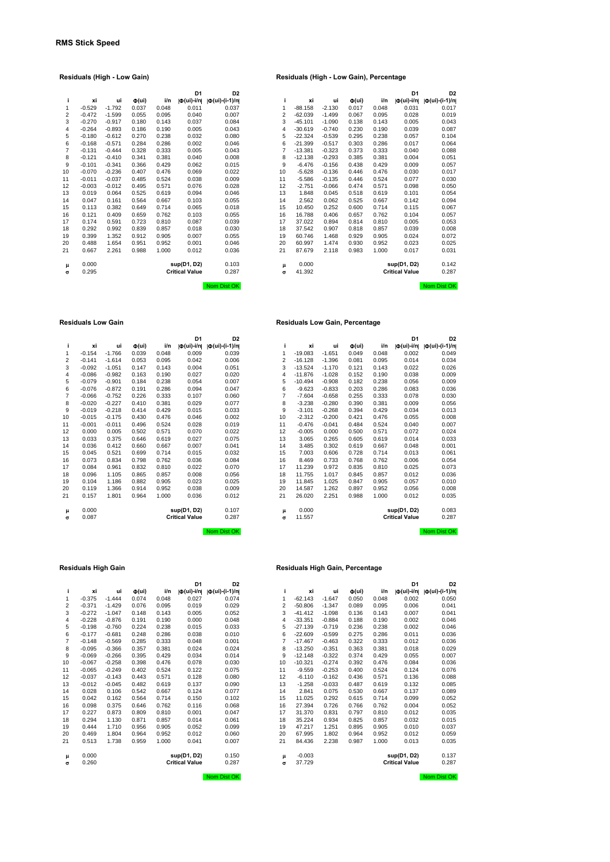# **D1 D2**<br> **d**(ui)-i/n| **d**(ui)-(i-1)/n|<br>
0.011 0.037<br>
0.040 0.007

## **Residuals (High - Low Gain) Residuals (High - Low Gain), Percentage**

|    |          |          |                              |       | D <sub>1</sub>          | D <sub>2</sub>    |          |           |          |                              |       | D <sub>1</sub>          | D <sub>2</sub>       |
|----|----------|----------|------------------------------|-------|-------------------------|-------------------|----------|-----------|----------|------------------------------|-------|-------------------------|----------------------|
| j. | хi       | ui       | $\Phi(\mathsf{u}\mathsf{i})$ | i/n   | $ \Phi(\text{ui})-i/n $ | $ D(ui)-(i-1)/n $ |          | xi        | ui       | $\Phi(\mathsf{u}\mathsf{i})$ | i/n   | $ \Phi(\text{ui})$ -i/n | $ \Phi(ui)-(i-1)/n $ |
| 1  | $-0.529$ | $-1.792$ | 0.037                        | 0.048 | 0.011                   | 0.037             | 1        | $-88.158$ | $-2.130$ | 0.017                        | 0.048 | 0.031                   | 0.017                |
| 2  | $-0.472$ | $-1.599$ | 0.055                        | 0.095 | 0.040                   | 0.007             | 2        | $-62.039$ | $-1.499$ | 0.067                        | 0.095 | 0.028                   | 0.019                |
| 3  | $-0.270$ | $-0.917$ | 0.180                        | 0.143 | 0.037                   | 0.084             | 3        | $-45.101$ | $-1.090$ | 0.138                        | 0.143 | 0.005                   | 0.043                |
| 4  | $-0.264$ | $-0.893$ | 0.186                        | 0.190 | 0.005                   | 0.043             | 4        | $-30.619$ | $-0.740$ | 0.230                        | 0.190 | 0.039                   | 0.087                |
| 5  | $-0.180$ | $-0.612$ | 0.270                        | 0.238 | 0.032                   | 0.080             | 5        | $-22.324$ | $-0.539$ | 0.295                        | 0.238 | 0.057                   | 0.104                |
| 6  | $-0.168$ | $-0.571$ | 0.284                        | 0.286 | 0.002                   | 0.046             | 6        | $-21.399$ | $-0.517$ | 0.303                        | 0.286 | 0.017                   | 0.064                |
| 7  | $-0.131$ | $-0.444$ | 0.328                        | 0.333 | 0.005                   | 0.043             | 7        | $-13.381$ | $-0.323$ | 0.373                        | 0.333 | 0.040                   | 0.088                |
| 8  | $-0.121$ | $-0.410$ | 0.341                        | 0.381 | 0.040                   | 0.008             | 8        | $-12.138$ | $-0.293$ | 0.385                        | 0.381 | 0.004                   | 0.051                |
| 9  | $-0.101$ | $-0.341$ | 0.366                        | 0.429 | 0.062                   | 0.015             | 9        | $-6.476$  | $-0.156$ | 0.438                        | 0.429 | 0.009                   | 0.057                |
| 10 | $-0.070$ | $-0.236$ | 0.407                        | 0.476 | 0.069                   | 0.022             | 10       | $-5.628$  | $-0.136$ | 0.446                        | 0.476 | 0.030                   | 0.017                |
| 11 | $-0.011$ | $-0.037$ | 0.485                        | 0.524 | 0.038                   | 0.009             | 11       | $-5.586$  | $-0.135$ | 0.446                        | 0.524 | 0.077                   | 0.030                |
| 12 | $-0.003$ | $-0.012$ | 0.495                        | 0.571 | 0.076                   | 0.028             | 12       | $-2.751$  | $-0.066$ | 0.474                        | 0.571 | 0.098                   | 0.050                |
| 13 | 0.019    | 0.064    | 0.525                        | 0.619 | 0.094                   | 0.046             | 13       | 1.848     | 0.045    | 0.518                        | 0.619 | 0.101                   | 0.054                |
| 14 | 0.047    | 0.161    | 0.564                        | 0.667 | 0.103                   | 0.055             | 14       | 2.562     | 0.062    | 0.525                        | 0.667 | 0.142                   | 0.094                |
| 15 | 0.113    | 0.382    | 0.649                        | 0.714 | 0.065                   | 0.018             | 15       | 10.450    | 0.252    | 0.600                        | 0.714 | 0.115                   | 0.067                |
| 16 | 0.121    | 0.409    | 0.659                        | 0.762 | 0.103                   | 0.055             | 16       | 16.788    | 0.406    | 0.657                        | 0.762 | 0.104                   | 0.057                |
| 17 | 0.174    | 0.591    | 0.723                        | 0.810 | 0.087                   | 0.039             | 17       | 37.022    | 0.894    | 0.814                        | 0.810 | 0.005                   | 0.053                |
| 18 | 0.292    | 0.992    | 0.839                        | 0.857 | 0.018                   | 0.030             | 18       | 37.542    | 0.907    | 0.818                        | 0.857 | 0.039                   | 0.008                |
| 19 | 0.399    | 1.352    | 0.912                        | 0.905 | 0.007                   | 0.055             | 19       | 60.746    | 1.468    | 0.929                        | 0.905 | 0.024                   | 0.072                |
| 20 | 0.488    | 1.654    | 0.951                        | 0.952 | 0.001                   | 0.046             | 20       | 60.997    | 1.474    | 0.930                        | 0.952 | 0.023                   | 0.025                |
| 21 | 0.667    | 2.261    | 0.988                        | 1.000 | 0.012                   | 0.036             | 21       | 87.679    | 2.118    | 0.983                        | 1.000 | 0.017                   | 0.031                |
| μ  | 0.000    |          |                              |       | sup(D1, D2)             | 0.103             | μ        | 0.000     |          |                              |       | sup(D1, D2)             | 0.142                |
| σ  | 0.295    |          |                              |       | <b>Critical Value</b>   | 0.287             | $\sigma$ | 41.392    |          |                              |       | <b>Critical Value</b>   | 0.287                |
|    |          |          |                              |       |                         | Nom Dist OK       |          |           |          |                              |       |                         | Nom Dist OK          |

#### **Residuals Low Gain Residuals Low Gain, Percentage**

|    |          |          |                              |       | D <sub>1</sub>                                     | D <sub>2</sub>                    |    |           |          |                              |       | D <sub>1</sub>                                     | D <sub>2</sub>        |
|----|----------|----------|------------------------------|-------|----------------------------------------------------|-----------------------------------|----|-----------|----------|------------------------------|-------|----------------------------------------------------|-----------------------|
| j. | xi       | ui       | $\Phi(\mathsf{u}\mathsf{i})$ | i/n   | $ \Phi(\mathsf{ui})\text{-}\mathsf{i}/\mathsf{n} $ | $  \Phi(\text{ui}) - (i - 1)/n  $ |    | xi        | ui       | $\Phi(\mathsf{u}\mathsf{i})$ | i/n   | $ \Phi(\mathsf{ui})\text{-}\mathsf{i}/\mathsf{n} $ | $ \Phi (ui)-(i-1)/n $ |
| 1  | $-0.154$ | $-1.766$ | 0.039                        | 0.048 | 0.009                                              | 0.039                             |    | $-19.083$ | $-1.651$ | 0.049                        | 0.048 | 0.002                                              | 0.049                 |
| 2  | $-0.141$ | $-1.614$ | 0.053                        | 0.095 | 0.042                                              | 0.006                             | 2  | $-16.128$ | $-1.396$ | 0.081                        | 0.095 | 0.014                                              | 0.034                 |
| 3  | $-0.092$ | $-1.051$ | 0.147                        | 0.143 | 0.004                                              | 0.051                             | 3  | $-13.524$ | $-1.170$ | 0.121                        | 0.143 | 0.022                                              | 0.026                 |
| 4  | $-0.086$ | $-0.982$ | 0.163                        | 0.190 | 0.027                                              | 0.020                             | 4  | $-11.876$ | $-1.028$ | 0.152                        | 0.190 | 0.038                                              | 0.009                 |
| 5  | $-0.079$ | $-0.901$ | 0.184                        | 0.238 | 0.054                                              | 0.007                             | 5  | $-10.494$ | $-0.908$ | 0.182                        | 0.238 | 0.056                                              | 0.009                 |
| 6  | $-0.076$ | $-0.872$ | 0.191                        | 0.286 | 0.094                                              | 0.047                             | 6  | $-9.623$  | $-0.833$ | 0.203                        | 0.286 | 0.083                                              | 0.036                 |
| 7  | $-0.066$ | $-0.752$ | 0.226                        | 0.333 | 0.107                                              | 0.060                             | 7  | $-7.604$  | $-0.658$ | 0.255                        | 0.333 | 0.078                                              | 0.030                 |
| 8  | $-0.020$ | $-0.227$ | 0.410                        | 0.381 | 0.029                                              | 0.077                             | 8  | $-3.238$  | $-0.280$ | 0.390                        | 0.381 | 0.009                                              | 0.056                 |
| 9  | $-0.019$ | $-0.218$ | 0.414                        | 0.429 | 0.015                                              | 0.033                             | 9  | $-3.101$  | $-0.268$ | 0.394                        | 0.429 | 0.034                                              | 0.013                 |
| 10 | $-0.015$ | $-0.175$ | 0.430                        | 0.476 | 0.046                                              | 0.002                             | 10 | $-2.312$  | $-0.200$ | 0.421                        | 0.476 | 0.055                                              | 0.008                 |
| 11 | $-0.001$ | $-0.011$ | 0.496                        | 0.524 | 0.028                                              | 0.019                             | 11 | $-0.476$  | $-0.041$ | 0.484                        | 0.524 | 0.040                                              | 0.007                 |
| 12 | 0.000    | 0.005    | 0.502                        | 0.571 | 0.070                                              | 0.022                             | 12 | $-0.005$  | 0.000    | 0.500                        | 0.571 | 0.072                                              | 0.024                 |
| 13 | 0.033    | 0.375    | 0.646                        | 0.619 | 0.027                                              | 0.075                             | 13 | 3.065     | 0.265    | 0.605                        | 0.619 | 0.014                                              | 0.033                 |
| 14 | 0.036    | 0.412    | 0.660                        | 0.667 | 0.007                                              | 0.041                             | 14 | 3.485     | 0.302    | 0.619                        | 0.667 | 0.048                                              | 0.001                 |
| 15 | 0.045    | 0.521    | 0.699                        | 0.714 | 0.015                                              | 0.032                             | 15 | 7.003     | 0.606    | 0.728                        | 0.714 | 0.013                                              | 0.061                 |
| 16 | 0.073    | 0.834    | 0.798                        | 0.762 | 0.036                                              | 0.084                             | 16 | 8.469     | 0.733    | 0.768                        | 0.762 | 0.006                                              | 0.054                 |
| 17 | 0.084    | 0.961    | 0.832                        | 0.810 | 0.022                                              | 0.070                             | 17 | 11.239    | 0.972    | 0.835                        | 0.810 | 0.025                                              | 0.073                 |
| 18 | 0.096    | 1.105    | 0.865                        | 0.857 | 0.008                                              | 0.056                             | 18 | 11.755    | 1.017    | 0.845                        | 0.857 | 0.012                                              | 0.036                 |
| 19 | 0.104    | 1.186    | 0.882                        | 0.905 | 0.023                                              | 0.025                             | 19 | 11.845    | 1.025    | 0.847                        | 0.905 | 0.057                                              | 0.010                 |
| 20 | 0.119    | 1.366    | 0.914                        | 0.952 | 0.038                                              | 0.009                             | 20 | 14.587    | 1.262    | 0.897                        | 0.952 | 0.056                                              | 0.008                 |
| 21 | 0.157    | 1.801    | 0.964                        | 1.000 | 0.036                                              | 0.012                             | 21 | 26.020    | 2.251    | 0.988                        | 1.000 | 0.012                                              | 0.035                 |
| μ  | 0.000    |          |                              |       | sup(D1, D2)                                        | 0.107                             | μ  | 0.000     |          |                              |       | sup(D1, D2)                                        | 0.083                 |
| σ  | 0.087    |          |                              |       | <b>Critical Value</b>                              | 0.287                             | σ  | 11.557    |          |                              |       | <b>Critical Value</b>                              | 0.287                 |

| i              | хi       | ui       | $\Phi(\mathsf{ui})$ | i/n   | Ф(ui)-i/n             | $  \Phi(\text{ui}) - (i-1)/n  $ |
|----------------|----------|----------|---------------------|-------|-----------------------|---------------------------------|
| 1              | $-0.154$ | $-1.766$ | 0.039               | 0.048 | 0.009                 | 0.039                           |
| $\overline{2}$ | $-0.141$ | $-1.614$ | 0.053               | 0.095 | 0.042                 | 0.006                           |
| 3              | $-0.092$ | $-1.051$ | 0.147               | 0.143 | 0.004                 | 0.051                           |
| $\overline{4}$ | $-0.086$ | $-0.982$ | 0.163               | 0.190 | 0.027                 | 0.020                           |
| 5              | $-0.079$ | $-0.901$ | 0.184               | 0.238 | 0.054                 | 0.007                           |
| 6              | $-0.076$ | $-0.872$ | 0.191               | 0.286 | 0.094                 | 0.047                           |
| $\overline{7}$ | $-0.066$ | $-0.752$ | 0.226               | 0.333 | 0.107                 | 0.060                           |
| 8              | $-0.020$ | $-0.227$ | 0.410               | 0.381 | 0.029                 | 0.077                           |
| 9              | $-0.019$ | $-0.218$ | 0.414               | 0.429 | 0.015                 | 0.033                           |
| 10             | $-0.015$ | $-0.175$ | 0.430               | 0.476 | 0.046                 | 0.002                           |
| 11             | $-0.001$ | $-0.011$ | 0.496               | 0.524 | 0.028                 | 0.019                           |
| 12             | 0.000    | 0.005    | 0.502               | 0.571 | 0.070                 | 0.022                           |
| 13             | 0.033    | 0.375    | 0.646               | 0.619 | 0.027                 | 0.075                           |
| 14             | 0.036    | 0.412    | 0.660               | 0.667 | 0.007                 | 0.041                           |
| 15             | 0.045    | 0.521    | 0.699               | 0.714 | 0.015                 | 0.032                           |
| 16             | 0.073    | 0.834    | 0.798               | 0.762 | 0.036                 | 0.084                           |
| 17             | 0.084    | 0.961    | 0.832               | 0.810 | 0.022                 | 0.070                           |
| 18             | 0.096    | 1.105    | 0.865               | 0.857 | 0.008                 | 0.056                           |
| 19             | 0.104    | 1.186    | 0.882               | 0.905 | 0.023                 | 0.025                           |
| 20             | 0.119    | 1.366    | 0.914               | 0.952 | 0.038                 | 0.009                           |
| 21             | 0.157    | 1.801    | 0.964               | 1.000 | 0.036                 | 0.012                           |
| μ              | 0.000    |          |                     |       | sup(D1, D2)           | 0.107                           |
| σ              | 0.087    |          |                     |       | <b>Critical Value</b> | 0.287                           |
|                |          |          |                     |       |                       |                                 |

Nom Dist OK Nom Dist Ok

|                |          |          |                     |       | וט                    | υz                    |
|----------------|----------|----------|---------------------|-------|-----------------------|-----------------------|
| i              | хi       | ui       | $\Phi(\mathsf{ui})$ | i/n   | lФ(ui)-i/n            | $ \Phi (ui)-(i-1)/n $ |
| 1              | $-0.375$ | $-1.444$ | 0.074               | 0.048 | 0.027                 | 0.074                 |
| $\overline{c}$ | $-0.371$ | $-1.429$ | 0.076               | 0.095 | 0.019                 | 0.029                 |
| 3              | $-0.272$ | $-1.047$ | 0.148               | 0.143 | 0.005                 | 0.052                 |
| 4              | $-0.228$ | $-0.876$ | 0.191               | 0.190 | 0.000                 | 0.048                 |
| 5              | $-0.198$ | $-0.760$ | 0.224               | 0.238 | 0.015                 | 0.033                 |
| 6              | $-0.177$ | $-0.681$ | 0.248               | 0.286 | 0.038                 | 0.010                 |
| $\overline{7}$ | $-0.148$ | $-0.569$ | 0.285               | 0.333 | 0.048                 | 0.001                 |
| 8              | $-0.095$ | $-0.366$ | 0.357               | 0.381 | 0.024                 | 0.024                 |
| 9              | $-0.069$ | $-0.266$ | 0.395               | 0.429 | 0.034                 | 0.014                 |
| 10             | $-0.067$ | $-0.258$ | 0.398               | 0.476 | 0.078                 | 0.030                 |
| 11             | $-0.065$ | $-0.249$ | 0.402               | 0.524 | 0.122                 | 0.075                 |
| 12             | $-0.037$ | $-0.143$ | 0.443               | 0.571 | 0.128                 | 0.080                 |
| 13             | $-0.012$ | $-0.045$ | 0.482               | 0.619 | 0.137                 | 0.090                 |
| 14             | 0.028    | 0.106    | 0.542               | 0.667 | 0.124                 | 0.077                 |
| 15             | 0.042    | 0.162    | 0.564               | 0.714 | 0.150                 | 0.102                 |
| 16             | 0.098    | 0.375    | 0.646               | 0.762 | 0.116                 | 0.068                 |
| 17             | 0.227    | 0.873    | 0.809               | 0.810 | 0.001                 | 0.047                 |
| 18             | 0.294    | 1.130    | 0.871               | 0.857 | 0.014                 | 0.061                 |
| 19             | 0.444    | 1.710    | 0.956               | 0.905 | 0.052                 | 0.099                 |
| 20             | 0.469    | 1.804    | 0.964               | 0.952 | 0.012                 | 0.060                 |
| 21             | 0.513    | 1.738    | 0.959               | 1.000 | 0.041                 | 0.007                 |
| μ              | 0.000    |          |                     |       | sup(D1, D2)           | 0.150                 |
| $\sigma$       | 0.260    |          |                     |       | <b>Critical Value</b> | 0.287                 |
|                |          |          |                     |       |                       |                       |

#### **Residuals High Gain Residuals High Gain, Percentage**

|                 |          |          |                              |       | D <sub>1</sub>            | D <sub>2</sub>            |                |           |          |                              |       | D <sub>1</sub>                                     | D <sub>2</sub>       |
|-----------------|----------|----------|------------------------------|-------|---------------------------|---------------------------|----------------|-----------|----------|------------------------------|-------|----------------------------------------------------|----------------------|
| j.              | xi       | ui       | $\Phi(\mathsf{u}\mathsf{i})$ | i/n   | $ \Phi(\mathsf{ui})$ -i/n | $  \Phi (ui) - (i-1)/n  $ |                | xi        | ui       | $\Phi(\mathsf{u}\mathsf{i})$ | i/n   | $ \Phi(\mathsf{ui})\text{-}\mathsf{i}/\mathsf{n} $ | $ \Phi(ui)-(i-1)/n $ |
| 1               | $-0.375$ | $-1.444$ | 0.074                        | 0.048 | 0.027                     | 0.074                     |                | $-62.143$ | $-1.647$ | 0.050                        | 0.048 | 0.002                                              | 0.050                |
| 2               | $-0.371$ | $-1.429$ | 0.076                        | 0.095 | 0.019                     | 0.029                     | $\overline{2}$ | $-50.806$ | $-1.347$ | 0.089                        | 0.095 | 0.006                                              | 0.041                |
| 3               | $-0.272$ | $-1.047$ | 0.148                        | 0.143 | 0.005                     | 0.052                     | 3              | $-41.412$ | $-1.098$ | 0.136                        | 0.143 | 0.007                                              | 0.041                |
| 4               | $-0.228$ | $-0.876$ | 0.191                        | 0.190 | 0.000                     | 0.048                     | 4              | $-33.351$ | $-0.884$ | 0.188                        | 0.190 | 0.002                                              | 0.046                |
| 5               | $-0.198$ | $-0.760$ | 0.224                        | 0.238 | 0.015                     | 0.033                     | 5              | $-27.139$ | $-0.719$ | 0.236                        | 0.238 | 0.002                                              | 0.046                |
| 6               | $-0.177$ | $-0.681$ | 0.248                        | 0.286 | 0.038                     | 0.010                     | 6              | $-22.609$ | $-0.599$ | 0.275                        | 0.286 | 0.011                                              | 0.036                |
| 7               | $-0.148$ | $-0.569$ | 0.285                        | 0.333 | 0.048                     | 0.001                     | 7              | $-17.467$ | $-0.463$ | 0.322                        | 0.333 | 0.012                                              | 0.036                |
| 8               | $-0.095$ | $-0.366$ | 0.357                        | 0.381 | 0.024                     | 0.024                     | 8              | $-13.250$ | $-0.351$ | 0.363                        | 0.381 | 0.018                                              | 0.029                |
| 9               | $-0.069$ | $-0.266$ | 0.395                        | 0.429 | 0.034                     | 0.014                     | 9              | $-12.148$ | $-0.322$ | 0.374                        | 0.429 | 0.055                                              | 0.007                |
| 10 <sup>1</sup> | $-0.067$ | $-0.258$ | 0.398                        | 0.476 | 0.078                     | 0.030                     | 10             | $-10.321$ | $-0.274$ | 0.392                        | 0.476 | 0.084                                              | 0.036                |
| 11              | $-0.065$ | $-0.249$ | 0.402                        | 0.524 | 0.122                     | 0.075                     | 11             | $-9.559$  | $-0.253$ | 0.400                        | 0.524 | 0.124                                              | 0.076                |
| 12              | $-0.037$ | $-0.143$ | 0.443                        | 0.571 | 0.128                     | 0.080                     | 12             | $-6.110$  | $-0.162$ | 0.436                        | 0.571 | 0.136                                              | 0.088                |
| 13              | $-0.012$ | $-0.045$ | 0.482                        | 0.619 | 0.137                     | 0.090                     | 13             | $-1.258$  | $-0.033$ | 0.487                        | 0.619 | 0.132                                              | 0.085                |
| 14              | 0.028    | 0.106    | 0.542                        | 0.667 | 0.124                     | 0.077                     | 14             | 2.841     | 0.075    | 0.530                        | 0.667 | 0.137                                              | 0.089                |
| 15              | 0.042    | 0.162    | 0.564                        | 0.714 | 0.150                     | 0.102                     | 15             | 11.025    | 0.292    | 0.615                        | 0.714 | 0.099                                              | 0.052                |
| 16              | 0.098    | 0.375    | 0.646                        | 0.762 | 0.116                     | 0.068                     | 16             | 27.394    | 0.726    | 0.766                        | 0.762 | 0.004                                              | 0.052                |
| 17              | 0.227    | 0.873    | 0.809                        | 0.810 | 0.001                     | 0.047                     | 17             | 31.370    | 0.831    | 0.797                        | 0.810 | 0.012                                              | 0.035                |
| 18              | 0.294    | 1.130    | 0.871                        | 0.857 | 0.014                     | 0.061                     | 18             | 35.224    | 0.934    | 0.825                        | 0.857 | 0.032                                              | 0.015                |
| 19              | 0.444    | 1.710    | 0.956                        | 0.905 | 0.052                     | 0.099                     | 19             | 47.217    | 1.251    | 0.895                        | 0.905 | 0.010                                              | 0.037                |
| 20              | 0.469    | 1.804    | 0.964                        | 0.952 | 0.012                     | 0.060                     | 20             | 67.995    | 1.802    | 0.964                        | 0.952 | 0.012                                              | 0.059                |
| 21              | 0.513    | 1.738    | 0.959                        | 1.000 | 0.041                     | 0.007                     | 21             | 84.436    | 2.238    | 0.987                        | 1.000 | 0.013                                              | 0.035                |
| μ               | 0.000    |          |                              |       | sup(D1, D2)               | 0.150                     | μ              | $-0.003$  |          |                              |       | sup(D1, D2)                                        | 0.137                |
| σ               | 0.260    |          |                              |       | <b>Critical Value</b>     | 0.287                     | σ              | 37.729    |          |                              |       | <b>Critical Value</b>                              | 0.287                |

Nom Dist OK Nom Dist OK Nom Dist OK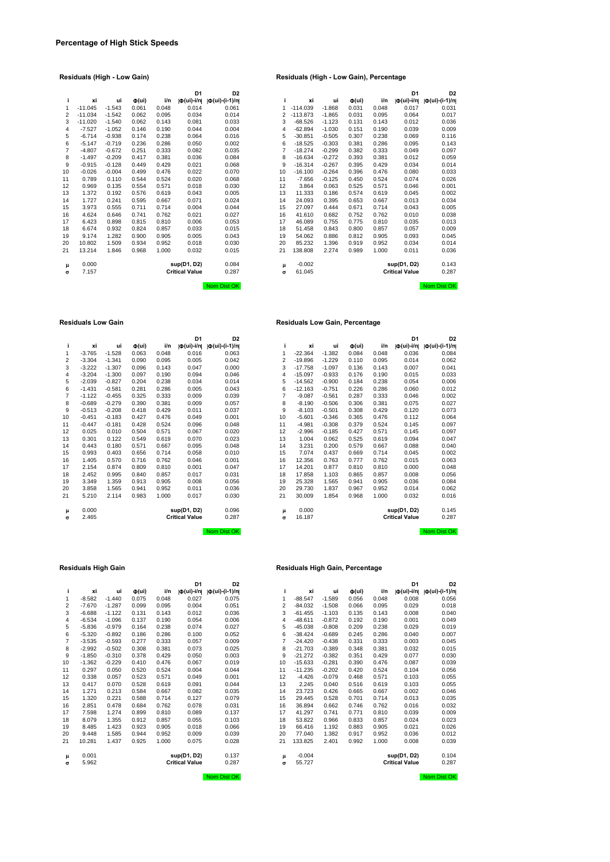|    |           |          |                     |       | D <sub>1</sub>             | D <sub>2</sub>                |                |            |          |                              |       | D <sub>1</sub>          | D2                  |
|----|-----------|----------|---------------------|-------|----------------------------|-------------------------------|----------------|------------|----------|------------------------------|-------|-------------------------|---------------------|
| i. | xi        | ui       | $\Phi(\mathsf{ui})$ | i/n   | $  \Phi(\mathsf{ui})$ -i/n | $  \Phi(\text{ui})-(i-1)/n  $ | i.             | xi         | ui       | $\Phi(\mathsf{u}\mathsf{i})$ | i/n   | $ \Phi(\text{ui})-i/n $ | $ \Phi(ui)-(i-1)/n$ |
| 1  | $-11.045$ | $-1.543$ | 0.061               | 0.048 | 0.014                      | 0.061                         | 1              | $-114.039$ | $-1.868$ | 0.031                        | 0.048 | 0.017                   | 0.031               |
| 2  | $-11.034$ | $-1.542$ | 0.062               | 0.095 | 0.034                      | 0.014                         | 2              | $-113.873$ | $-1.865$ | 0.031                        | 0.095 | 0.064                   | 0.017               |
| 3  | $-11.020$ | $-1.540$ | 0.062               | 0.143 | 0.081                      | 0.033                         | 3              | $-68.526$  | $-1.123$ | 0.131                        | 0.143 | 0.012                   | 0.036               |
| 4  | $-7.527$  | $-1.052$ | 0.146               | 0.190 | 0.044                      | 0.004                         | 4              | $-62.894$  | $-1.030$ | 0.151                        | 0.190 | 0.039                   | 0.009               |
| 5  | $-6.714$  | $-0.938$ | 0.174               | 0.238 | 0.064                      | 0.016                         | 5              | $-30.851$  | $-0.505$ | 0.307                        | 0.238 | 0.069                   | 0.116               |
| 6  | $-5.147$  | $-0.719$ | 0.236               | 0.286 | 0.050                      | 0.002                         | 6              | $-18.525$  | $-0.303$ | 0.381                        | 0.286 | 0.095                   | 0.143               |
| 7  | $-4.807$  | $-0.672$ | 0.251               | 0.333 | 0.082                      | 0.035                         | $\overline{7}$ | $-18.274$  | $-0.299$ | 0.382                        | 0.333 | 0.049                   | 0.097               |
| 8  | $-1.497$  | $-0.209$ | 0.417               | 0.381 | 0.036                      | 0.084                         | 8              | $-16.634$  | $-0.272$ | 0.393                        | 0.381 | 0.012                   | 0.059               |
| 9  | $-0.915$  | $-0.128$ | 0.449               | 0.429 | 0.021                      | 0.068                         | 9              | $-16.314$  | $-0.267$ | 0.395                        | 0.429 | 0.034                   | 0.014               |
| 10 | $-0.026$  | $-0.004$ | 0.499               | 0.476 | 0.022                      | 0.070                         | 10             | $-16.100$  | $-0.264$ | 0.396                        | 0.476 | 0.080                   | 0.033               |
| 11 | 0.789     | 0.110    | 0.544               | 0.524 | 0.020                      | 0.068                         | 11             | $-7.656$   | $-0.125$ | 0.450                        | 0.524 | 0.074                   | 0.026               |
| 12 | 0.969     | 0.135    | 0.554               | 0.571 | 0.018                      | 0.030                         | 12             | 3.864      | 0.063    | 0.525                        | 0.571 | 0.046                   | 0.001               |
| 13 | 1.372     | 0.192    | 0.576               | 0.619 | 0.043                      | 0.005                         | 13             | 11.333     | 0.186    | 0.574                        | 0.619 | 0.045                   | 0.002               |
| 14 | 1.727     | 0.241    | 0.595               | 0.667 | 0.071                      | 0.024                         | 14             | 24.093     | 0.395    | 0.653                        | 0.667 | 0.013                   | 0.034               |
| 15 | 3.973     | 0.555    | 0.711               | 0.714 | 0.004                      | 0.044                         | 15             | 27.097     | 0.444    | 0.671                        | 0.714 | 0.043                   | 0.005               |
| 16 | 4.624     | 0.646    | 0.741               | 0.762 | 0.021                      | 0.027                         | 16             | 41.610     | 0.682    | 0.752                        | 0.762 | 0.010                   | 0.038               |
| 17 | 6.423     | 0.898    | 0.815               | 0.810 | 0.006                      | 0.053                         | 17             | 46.089     | 0.755    | 0.775                        | 0.810 | 0.035                   | 0.013               |
| 18 | 6.674     | 0.932    | 0.824               | 0.857 | 0.033                      | 0.015                         | 18             | 51.458     | 0.843    | 0.800                        | 0.857 | 0.057                   | 0.009               |
| 19 | 9.174     | 1.282    | 0.900               | 0.905 | 0.005                      | 0.043                         | 19             | 54.062     | 0.886    | 0.812                        | 0.905 | 0.093                   | 0.045               |
| 20 | 10.802    | 1.509    | 0.934               | 0.952 | 0.018                      | 0.030                         | 20             | 85.232     | 1.396    | 0.919                        | 0.952 | 0.034                   | 0.014               |
| 21 | 13.214    | 1.846    | 0.968               | 1.000 | 0.032                      | 0.015                         | 21             | 138.808    | 2.274    | 0.989                        | 1.000 | 0.011                   | 0.036               |
| μ  | 0.000     |          |                     |       | sup(D1, D2)                | 0.084                         | μ              | $-0.002$   |          |                              |       | sup(D1, D2)             | 0.143               |
| σ  | 7.157     |          |                     |       | <b>Critical Value</b>      | 0.287                         | $\sigma$       | 61.045     |          |                              |       | <b>Critical Value</b>   | 0.287               |
|    |           |          |                     |       |                            | Nom Dist OK                   |                |            |          |                              |       |                         | Nom Dist Ok         |

|    |           |          |                              |       | D <sub>1</sub>            | D <sub>2</sub>    |                |            |          |                     |       | D <sub>1</sub>          | D <sub>2</sub>       |
|----|-----------|----------|------------------------------|-------|---------------------------|-------------------|----------------|------------|----------|---------------------|-------|-------------------------|----------------------|
| i. | xi        | ui       | $\Phi(\mathsf{u}\mathsf{i})$ | i/n   | $ \Phi(\mathsf{ui})$ -i/n | $ D(ui)-(i-1)/n $ | i.             | xi         | ui       | $\Phi(\mathsf{ui})$ | i/n   | $ \Phi(\text{ui})-i/n $ | $ \Phi(ui)-(i-1)/n $ |
| 1  | $-11.045$ | $-1.543$ | 0.061                        | 0.048 | 0.014                     | 0.061             | 1              | $-114.039$ | $-1.868$ | 0.031               | 0.048 | 0.017                   | 0.031                |
| 2  | $-11.034$ | $-1.542$ | 0.062                        | 0.095 | 0.034                     | 0.014             | $\overline{a}$ | $-113.873$ | $-1.865$ | 0.031               | 0.095 | 0.064                   | 0.017                |
| 3  | $-11.020$ | $-1.540$ | 0.062                        | 0.143 | 0.081                     | 0.033             | 3              | $-68.526$  | $-1.123$ | 0.131               | 0.143 | 0.012                   | 0.036                |
| 4  | $-7.527$  | $-1.052$ | 0.146                        | 0.190 | 0.044                     | 0.004             | 4              | $-62.894$  | $-1.030$ | 0.151               | 0.190 | 0.039                   | 0.009                |
| 5  | $-6.714$  | $-0.938$ | 0.174                        | 0.238 | 0.064                     | 0.016             | 5              | $-30.851$  | $-0.505$ | 0.307               | 0.238 | 0.069                   | 0.116                |
| 6  | $-5.147$  | $-0.719$ | 0.236                        | 0.286 | 0.050                     | 0.002             | 6              | $-18.525$  | $-0.303$ | 0.381               | 0.286 | 0.095                   | 0.143                |
| 7  | $-4.807$  | $-0.672$ | 0.251                        | 0.333 | 0.082                     | 0.035             | 7              | $-18.274$  | $-0.299$ | 0.382               | 0.333 | 0.049                   | 0.097                |
| 8  | $-1.497$  | $-0.209$ | 0.417                        | 0.381 | 0.036                     | 0.084             | 8              | $-16.634$  | $-0.272$ | 0.393               | 0.381 | 0.012                   | 0.059                |
| 9  | $-0.915$  | $-0.128$ | 0.449                        | 0.429 | 0.021                     | 0.068             | 9              | $-16.314$  | $-0.267$ | 0.395               | 0.429 | 0.034                   | 0.014                |
| 0  | $-0.026$  | $-0.004$ | 0.499                        | 0.476 | 0.022                     | 0.070             | 10             | $-16.100$  | $-0.264$ | 0.396               | 0.476 | 0.080                   | 0.033                |
| 1  | 0.789     | 0.110    | 0.544                        | 0.524 | 0.020                     | 0.068             | 11             | $-7.656$   | $-0.125$ | 0.450               | 0.524 | 0.074                   | 0.026                |
| 2  | 0.969     | 0.135    | 0.554                        | 0.571 | 0.018                     | 0.030             | 12             | 3.864      | 0.063    | 0.525               | 0.571 | 0.046                   | 0.001                |
| 3  | 1.372     | 0.192    | 0.576                        | 0.619 | 0.043                     | 0.005             | 13             | 11.333     | 0.186    | 0.574               | 0.619 | 0.045                   | 0.002                |
| 4  | 1.727     | 0.241    | 0.595                        | 0.667 | 0.071                     | 0.024             | 14             | 24.093     | 0.395    | 0.653               | 0.667 | 0.013                   | 0.034                |
| 5  | 3.973     | 0.555    | 0.711                        | 0.714 | 0.004                     | 0.044             | 15             | 27.097     | 0.444    | 0.671               | 0.714 | 0.043                   | 0.005                |
| 6  | 4.624     | 0.646    | 0.741                        | 0.762 | 0.021                     | 0.027             | 16             | 41.610     | 0.682    | 0.752               | 0.762 | 0.010                   | 0.038                |
| 7  | 6.423     | 0.898    | 0.815                        | 0.810 | 0.006                     | 0.053             | 17             | 46.089     | 0.755    | 0.775               | 0.810 | 0.035                   | 0.013                |
| 8  | 6.674     | 0.932    | 0.824                        | 0.857 | 0.033                     | 0.015             | 18             | 51.458     | 0.843    | 0.800               | 0.857 | 0.057                   | 0.009                |
| 9  | 9.174     | 1.282    | 0.900                        | 0.905 | 0.005                     | 0.043             | 19             | 54.062     | 0.886    | 0.812               | 0.905 | 0.093                   | 0.045                |
| 0  | 10.802    | 1.509    | 0.934                        | 0.952 | 0.018                     | 0.030             | 20             | 85.232     | 1.396    | 0.919               | 0.952 | 0.034                   | 0.014                |
| 1  | 13.214    | 1.846    | 0.968                        | 1.000 | 0.032                     | 0.015             | 21             | 138.808    | 2.274    | 0.989               | 1.000 | 0.011                   | 0.036                |
| μ  | 0.000     |          |                              |       | sup(D1, D2)               | 0.084             | μ              | $-0.002$   |          |                     |       | sup(D1, D2)             | 0.143                |
| σ  | 7.157     |          |                              |       | <b>Critical Value</b>     | 0.287             | σ              | 61.045     |          |                     |       | <b>Critical Value</b>   | 0.287                |
|    |           |          |                              |       |                           | Nom Dist OK       |                |            |          |                     |       |                         | Nom Dist OK          |

### **Residuals Low Gain Residuals Low Gain, Percentage**

|    |          |          |                              |       | D <sub>1</sub>                                     | D <sub>2</sub> |                |           |          |                              |       | D <sub>1</sub>                                              | D <sub>2</sub>       |
|----|----------|----------|------------------------------|-------|----------------------------------------------------|----------------|----------------|-----------|----------|------------------------------|-------|-------------------------------------------------------------|----------------------|
| j. | хi       | ui       | $\Phi(\mathsf{u}\mathsf{i})$ | i/n   | $ \Phi(\mathsf{ui})\text{-}\mathsf{i}/\mathsf{n} $ | Ф(ui)-(i-1)/n  | i              | xi        | ui       | $\Phi(\mathsf{u}\mathsf{i})$ | i/n   | $ \Phi(\mathsf{u}\mathsf{i})\text{-}\mathsf{i}/\mathsf{n} $ | $ \Phi(ui)-(i-1)/n $ |
| 1  | $-3.765$ | $-1.528$ | 0.063                        | 0.048 | 0.016                                              | 0.063          |                | $-22.364$ | $-1.382$ | 0.084                        | 0.048 | 0.036                                                       | 0.084                |
| 2  | $-3.304$ | $-1.341$ | 0.090                        | 0.095 | 0.005                                              | 0.042          | $\overline{2}$ | $-19.896$ | $-1.229$ | 0.110                        | 0.095 | 0.014                                                       | 0.062                |
| 3  | $-3.222$ | $-1.307$ | 0.096                        | 0.143 | 0.047                                              | 0.000          | 3              | $-17.758$ | $-1.097$ | 0.136                        | 0.143 | 0.007                                                       | 0.041                |
| 4  | $-3.204$ | $-1.300$ | 0.097                        | 0.190 | 0.094                                              | 0.046          | 4              | $-15.097$ | $-0.933$ | 0.176                        | 0.190 | 0.015                                                       | 0.033                |
| 5  | $-2.039$ | $-0.827$ | 0.204                        | 0.238 | 0.034                                              | 0.014          | 5              | $-14.562$ | $-0.900$ | 0.184                        | 0.238 | 0.054                                                       | 0.006                |
| 6  | $-1.431$ | $-0.581$ | 0.281                        | 0.286 | 0.005                                              | 0.043          | 6              | $-12.163$ | $-0.751$ | 0.226                        | 0.286 | 0.060                                                       | 0.012                |
| 7  | $-1.122$ | $-0.455$ | 0.325                        | 0.333 | 0.009                                              | 0.039          | $\overline{7}$ | $-9.087$  | $-0.561$ | 0.287                        | 0.333 | 0.046                                                       | 0.002                |
| 8  | $-0.689$ | $-0.279$ | 0.390                        | 0.381 | 0.009                                              | 0.057          | 8              | $-8.190$  | $-0.506$ | 0.306                        | 0.381 | 0.075                                                       | 0.027                |
| 9  | $-0.513$ | $-0.208$ | 0.418                        | 0.429 | 0.011                                              | 0.037          | 9              | $-8.103$  | $-0.501$ | 0.308                        | 0.429 | 0.120                                                       | 0.073                |
| 10 | $-0.451$ | $-0.183$ | 0.427                        | 0.476 | 0.049                                              | 0.001          | 10             | $-5.601$  | $-0.346$ | 0.365                        | 0.476 | 0.112                                                       | 0.064                |
| 11 | $-0.447$ | $-0.181$ | 0.428                        | 0.524 | 0.096                                              | 0.048          | 11             | $-4.981$  | $-0.308$ | 0.379                        | 0.524 | 0.145                                                       | 0.097                |
| 12 | 0.025    | 0.010    | 0.504                        | 0.571 | 0.067                                              | 0.020          | 12             | $-2.996$  | $-0.185$ | 0.427                        | 0.571 | 0.145                                                       | 0.097                |
| 13 | 0.301    | 0.122    | 0.549                        | 0.619 | 0.070                                              | 0.023          | 13             | 1.004     | 0.062    | 0.525                        | 0.619 | 0.094                                                       | 0.047                |
| 14 | 0.443    | 0.180    | 0.571                        | 0.667 | 0.095                                              | 0.048          | 14             | 3.231     | 0.200    | 0.579                        | 0.667 | 0.088                                                       | 0.040                |
| 15 | 0.993    | 0.403    | 0.656                        | 0.714 | 0.058                                              | 0.010          | 15             | 7.074     | 0.437    | 0.669                        | 0.714 | 0.045                                                       | 0.002                |
| 16 | 1.405    | 0.570    | 0.716                        | 0.762 | 0.046                                              | 0.001          | 16             | 12.356    | 0.763    | 0.777                        | 0.762 | 0.015                                                       | 0.063                |
| 17 | 2.154    | 0.874    | 0.809                        | 0.810 | 0.001                                              | 0.047          | 17             | 14.201    | 0.877    | 0.810                        | 0.810 | 0.000                                                       | 0.048                |
| 18 | 2.452    | 0.995    | 0.840                        | 0.857 | 0.017                                              | 0.031          | 18             | 17.858    | 1.103    | 0.865                        | 0.857 | 0.008                                                       | 0.056                |
| 19 | 3.349    | 1.359    | 0.913                        | 0.905 | 0.008                                              | 0.056          | 19             | 25.328    | 1.565    | 0.941                        | 0.905 | 0.036                                                       | 0.084                |
| 20 | 3.858    | 1.565    | 0.941                        | 0.952 | 0.011                                              | 0.036          | 20             | 29.730    | 1.837    | 0.967                        | 0.952 | 0.014                                                       | 0.062                |
| 21 | 5.210    | 2.114    | 0.983                        | 1.000 | 0.017                                              | 0.030          | 21             | 30.009    | 1.854    | 0.968                        | 1.000 | 0.032                                                       | 0.016                |
| μ  | 0.000    |          |                              |       | sup(D1, D2)                                        | 0.096          | μ              | 0.000     |          |                              |       | sup(D1, D2)                                                 | 0.145                |
| σ  | 2.465    |          |                              |       | <b>Critical Value</b>                              | 0.287          | $\sigma$       | 16.187    |          |                              |       | <b>Critical Value</b>                                       | 0.287                |
|    |          |          |                              |       |                                                    | Nom Dist OK    |                |           |          |                              |       |                                                             | Nom Dist OK          |

| i<br>xi<br>ui<br>$\Phi(\mathsf{ui})$<br>i/n<br> Ф(ui)-i/n <br>1<br>$-3.765$<br>$-1.528$<br>0.063<br>0.048<br>0.016<br>$\overline{c}$<br>$-3.304$<br>$-1.341$<br>0.090<br>0.095<br>0.005<br>3<br>0.143<br>$-3.222$<br>$-1.307$<br>0.096<br>0.047<br>4<br>0.097<br>$-3.204$<br>$-1.300$<br>0.190<br>0.094<br>5<br>$-2.039$<br>0.204<br>0.238<br>0.034<br>$-0.827$<br>6<br>$-1.431$<br>$-0.581$<br>0.281<br>0.286<br>0.005<br>$\overline{7}$<br>$-0.455$<br>0.333<br>0.009<br>$-1.122$<br>0.325<br>8<br>$-0.279$<br>0.390<br>0.381<br>0.009<br>$-0.689$<br>9<br>$-0.513$<br>0.418<br>$-0.208$<br>0.429<br>0.011<br>$-0.183$<br>10<br>$-0.451$<br>0.427<br>0.476<br>0.049<br>11<br>$-0.447$<br>$-0.181$<br>0.428<br>0.524<br>0.096<br>12<br>0.025<br>0.010<br>0.504<br>0.571<br>0.067<br>13<br>0.301<br>0.122<br>0.549<br>0.619<br>0.070<br>14<br>0.180<br>0.443<br>0.571<br>0.667<br>0.095<br>15<br>0.993<br>0.403<br>0.656<br>0.714<br>0.058<br>16<br>1.405<br>0.570<br>0.716<br>0.762<br>0.046<br>17<br>2.154<br>0.874<br>0.809<br>0.810<br>0.001<br>0.017<br>18<br>2.452<br>0.995<br>0.840<br>0.857<br>19<br>3.349<br>0.913<br>0.905<br>0.008<br>1.359<br>20<br>3.858<br>1.565<br>0.941<br>0.952<br>0.011<br>1.000<br>21<br>5.210<br>2.114<br>0.983<br>0.017<br>sup(D1, D2)<br>0.000<br>μ<br><b>Critical Value</b><br>2.465<br>σ |  |  |  |                   |
|----------------------------------------------------------------------------------------------------------------------------------------------------------------------------------------------------------------------------------------------------------------------------------------------------------------------------------------------------------------------------------------------------------------------------------------------------------------------------------------------------------------------------------------------------------------------------------------------------------------------------------------------------------------------------------------------------------------------------------------------------------------------------------------------------------------------------------------------------------------------------------------------------------------------------------------------------------------------------------------------------------------------------------------------------------------------------------------------------------------------------------------------------------------------------------------------------------------------------------------------------------------------------------------------------------------------------------|--|--|--|-------------------|
|                                                                                                                                                                                                                                                                                                                                                                                                                                                                                                                                                                                                                                                                                                                                                                                                                                                                                                                                                                                                                                                                                                                                                                                                                                                                                                                                  |  |  |  | $ Q(ui)-(i-1)/n $ |
|                                                                                                                                                                                                                                                                                                                                                                                                                                                                                                                                                                                                                                                                                                                                                                                                                                                                                                                                                                                                                                                                                                                                                                                                                                                                                                                                  |  |  |  | 0.063             |
|                                                                                                                                                                                                                                                                                                                                                                                                                                                                                                                                                                                                                                                                                                                                                                                                                                                                                                                                                                                                                                                                                                                                                                                                                                                                                                                                  |  |  |  | 0.042             |
|                                                                                                                                                                                                                                                                                                                                                                                                                                                                                                                                                                                                                                                                                                                                                                                                                                                                                                                                                                                                                                                                                                                                                                                                                                                                                                                                  |  |  |  | 0.000             |
|                                                                                                                                                                                                                                                                                                                                                                                                                                                                                                                                                                                                                                                                                                                                                                                                                                                                                                                                                                                                                                                                                                                                                                                                                                                                                                                                  |  |  |  | 0.046             |
|                                                                                                                                                                                                                                                                                                                                                                                                                                                                                                                                                                                                                                                                                                                                                                                                                                                                                                                                                                                                                                                                                                                                                                                                                                                                                                                                  |  |  |  | 0.014             |
|                                                                                                                                                                                                                                                                                                                                                                                                                                                                                                                                                                                                                                                                                                                                                                                                                                                                                                                                                                                                                                                                                                                                                                                                                                                                                                                                  |  |  |  | 0.043             |
|                                                                                                                                                                                                                                                                                                                                                                                                                                                                                                                                                                                                                                                                                                                                                                                                                                                                                                                                                                                                                                                                                                                                                                                                                                                                                                                                  |  |  |  | 0.039             |
|                                                                                                                                                                                                                                                                                                                                                                                                                                                                                                                                                                                                                                                                                                                                                                                                                                                                                                                                                                                                                                                                                                                                                                                                                                                                                                                                  |  |  |  | 0.057             |
|                                                                                                                                                                                                                                                                                                                                                                                                                                                                                                                                                                                                                                                                                                                                                                                                                                                                                                                                                                                                                                                                                                                                                                                                                                                                                                                                  |  |  |  | 0.037             |
|                                                                                                                                                                                                                                                                                                                                                                                                                                                                                                                                                                                                                                                                                                                                                                                                                                                                                                                                                                                                                                                                                                                                                                                                                                                                                                                                  |  |  |  | 0.001             |
|                                                                                                                                                                                                                                                                                                                                                                                                                                                                                                                                                                                                                                                                                                                                                                                                                                                                                                                                                                                                                                                                                                                                                                                                                                                                                                                                  |  |  |  | 0.048             |
|                                                                                                                                                                                                                                                                                                                                                                                                                                                                                                                                                                                                                                                                                                                                                                                                                                                                                                                                                                                                                                                                                                                                                                                                                                                                                                                                  |  |  |  | 0.020             |
|                                                                                                                                                                                                                                                                                                                                                                                                                                                                                                                                                                                                                                                                                                                                                                                                                                                                                                                                                                                                                                                                                                                                                                                                                                                                                                                                  |  |  |  | 0.023             |
|                                                                                                                                                                                                                                                                                                                                                                                                                                                                                                                                                                                                                                                                                                                                                                                                                                                                                                                                                                                                                                                                                                                                                                                                                                                                                                                                  |  |  |  | 0.048             |
|                                                                                                                                                                                                                                                                                                                                                                                                                                                                                                                                                                                                                                                                                                                                                                                                                                                                                                                                                                                                                                                                                                                                                                                                                                                                                                                                  |  |  |  | 0.010             |
|                                                                                                                                                                                                                                                                                                                                                                                                                                                                                                                                                                                                                                                                                                                                                                                                                                                                                                                                                                                                                                                                                                                                                                                                                                                                                                                                  |  |  |  | 0.001             |
|                                                                                                                                                                                                                                                                                                                                                                                                                                                                                                                                                                                                                                                                                                                                                                                                                                                                                                                                                                                                                                                                                                                                                                                                                                                                                                                                  |  |  |  | 0.047             |
|                                                                                                                                                                                                                                                                                                                                                                                                                                                                                                                                                                                                                                                                                                                                                                                                                                                                                                                                                                                                                                                                                                                                                                                                                                                                                                                                  |  |  |  | 0.031             |
|                                                                                                                                                                                                                                                                                                                                                                                                                                                                                                                                                                                                                                                                                                                                                                                                                                                                                                                                                                                                                                                                                                                                                                                                                                                                                                                                  |  |  |  | 0.056             |
|                                                                                                                                                                                                                                                                                                                                                                                                                                                                                                                                                                                                                                                                                                                                                                                                                                                                                                                                                                                                                                                                                                                                                                                                                                                                                                                                  |  |  |  | 0.036             |
|                                                                                                                                                                                                                                                                                                                                                                                                                                                                                                                                                                                                                                                                                                                                                                                                                                                                                                                                                                                                                                                                                                                                                                                                                                                                                                                                  |  |  |  | 0.030             |
|                                                                                                                                                                                                                                                                                                                                                                                                                                                                                                                                                                                                                                                                                                                                                                                                                                                                                                                                                                                                                                                                                                                                                                                                                                                                                                                                  |  |  |  | 0.096             |
|                                                                                                                                                                                                                                                                                                                                                                                                                                                                                                                                                                                                                                                                                                                                                                                                                                                                                                                                                                                                                                                                                                                                                                                                                                                                                                                                  |  |  |  | 0.287             |

|          |          |          |                              |       | D1                                                 | D2                    |    |           |          |                     |       | D1                        | D2                  |
|----------|----------|----------|------------------------------|-------|----------------------------------------------------|-----------------------|----|-----------|----------|---------------------|-------|---------------------------|---------------------|
| ÷        | хi       | ui       | $\Phi(\mathsf{u}\mathsf{i})$ | i/n   | $ \Phi(\mathsf{ui})\text{-}\mathsf{i}/\mathsf{n} $ | $ \Phi (ui)-(i-1)/n $ | i  | xi        | ui       | $\Phi(\mathsf{ui})$ | i/n   | $ \Phi(\mathsf{ui})$ -i/n | $ \Phi(ui)-(i-1)/n$ |
| 1        | $-8.582$ | $-1.440$ | 0.075                        | 0.048 | 0.027                                              | 0.075                 | 1  | $-88.547$ | $-1.589$ | 0.056               | 0.048 | 0.008                     | 0.056               |
| 2        | $-7.670$ | $-1.287$ | 0.099                        | 0.095 | 0.004                                              | 0.051                 | 2  | $-84.032$ | $-1.508$ | 0.066               | 0.095 | 0.029                     | 0.018               |
| 3        | $-6.688$ | $-1.122$ | 0.131                        | 0.143 | 0.012                                              | 0.036                 | 3  | $-61.455$ | $-1.103$ | 0.135               | 0.143 | 0.008                     | 0.040               |
| 4        | $-6.534$ | $-1.096$ | 0.137                        | 0.190 | 0.054                                              | 0.006                 | 4  | $-48.611$ | $-0.872$ | 0.192               | 0.190 | 0.001                     | 0.049               |
| 5        | $-5.836$ | $-0.979$ | 0.164                        | 0.238 | 0.074                                              | 0.027                 | 5  | $-45.038$ | $-0.808$ | 0.209               | 0.238 | 0.029                     | 0.019               |
| 6        | $-5.320$ | $-0.892$ | 0.186                        | 0.286 | 0.100                                              | 0.052                 | 6  | $-38.424$ | $-0.689$ | 0.245               | 0.286 | 0.040                     | 0.007               |
| 7        | $-3.535$ | $-0.593$ | 0.277                        | 0.333 | 0.057                                              | 0.009                 | 7  | $-24.420$ | $-0.438$ | 0.331               | 0.333 | 0.003                     | 0.045               |
| 8        | $-2.992$ | $-0.502$ | 0.308                        | 0.381 | 0.073                                              | 0.025                 | 8  | $-21.703$ | $-0.389$ | 0.348               | 0.381 | 0.032                     | 0.015               |
| 9        | $-1.850$ | $-0.310$ | 0.378                        | 0.429 | 0.050                                              | 0.003                 | 9  | $-21.272$ | $-0.382$ | 0.351               | 0.429 | 0.077                     | 0.03C               |
| 10       | $-1.362$ | $-0.229$ | 0.410                        | 0.476 | 0.067                                              | 0.019                 | 10 | $-15.633$ | $-0.281$ | 0.390               | 0.476 | 0.087                     | 0.039               |
| 11       | 0.297    | 0.050    | 0.520                        | 0.524 | 0.004                                              | 0.044                 | 11 | $-11.235$ | $-0.202$ | 0.420               | 0.524 | 0.104                     | 0.056               |
| 12       | 0.338    | 0.057    | 0.523                        | 0.571 | 0.049                                              | 0.001                 | 12 | $-4.426$  | $-0.079$ | 0.468               | 0.571 | 0.103                     | 0.055               |
| 13       | 0.417    | 0.070    | 0.528                        | 0.619 | 0.091                                              | 0.044                 | 13 | 2.245     | 0.040    | 0.516               | 0.619 | 0.103                     | 0.055               |
| 14       | 1.271    | 0.213    | 0.584                        | 0.667 | 0.082                                              | 0.035                 | 14 | 23.723    | 0.426    | 0.665               | 0.667 | 0.002                     | 0.046               |
| 15       | 1.320    | 0.221    | 0.588                        | 0.714 | 0.127                                              | 0.079                 | 15 | 29.445    | 0.528    | 0.701               | 0.714 | 0.013                     | 0.035               |
| 16       | 2.851    | 0.478    | 0.684                        | 0.762 | 0.078                                              | 0.031                 | 16 | 36.894    | 0.662    | 0.746               | 0.762 | 0.016                     | 0.032               |
| 17       | 7.598    | 1.274    | 0.899                        | 0.810 | 0.089                                              | 0.137                 | 17 | 41.297    | 0.741    | 0.771               | 0.810 | 0.039                     | 0.009               |
| 18       | 8.079    | 1.355    | 0.912                        | 0.857 | 0.055                                              | 0.103                 | 18 | 53.822    | 0.966    | 0.833               | 0.857 | 0.024                     | 0.023               |
| 19       | 8.485    | 1.423    | 0.923                        | 0.905 | 0.018                                              | 0.066                 | 19 | 66.416    | 1.192    | 0.883               | 0.905 | 0.021                     | 0.026               |
| 20       | 9.448    | 1.585    | 0.944                        | 0.952 | 0.009                                              | 0.039                 | 20 | 77.040    | 1.382    | 0.917               | 0.952 | 0.036                     | 0.012               |
| 21       | 10.281   | 1.437    | 0.925                        | 1.000 | 0.075                                              | 0.028                 | 21 | 133.825   | 2.401    | 0.992               | 1.000 | 0.008                     | 0.039               |
| μ        | 0.001    |          |                              |       | sup(D1, D2)                                        | 0.137                 | μ  | $-0.004$  |          |                     |       | sup(D1, D2)               | 0.104               |
| $\sigma$ | 5.962    |          |                              |       | <b>Critical Value</b>                              | 0.287                 | σ  | 55.727    |          |                     |       | <b>Critical Value</b>     | 0.287               |
|          |          |          |                              |       |                                                    |                       |    |           |          |                     |       |                           |                     |

## **Residuals High Gain Residuals High Gain, Percentage**

|    |          |          |                              |       | D <sub>1</sub>                                     | D <sub>2</sub>        |          |           |          |                              |       | D <sub>1</sub>             | D <sub>2</sub>        |
|----|----------|----------|------------------------------|-------|----------------------------------------------------|-----------------------|----------|-----------|----------|------------------------------|-------|----------------------------|-----------------------|
| i. | хi       | ui       | $\Phi(\mathsf{u}\mathsf{i})$ | i/n   | $ \Phi(\mathsf{ui})\text{-}\mathsf{i}/\mathsf{n} $ | $ \Phi (ui)-(i-1)/n $ |          | xi        | ui       | $\Phi(\mathsf{u}\mathsf{i})$ | i/n   | $ \Phi(\mathsf{u} i)$ -i/n | $ \Phi (ui)-(i-1)/n $ |
| 1  | $-8.582$ | $-1.440$ | 0.075                        | 0.048 | 0.027                                              | 0.075                 | 1        | $-88.547$ | $-1.589$ | 0.056                        | 0.048 | 0.008                      | 0.056                 |
| 2  | $-7.670$ | $-1.287$ | 0.099                        | 0.095 | 0.004                                              | 0.051                 | 2        | $-84.032$ | $-1.508$ | 0.066                        | 0.095 | 0.029                      | 0.018                 |
| 3  | $-6.688$ | $-1.122$ | 0.131                        | 0.143 | 0.012                                              | 0.036                 | 3        | $-61.455$ | $-1.103$ | 0.135                        | 0.143 | 0.008                      | 0.040                 |
| 4  | $-6.534$ | $-1.096$ | 0.137                        | 0.190 | 0.054                                              | 0.006                 | 4        | $-48.611$ | $-0.872$ | 0.192                        | 0.190 | 0.001                      | 0.049                 |
| 5  | $-5.836$ | $-0.979$ | 0.164                        | 0.238 | 0.074                                              | 0.027                 | 5        | $-45.038$ | $-0.808$ | 0.209                        | 0.238 | 0.029                      | 0.019                 |
| 6  | $-5.320$ | $-0.892$ | 0.186                        | 0.286 | 0.100                                              | 0.052                 | 6        | $-38.424$ | $-0.689$ | 0.245                        | 0.286 | 0.040                      | 0.007                 |
| 7  | $-3.535$ | $-0.593$ | 0.277                        | 0.333 | 0.057                                              | 0.009                 | 7        | $-24.420$ | $-0.438$ | 0.331                        | 0.333 | 0.003                      | 0.045                 |
| 8  | $-2.992$ | $-0.502$ | 0.308                        | 0.381 | 0.073                                              | 0.025                 | 8        | $-21.703$ | $-0.389$ | 0.348                        | 0.381 | 0.032                      | 0.015                 |
| 9  | $-1.850$ | $-0.310$ | 0.378                        | 0.429 | 0.050                                              | 0.003                 | 9        | $-21.272$ | $-0.382$ | 0.351                        | 0.429 | 0.077                      | 0.030                 |
| 0  | $-1.362$ | $-0.229$ | 0.410                        | 0.476 | 0.067                                              | 0.019                 | 10       | $-15.633$ | $-0.281$ | 0.390                        | 0.476 | 0.087                      | 0.039                 |
| 1  | 0.297    | 0.050    | 0.520                        | 0.524 | 0.004                                              | 0.044                 | 11       | $-11.235$ | $-0.202$ | 0.420                        | 0.524 | 0.104                      | 0.056                 |
| 2  | 0.338    | 0.057    | 0.523                        | 0.571 | 0.049                                              | 0.001                 | 12       | $-4.426$  | $-0.079$ | 0.468                        | 0.571 | 0.103                      | 0.055                 |
| 3  | 0.417    | 0.070    | 0.528                        | 0.619 | 0.091                                              | 0.044                 | 13       | 2.245     | 0.040    | 0.516                        | 0.619 | 0.103                      | 0.055                 |
| 4  | 1.271    | 0.213    | 0.584                        | 0.667 | 0.082                                              | 0.035                 | 14       | 23.723    | 0.426    | 0.665                        | 0.667 | 0.002                      | 0.046                 |
| 5  | 1.320    | 0.221    | 0.588                        | 0.714 | 0.127                                              | 0.079                 | 15       | 29.445    | 0.528    | 0.701                        | 0.714 | 0.013                      | 0.035                 |
| 6  | 2.851    | 0.478    | 0.684                        | 0.762 | 0.078                                              | 0.031                 | 16       | 36.894    | 0.662    | 0.746                        | 0.762 | 0.016                      | 0.032                 |
|    | 7.598    | 1.274    | 0.899                        | 0.810 | 0.089                                              | 0.137                 | 17       | 41.297    | 0.741    | 0.771                        | 0.810 | 0.039                      | 0.009                 |
| 8  | 8.079    | 1.355    | 0.912                        | 0.857 | 0.055                                              | 0.103                 | 18       | 53.822    | 0.966    | 0.833                        | 0.857 | 0.024                      | 0.023                 |
| 9  | 8.485    | 1.423    | 0.923                        | 0.905 | 0.018                                              | 0.066                 | 19       | 66.416    | 1.192    | 0.883                        | 0.905 | 0.021                      | 0.026                 |
| 0  | 9.448    | 1.585    | 0.944                        | 0.952 | 0.009                                              | 0.039                 | 20       | 77.040    | 1.382    | 0.917                        | 0.952 | 0.036                      | 0.012                 |
| 1  | 10.281   | 1.437    | 0.925                        | 1.000 | 0.075                                              | 0.028                 | 21       | 133.825   | 2.401    | 0.992                        | 1.000 | 0.008                      | 0.039                 |
| μ  | 0.001    |          |                              |       | sup(D1, D2)                                        | 0.137                 | μ        | $-0.004$  |          |                              |       | sup(D1, D2)                | 0.104                 |
| σ  | 5.962    |          |                              |       | <b>Critical Value</b>                              | 0.287                 | $\sigma$ | 55.727    |          |                              |       | <b>Critical Value</b>      | 0.287                 |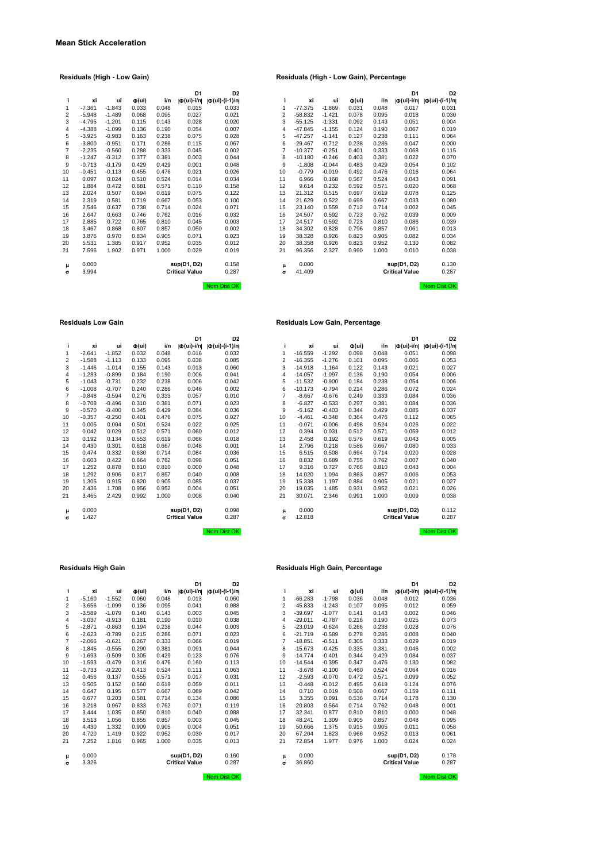# **D1 D2**<br> **d**(ui)-i/n| **d**(ui)-(i-1)/n|<br>
0.015 0.033<br>
0.027 0.021

### **Residuals (High - Low Gain) Residuals (High - Low Gain), Percentage**

|    |          |          |                              |       | D <sub>1</sub>            | D <sub>2</sub>        |                |           |          |                              |       | D <sub>1</sub>          | D <sub>2</sub>       |
|----|----------|----------|------------------------------|-------|---------------------------|-----------------------|----------------|-----------|----------|------------------------------|-------|-------------------------|----------------------|
| j. | xi       | ui       | $\Phi(\mathsf{u}\mathsf{i})$ | i/n   | $ \Phi(\mathsf{ui})$ -i/n | $ \Phi (ui)-(i-1)/n $ |                | xi        | ui       | $\Phi(\mathsf{u}\mathsf{i})$ | i/n   | $ \Phi(\text{ui})$ -i/n | $ \Phi(ui)-(i-1)/n $ |
| 1  | $-7.361$ | $-1.843$ | 0.033                        | 0.048 | 0.015                     | 0.033                 | 1              | $-77.375$ | $-1.869$ | 0.031                        | 0.048 | 0.017                   | 0.031                |
| 2  | $-5.948$ | $-1.489$ | 0.068                        | 0.095 | 0.027                     | 0.021                 | $\overline{2}$ | $-58.832$ | $-1.421$ | 0.078                        | 0.095 | 0.018                   | 0.030                |
| 3  | $-4.795$ | $-1.201$ | 0.115                        | 0.143 | 0.028                     | 0.020                 | 3              | $-55.125$ | $-1.331$ | 0.092                        | 0.143 | 0.051                   | 0.004                |
| 4  | $-4.388$ | $-1.099$ | 0.136                        | 0.190 | 0.054                     | 0.007                 | 4              | $-47.845$ | $-1.155$ | 0.124                        | 0.190 | 0.067                   | 0.019                |
| 5  | $-3.925$ | $-0.983$ | 0.163                        | 0.238 | 0.075                     | 0.028                 | 5              | $-47.257$ | $-1.141$ | 0.127                        | 0.238 | 0.111                   | 0.064                |
| 6  | $-3.800$ | $-0.951$ | 0.171                        | 0.286 | 0.115                     | 0.067                 | 6              | $-29.467$ | $-0.712$ | 0.238                        | 0.286 | 0.047                   | 0.000                |
| 7  | $-2.235$ | $-0.560$ | 0.288                        | 0.333 | 0.045                     | 0.002                 | 7              | $-10.377$ | $-0.251$ | 0.401                        | 0.333 | 0.068                   | 0.115                |
| 8  | $-1.247$ | $-0.312$ | 0.377                        | 0.381 | 0.003                     | 0.044                 | 8              | $-10.180$ | $-0.246$ | 0.403                        | 0.381 | 0.022                   | 0.070                |
| 9  | $-0.713$ | $-0.179$ | 0.429                        | 0.429 | 0.001                     | 0.048                 | 9              | $-1.808$  | $-0.044$ | 0.483                        | 0.429 | 0.054                   | 0.102                |
| 10 | $-0.451$ | $-0.113$ | 0.455                        | 0.476 | 0.021                     | 0.026                 | 10             | $-0.779$  | $-0.019$ | 0.492                        | 0.476 | 0.016                   | 0.064                |
| 11 | 0.097    | 0.024    | 0.510                        | 0.524 | 0.014                     | 0.034                 | 11             | 6.966     | 0.168    | 0.567                        | 0.524 | 0.043                   | 0.091                |
| 12 | 1.884    | 0.472    | 0.681                        | 0.571 | 0.110                     | 0.158                 | 12             | 9.614     | 0.232    | 0.592                        | 0.571 | 0.020                   | 0.068                |
| 13 | 2.024    | 0.507    | 0.694                        | 0.619 | 0.075                     | 0.122                 | 13             | 21.312    | 0.515    | 0.697                        | 0.619 | 0.078                   | 0.125                |
| 14 | 2.319    | 0.581    | 0.719                        | 0.667 | 0.053                     | 0.100                 | 14             | 21.629    | 0.522    | 0.699                        | 0.667 | 0.033                   | 0.080                |
| 15 | 2.546    | 0.637    | 0.738                        | 0.714 | 0.024                     | 0.071                 | 15             | 23.140    | 0.559    | 0.712                        | 0.714 | 0.002                   | 0.045                |
| 16 | 2.647    | 0.663    | 0.746                        | 0.762 | 0.016                     | 0.032                 | 16             | 24.507    | 0.592    | 0.723                        | 0.762 | 0.039                   | 0.009                |
| 17 | 2.885    | 0.722    | 0.765                        | 0.810 | 0.045                     | 0.003                 | 17             | 24.517    | 0.592    | 0.723                        | 0.810 | 0.086                   | 0.039                |
| 18 | 3.467    | 0.868    | 0.807                        | 0.857 | 0.050                     | 0.002                 | 18             | 34.302    | 0.828    | 0.796                        | 0.857 | 0.061                   | 0.013                |
| 19 | 3.876    | 0.970    | 0.834                        | 0.905 | 0.071                     | 0.023                 | 19             | 38.328    | 0.926    | 0.823                        | 0.905 | 0.082                   | 0.034                |
| 20 | 5.531    | 1.385    | 0.917                        | 0.952 | 0.035                     | 0.012                 | 20             | 38.358    | 0.926    | 0.823                        | 0.952 | 0.130                   | 0.082                |
| 21 | 7.596    | 1.902    | 0.971                        | 1.000 | 0.029                     | 0.019                 | 21             | 96.356    | 2.327    | 0.990                        | 1.000 | 0.010                   | 0.038                |
| μ  | 0.000    |          |                              |       | sup(D1, D2)               | 0.158                 | μ              | 0.000     |          |                              |       | sup(D1, D2)             | 0.130                |
| σ  | 3.994    |          |                              |       | <b>Critical Value</b>     | 0.287                 | $\sigma$       | 41.409    |          |                              |       | <b>Critical Value</b>   | 0.287                |
|    |          |          |                              |       |                           | Nom Dist OK           |                |           |          |                              |       |                         | Nom Dist OK          |

#### **Residuals Low Gain Residuals Low Gain, Percentage**

|    |          |          |                              |       | D <sub>1</sub>        | D <sub>2</sub>        |                |           |          |                              |       | D <sub>1</sub>            | D <sub>2</sub>              |
|----|----------|----------|------------------------------|-------|-----------------------|-----------------------|----------------|-----------|----------|------------------------------|-------|---------------------------|-----------------------------|
| j. | хi       | ui       | $\Phi(\mathsf{u}\mathsf{i})$ | i/n   | Ф(ui)-i/n             | $ \Phi (ui)-(i-1)/n $ | L              | xi        | ui       | $\Phi(\mathsf{u}\mathsf{i})$ | i/n   | $ \Phi(\mathsf{u}i)$ -i/n | $  \Phi (ui) - (i - 1)/n  $ |
| 1  | $-2.641$ | $-1.852$ | 0.032                        | 0.048 | 0.016                 | 0.032                 |                | $-16.559$ | $-1.292$ | 0.098                        | 0.048 | 0.051                     | 0.098                       |
| 2  | $-1.588$ | $-1.113$ | 0.133                        | 0.095 | 0.038                 | 0.085                 | $\overline{2}$ | $-16.355$ | $-1.276$ | 0.101                        | 0.095 | 0.006                     | 0.053                       |
| 3  | $-1.446$ | $-1.014$ | 0.155                        | 0.143 | 0.013                 | 0.060                 | 3              | $-14.918$ | $-1.164$ | 0.122                        | 0.143 | 0.021                     | 0.027                       |
| 4  | $-1.283$ | $-0.899$ | 0.184                        | 0.190 | 0.006                 | 0.041                 | 4              | $-14.057$ | $-1.097$ | 0.136                        | 0.190 | 0.054                     | 0.006                       |
| 5  | $-1.043$ | $-0.731$ | 0.232                        | 0.238 | 0.006                 | 0.042                 | 5              | $-11.532$ | $-0.900$ | 0.184                        | 0.238 | 0.054                     | 0.006                       |
| 6  | $-1.008$ | $-0.707$ | 0.240                        | 0.286 | 0.046                 | 0.002                 | 6              | $-10.173$ | $-0.794$ | 0.214                        | 0.286 | 0.072                     | 0.024                       |
| 7  | $-0.848$ | $-0.594$ | 0.276                        | 0.333 | 0.057                 | 0.010                 | $\overline{7}$ | $-8.667$  | $-0.676$ | 0.249                        | 0.333 | 0.084                     | 0.036                       |
| 8  | $-0.708$ | $-0.496$ | 0.310                        | 0.381 | 0.071                 | 0.023                 | 8              | $-6.827$  | $-0.533$ | 0.297                        | 0.381 | 0.084                     | 0.036                       |
| 9  | $-0.570$ | $-0.400$ | 0.345                        | 0.429 | 0.084                 | 0.036                 | 9              | $-5.162$  | $-0.403$ | 0.344                        | 0.429 | 0.085                     | 0.037                       |
| 10 | $-0.357$ | $-0.250$ | 0.401                        | 0.476 | 0.075                 | 0.027                 | 10             | $-4.461$  | $-0.348$ | 0.364                        | 0.476 | 0.112                     | 0.065                       |
| 11 | 0.005    | 0.004    | 0.501                        | 0.524 | 0.022                 | 0.025                 | 11             | $-0.071$  | $-0.006$ | 0.498                        | 0.524 | 0.026                     | 0.022                       |
| 12 | 0.042    | 0.029    | 0.512                        | 0.571 | 0.060                 | 0.012                 | 12             | 0.394     | 0.031    | 0.512                        | 0.571 | 0.059                     | 0.012                       |
| 13 | 0.192    | 0.134    | 0.553                        | 0.619 | 0.066                 | 0.018                 | 13             | 2.458     | 0.192    | 0.576                        | 0.619 | 0.043                     | 0.005                       |
| 14 | 0.430    | 0.301    | 0.618                        | 0.667 | 0.048                 | 0.001                 | 14             | 2.796     | 0.218    | 0.586                        | 0.667 | 0.080                     | 0.033                       |
| 15 | 0.474    | 0.332    | 0.630                        | 0.714 | 0.084                 | 0.036                 | 15             | 6.515     | 0.508    | 0.694                        | 0.714 | 0.020                     | 0.028                       |
| 16 | 0.603    | 0.422    | 0.664                        | 0.762 | 0.098                 | 0.051                 | 16             | 8.832     | 0.689    | 0.755                        | 0.762 | 0.007                     | 0.040                       |
| 17 | 1.252    | 0.878    | 0.810                        | 0.810 | 0.000                 | 0.048                 | 17             | 9.316     | 0.727    | 0.766                        | 0.810 | 0.043                     | 0.004                       |
| 18 | 1.292    | 0.906    | 0.817                        | 0.857 | 0.040                 | 0.008                 | 18             | 14.020    | 1.094    | 0.863                        | 0.857 | 0.006                     | 0.053                       |
| 19 | 1.305    | 0.915    | 0.820                        | 0.905 | 0.085                 | 0.037                 | 19             | 15.338    | 1.197    | 0.884                        | 0.905 | 0.021                     | 0.027                       |
| 20 | 2.436    | 1.708    | 0.956                        | 0.952 | 0.004                 | 0.051                 | 20             | 19.035    | 1.485    | 0.931                        | 0.952 | 0.021                     | 0.026                       |
| 21 | 3.465    | 2.429    | 0.992                        | 1.000 | 0.008                 | 0.040                 | 21             | 30.071    | 2.346    | 0.991                        | 1.000 | 0.009                     | 0.038                       |
| μ  | 0.000    |          |                              |       | sup(D1, D2)           | 0.098                 | μ              | 0.000     |          |                              |       | sup(D1, D2)               | 0.112                       |
| σ  | 1.427    |          |                              |       | <b>Critical Value</b> | 0.287                 | $\sigma$       | 12.818    |          |                              |       | <b>Critical Value</b>     | 0.287                       |

| i              | хi       | ui       | $\Phi(\mathsf{ui})$ | i/n   | Ф(ui)-i/n             | $  \Phi(\text{ui}) - (i-1)/n  $ |
|----------------|----------|----------|---------------------|-------|-----------------------|---------------------------------|
| 1              | $-2.641$ | $-1.852$ | 0.032               | 0.048 | 0.016                 | 0.032                           |
| $\overline{2}$ | $-1.588$ | $-1.113$ | 0.133               | 0.095 | 0.038                 | 0.085                           |
| 3              | $-1.446$ | $-1.014$ | 0.155               | 0.143 | 0.013                 | 0.060                           |
| $\overline{4}$ | $-1.283$ | $-0.899$ | 0.184               | 0.190 | 0.006                 | 0.041                           |
| 5              | $-1.043$ | $-0.731$ | 0.232               | 0.238 | 0.006                 | 0.042                           |
| 6              | $-1.008$ | $-0.707$ | 0.240               | 0.286 | 0.046                 | 0.002                           |
| $\overline{7}$ | $-0.848$ | $-0.594$ | 0.276               | 0.333 | 0.057                 | 0.010                           |
| 8              | $-0.708$ | $-0.496$ | 0.310               | 0.381 | 0.071                 | 0.023                           |
| 9              | $-0.570$ | $-0.400$ | 0.345               | 0.429 | 0.084                 | 0.036                           |
| 10             | $-0.357$ | $-0.250$ | 0.401               | 0.476 | 0.075                 | 0.027                           |
| 11             | 0.005    | 0.004    | 0.501               | 0.524 | 0.022                 | 0.025                           |
| 12             | 0.042    | 0.029    | 0.512               | 0.571 | 0.060                 | 0.012                           |
| 13             | 0.192    | 0.134    | 0.553               | 0.619 | 0.066                 | 0.018                           |
| 14             | 0.430    | 0.301    | 0.618               | 0.667 | 0.048                 | 0.001                           |
| 15             | 0.474    | 0.332    | 0.630               | 0.714 | 0.084                 | 0.036                           |
| 16             | 0.603    | 0.422    | 0.664               | 0.762 | 0.098                 | 0.051                           |
| 17             | 1.252    | 0.878    | 0.810               | 0.810 | 0.000                 | 0.048                           |
| 18             | 1.292    | 0.906    | 0.817               | 0.857 | 0.040                 | 0.008                           |
| 19             | 1.305    | 0.915    | 0.820               | 0.905 | 0.085                 | 0.037                           |
| 20             | 2.436    | 1.708    | 0.956               | 0.952 | 0.004                 | 0.051                           |
| 21             | 3.465    | 2.429    | 0.992               | 1.000 | 0.008                 | 0.040                           |
| μ              | 0.000    |          |                     |       | sup(D1, D2)           | 0.098                           |
| σ              | 1.427    |          |                     |       | <b>Critical Value</b> | 0.287                           |

Nom Dist OK Nom Dist Ok

|                |          |          |                              |       | וט                    | D2.           |    |           |          |                              |       | וט                      | D,            |
|----------------|----------|----------|------------------------------|-------|-----------------------|---------------|----|-----------|----------|------------------------------|-------|-------------------------|---------------|
| j.             | xi       | ui       | $\Phi(\mathsf{u}\mathsf{i})$ | i/n   | O(ui)-i/n             | Ф(ui)-(i-1)/n | i. | xi        | ui       | $\Phi(\mathsf{u}\mathsf{i})$ | i/n   | $ \Phi(\text{ui})$ -i/n | Ф(ui)-(i-1)/n |
| 1              | $-5.160$ | $-1.552$ | 0.060                        | 0.048 | 0.013                 | 0.060         | 1  | $-66.283$ | $-1.798$ | 0.036                        | 0.048 | 0.012                   | 0.036         |
| 2              | $-3.656$ | $-1.099$ | 0.136                        | 0.095 | 0.041                 | 0.088         | 2  | $-45.833$ | $-1.243$ | 0.107                        | 0.095 | 0.012                   | 0.059         |
| 3              | $-3.589$ | $-1.079$ | 0.140                        | 0.143 | 0.003                 | 0.045         | 3  | $-39.697$ | $-1.077$ | 0.141                        | 0.143 | 0.002                   | 0.046         |
| 4              | $-3.037$ | $-0.913$ | 0.181                        | 0.190 | 0.010                 | 0.038         | 4  | $-29.011$ | $-0.787$ | 0.216                        | 0.190 | 0.025                   | 0.073         |
| 5              | $-2.871$ | $-0.863$ | 0.194                        | 0.238 | 0.044                 | 0.003         | 5  | $-23.019$ | $-0.624$ | 0.266                        | 0.238 | 0.028                   | 0.076         |
| 6              | $-2.623$ | $-0.789$ | 0.215                        | 0.286 | 0.071                 | 0.023         | 6  | $-21.719$ | $-0.589$ | 0.278                        | 0.286 | 0.008                   | 0.040         |
| $\overline{7}$ | $-2.066$ | $-0.621$ | 0.267                        | 0.333 | 0.066                 | 0.019         | 7  | $-18.851$ | $-0.511$ | 0.305                        | 0.333 | 0.029                   | 0.019         |
| 8              | $-1.845$ | $-0.555$ | 0.290                        | 0.381 | 0.091                 | 0.044         | 8  | $-15.673$ | $-0.425$ | 0.335                        | 0.381 | 0.046                   | 0.002         |
| 9              | $-1.693$ | $-0.509$ | 0.305                        | 0.429 | 0.123                 | 0.076         | 9  | $-14.774$ | $-0.401$ | 0.344                        | 0.429 | 0.084                   | 0.037         |
| 10             | $-1.593$ | $-0.479$ | 0.316                        | 0.476 | 0.160                 | 0.113         | 10 | $-14.544$ | $-0.395$ | 0.347                        | 0.476 | 0.130                   | 0.082         |
| 11             | $-0.733$ | $-0.220$ | 0.413                        | 0.524 | 0.111                 | 0.063         | 11 | $-3.678$  | $-0.100$ | 0.460                        | 0.524 | 0.064                   | 0.016         |
| 12             | 0.456    | 0.137    | 0.555                        | 0.571 | 0.017                 | 0.031         | 12 | $-2.593$  | $-0.070$ | 0.472                        | 0.571 | 0.099                   | 0.052         |
| 13             | 0.505    | 0.152    | 0.560                        | 0.619 | 0.059                 | 0.011         | 13 | $-0.448$  | $-0.012$ | 0.495                        | 0.619 | 0.124                   | 0.076         |
| 14             | 0.647    | 0.195    | 0.577                        | 0.667 | 0.089                 | 0.042         | 14 | 0.710     | 0.019    | 0.508                        | 0.667 | 0.159                   | 0.111         |
| 15             | 0.677    | 0.203    | 0.581                        | 0.714 | 0.134                 | 0.086         | 15 | 3.355     | 0.091    | 0.536                        | 0.714 | 0.178                   | 0.130         |
| 16             | 3.218    | 0.967    | 0.833                        | 0.762 | 0.071                 | 0.119         | 16 | 20.803    | 0.564    | 0.714                        | 0.762 | 0.048                   | 0.001         |
| 17             | 3.444    | 1.035    | 0.850                        | 0.810 | 0.040                 | 0.088         | 17 | 32.341    | 0.877    | 0.810                        | 0.810 | 0.000                   | 0.048         |
| 18             | 3.513    | 1.056    | 0.855                        | 0.857 | 0.003                 | 0.045         | 18 | 48.241    | 1.309    | 0.905                        | 0.857 | 0.048                   | 0.095         |
| 19             | 4.430    | 1.332    | 0.909                        | 0.905 | 0.004                 | 0.051         | 19 | 50.666    | 1.375    | 0.915                        | 0.905 | 0.011                   | 0.058         |
| 20             | 4.720    | 1.419    | 0.922                        | 0.952 | 0.030                 | 0.017         | 20 | 67.204    | 1.823    | 0.966                        | 0.952 | 0.013                   | 0.061         |
| 21             | 7.252    | 1.816    | 0.965                        | 1.000 | 0.035                 | 0.013         | 21 | 72.854    | 1.977    | 0.976                        | 1.000 | 0.024                   | 0.024         |
| μ              | 0.000    |          |                              |       | sup(D1, D2)           | 0.160         | μ  | 0.000     |          |                              |       | sup(D1, D2)             | 0.178         |
| $\sigma$       | 3.326    |          |                              |       | <b>Critical Value</b> | 0.287         | σ  | 36.860    |          |                              |       | <b>Critical Value</b>   | 0.287         |
|                |          |          |                              |       |                       |               |    |           |          |                              |       |                         |               |

#### **Residuals High Gain Residuals High Gain, Percentage**

|    |          |          |                              |       | D <sub>1</sub>          | D <sub>2</sub>        |                |           |          |                              |       | D <sub>1</sub>          | D <sub>2</sub>        |
|----|----------|----------|------------------------------|-------|-------------------------|-----------------------|----------------|-----------|----------|------------------------------|-------|-------------------------|-----------------------|
| i. | хi       | ui       | $\Phi(\mathsf{u}\mathsf{i})$ | i/n   | $ \Phi(\text{ui})$ -i/n | $ \Phi (ui)-(i-1)/n $ |                | хi        | ui       | $\Phi(\mathsf{u}\mathsf{i})$ | i/n   | $ \Phi(\text{ui})$ -i/n | $ \Phi (ui)-(i-1)/n $ |
| 1  | $-5.160$ | $-1.552$ | 0.060                        | 0.048 | 0.013                   | 0.060                 |                | $-66.283$ | $-1.798$ | 0.036                        | 0.048 | 0.012                   | 0.036                 |
| 2  | $-3.656$ | $-1.099$ | 0.136                        | 0.095 | 0.041                   | 0.088                 | $\overline{2}$ | $-45.833$ | $-1.243$ | 0.107                        | 0.095 | 0.012                   | 0.059                 |
| 3  | $-3.589$ | $-1.079$ | 0.140                        | 0.143 | 0.003                   | 0.045                 | 3              | $-39.697$ | $-1.077$ | 0.141                        | 0.143 | 0.002                   | 0.046                 |
| 4  | $-3.037$ | $-0.913$ | 0.181                        | 0.190 | 0.010                   | 0.038                 | 4              | $-29.011$ | $-0.787$ | 0.216                        | 0.190 | 0.025                   | 0.073                 |
| 5  | $-2.871$ | $-0.863$ | 0.194                        | 0.238 | 0.044                   | 0.003                 | 5              | $-23.019$ | $-0.624$ | 0.266                        | 0.238 | 0.028                   | 0.076                 |
| 6  | $-2.623$ | $-0.789$ | 0.215                        | 0.286 | 0.071                   | 0.023                 | 6              | $-21.719$ | $-0.589$ | 0.278                        | 0.286 | 0.008                   | 0.040                 |
| 7  | $-2.066$ | $-0.621$ | 0.267                        | 0.333 | 0.066                   | 0.019                 | 7              | $-18.851$ | $-0.511$ | 0.305                        | 0.333 | 0.029                   | 0.019                 |
| 8  | $-1.845$ | $-0.555$ | 0.290                        | 0.381 | 0.091                   | 0.044                 | 8              | $-15.673$ | $-0.425$ | 0.335                        | 0.381 | 0.046                   | 0.002                 |
| 9  | $-1.693$ | $-0.509$ | 0.305                        | 0.429 | 0.123                   | 0.076                 | 9              | $-14.774$ | $-0.401$ | 0.344                        | 0.429 | 0.084                   | 0.037                 |
| 0  | $-1.593$ | $-0.479$ | 0.316                        | 0.476 | 0.160                   | 0.113                 | 10             | $-14.544$ | $-0.395$ | 0.347                        | 0.476 | 0.130                   | 0.082                 |
| 1  | $-0.733$ | $-0.220$ | 0.413                        | 0.524 | 0.111                   | 0.063                 | 11             | $-3.678$  | $-0.100$ | 0.460                        | 0.524 | 0.064                   | 0.016                 |
| 2  | 0.456    | 0.137    | 0.555                        | 0.571 | 0.017                   | 0.031                 | 12             | $-2.593$  | $-0.070$ | 0.472                        | 0.571 | 0.099                   | 0.052                 |
| 3  | 0.505    | 0.152    | 0.560                        | 0.619 | 0.059                   | 0.011                 | 13             | $-0.448$  | $-0.012$ | 0.495                        | 0.619 | 0.124                   | 0.076                 |
| 4  | 0.647    | 0.195    | 0.577                        | 0.667 | 0.089                   | 0.042                 | 14             | 0.710     | 0.019    | 0.508                        | 0.667 | 0.159                   | 0.111                 |
| 5  | 0.677    | 0.203    | 0.581                        | 0.714 | 0.134                   | 0.086                 | 15             | 3.355     | 0.091    | 0.536                        | 0.714 | 0.178                   | 0.130                 |
| 6  | 3.218    | 0.967    | 0.833                        | 0.762 | 0.071                   | 0.119                 | 16             | 20.803    | 0.564    | 0.714                        | 0.762 | 0.048                   | 0.001                 |
|    | 3.444    | 1.035    | 0.850                        | 0.810 | 0.040                   | 0.088                 | 17             | 32.341    | 0.877    | 0.810                        | 0.810 | 0.000                   | 0.048                 |
| 8  | 3.513    | 1.056    | 0.855                        | 0.857 | 0.003                   | 0.045                 | 18             | 48.241    | 1.309    | 0.905                        | 0.857 | 0.048                   | 0.095                 |
| 9  | 4.430    | 1.332    | 0.909                        | 0.905 | 0.004                   | 0.051                 | 19             | 50.666    | 1.375    | 0.915                        | 0.905 | 0.011                   | 0.058                 |
| 0  | 4.720    | 1.419    | 0.922                        | 0.952 | 0.030                   | 0.017                 | 20             | 67.204    | 1.823    | 0.966                        | 0.952 | 0.013                   | 0.061                 |
|    | 7.252    | 1.816    | 0.965                        | 1.000 | 0.035                   | 0.013                 | 21             | 72.854    | 1.977    | 0.976                        | 1.000 | 0.024                   | 0.024                 |
| μ  | 0.000    |          |                              |       | sup(D1, D2)             | 0.160                 | μ              | 0.000     |          |                              |       | sup(D1, D2)             | 0.178                 |
| σ  | 3.326    |          |                              |       | <b>Critical Value</b>   | 0.287                 | $\sigma$       | 36.860    |          |                              |       | <b>Critical Value</b>   | 0.287                 |

Nom Dist OK Nom Dist OK Nom Dist OK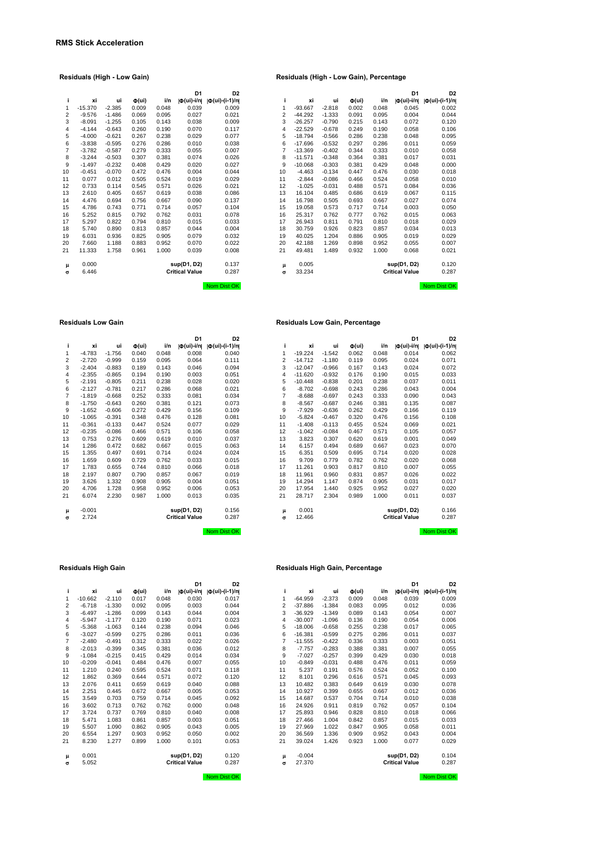|                |           |          |                              |       | D1                        | D2                   |          |           |          |                              |       | D1                      | D2                  |
|----------------|-----------|----------|------------------------------|-------|---------------------------|----------------------|----------|-----------|----------|------------------------------|-------|-------------------------|---------------------|
| ÷              | xi        | ui       | $\Phi(\mathsf{u}\mathsf{i})$ | i/n   | $ \Phi(\mathsf{ui})$ -i/n | $ \Phi(ui)-(i-1)/n $ | ÷        | xi        | ui       | $\Phi(\mathsf{u}\mathsf{i})$ | i/n   | $ \Phi(\text{ui})$ -i/n | $ \Phi(ui)-(i-1)/n$ |
| 1              | $-15.370$ | $-2.385$ | 0.009                        | 0.048 | 0.039                     | 0.009                | 1        | $-93.667$ | $-2.818$ | 0.002                        | 0.048 | 0.045                   | 0.002               |
| 2              | $-9.576$  | $-1.486$ | 0.069                        | 0.095 | 0.027                     | 0.021                | 2        | $-44.292$ | $-1.333$ | 0.091                        | 0.095 | 0.004                   | 0.044               |
| 3              | $-8.091$  | $-1.255$ | 0.105                        | 0.143 | 0.038                     | 0.009                | 3        | $-26.257$ | $-0.790$ | 0.215                        | 0.143 | 0.072                   | 0.120               |
| 4              | $-4.144$  | $-0.643$ | 0.260                        | 0.190 | 0.070                     | 0.117                | 4        | $-22.529$ | $-0.678$ | 0.249                        | 0.190 | 0.058                   | 0.106               |
| 5              | $-4.000$  | $-0.621$ | 0.267                        | 0.238 | 0.029                     | 0.077                | 5        | $-18.794$ | $-0.566$ | 0.286                        | 0.238 | 0.048                   | 0.095               |
| 6              | $-3.838$  | $-0.595$ | 0.276                        | 0.286 | 0.010                     | 0.038                | 6        | $-17.696$ | $-0.532$ | 0.297                        | 0.286 | 0.011                   | 0.059               |
| $\overline{7}$ | $-3.782$  | $-0.587$ | 0.279                        | 0.333 | 0.055                     | 0.007                | 7        | $-13.369$ | $-0.402$ | 0.344                        | 0.333 | 0.010                   | 0.058               |
| 8              | $-3.244$  | $-0.503$ | 0.307                        | 0.381 | 0.074                     | 0.026                | 8        | $-11.571$ | $-0.348$ | 0.364                        | 0.381 | 0.017                   | 0.031               |
| 9              | $-1.497$  | $-0.232$ | 0.408                        | 0.429 | 0.020                     | 0.027                | 9        | $-10.068$ | $-0.303$ | 0.381                        | 0.429 | 0.048                   | 0.00C               |
| 10             | $-0.451$  | $-0.070$ | 0.472                        | 0.476 | 0.004                     | 0.044                | 10       | $-4.463$  | $-0.134$ | 0.447                        | 0.476 | 0.030                   | 0.018               |
| 11             | 0.077     | 0.012    | 0.505                        | 0.524 | 0.019                     | 0.029                | 11       | $-2.844$  | $-0.086$ | 0.466                        | 0.524 | 0.058                   | 0.01C               |
| 12             | 0.733     | 0.114    | 0.545                        | 0.571 | 0.026                     | 0.021                | 12       | $-1.025$  | $-0.031$ | 0.488                        | 0.571 | 0.084                   | 0.036               |
| 13             | 2.610     | 0.405    | 0.657                        | 0.619 | 0.038                     | 0.086                | 13       | 16.104    | 0.485    | 0.686                        | 0.619 | 0.067                   | 0.115               |
| 14             | 4.476     | 0.694    | 0.756                        | 0.667 | 0.090                     | 0.137                | 14       | 16.798    | 0.505    | 0.693                        | 0.667 | 0.027                   | 0.074               |
| 15             | 4.786     | 0.743    | 0.771                        | 0.714 | 0.057                     | 0.104                | 15       | 19.058    | 0.573    | 0.717                        | 0.714 | 0.003                   | 0.05C               |
| 16             | 5.252     | 0.815    | 0.792                        | 0.762 | 0.031                     | 0.078                | 16       | 25.317    | 0.762    | 0.777                        | 0.762 | 0.015                   | 0.063               |
| 17             | 5.297     | 0.822    | 0.794                        | 0.810 | 0.015                     | 0.033                | 17       | 26.943    | 0.811    | 0.791                        | 0.810 | 0.018                   | 0.029               |
| 18             | 5.740     | 0.890    | 0.813                        | 0.857 | 0.044                     | 0.004                | 18       | 30.759    | 0.926    | 0.823                        | 0.857 | 0.034                   | 0.013               |
| 19             | 6.031     | 0.936    | 0.825                        | 0.905 | 0.079                     | 0.032                | 19       | 40.025    | 1.204    | 0.886                        | 0.905 | 0.019                   | 0.029               |
| 20             | 7.660     | 1.188    | 0.883                        | 0.952 | 0.070                     | 0.022                | 20       | 42.188    | 1.269    | 0.898                        | 0.952 | 0.055                   | 0.007               |
| 21             | 11.333    | 1.758    | 0.961                        | 1.000 | 0.039                     | 0.008                | 21       | 49.481    | 1.489    | 0.932                        | 1.000 | 0.068                   | 0.021               |
| μ              | 0.000     |          |                              |       | sup(D1, D2)               | 0.137                | μ        | 0.005     |          |                              |       | sup(D1, D2)             | 0.120               |
| $\sigma$       | 6.446     |          |                              |       | <b>Critical Value</b>     | 0.287                | $\sigma$ | 33.234    |          |                              |       | <b>Critical Value</b>   | 0.287               |
|                |           |          |                              |       |                           | Nom Dist OK          |          |           |          |                              |       |                         | Nom Dist Ok         |

|    |           |          |                              |       | D <sub>1</sub>             | D <sub>2</sub>            |    |           |          |                              |       | D <sub>1</sub>          | D <sub>2</sub>       |
|----|-----------|----------|------------------------------|-------|----------------------------|---------------------------|----|-----------|----------|------------------------------|-------|-------------------------|----------------------|
| i. | хi        | ui       | $\Phi(\mathsf{u}\mathsf{i})$ | i/n   | $  \Phi(\mathsf{ui})$ -i/n | $  \Phi (ui) - (i-1)/n  $ | i. | xi        | ui       | $\Phi(\mathsf{u}\mathsf{i})$ | i/n   | $ \Phi(\text{ui})-i/n $ | $ \Phi(ui)-(i-1)/n $ |
| 1  | $-15.370$ | $-2.385$ | 0.009                        | 0.048 | 0.039                      | 0.009                     | 1  | $-93.667$ | $-2.818$ | 0.002                        | 0.048 | 0.045                   | 0.002                |
| 2  | $-9.576$  | $-1.486$ | 0.069                        | 0.095 | 0.027                      | 0.021                     | 2  | $-44.292$ | $-1.333$ | 0.091                        | 0.095 | 0.004                   | 0.044                |
| 3  | $-8.091$  | $-1.255$ | 0.105                        | 0.143 | 0.038                      | 0.009                     | 3  | $-26.257$ | $-0.790$ | 0.215                        | 0.143 | 0.072                   | 0.120                |
| 4  | $-4.144$  | $-0.643$ | 0.260                        | 0.190 | 0.070                      | 0.117                     | 4  | $-22.529$ | $-0.678$ | 0.249                        | 0.190 | 0.058                   | 0.106                |
| 5  | $-4.000$  | $-0.621$ | 0.267                        | 0.238 | 0.029                      | 0.077                     | 5  | $-18.794$ | $-0.566$ | 0.286                        | 0.238 | 0.048                   | 0.095                |
| 6  | $-3.838$  | $-0.595$ | 0.276                        | 0.286 | 0.010                      | 0.038                     | 6  | $-17.696$ | $-0.532$ | 0.297                        | 0.286 | 0.011                   | 0.059                |
| 7  | $-3.782$  | $-0.587$ | 0.279                        | 0.333 | 0.055                      | 0.007                     | 7  | $-13.369$ | $-0.402$ | 0.344                        | 0.333 | 0.010                   | 0.058                |
| 8  | $-3.244$  | $-0.503$ | 0.307                        | 0.381 | 0.074                      | 0.026                     | 8  | $-11.571$ | $-0.348$ | 0.364                        | 0.381 | 0.017                   | 0.031                |
| 9  | $-1.497$  | $-0.232$ | 0.408                        | 0.429 | 0.020                      | 0.027                     | 9  | $-10.068$ | $-0.303$ | 0.381                        | 0.429 | 0.048                   | 0.000                |
| 0  | $-0.451$  | $-0.070$ | 0.472                        | 0.476 | 0.004                      | 0.044                     | 10 | $-4.463$  | $-0.134$ | 0.447                        | 0.476 | 0.030                   | 0.018                |
| 1  | 0.077     | 0.012    | 0.505                        | 0.524 | 0.019                      | 0.029                     | 11 | $-2.844$  | $-0.086$ | 0.466                        | 0.524 | 0.058                   | 0.010                |
| 2  | 0.733     | 0.114    | 0.545                        | 0.571 | 0.026                      | 0.021                     | 12 | $-1.025$  | $-0.031$ | 0.488                        | 0.571 | 0.084                   | 0.036                |
| 3  | 2.610     | 0.405    | 0.657                        | 0.619 | 0.038                      | 0.086                     | 13 | 16.104    | 0.485    | 0.686                        | 0.619 | 0.067                   | 0.115                |
| 4  | 4.476     | 0.694    | 0.756                        | 0.667 | 0.090                      | 0.137                     | 14 | 16.798    | 0.505    | 0.693                        | 0.667 | 0.027                   | 0.074                |
| 5  | 4.786     | 0.743    | 0.771                        | 0.714 | 0.057                      | 0.104                     | 15 | 19.058    | 0.573    | 0.717                        | 0.714 | 0.003                   | 0.050                |
| 6  | 5.252     | 0.815    | 0.792                        | 0.762 | 0.031                      | 0.078                     | 16 | 25.317    | 0.762    | 0.777                        | 0.762 | 0.015                   | 0.063                |
| 7  | 5.297     | 0.822    | 0.794                        | 0.810 | 0.015                      | 0.033                     | 17 | 26.943    | 0.811    | 0.791                        | 0.810 | 0.018                   | 0.029                |
| 8  | 5.740     | 0.890    | 0.813                        | 0.857 | 0.044                      | 0.004                     | 18 | 30.759    | 0.926    | 0.823                        | 0.857 | 0.034                   | 0.013                |
| 9  | 6.031     | 0.936    | 0.825                        | 0.905 | 0.079                      | 0.032                     | 19 | 40.025    | 1.204    | 0.886                        | 0.905 | 0.019                   | 0.029                |
| 0  | 7.660     | 1.188    | 0.883                        | 0.952 | 0.070                      | 0.022                     | 20 | 42.188    | 1.269    | 0.898                        | 0.952 | 0.055                   | 0.007                |
| 1  | 11.333    | 1.758    | 0.961                        | 1.000 | 0.039                      | 0.008                     | 21 | 49.481    | 1.489    | 0.932                        | 1.000 | 0.068                   | 0.021                |
| μ  | 0.000     |          |                              |       | sup(D1, D2)                | 0.137                     | μ  | 0.005     |          |                              |       | sup(D1, D2)             | 0.120                |
| σ  | 6.446     |          |                              |       | <b>Critical Value</b>      | 0.287                     | σ  | 33.234    |          |                              |       | <b>Critical Value</b>   | 0.287                |
|    |           |          |                              |       |                            | Nom Dist OK               |    |           |          |                              |       |                         | Nom Dist OK          |

### **Residuals Low Gain Residuals Low Gain, Percentage**

|    |          |          |                              |       | D <sub>1</sub>                                              | D <sub>2</sub>        |                |           |          |                              |       | D <sub>1</sub>                      | D <sub>2</sub>                  |
|----|----------|----------|------------------------------|-------|-------------------------------------------------------------|-----------------------|----------------|-----------|----------|------------------------------|-------|-------------------------------------|---------------------------------|
| j. | хi       | ui       | $\Phi(\mathsf{u}\mathsf{i})$ | i/n   | $ \Phi(\mathsf{u}\mathsf{i})\text{-}\mathsf{i}/\mathsf{n} $ | $ \Phi (ui)-(i-1)/n $ |                | xi        | ui       | $\Phi(\mathsf{u}\mathsf{i})$ | i/n   | $ \Phi(\mathsf{u} \mathsf{i})$ -i/n | $  \Phi(\text{ui}) - (i-1)/n  $ |
| 1  | $-4.783$ | $-1.756$ | 0.040                        | 0.048 | 0.008                                                       | 0.040                 |                | $-19.224$ | $-1.542$ | 0.062                        | 0.048 | 0.014                               | 0.062                           |
| 2  | $-2.720$ | $-0.999$ | 0.159                        | 0.095 | 0.064                                                       | 0.111                 | $\overline{2}$ | $-14.712$ | $-1.180$ | 0.119                        | 0.095 | 0.024                               | 0.071                           |
| 3  | $-2.404$ | $-0.883$ | 0.189                        | 0.143 | 0.046                                                       | 0.094                 | 3              | $-12.047$ | $-0.966$ | 0.167                        | 0.143 | 0.024                               | 0.072                           |
| 4  | $-2.355$ | $-0.865$ | 0.194                        | 0.190 | 0.003                                                       | 0.051                 | 4              | $-11.620$ | $-0.932$ | 0.176                        | 0.190 | 0.015                               | 0.033                           |
| 5  | $-2.191$ | $-0.805$ | 0.211                        | 0.238 | 0.028                                                       | 0.020                 | 5              | $-10.448$ | $-0.838$ | 0.201                        | 0.238 | 0.037                               | 0.011                           |
| 6  | $-2.127$ | $-0.781$ | 0.217                        | 0.286 | 0.068                                                       | 0.021                 | 6              | $-8.702$  | $-0.698$ | 0.243                        | 0.286 | 0.043                               | 0.004                           |
| 7  | $-1.819$ | $-0.668$ | 0.252                        | 0.333 | 0.081                                                       | 0.034                 | $\overline{7}$ | $-8.688$  | $-0.697$ | 0.243                        | 0.333 | 0.090                               | 0.043                           |
| 8  | $-1.750$ | $-0.643$ | 0.260                        | 0.381 | 0.121                                                       | 0.073                 | 8              | $-8.567$  | $-0.687$ | 0.246                        | 0.381 | 0.135                               | 0.087                           |
| 9  | $-1.652$ | $-0.606$ | 0.272                        | 0.429 | 0.156                                                       | 0.109                 | 9              | $-7.929$  | $-0.636$ | 0.262                        | 0.429 | 0.166                               | 0.119                           |
| 10 | $-1.065$ | $-0.391$ | 0.348                        | 0.476 | 0.128                                                       | 0.081                 | 10             | $-5.824$  | $-0.467$ | 0.320                        | 0.476 | 0.156                               | 0.108                           |
| 11 | $-0.361$ | $-0.133$ | 0.447                        | 0.524 | 0.077                                                       | 0.029                 | 11             | $-1.408$  | $-0.113$ | 0.455                        | 0.524 | 0.069                               | 0.021                           |
| 12 | $-0.235$ | $-0.086$ | 0.466                        | 0.571 | 0.106                                                       | 0.058                 | 12             | $-1.042$  | $-0.084$ | 0.467                        | 0.571 | 0.105                               | 0.057                           |
| 13 | 0.753    | 0.276    | 0.609                        | 0.619 | 0.010                                                       | 0.037                 | 13             | 3.823     | 0.307    | 0.620                        | 0.619 | 0.001                               | 0.049                           |
| 14 | 1.286    | 0.472    | 0.682                        | 0.667 | 0.015                                                       | 0.063                 | 14             | 6.157     | 0.494    | 0.689                        | 0.667 | 0.023                               | 0.070                           |
| 15 | 1.355    | 0.497    | 0.691                        | 0.714 | 0.024                                                       | 0.024                 | 15             | 6.351     | 0.509    | 0.695                        | 0.714 | 0.020                               | 0.028                           |
| 16 | 1.659    | 0.609    | 0.729                        | 0.762 | 0.033                                                       | 0.015                 | 16             | 9.709     | 0.779    | 0.782                        | 0.762 | 0.020                               | 0.068                           |
| 17 | 1.783    | 0.655    | 0.744                        | 0.810 | 0.066                                                       | 0.018                 | 17             | 11.261    | 0.903    | 0.817                        | 0.810 | 0.007                               | 0.055                           |
| 18 | 2.197    | 0.807    | 0.790                        | 0.857 | 0.067                                                       | 0.019                 | 18             | 11.961    | 0.960    | 0.831                        | 0.857 | 0.026                               | 0.022                           |
| 19 | 3.626    | 1.332    | 0.908                        | 0.905 | 0.004                                                       | 0.051                 | 19             | 14.294    | 1.147    | 0.874                        | 0.905 | 0.031                               | 0.017                           |
| 20 | 4.706    | 1.728    | 0.958                        | 0.952 | 0.006                                                       | 0.053                 | 20             | 17.954    | 1.440    | 0.925                        | 0.952 | 0.027                               | 0.020                           |
| 21 | 6.074    | 2.230    | 0.987                        | 1.000 | 0.013                                                       | 0.035                 | 21             | 28.717    | 2.304    | 0.989                        | 1.000 | 0.011                               | 0.037                           |
| μ  | $-0.001$ |          |                              |       | sup(D1, D2)                                                 | 0.156                 | μ              | 0.001     |          |                              |       | sup(D1, D2)                         | 0.166                           |
| σ  | 2.724    |          |                              |       | <b>Critical Value</b>                                       | 0.287                 | $\sigma$       | 12.466    |          |                              |       | <b>Critical Value</b>               | 0.287                           |
|    |          |          |                              |       |                                                             | Nom Dist OK           |                |           |          |                              |       |                                     | Nom Dist OK                     |

| i              | xi       | ui       | $\Phi(\mathsf{ui})$ | i/n   | Ф(ui)-i/n             | $ Q(ui)-(i-1)/n $ |
|----------------|----------|----------|---------------------|-------|-----------------------|-------------------|
| 1              | $-4.783$ | $-1.756$ | 0.040               | 0.048 | 0.008                 | 0.040             |
| $\overline{2}$ | $-2.720$ | $-0.999$ | 0.159               | 0.095 | 0.064                 | 0.111             |
| 3              | $-2.404$ | $-0.883$ | 0.189               | 0.143 | 0.046                 | 0.094             |
| 4              | $-2.355$ | $-0.865$ | 0.194               | 0.190 | 0.003                 | 0.051             |
| 5              | $-2.191$ | $-0.805$ | 0.211               | 0.238 | 0.028                 | 0.020             |
| 6              | $-2.127$ | $-0.781$ | 0.217               | 0.286 | 0.068                 | 0.021             |
| $\overline{7}$ | $-1.819$ | $-0.668$ | 0.252               | 0.333 | 0.081                 | 0.034             |
| 8              | $-1.750$ | $-0.643$ | 0.260               | 0.381 | 0.121                 | 0.073             |
| 9              | $-1.652$ | $-0.606$ | 0.272               | 0.429 | 0.156                 | 0.109             |
| 10             | $-1.065$ | $-0.391$ | 0.348               | 0.476 | 0.128                 | 0.081             |
| 11             | $-0.361$ | $-0.133$ | 0.447               | 0.524 | 0.077                 | 0.029             |
| 12             | $-0.235$ | $-0.086$ | 0.466               | 0.571 | 0.106                 | 0.058             |
| 13             | 0.753    | 0.276    | 0.609               | 0.619 | 0.010                 | 0.037             |
| 14             | 1.286    | 0.472    | 0.682               | 0.667 | 0.015                 | 0.063             |
| 15             | 1.355    | 0.497    | 0.691               | 0.714 | 0.024                 | 0.024             |
| 16             | 1.659    | 0.609    | 0.729               | 0.762 | 0.033                 | 0.015             |
| 17             | 1.783    | 0.655    | 0.744               | 0.810 | 0.066                 | 0.018             |
| 18             | 2.197    | 0.807    | 0.790               | 0.857 | 0.067                 | 0.019             |
| 19             | 3.626    | 1.332    | 0.908               | 0.905 | 0.004                 | 0.051             |
| 20             | 4.706    | 1.728    | 0.958               | 0.952 | 0.006                 | 0.053             |
| 21             | 6.074    | 2.230    | 0.987               | 1.000 | 0.013                 | 0.035             |
| μ              | $-0.001$ |          |                     |       | sup(D1, D2)           | 0.156             |
| $\sigma$       | 2.724    |          |                     |       | <b>Critical Value</b> | 0.287             |
|                |          |          |                     |       |                       |                   |

|          |           |          |                              |       | וט                    | υz            |              |           |          |                              |       | דע                      | u,                  |
|----------|-----------|----------|------------------------------|-------|-----------------------|---------------|--------------|-----------|----------|------------------------------|-------|-------------------------|---------------------|
| j.       | xi        | ui       | $\Phi(\mathsf{u}\mathsf{i})$ | i/n   | Ф(ui)-i/n             | Ф(ui)-(i-1)/n | i.           | xi        | ui       | $\Phi(\mathsf{u}\mathsf{i})$ | i/n   | $ \Phi(\text{ui})$ -i/n | $ \Phi(ui)-(i-1)/n$ |
| 1        | $-10.662$ | $-2.110$ | 0.017                        | 0.048 | 0.030                 | 0.017         | $\mathbf{1}$ | $-64.959$ | $-2.373$ | 0.009                        | 0.048 | 0.039                   | 0.009               |
| 2        | $-6.718$  | $-1.330$ | 0.092                        | 0.095 | 0.003                 | 0.044         | 2            | $-37.886$ | $-1.384$ | 0.083                        | 0.095 | 0.012                   | 0.036               |
| 3        | $-6.497$  | $-1.286$ | 0.099                        | 0.143 | 0.044                 | 0.004         | 3            | $-36.929$ | $-1.349$ | 0.089                        | 0.143 | 0.054                   | 0.007               |
| 4        | $-5.947$  | $-1.177$ | 0.120                        | 0.190 | 0.071                 | 0.023         | 4            | $-30.007$ | $-1.096$ | 0.136                        | 0.190 | 0.054                   | 0.006               |
| 5        | $-5.368$  | $-1.063$ | 0.144                        | 0.238 | 0.094                 | 0.046         | 5            | $-18.006$ | $-0.658$ | 0.255                        | 0.238 | 0.017                   | 0.065               |
| 6        | $-3.027$  | $-0.599$ | 0.275                        | 0.286 | 0.011                 | 0.036         | 6            | $-16.381$ | $-0.599$ | 0.275                        | 0.286 | 0.011                   | 0.037               |
| 7        | $-2.480$  | $-0.491$ | 0.312                        | 0.333 | 0.022                 | 0.026         | 7            | $-11.555$ | $-0.422$ | 0.336                        | 0.333 | 0.003                   | 0.051               |
| 8        | $-2.013$  | $-0.399$ | 0.345                        | 0.381 | 0.036                 | 0.012         | 8            | $-7.757$  | $-0.283$ | 0.388                        | 0.381 | 0.007                   | 0.055               |
| 9        | $-1.084$  | $-0.215$ | 0.415                        | 0.429 | 0.014                 | 0.034         | 9            | $-7.027$  | $-0.257$ | 0.399                        | 0.429 | 0.030                   | 0.018               |
| 10       | $-0.209$  | $-0.041$ | 0.484                        | 0.476 | 0.007                 | 0.055         | 10           | $-0.849$  | $-0.031$ | 0.488                        | 0.476 | 0.011                   | 0.059               |
| 11       | 1.210     | 0.240    | 0.595                        | 0.524 | 0.071                 | 0.118         | 11           | 5.237     | 0.191    | 0.576                        | 0.524 | 0.052                   | 0.100               |
| 12       | 1.862     | 0.369    | 0.644                        | 0.571 | 0.072                 | 0.120         | 12           | 8.101     | 0.296    | 0.616                        | 0.571 | 0.045                   | 0.093               |
| 13       | 2.076     | 0.411    | 0.659                        | 0.619 | 0.040                 | 0.088         | 13           | 10.482    | 0.383    | 0.649                        | 0.619 | 0.030                   | 0.078               |
| 14       | 2.251     | 0.445    | 0.672                        | 0.667 | 0.005                 | 0.053         | 14           | 10.927    | 0.399    | 0.655                        | 0.667 | 0.012                   | 0.036               |
| 15       | 3.549     | 0.703    | 0.759                        | 0.714 | 0.045                 | 0.092         | 15           | 14.687    | 0.537    | 0.704                        | 0.714 | 0.010                   | 0.038               |
| 16       | 3.602     | 0.713    | 0.762                        | 0.762 | 0.000                 | 0.048         | 16           | 24.926    | 0.911    | 0.819                        | 0.762 | 0.057                   | 0.104               |
| 17       | 3.724     | 0.737    | 0.769                        | 0.810 | 0.040                 | 0.008         | 17           | 25.893    | 0.946    | 0.828                        | 0.810 | 0.018                   | 0.066               |
| 18       | 5.471     | 1.083    | 0.861                        | 0.857 | 0.003                 | 0.051         | 18           | 27.466    | 1.004    | 0.842                        | 0.857 | 0.015                   | 0.033               |
| 19       | 5.507     | 1.090    | 0.862                        | 0.905 | 0.043                 | 0.005         | 19           | 27.969    | 1.022    | 0.847                        | 0.905 | 0.058                   | 0.011               |
| 20       | 6.554     | 1.297    | 0.903                        | 0.952 | 0.050                 | 0.002         | 20           | 36.569    | 1.336    | 0.909                        | 0.952 | 0.043                   | 0.004               |
| 21       | 8.230     | 1.277    | 0.899                        | 1.000 | 0.101                 | 0.053         | 21           | 39.024    | 1.426    | 0.923                        | 1.000 | 0.077                   | 0.029               |
| μ        | 0.001     |          |                              |       | sup(D1, D2)           | 0.120         | μ            | $-0.004$  |          |                              |       | sup(D1, D2)             | 0.104               |
| $\sigma$ | 5.052     |          |                              |       | <b>Critical Value</b> | 0.287         | σ            | 27.370    |          |                              |       | <b>Critical Value</b>   | 0.287               |

## **Residuals High Gain Residuals High Gain, Percentage**

|    |           |          |                              |       | D <sub>1</sub>          | D <sub>2</sub>        |                |           |          |                              |       | D <sub>1</sub>            | D <sub>2</sub>        |
|----|-----------|----------|------------------------------|-------|-------------------------|-----------------------|----------------|-----------|----------|------------------------------|-------|---------------------------|-----------------------|
| i. | хi        | ui       | $\Phi(\mathsf{u}\mathsf{i})$ | i/n   | $ \Phi(\text{ui})-i/n $ | $ \Phi (ui)-(i-1)/n $ |                | хi        | ui       | $\Phi(\mathsf{u}\mathsf{i})$ | i/n   | $ \Phi(\mathsf{ui})$ -i/n | $ \Phi (ui)-(i-1)/n $ |
| 1  | $-10.662$ | $-2.110$ | 0.017                        | 0.048 | 0.030                   | 0.017                 | 1              | $-64.959$ | $-2.373$ | 0.009                        | 0.048 | 0.039                     | 0.009                 |
| 2  | $-6.718$  | $-1.330$ | 0.092                        | 0.095 | 0.003                   | 0.044                 | $\overline{2}$ | $-37.886$ | $-1.384$ | 0.083                        | 0.095 | 0.012                     | 0.036                 |
| 3  | $-6.497$  | $-1.286$ | 0.099                        | 0.143 | 0.044                   | 0.004                 | 3              | $-36.929$ | $-1.349$ | 0.089                        | 0.143 | 0.054                     | 0.007                 |
| 4  | $-5.947$  | $-1.177$ | 0.120                        | 0.190 | 0.071                   | 0.023                 | 4              | $-30.007$ | $-1.096$ | 0.136                        | 0.190 | 0.054                     | 0.006                 |
| 5  | $-5.368$  | $-1.063$ | 0.144                        | 0.238 | 0.094                   | 0.046                 | 5              | $-18.006$ | $-0.658$ | 0.255                        | 0.238 | 0.017                     | 0.065                 |
| 6  | $-3.027$  | $-0.599$ | 0.275                        | 0.286 | 0.011                   | 0.036                 | 6              | $-16.381$ | $-0.599$ | 0.275                        | 0.286 | 0.011                     | 0.037                 |
| 7  | $-2.480$  | $-0.491$ | 0.312                        | 0.333 | 0.022                   | 0.026                 | $\overline{7}$ | $-11.555$ | $-0.422$ | 0.336                        | 0.333 | 0.003                     | 0.051                 |
| 8  | $-2.013$  | $-0.399$ | 0.345                        | 0.381 | 0.036                   | 0.012                 | 8              | $-7.757$  | $-0.283$ | 0.388                        | 0.381 | 0.007                     | 0.055                 |
| 9  | $-1.084$  | $-0.215$ | 0.415                        | 0.429 | 0.014                   | 0.034                 | 9              | $-7.027$  | $-0.257$ | 0.399                        | 0.429 | 0.030                     | 0.018                 |
| 0  | $-0.209$  | $-0.041$ | 0.484                        | 0.476 | 0.007                   | 0.055                 | 10             | $-0.849$  | $-0.031$ | 0.488                        | 0.476 | 0.011                     | 0.059                 |
|    | 1.210     | 0.240    | 0.595                        | 0.524 | 0.071                   | 0.118                 | 11             | 5.237     | 0.191    | 0.576                        | 0.524 | 0.052                     | 0.100                 |
| 2  | 1.862     | 0.369    | 0.644                        | 0.571 | 0.072                   | 0.120                 | 12             | 8.101     | 0.296    | 0.616                        | 0.571 | 0.045                     | 0.093                 |
| 3  | 2.076     | 0.411    | 0.659                        | 0.619 | 0.040                   | 0.088                 | 13             | 10.482    | 0.383    | 0.649                        | 0.619 | 0.030                     | 0.078                 |
| 4  | 2.251     | 0.445    | 0.672                        | 0.667 | 0.005                   | 0.053                 | 14             | 10.927    | 0.399    | 0.655                        | 0.667 | 0.012                     | 0.036                 |
| 5  | 3.549     | 0.703    | 0.759                        | 0.714 | 0.045                   | 0.092                 | 15             | 14.687    | 0.537    | 0.704                        | 0.714 | 0.010                     | 0.038                 |
| 6  | 3.602     | 0.713    | 0.762                        | 0.762 | 0.000                   | 0.048                 | 16             | 24.926    | 0.911    | 0.819                        | 0.762 | 0.057                     | 0.104                 |
|    | 3.724     | 0.737    | 0.769                        | 0.810 | 0.040                   | 0.008                 | 17             | 25.893    | 0.946    | 0.828                        | 0.810 | 0.018                     | 0.066                 |
| 8  | 5.471     | 1.083    | 0.861                        | 0.857 | 0.003                   | 0.051                 | 18             | 27.466    | 1.004    | 0.842                        | 0.857 | 0.015                     | 0.033                 |
| 9  | 5.507     | 1.090    | 0.862                        | 0.905 | 0.043                   | 0.005                 | 19             | 27.969    | 1.022    | 0.847                        | 0.905 | 0.058                     | 0.011                 |
| 0  | 6.554     | 1.297    | 0.903                        | 0.952 | 0.050                   | 0.002                 | 20             | 36.569    | 1.336    | 0.909                        | 0.952 | 0.043                     | 0.004                 |
| 1  | 8.230     | 1.277    | 0.899                        | 1.000 | 0.101                   | 0.053                 | 21             | 39.024    | 1.426    | 0.923                        | 1.000 | 0.077                     | 0.029                 |
| μ  | 0.001     |          |                              |       | sup(D1, D2)             | 0.120                 | μ              | $-0.004$  |          |                              |       | sup(D1, D2)               | 0.104                 |
| σ  | 5.052     |          |                              |       | <b>Critical Value</b>   | 0.287                 | $\sigma$       | 27.370    |          |                              |       | <b>Critical Value</b>     | 0.287                 |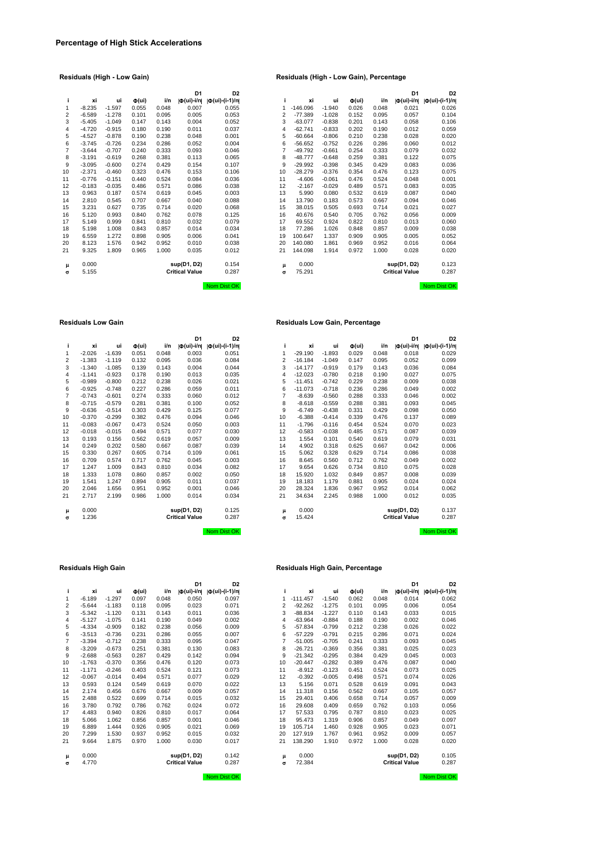|                |          |          |                     |       | D1                    | D <sub>2</sub>                   |
|----------------|----------|----------|---------------------|-------|-----------------------|----------------------------------|
| j              | хi       | ui       | $\Phi(\mathsf{ui})$ | i/n   | O(ui)-i/n             | $  \Phi (ui) - (i-1)/n  $        |
| 1              | $-8.235$ | $-1.597$ | 0.055               | 0.048 | 0.007                 | 0.055                            |
| $\overline{2}$ | $-6.589$ | $-1.278$ | 0.101               | 0.095 | 0.005                 | 0.053                            |
| 3              | $-5.405$ | $-1.049$ | 0.147               | 0.143 | 0.004                 | 0.052                            |
| $\overline{4}$ | $-4.720$ | $-0.915$ | 0.180               | 0.190 | 0.011                 | 0.037                            |
| 5              | $-4.527$ | $-0.878$ | 0.190               | 0.238 | 0.048                 | 0.001                            |
| 6              | $-3.745$ | $-0.726$ | 0.234               | 0.286 | 0.052                 | 0.004                            |
| $\overline{7}$ | $-3.644$ | $-0.707$ | 0.240               | 0.333 | 0.093                 | 0.046                            |
| 8              | $-3.191$ | $-0.619$ | 0.268               | 0.381 | 0.113                 | 0.065                            |
| 9              | $-3.095$ | $-0.600$ | 0.274               | 0.429 | 0.154                 | 0.107                            |
| 10             | $-2.371$ | $-0.460$ | 0.323               | 0.476 | 0.153                 | 0.106                            |
| 11             | $-0.776$ | $-0.151$ | 0.440               | 0.524 | 0.084                 | 0.036                            |
| 12             | $-0.183$ | $-0.035$ | 0.486               | 0.571 | 0.086                 | 0.038                            |
| 13             | 0.963    | 0.187    | 0.574               | 0.619 | 0.045                 | 0.003                            |
| 14             | 2.810    | 0.545    | 0.707               | 0.667 | 0.040                 | 0.088                            |
| 15             | 3.231    | 0.627    | 0.735               | 0.714 | 0.020                 | 0.068                            |
| 16             | 5.120    | 0.993    | 0.840               | 0.762 | 0.078                 | 0.125                            |
| 17             | 5.149    | 0.999    | 0.841               | 0.810 | 0.032                 | 0.079                            |
| 18             | 5.198    | 1.008    | 0.843               | 0.857 | 0.014                 | 0.034                            |
| 19             | 6.559    | 1.272    | 0.898               | 0.905 | 0.006                 | 0.041                            |
| 20             | 8.123    | 1.576    | 0.942               | 0.952 | 0.010                 | 0.038                            |
| 21             | 9.325    | 1.809    | 0.965               | 1.000 | 0.035                 | 0.012                            |
|                |          |          |                     |       |                       |                                  |
| μ              | 0.000    |          |                     |       | sup(D1, D2)           | 0.154                            |
| $\sigma$       | 5.155    |          |                     |       | <b>Critical Value</b> | 0.287                            |
|                |          |          |                     |       |                       |                                  |
|                |          |          |                     |       |                       | <b>DILLOW</b><br><b>Killedge</b> |

|    |          |          |                              |       | D <sub>1</sub>          | D <sub>2</sub>       |    |            |          |                     |       | D <sub>1</sub>            | D <sub>2</sub>       |
|----|----------|----------|------------------------------|-------|-------------------------|----------------------|----|------------|----------|---------------------|-------|---------------------------|----------------------|
| j. | xi       | ui       | $\Phi(\mathsf{u}\mathsf{i})$ | i/n   | $ \Phi(\text{ui})-i/n $ | $ \Phi(ui)-(i-1)/n $ |    | xi         | ui       | $\Phi(\mathsf{ui})$ | i/n   | $ \Phi(\mathsf{ui})$ -i/n | $ \Phi(ui)-(i-1)/n $ |
| 1  | $-8.235$ | $-1.597$ | 0.055                        | 0.048 | 0.007                   | 0.055                | 1  | $-146.096$ | $-1.940$ | 0.026               | 0.048 | 0.021                     | 0.026                |
| 2  | $-6.589$ | $-1.278$ | 0.101                        | 0.095 | 0.005                   | 0.053                | 2  | $-77.389$  | $-1.028$ | 0.152               | 0.095 | 0.057                     | 0.104                |
| 3  | $-5.405$ | $-1.049$ | 0.147                        | 0.143 | 0.004                   | 0.052                | 3  | $-63.077$  | $-0.838$ | 0.201               | 0.143 | 0.058                     | 0.106                |
| 4  | $-4.720$ | $-0.915$ | 0.180                        | 0.190 | 0.011                   | 0.037                | 4  | $-62.741$  | $-0.833$ | 0.202               | 0.190 | 0.012                     | 0.059                |
| 5  | $-4.527$ | $-0.878$ | 0.190                        | 0.238 | 0.048                   | 0.001                | 5  | $-60.664$  | $-0.806$ | 0.210               | 0.238 | 0.028                     | 0.020                |
| 6  | $-3.745$ | $-0.726$ | 0.234                        | 0.286 | 0.052                   | 0.004                | 6  | $-56.652$  | $-0.752$ | 0.226               | 0.286 | 0.060                     | 0.012                |
| 7  | $-3.644$ | $-0.707$ | 0.240                        | 0.333 | 0.093                   | 0.046                | 7  | $-49.792$  | $-0.661$ | 0.254               | 0.333 | 0.079                     | 0.032                |
| 8  | $-3.191$ | $-0.619$ | 0.268                        | 0.381 | 0.113                   | 0.065                | 8  | $-48.777$  | $-0.648$ | 0.259               | 0.381 | 0.122                     | 0.075                |
| 9  | $-3.095$ | $-0.600$ | 0.274                        | 0.429 | 0.154                   | 0.107                | 9  | $-29.992$  | $-0.398$ | 0.345               | 0.429 | 0.083                     | 0.036                |
| 10 | $-2.371$ | $-0.460$ | 0.323                        | 0.476 | 0.153                   | 0.106                | 10 | $-28.279$  | $-0.376$ | 0.354               | 0.476 | 0.123                     | 0.075                |
| 11 | $-0.776$ | $-0.151$ | 0.440                        | 0.524 | 0.084                   | 0.036                | 11 | $-4.606$   | $-0.061$ | 0.476               | 0.524 | 0.048                     | 0.001                |
| 12 | $-0.183$ | $-0.035$ | 0.486                        | 0.571 | 0.086                   | 0.038                | 12 | $-2.167$   | $-0.029$ | 0.489               | 0.571 | 0.083                     | 0.035                |
| 13 | 0.963    | 0.187    | 0.574                        | 0.619 | 0.045                   | 0.003                | 13 | 5.990      | 0.080    | 0.532               | 0.619 | 0.087                     | 0.040                |
| 14 | 2.810    | 0.545    | 0.707                        | 0.667 | 0.040                   | 0.088                | 14 | 13.790     | 0.183    | 0.573               | 0.667 | 0.094                     | 0.046                |
| 15 | 3.231    | 0.627    | 0.735                        | 0.714 | 0.020                   | 0.068                | 15 | 38.015     | 0.505    | 0.693               | 0.714 | 0.021                     | 0.027                |
| 16 | 5.120    | 0.993    | 0.840                        | 0.762 | 0.078                   | 0.125                | 16 | 40.676     | 0.540    | 0.705               | 0.762 | 0.056                     | 0.009                |
| 17 | 5.149    | 0.999    | 0.841                        | 0.810 | 0.032                   | 0.079                | 17 | 69.552     | 0.924    | 0.822               | 0.810 | 0.013                     | 0.060                |
| 18 | 5.198    | 1.008    | 0.843                        | 0.857 | 0.014                   | 0.034                | 18 | 77.286     | 1.026    | 0.848               | 0.857 | 0.009                     | 0.038                |
| 19 | 6.559    | 1.272    | 0.898                        | 0.905 | 0.006                   | 0.041                | 19 | 100.647    | 1.337    | 0.909               | 0.905 | 0.005                     | 0.052                |
| 20 | 8.123    | 1.576    | 0.942                        | 0.952 | 0.010                   | 0.038                | 20 | 140.080    | 1.861    | 0.969               | 0.952 | 0.016                     | 0.064                |
| 21 | 9.325    | 1.809    | 0.965                        | 1.000 | 0.035                   | 0.012                | 21 | 144.098    | 1.914    | 0.972               | 1.000 | 0.028                     | 0.020                |
| μ  | 0.000    |          |                              |       | sup(D1, D2)             | 0.154                | μ  | 0.000      |          |                     |       | sup(D1, D2)               | 0.123                |
| σ  | 5.155    |          |                              |       | <b>Critical Value</b>   | 0.287                | σ  | 75.291     |          |                     |       | <b>Critical Value</b>     | 0.287                |
|    |          |          |                              |       |                         | Nom Dist OK          |    |            |          |                     |       |                           | Nom Dist OK          |

### **Residuals Low Gain Residuals Low Gain, Percentage**

|    |          |          |                              |       | D <sub>1</sub>                                     | D <sub>2</sub>                    |    |           |          |                              |       | D <sub>1</sub>        | D <sub>2</sub>       |
|----|----------|----------|------------------------------|-------|----------------------------------------------------|-----------------------------------|----|-----------|----------|------------------------------|-------|-----------------------|----------------------|
| j. | xi       | ui       | $\Phi(\mathsf{u}\mathsf{i})$ | i/n   | $ \Phi(\mathsf{ui})\text{-}\mathsf{i}/\mathsf{n} $ | $  \Phi(\text{ui}) - (i - 1)/n  $ |    | xi        | ui       | $\Phi(\mathsf{u}\mathsf{i})$ | i/n   | Ф(ui)-i/n             | $ \Phi(ui)-(i-1)/n $ |
| 1  | $-2.026$ | $-1.639$ | 0.051                        | 0.048 | 0.003                                              | 0.051                             |    | $-29.190$ | $-1.893$ | 0.029                        | 0.048 | 0.018                 | 0.029                |
| 2  | $-1.383$ | $-1.119$ | 0.132                        | 0.095 | 0.036                                              | 0.084                             | 2  | $-16.184$ | $-1.049$ | 0.147                        | 0.095 | 0.052                 | 0.099                |
| 3  | $-1.340$ | $-1.085$ | 0.139                        | 0.143 | 0.004                                              | 0.044                             | 3  | $-14.177$ | $-0.919$ | 0.179                        | 0.143 | 0.036                 | 0.084                |
| 4  | $-1.141$ | $-0.923$ | 0.178                        | 0.190 | 0.013                                              | 0.035                             | 4  | $-12.023$ | $-0.780$ | 0.218                        | 0.190 | 0.027                 | 0.075                |
| 5  | $-0.989$ | $-0.800$ | 0.212                        | 0.238 | 0.026                                              | 0.021                             | 5  | $-11.451$ | $-0.742$ | 0.229                        | 0.238 | 0.009                 | 0.038                |
| 6  | $-0.925$ | $-0.748$ | 0.227                        | 0.286 | 0.059                                              | 0.011                             | 6  | $-11.073$ | $-0.718$ | 0.236                        | 0.286 | 0.049                 | 0.002                |
| 7  | $-0.743$ | $-0.601$ | 0.274                        | 0.333 | 0.060                                              | 0.012                             | 7  | $-8.639$  | $-0.560$ | 0.288                        | 0.333 | 0.046                 | 0.002                |
| 8  | $-0.715$ | $-0.579$ | 0.281                        | 0.381 | 0.100                                              | 0.052                             | 8  | $-8.618$  | $-0.559$ | 0.288                        | 0.381 | 0.093                 | 0.045                |
| 9  | $-0.636$ | $-0.514$ | 0.303                        | 0.429 | 0.125                                              | 0.077                             | 9  | $-6.749$  | $-0.438$ | 0.331                        | 0.429 | 0.098                 | 0.050                |
| 10 | $-0.370$ | $-0.299$ | 0.382                        | 0.476 | 0.094                                              | 0.046                             | 10 | $-6.388$  | $-0.414$ | 0.339                        | 0.476 | 0.137                 | 0.089                |
| 11 | $-0.083$ | $-0.067$ | 0.473                        | 0.524 | 0.050                                              | 0.003                             | 11 | $-1.796$  | $-0.116$ | 0.454                        | 0.524 | 0.070                 | 0.023                |
| 12 | $-0.018$ | $-0.015$ | 0.494                        | 0.571 | 0.077                                              | 0.030                             | 12 | $-0.583$  | $-0.038$ | 0.485                        | 0.571 | 0.087                 | 0.039                |
| 13 | 0.193    | 0.156    | 0.562                        | 0.619 | 0.057                                              | 0.009                             | 13 | 1.554     | 0.101    | 0.540                        | 0.619 | 0.079                 | 0.031                |
| 14 | 0.249    | 0.202    | 0.580                        | 0.667 | 0.087                                              | 0.039                             | 14 | 4.902     | 0.318    | 0.625                        | 0.667 | 0.042                 | 0.006                |
| 15 | 0.330    | 0.267    | 0.605                        | 0.714 | 0.109                                              | 0.061                             | 15 | 5.062     | 0.328    | 0.629                        | 0.714 | 0.086                 | 0.038                |
| 16 | 0.709    | 0.574    | 0.717                        | 0.762 | 0.045                                              | 0.003                             | 16 | 8.645     | 0.560    | 0.712                        | 0.762 | 0.049                 | 0.002                |
| 17 | 1.247    | 1.009    | 0.843                        | 0.810 | 0.034                                              | 0.082                             | 17 | 9.654     | 0.626    | 0.734                        | 0.810 | 0.075                 | 0.028                |
| 18 | 1.333    | 1.078    | 0.860                        | 0.857 | 0.002                                              | 0.050                             | 18 | 15.920    | 1.032    | 0.849                        | 0.857 | 0.008                 | 0.039                |
| 19 | 1.541    | 1.247    | 0.894                        | 0.905 | 0.011                                              | 0.037                             | 19 | 18.183    | 1.179    | 0.881                        | 0.905 | 0.024                 | 0.024                |
| 20 | 2.046    | 1.656    | 0.951                        | 0.952 | 0.001                                              | 0.046                             | 20 | 28.324    | 1.836    | 0.967                        | 0.952 | 0.014                 | 0.062                |
| 21 | 2.717    | 2.199    | 0.986                        | 1.000 | 0.014                                              | 0.034                             | 21 | 34.634    | 2.245    | 0.988                        | 1.000 | 0.012                 | 0.035                |
| μ  | 0.000    |          |                              |       | sup(D1, D2)                                        | 0.125                             | μ  | 0.000     |          |                              |       | sup(D1, D2)           | 0.137                |
| σ  | 1.236    |          |                              |       | <b>Critical Value</b>                              | 0.287                             | σ  | 15.424    |          |                              |       | <b>Critical Value</b> | 0.287                |
|    |          |          |                              |       |                                                    | Nom Dist OK                       |    |           |          |                              |       |                       | Nom Dist OK          |

| i              | хi       | ui       | $\Phi(\mathsf{ui})$ | i/n   | Ф(ui)-i/n             | $  \Phi (ui) - (i-1)/n  $ |
|----------------|----------|----------|---------------------|-------|-----------------------|---------------------------|
| 1              | $-2.026$ | $-1.639$ | 0.051               | 0.048 | 0.003                 | 0.051                     |
| $\overline{2}$ | $-1.383$ | $-1.119$ | 0.132               | 0.095 | 0.036                 | 0.084                     |
| 3              | $-1.340$ | $-1.085$ | 0.139               | 0.143 | 0.004                 | 0.044                     |
| 4              | $-1.141$ | $-0.923$ | 0.178               | 0.190 | 0.013                 | 0.035                     |
| 5              | $-0.989$ | $-0.800$ | 0.212               | 0.238 | 0.026                 | 0.021                     |
| 6              | $-0.925$ | $-0.748$ | 0.227               | 0.286 | 0.059                 | 0.011                     |
| $\overline{7}$ | $-0.743$ | $-0.601$ | 0.274               | 0.333 | 0.060                 | 0.012                     |
| 8              | $-0.715$ | $-0.579$ | 0.281               | 0.381 | 0.100                 | 0.052                     |
| 9              | $-0.636$ | $-0.514$ | 0.303               | 0.429 | 0.125                 | 0.077                     |
| 10             | $-0.370$ | $-0.299$ | 0.382               | 0.476 | 0.094                 | 0.046                     |
| 11             | $-0.083$ | $-0.067$ | 0.473               | 0.524 | 0.050                 | 0.003                     |
| 12             | $-0.018$ | $-0.015$ | 0.494               | 0.571 | 0.077                 | 0.030                     |
| 13             | 0.193    | 0.156    | 0.562               | 0.619 | 0.057                 | 0.009                     |
| 14             | 0.249    | 0.202    | 0.580               | 0.667 | 0.087                 | 0.039                     |
| 15             | 0.330    | 0.267    | 0.605               | 0.714 | 0.109                 | 0.061                     |
| 16             | 0.709    | 0.574    | 0.717               | 0.762 | 0.045                 | 0.003                     |
| 17             | 1.247    | 1.009    | 0.843               | 0.810 | 0.034                 | 0.082                     |
| 18             | 1.333    | 1.078    | 0.860               | 0.857 | 0.002                 | 0.050                     |
| 19             | 1.541    | 1.247    | 0.894               | 0.905 | 0.011                 | 0.037                     |
| 20             | 2.046    | 1.656    | 0.951               | 0.952 | 0.001                 | 0.046                     |
| 21             | 2.717    | 2.199    | 0.986               | 1.000 | 0.014                 | 0.034                     |
| μ              | 0.000    |          |                     |       | sup(D1, D2)           | 0.125                     |
| $\sigma$       | 1.236    |          |                     |       | <b>Critical Value</b> | 0.287                     |

|                |          |          |                     |       | וט                    | צע                   |
|----------------|----------|----------|---------------------|-------|-----------------------|----------------------|
| i              | xi       | ui       | $\Phi(\mathsf{ui})$ | i/n   | O(ui)-i/n             | $ \Phi(ui)-(i-1)/n $ |
| 1              | $-6.189$ | $-1.297$ | 0.097               | 0.048 | 0.050                 | 0.097                |
| 2              | $-5.644$ | $-1.183$ | 0.118               | 0.095 | 0.023                 | 0.071                |
| 3              | $-5.342$ | $-1.120$ | 0.131               | 0.143 | 0.011                 | 0.036                |
| $\overline{4}$ | $-5.127$ | $-1.075$ | 0.141               | 0.190 | 0.049                 | 0.002                |
| 5              | $-4.334$ | $-0.909$ | 0.182               | 0.238 | 0.056                 | 0.009                |
| 6              | $-3.513$ | $-0.736$ | 0.231               | 0.286 | 0.055                 | 0.007                |
| $\overline{7}$ | $-3.394$ | $-0.712$ | 0.238               | 0.333 | 0.095                 | 0.047                |
| 8              | $-3.209$ | $-0.673$ | 0.251               | 0.381 | 0.130                 | 0.083                |
| 9              | $-2.688$ | $-0.563$ | 0.287               | 0.429 | 0.142                 | 0.094                |
| 10             | $-1.763$ | $-0.370$ | 0.356               | 0.476 | 0.120                 | 0.073                |
| 11             | $-1.171$ | $-0.246$ | 0.403               | 0.524 | 0.121                 | 0.073                |
| 12             | $-0.067$ | $-0.014$ | 0.494               | 0.571 | 0.077                 | 0.029                |
| 13             | 0.593    | 0.124    | 0.549               | 0.619 | 0.070                 | 0.022                |
| 14             | 2.174    | 0.456    | 0.676               | 0.667 | 0.009                 | 0.057                |
| 15             | 2.488    | 0.522    | 0.699               | 0.714 | 0.015                 | 0.032                |
| 16             | 3.780    | 0.792    | 0.786               | 0.762 | 0.024                 | 0.072                |
| 17             | 4.483    | 0.940    | 0.826               | 0.810 | 0.017                 | 0.064                |
| 18             | 5.066    | 1.062    | 0.856               | 0.857 | 0.001                 | 0.046                |
| 19             | 6.889    | 1.444    | 0.926               | 0.905 | 0.021                 | 0.069                |
| 20             | 7.299    | 1.530    | 0.937               | 0.952 | 0.015                 | 0.032                |
| 21             | 9.664    | 1.875    | 0.970               | 1.000 | 0.030                 | 0.017                |
| μ              | 0.000    |          |                     |       | sup(D1, D2)           | 0.142                |
| $\sigma$       | 4.770    |          |                     |       | <b>Critical Value</b> | 0.287                |
|                |          |          |                     |       |                       |                      |

## **Residuals High Gain Residuals High Gain, Percentage**

|    |          |          |                              |       | D <sub>1</sub>          | D <sub>2</sub>            |    |            |          |                              |       | D <sub>1</sub>                      | D <sub>2</sub>        |
|----|----------|----------|------------------------------|-------|-------------------------|---------------------------|----|------------|----------|------------------------------|-------|-------------------------------------|-----------------------|
| j. | xi       | ui       | $\Phi(\mathsf{u}\mathsf{i})$ | i/n   | $ \Phi(\text{ui})$ -i/n | $  \Phi (ui) - (i-1)/n  $ |    | xi         | ui       | $\Phi(\mathsf{u}\mathsf{i})$ | i/n   | $ \Phi(\mathsf{u} \mathsf{i})$ -i/n | $ \Phi (ui)-(i-1)/n $ |
| 1  | $-6.189$ | $-1.297$ | 0.097                        | 0.048 | 0.050                   | 0.097                     |    | $-111.457$ | $-1.540$ | 0.062                        | 0.048 | 0.014                               | 0.062                 |
| 2  | $-5.644$ | $-1.183$ | 0.118                        | 0.095 | 0.023                   | 0.071                     | 2  | $-92.262$  | $-1.275$ | 0.101                        | 0.095 | 0.006                               | 0.054                 |
| 3  | $-5.342$ | $-1.120$ | 0.131                        | 0.143 | 0.011                   | 0.036                     | 3  | $-88.834$  | $-1.227$ | 0.110                        | 0.143 | 0.033                               | 0.015                 |
| 4  | $-5.127$ | $-1.075$ | 0.141                        | 0.190 | 0.049                   | 0.002                     | 4  | $-63.964$  | $-0.884$ | 0.188                        | 0.190 | 0.002                               | 0.046                 |
| 5  | $-4.334$ | $-0.909$ | 0.182                        | 0.238 | 0.056                   | 0.009                     | 5  | $-57.834$  | $-0.799$ | 0.212                        | 0.238 | 0.026                               | 0.022                 |
| 6  | $-3.513$ | $-0.736$ | 0.231                        | 0.286 | 0.055                   | 0.007                     | 6  | $-57.229$  | $-0.791$ | 0.215                        | 0.286 | 0.071                               | 0.024                 |
| 7  | $-3.394$ | $-0.712$ | 0.238                        | 0.333 | 0.095                   | 0.047                     |    | $-51.005$  | $-0.705$ | 0.241                        | 0.333 | 0.093                               | 0.045                 |
| 8  | $-3.209$ | $-0.673$ | 0.251                        | 0.381 | 0.130                   | 0.083                     | 8  | $-26.721$  | $-0.369$ | 0.356                        | 0.381 | 0.025                               | 0.023                 |
| 9  | $-2.688$ | $-0.563$ | 0.287                        | 0.429 | 0.142                   | 0.094                     | 9  | $-21.342$  | $-0.295$ | 0.384                        | 0.429 | 0.045                               | 0.003                 |
| 10 | $-1.763$ | $-0.370$ | 0.356                        | 0.476 | 0.120                   | 0.073                     | 10 | $-20.447$  | $-0.282$ | 0.389                        | 0.476 | 0.087                               | 0.040                 |
| 11 | $-1.171$ | $-0.246$ | 0.403                        | 0.524 | 0.121                   | 0.073                     | 11 | $-8.912$   | $-0.123$ | 0.451                        | 0.524 | 0.073                               | 0.025                 |
| 12 | $-0.067$ | $-0.014$ | 0.494                        | 0.571 | 0.077                   | 0.029                     | 12 | $-0.392$   | $-0.005$ | 0.498                        | 0.571 | 0.074                               | 0.026                 |
| 13 | 0.593    | 0.124    | 0.549                        | 0.619 | 0.070                   | 0.022                     | 13 | 5.156      | 0.071    | 0.528                        | 0.619 | 0.091                               | 0.043                 |
| 14 | 2.174    | 0.456    | 0.676                        | 0.667 | 0.009                   | 0.057                     | 14 | 11.318     | 0.156    | 0.562                        | 0.667 | 0.105                               | 0.057                 |
| 15 | 2.488    | 0.522    | 0.699                        | 0.714 | 0.015                   | 0.032                     | 15 | 29.401     | 0.406    | 0.658                        | 0.714 | 0.057                               | 0.009                 |
| 16 | 3.780    | 0.792    | 0.786                        | 0.762 | 0.024                   | 0.072                     | 16 | 29.608     | 0.409    | 0.659                        | 0.762 | 0.103                               | 0.056                 |
| 17 | 4.483    | 0.940    | 0.826                        | 0.810 | 0.017                   | 0.064                     | 17 | 57.533     | 0.795    | 0.787                        | 0.810 | 0.023                               | 0.025                 |
| 18 | 5.066    | 1.062    | 0.856                        | 0.857 | 0.001                   | 0.046                     | 18 | 95.473     | 1.319    | 0.906                        | 0.857 | 0.049                               | 0.097                 |
| 19 | 6.889    | 1.444    | 0.926                        | 0.905 | 0.021                   | 0.069                     | 19 | 105.714    | 1.460    | 0.928                        | 0.905 | 0.023                               | 0.071                 |
| 20 | 7.299    | 1.530    | 0.937                        | 0.952 | 0.015                   | 0.032                     | 20 | 127.919    | 1.767    | 0.961                        | 0.952 | 0.009                               | 0.057                 |
| 21 | 9.664    | 1.875    | 0.970                        | 1.000 | 0.030                   | 0.017                     | 21 | 138.290    | 1.910    | 0.972                        | 1.000 | 0.028                               | 0.020                 |
| μ  | 0.000    |          |                              |       | sup(D1, D2)             | 0.142                     | μ  | 0.000      |          |                              |       | sup(D1, D2)                         | 0.105                 |
| σ  | 4.770    |          |                              |       | <b>Critical Value</b>   | 0.287                     | σ  | 72.384     |          |                              |       | <b>Critical Value</b>               | 0.287                 |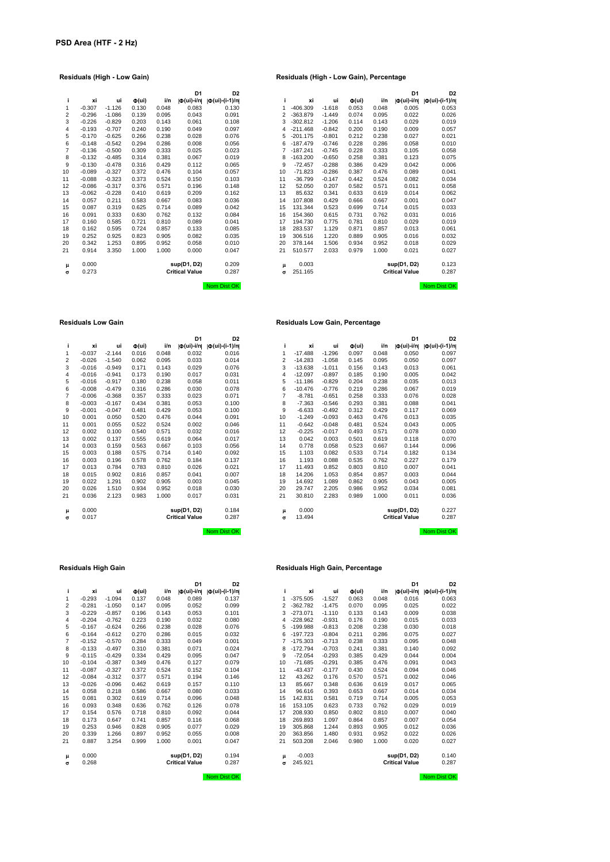## **D1 D2**<br> **d**(ui)-i/n| **d**(ui)-(i-1)/n|<br>
0.083 0.130<br>
0.043 0.091 10 -0.089 -0.327 0.372 0.476 0.104 0.057 10 -71.823 -0.286 0.387 0.476 0.089 0.041 11 -0.088 -0.323 0.373 0.524 0.150 0.103 11 -36.799 -0.147 0.442 0.524 0.082 0.034 12 -0.086 -0.317 0.376 0.571 0.196 0.148 12 52.050 0.207 0.582 0.571 0.011 0.058 13 -0.062 -0.228 0.410 0.619 0.209 0.162 13 85.632 0.341 0.633 0.619 0.014 0.062 14 0.057 0.211 0.583 0.667 0.083 0.036 14 107.808 0.429 0.666 0.667 0.001 0.047 15 0.087 0.319 0.625 0.714 0.089 0.042 15 131.344 0.523 0.699 0.714 0.015 0.033 16 0.091 0.333 0.630 0.762 0.132 0.084 16 154.360 0.615 0.731 0.762 0.031 0.016 17 0.160 0.585 0.721 0.810 0.089 0.041 17 194.730 0.775 0.781 0.810 0.029 0.019 18 0.162 0.595 0.724 0.857 0.133 0.085 18 283.537 1.129 0.871 0.857 0.013 0.061 19 0.252 0.925 0.823 0.905 0.082 0.035 19 306.516 1.220 0.889 0.905 0.016 0.032 20 0.342 1.253 0.895 0.952 0.058 0.010 20 378.144 1.506 0.934 0.952 0.018 0.029 21 0.914 3.350 1.000 1.000 0.000 0.047 21 510.577 2.033 0.979 1.000 0.021 0.027

## **Residuals (High - Low Gain) Residuals (High - Low Gain), Percentage**

|    |          |          |                              |       | D <sub>1</sub>          | D <sub>2</sub>       |                |            |          |                              |       | D <sub>1</sub>          | D <sub>2</sub>       |
|----|----------|----------|------------------------------|-------|-------------------------|----------------------|----------------|------------|----------|------------------------------|-------|-------------------------|----------------------|
| i. | хi       | ui       | $\Phi(\mathsf{u}\mathsf{i})$ | i/n   | $ \Phi(\text{ui})$ -i/n | $ \Phi(ui)-(i-1)/n $ | Ť              | xi         | ui       | $\Phi(\mathsf{u}\mathsf{i})$ | i/n   | $ \Phi(\text{ui})-i/n $ | $ \Phi(ui)-(i-1)/n $ |
| 1  | $-0.307$ | $-1.126$ | 0.130                        | 0.048 | 0.083                   | 0.130                | 1              | $-406.309$ | $-1.618$ | 0.053                        | 0.048 | 0.005                   | 0.053                |
| 2  | $-0.296$ | $-1.086$ | 0.139                        | 0.095 | 0.043                   | 0.091                | $\overline{2}$ | $-363.879$ | $-1.449$ | 0.074                        | 0.095 | 0.022                   | 0.026                |
| 3  | $-0.226$ | $-0.829$ | 0.203                        | 0.143 | 0.061                   | 0.108                | 3              | $-302.812$ | $-1.206$ | 0.114                        | 0.143 | 0.029                   | 0.019                |
| 4  | $-0.193$ | $-0.707$ | 0.240                        | 0.190 | 0.049                   | 0.097                | 4              | $-211.468$ | $-0.842$ | 0.200                        | 0.190 | 0.009                   | 0.057                |
| 5  | $-0.170$ | $-0.625$ | 0.266                        | 0.238 | 0.028                   | 0.076                | 5              | $-201.175$ | $-0.801$ | 0.212                        | 0.238 | 0.027                   | 0.021                |
| 6  | $-0.148$ | $-0.542$ | 0.294                        | 0.286 | 0.008                   | 0.056                | 6              | $-187.479$ | $-0.746$ | 0.228                        | 0.286 | 0.058                   | 0.010                |
| 7  | $-0.136$ | $-0.500$ | 0.309                        | 0.333 | 0.025                   | 0.023                |                | $-187.241$ | $-0.745$ | 0.228                        | 0.333 | 0.105                   | 0.058                |
| 8  | $-0.132$ | $-0.485$ | 0.314                        | 0.381 | 0.067                   | 0.019                | 8              | $-163.200$ | $-0.650$ | 0.258                        | 0.381 | 0.123                   | 0.075                |
| 9  | $-0.130$ | $-0.478$ | 0.316                        | 0.429 | 0.112                   | 0.065                | 9              | $-72.457$  | $-0.288$ | 0.386                        | 0.429 | 0.042                   | 0.006                |
| 0  | $-0.089$ | $-0.327$ | 0.372                        | 0.476 | 0.104                   | 0.057                | 10             | $-71.823$  | $-0.286$ | 0.387                        | 0.476 | 0.089                   | 0.041                |
| 1  | $-0.088$ | $-0.323$ | 0.373                        | 0.524 | 0.150                   | 0.103                | 11             | $-36.799$  | $-0.147$ | 0.442                        | 0.524 | 0.082                   | 0.034                |
| 2  | $-0.086$ | $-0.317$ | 0.376                        | 0.571 | 0.196                   | 0.148                | 12             | 52.050     | 0.207    | 0.582                        | 0.571 | 0.011                   | 0.058                |
| 3  | $-0.062$ | $-0.228$ | 0.410                        | 0.619 | 0.209                   | 0.162                | 13             | 85.632     | 0.341    | 0.633                        | 0.619 | 0.014                   | 0.062                |
| 4  | 0.057    | 0.211    | 0.583                        | 0.667 | 0.083                   | 0.036                | 14             | 107.808    | 0.429    | 0.666                        | 0.667 | 0.001                   | 0.047                |
| 5  | 0.087    | 0.319    | 0.625                        | 0.714 | 0.089                   | 0.042                | 15             | 131.344    | 0.523    | 0.699                        | 0.714 | 0.015                   | 0.033                |
| 6  | 0.091    | 0.333    | 0.630                        | 0.762 | 0.132                   | 0.084                | 16             | 154.360    | 0.615    | 0.731                        | 0.762 | 0.031                   | 0.016                |
| 7  | 0.160    | 0.585    | 0.721                        | 0.810 | 0.089                   | 0.041                | 17             | 194.730    | 0.775    | 0.781                        | 0.810 | 0.029                   | 0.019                |
| 8  | 0.162    | 0.595    | 0.724                        | 0.857 | 0.133                   | 0.085                | 18             | 283.537    | 1.129    | 0.871                        | 0.857 | 0.013                   | 0.061                |
| 9  | 0.252    | 0.925    | 0.823                        | 0.905 | 0.082                   | 0.035                | 19             | 306.516    | 1.220    | 0.889                        | 0.905 | 0.016                   | 0.032                |
| 0  | 0.342    | 1.253    | 0.895                        | 0.952 | 0.058                   | 0.010                | 20             | 378.144    | 1.506    | 0.934                        | 0.952 | 0.018                   | 0.029                |
| 1  | 0.914    | 3.350    | 1.000                        | 1.000 | 0.000                   | 0.047                | 21             | 510.577    | 2.033    | 0.979                        | 1.000 | 0.021                   | 0.027                |
| μ  | 0.000    |          |                              |       | sup(D1, D2)             | 0.209                | μ              | 0.003      |          |                              |       | sup(D1, D2)             | 0.123                |
| σ  | 0.273    |          |                              |       | <b>Critical Value</b>   | 0.287                | σ              | 251.165    |          |                              |       | <b>Critical Value</b>   | 0.287                |
|    |          |          |                              |       |                         | Nom Dist OK          |                |            |          |                              |       |                         | Nom Dist OK          |

#### **Residuals Low Gain Residuals Low Gain, Percentage**

|    |          |          |                              |       | D <sub>1</sub>                                     | D <sub>2</sub>                    |                |           |          |                              |       | D <sub>1</sub>                      | D <sub>2</sub>              |
|----|----------|----------|------------------------------|-------|----------------------------------------------------|-----------------------------------|----------------|-----------|----------|------------------------------|-------|-------------------------------------|-----------------------------|
| j. | хi       | ui       | $\Phi(\mathsf{u}\mathsf{i})$ | i/n   | $ \Phi(\mathsf{ui})\text{-}\mathsf{i}/\mathsf{n} $ | $  \Phi(\text{ui}) - (i - 1)/n  $ | Î.             | xi        | ui       | $\Phi(\mathsf{u}\mathsf{i})$ | i/n   | $ \Phi(\mathsf{u} \mathsf{i})$ -i/n | $  \Phi (ui) - (i - 1)/n  $ |
| 1  | $-0.037$ | $-2.144$ | 0.016                        | 0.048 | 0.032                                              | 0.016                             |                | $-17.488$ | $-1.296$ | 0.097                        | 0.048 | 0.050                               | 0.097                       |
| 2  | $-0.026$ | $-1.540$ | 0.062                        | 0.095 | 0.033                                              | 0.014                             | 2              | $-14.283$ | $-1.058$ | 0.145                        | 0.095 | 0.050                               | 0.097                       |
| 3  | $-0.016$ | $-0.949$ | 0.171                        | 0.143 | 0.029                                              | 0.076                             | 3              | $-13.638$ | $-1.011$ | 0.156                        | 0.143 | 0.013                               | 0.061                       |
| 4  | $-0.016$ | $-0.941$ | 0.173                        | 0.190 | 0.017                                              | 0.031                             | 4              | $-12.097$ | $-0.897$ | 0.185                        | 0.190 | 0.005                               | 0.042                       |
| 5  | $-0.016$ | $-0.917$ | 0.180                        | 0.238 | 0.058                                              | 0.011                             | 5              | $-11.186$ | $-0.829$ | 0.204                        | 0.238 | 0.035                               | 0.013                       |
| 6  | $-0.008$ | $-0.479$ | 0.316                        | 0.286 | 0.030                                              | 0.078                             | 6              | $-10.476$ | $-0.776$ | 0.219                        | 0.286 | 0.067                               | 0.019                       |
| 7  | $-0.006$ | $-0.368$ | 0.357                        | 0.333 | 0.023                                              | 0.071                             | $\overline{7}$ | $-8.781$  | $-0.651$ | 0.258                        | 0.333 | 0.076                               | 0.028                       |
| 8  | $-0.003$ | $-0.167$ | 0.434                        | 0.381 | 0.053                                              | 0.100                             | 8              | $-7.363$  | $-0.546$ | 0.293                        | 0.381 | 0.088                               | 0.041                       |
| 9  | $-0.001$ | $-0.047$ | 0.481                        | 0.429 | 0.053                                              | 0.100                             | 9              | $-6.633$  | $-0.492$ | 0.312                        | 0.429 | 0.117                               | 0.069                       |
| 10 | 0.001    | 0.050    | 0.520                        | 0.476 | 0.044                                              | 0.091                             | 10             | $-1.249$  | $-0.093$ | 0.463                        | 0.476 | 0.013                               | 0.035                       |
| 11 | 0.001    | 0.055    | 0.522                        | 0.524 | 0.002                                              | 0.046                             | 11             | $-0.642$  | $-0.048$ | 0.481                        | 0.524 | 0.043                               | 0.005                       |
| 12 | 0.002    | 0.100    | 0.540                        | 0.571 | 0.032                                              | 0.016                             | 12             | $-0.225$  | $-0.017$ | 0.493                        | 0.571 | 0.078                               | 0.030                       |
| 13 | 0.002    | 0.137    | 0.555                        | 0.619 | 0.064                                              | 0.017                             | 13             | 0.042     | 0.003    | 0.501                        | 0.619 | 0.118                               | 0.070                       |
| 14 | 0.003    | 0.159    | 0.563                        | 0.667 | 0.103                                              | 0.056                             | 14             | 0.778     | 0.058    | 0.523                        | 0.667 | 0.144                               | 0.096                       |
| 15 | 0.003    | 0.188    | 0.575                        | 0.714 | 0.140                                              | 0.092                             | 15             | 1.103     | 0.082    | 0.533                        | 0.714 | 0.182                               | 0.134                       |
| 16 | 0.003    | 0.196    | 0.578                        | 0.762 | 0.184                                              | 0.137                             | 16             | 1.193     | 0.088    | 0.535                        | 0.762 | 0.227                               | 0.179                       |
| 17 | 0.013    | 0.784    | 0.783                        | 0.810 | 0.026                                              | 0.021                             | 17             | 11.493    | 0.852    | 0.803                        | 0.810 | 0.007                               | 0.041                       |
| 18 | 0.015    | 0.902    | 0.816                        | 0.857 | 0.041                                              | 0.007                             | 18             | 14.206    | 1.053    | 0.854                        | 0.857 | 0.003                               | 0.044                       |
| 19 | 0.022    | 1.291    | 0.902                        | 0.905 | 0.003                                              | 0.045                             | 19             | 14.692    | 1.089    | 0.862                        | 0.905 | 0.043                               | 0.005                       |
| 20 | 0.026    | 1.510    | 0.934                        | 0.952 | 0.018                                              | 0.030                             | 20             | 29.747    | 2.205    | 0.986                        | 0.952 | 0.034                               | 0.081                       |
| 21 | 0.036    | 2.123    | 0.983                        | 1.000 | 0.017                                              | 0.031                             | 21             | 30.810    | 2.283    | 0.989                        | 1.000 | 0.011                               | 0.036                       |
| μ  | 0.000    |          |                              |       | sup(D1, D2)                                        | 0.184                             | μ              | 0.000     |          |                              |       | sup(D1, D2)                         | 0.227                       |
| σ  | 0.017    |          |                              |       | <b>Critical Value</b>                              | 0.287                             | σ              | 13.494    |          |                              |       | <b>Critical Value</b>               | 0.287                       |
|    |          |          |                              |       |                                                    | Nom Dist OK                       |                |           |          |                              |       |                                     | Nom Dist OK                 |

| i              | хi       | ui       | $\Phi(\mathsf{ui})$ | i/n   | Ф(ui)-i/n             | $  \Phi(\text{ui}) - (i-1)/n  $ |
|----------------|----------|----------|---------------------|-------|-----------------------|---------------------------------|
| 1              | $-0.037$ | $-2.144$ | 0.016               | 0.048 | 0.032                 | 0.016                           |
| $\overline{2}$ | $-0.026$ | $-1.540$ | 0.062               | 0.095 | 0.033                 | 0.014                           |
| 3              | $-0.016$ | $-0.949$ | 0.171               | 0.143 | 0.029                 | 0.076                           |
| $\overline{4}$ | $-0.016$ | $-0.941$ | 0.173               | 0.190 | 0.017                 | 0.031                           |
| 5              | $-0.016$ | $-0.917$ | 0.180               | 0.238 | 0.058                 | 0.011                           |
| 6              | $-0.008$ | $-0.479$ | 0.316               | 0.286 | 0.030                 | 0.078                           |
| $\overline{7}$ | $-0.006$ | $-0.368$ | 0.357               | 0.333 | 0.023                 | 0.071                           |
| 8              | $-0.003$ | $-0.167$ | 0.434               | 0.381 | 0.053                 | 0.100                           |
| 9              | $-0.001$ | $-0.047$ | 0.481               | 0.429 | 0.053                 | 0.100                           |
| 10             | 0.001    | 0.050    | 0.520               | 0.476 | 0.044                 | 0.091                           |
| 11             | 0.001    | 0.055    | 0.522               | 0.524 | 0.002                 | 0.046                           |
| 12             | 0.002    | 0.100    | 0.540               | 0.571 | 0.032                 | 0.016                           |
| 13             | 0.002    | 0.137    | 0.555               | 0.619 | 0.064                 | 0.017                           |
| 14             | 0.003    | 0.159    | 0.563               | 0.667 | 0.103                 | 0.056                           |
| 15             | 0.003    | 0.188    | 0.575               | 0.714 | 0.140                 | 0.092                           |
| 16             | 0.003    | 0.196    | 0.578               | 0.762 | 0.184                 | 0.137                           |
| 17             | 0.013    | 0.784    | 0.783               | 0.810 | 0.026                 | 0.021                           |
| 18             | 0.015    | 0.902    | 0.816               | 0.857 | 0.041                 | 0.007                           |
| 19             | 0.022    | 1.291    | 0.902               | 0.905 | 0.003                 | 0.045                           |
| 20             | 0.026    | 1.510    | 0.934               | 0.952 | 0.018                 | 0.030                           |
| 21             | 0.036    | 2.123    | 0.983               | 1.000 | 0.017                 | 0.031                           |
| μ              | 0.000    |          |                     |       | sup(D1, D2)           | 0.184                           |
| σ              | 0.017    |          |                     |       | <b>Critical Value</b> | 0.287                           |

|          |          |          |                              |       | וט                                                 | υz                    |          |            |          |                              |       | דע                                                          | ״             |
|----------|----------|----------|------------------------------|-------|----------------------------------------------------|-----------------------|----------|------------|----------|------------------------------|-------|-------------------------------------------------------------|---------------|
| j        | хi       | ui       | $\Phi(\mathsf{u}\mathsf{i})$ | i/n   | $ \Phi(\mathsf{ui})\text{-}\mathsf{i}/\mathsf{n} $ | $ \Phi (ui)-(i-1)/n $ |          | xi         | ui       | $\Phi(\mathsf{u}\mathsf{i})$ | i/n   | $ \Phi(\mathsf{u}\mathsf{i})\text{-}\mathsf{i}/\mathsf{n} $ | Ф(ui)-(i-1)/n |
| 1        | $-0.293$ | $-1.094$ | 0.137                        | 0.048 | 0.089                                              | 0.137                 |          | $-375.505$ | $-1.527$ | 0.063                        | 0.048 | 0.016                                                       | 0.063         |
| 2        | $-0.281$ | $-1.050$ | 0.147                        | 0.095 | 0.052                                              | 0.099                 | 2        | $-362.782$ | $-1.475$ | 0.070                        | 0.095 | 0.025                                                       | 0.022         |
| 3        | $-0.229$ | $-0.857$ | 0.196                        | 0.143 | 0.053                                              | 0.101                 | 3        | $-273.071$ | $-1.110$ | 0.133                        | 0.143 | 0.009                                                       | 0.038         |
| 4        | $-0.204$ | $-0.762$ | 0.223                        | 0.190 | 0.032                                              | 0.080                 | 4        | $-228.962$ | $-0.931$ | 0.176                        | 0.190 | 0.015                                                       | 0.033         |
| 5        | $-0.167$ | $-0.624$ | 0.266                        | 0.238 | 0.028                                              | 0.076                 | 5        | $-199.988$ | $-0.813$ | 0.208                        | 0.238 | 0.030                                                       | 0.018         |
| 6        | $-0.164$ | $-0.612$ | 0.270                        | 0.286 | 0.015                                              | 0.032                 | 6        | $-197.723$ | $-0.804$ | 0.211                        | 0.286 | 0.075                                                       | 0.027         |
| 7        | $-0.152$ | $-0.570$ | 0.284                        | 0.333 | 0.049                                              | 0.001                 | 7        | $-175.303$ | $-0.713$ | 0.238                        | 0.333 | 0.095                                                       | 0.048         |
| 8        | $-0.133$ | $-0.497$ | 0.310                        | 0.381 | 0.071                                              | 0.024                 | 8        | $-172.794$ | $-0.703$ | 0.241                        | 0.381 | 0.140                                                       | 0.092         |
| 9        | $-0.115$ | $-0.429$ | 0.334                        | 0.429 | 0.095                                              | 0.047                 | 9        | $-72.054$  | $-0.293$ | 0.385                        | 0.429 | 0.044                                                       | 0.004         |
| 10       | $-0.104$ | $-0.387$ | 0.349                        | 0.476 | 0.127                                              | 0.079                 | 10       | $-71.685$  | $-0.291$ | 0.385                        | 0.476 | 0.091                                                       | 0.043         |
| 11       | $-0.087$ | $-0.327$ | 0.372                        | 0.524 | 0.152                                              | 0.104                 | 11       | $-43.437$  | $-0.177$ | 0.430                        | 0.524 | 0.094                                                       | 0.046         |
| 12       | $-0.084$ | $-0.312$ | 0.377                        | 0.571 | 0.194                                              | 0.146                 | 12       | 43.262     | 0.176    | 0.570                        | 0.571 | 0.002                                                       | 0.046         |
| 13       | $-0.026$ | $-0.096$ | 0.462                        | 0.619 | 0.157                                              | 0.110                 | 13       | 85.667     | 0.348    | 0.636                        | 0.619 | 0.017                                                       | 0.065         |
| 14       | 0.058    | 0.218    | 0.586                        | 0.667 | 0.080                                              | 0.033                 | 14       | 96.616     | 0.393    | 0.653                        | 0.667 | 0.014                                                       | 0.034         |
| 15       | 0.081    | 0.302    | 0.619                        | 0.714 | 0.096                                              | 0.048                 | 15       | 142.831    | 0.581    | 0.719                        | 0.714 | 0.005                                                       | 0.053         |
| 16       | 0.093    | 0.348    | 0.636                        | 0.762 | 0.126                                              | 0.078                 | 16       | 153.105    | 0.623    | 0.733                        | 0.762 | 0.029                                                       | 0.019         |
| 17       | 0.154    | 0.576    | 0.718                        | 0.810 | 0.092                                              | 0.044                 | 17       | 208.930    | 0.850    | 0.802                        | 0.810 | 0.007                                                       | 0.040         |
| 18       | 0.173    | 0.647    | 0.741                        | 0.857 | 0.116                                              | 0.068                 | 18       | 269.893    | 1.097    | 0.864                        | 0.857 | 0.007                                                       | 0.054         |
| 19       | 0.253    | 0.946    | 0.828                        | 0.905 | 0.077                                              | 0.029                 | 19       | 305.868    | 1.244    | 0.893                        | 0.905 | 0.012                                                       | 0.036         |
| 20       | 0.339    | 1.266    | 0.897                        | 0.952 | 0.055                                              | 0.008                 | 20       | 363.856    | 1.480    | 0.931                        | 0.952 | 0.022                                                       | 0.026         |
| 21       | 0.887    | 3.254    | 0.999                        | 1.000 | 0.001                                              | 0.047                 | 21       | 503.208    | 2.046    | 0.980                        | 1.000 | 0.020                                                       | 0.027         |
| μ        | 0.000    |          |                              |       | sup(D1, D2)                                        | 0.194                 | μ        | $-0.003$   |          |                              |       | sup(D1, D2)                                                 | 0.140         |
| $\sigma$ | 0.268    |          |                              |       | <b>Critical Value</b>                              | 0.287                 | $\sigma$ | 245.921    |          |                              |       | <b>Critical Value</b>                                       | 0.287         |

#### **Residuals High Gain Residuals High Gain, Percentage**

|          |          |                              |       | D <sub>1</sub>          | D <sub>2</sub>        |                |            |          |                     |       | D <sub>1</sub>                                              | D <sub>2</sub>        |
|----------|----------|------------------------------|-------|-------------------------|-----------------------|----------------|------------|----------|---------------------|-------|-------------------------------------------------------------|-----------------------|
| xi       | ui       | $\Phi(\mathsf{u}\mathsf{i})$ | i/n   | $ \Phi(\text{ui})$ -i/n | $ \Phi (ui)-(i-1)/n $ |                | xi         | ui       | $\Phi(\mathsf{ui})$ | i/n   | $ \Phi(\mathsf{u}\mathsf{i})\text{-}\mathsf{i}/\mathsf{n} $ | $ \Phi (ui)-(i-1)/n $ |
| $-0.293$ | $-1.094$ | 0.137                        | 0.048 | 0.089                   | 0.137                 |                | $-375.505$ | $-1.527$ | 0.063               | 0.048 | 0.016                                                       | 0.063                 |
| $-0.281$ | $-1.050$ | 0.147                        | 0.095 | 0.052                   | 0.099                 | $\overline{2}$ | $-362.782$ | $-1.475$ | 0.070               | 0.095 | 0.025                                                       | 0.022                 |
| $-0.229$ | $-0.857$ | 0.196                        | 0.143 | 0.053                   | 0.101                 | 3              | $-273.071$ | $-1.110$ | 0.133               | 0.143 | 0.009                                                       | 0.038                 |
| $-0.204$ | $-0.762$ | 0.223                        | 0.190 | 0.032                   | 0.080                 | 4              | $-228.962$ | $-0.931$ | 0.176               | 0.190 | 0.015                                                       | 0.033                 |
| $-0.167$ | $-0.624$ | 0.266                        | 0.238 | 0.028                   | 0.076                 | 5              | $-199.988$ | $-0.813$ | 0.208               | 0.238 | 0.030                                                       | 0.018                 |
| $-0.164$ | $-0.612$ | 0.270                        | 0.286 | 0.015                   | 0.032                 | 6              | $-197.723$ | $-0.804$ | 0.211               | 0.286 | 0.075                                                       | 0.027                 |
| $-0.152$ | $-0.570$ | 0.284                        | 0.333 | 0.049                   | 0.001                 | 7              | $-175.303$ | $-0.713$ | 0.238               | 0.333 | 0.095                                                       | 0.048                 |
| $-0.133$ | $-0.497$ | 0.310                        | 0.381 | 0.071                   | 0.024                 | 8              | $-172.794$ | $-0.703$ | 0.241               | 0.381 | 0.140                                                       | 0.092                 |
| $-0.115$ | $-0.429$ | 0.334                        | 0.429 | 0.095                   | 0.047                 | 9              | $-72.054$  | $-0.293$ | 0.385               | 0.429 | 0.044                                                       | 0.004                 |
| $-0.104$ | $-0.387$ | 0.349                        | 0.476 | 0.127                   | 0.079                 | 10             | $-71.685$  | $-0.291$ | 0.385               | 0.476 | 0.091                                                       | 0.043                 |
| $-0.087$ | $-0.327$ | 0.372                        | 0.524 | 0.152                   | 0.104                 | 11             | $-43.437$  | $-0.177$ | 0.430               | 0.524 | 0.094                                                       | 0.046                 |
| $-0.084$ | $-0.312$ | 0.377                        | 0.571 | 0.194                   | 0.146                 | 12             | 43.262     | 0.176    | 0.570               | 0.571 | 0.002                                                       | 0.046                 |
| $-0.026$ | $-0.096$ | 0.462                        | 0.619 | 0.157                   | 0.110                 | 13             | 85.667     | 0.348    | 0.636               | 0.619 | 0.017                                                       | 0.065                 |
| 0.058    | 0.218    | 0.586                        | 0.667 | 0.080                   | 0.033                 | 14             | 96.616     | 0.393    | 0.653               | 0.667 | 0.014                                                       | 0.034                 |
| 0.081    | 0.302    | 0.619                        | 0.714 | 0.096                   | 0.048                 | 15             | 142.831    | 0.581    | 0.719               | 0.714 | 0.005                                                       | 0.053                 |
| 0.093    | 0.348    | 0.636                        | 0.762 | 0.126                   | 0.078                 | 16             | 153.105    | 0.623    | 0.733               | 0.762 | 0.029                                                       | 0.019                 |
| 0.154    | 0.576    | 0.718                        | 0.810 | 0.092                   | 0.044                 | 17             | 208.930    | 0.850    | 0.802               | 0.810 | 0.007                                                       | 0.040                 |
| 0.173    | 0.647    | 0.741                        | 0.857 | 0.116                   | 0.068                 | 18             | 269.893    | 1.097    | 0.864               | 0.857 | 0.007                                                       | 0.054                 |
| 0.253    | 0.946    | 0.828                        | 0.905 | 0.077                   | 0.029                 | 19             | 305.868    | 1.244    | 0.893               | 0.905 | 0.012                                                       | 0.036                 |
| 0.339    | 1.266    | 0.897                        | 0.952 | 0.055                   | 0.008                 | 20             | 363.856    | 1.480    | 0.931               | 0.952 | 0.022                                                       | 0.026                 |
| 0.887    | 3.254    | 0.999                        | 1.000 | 0.001                   | 0.047                 | 21             | 503.208    | 2.046    | 0.980               | 1.000 | 0.020                                                       | 0.027                 |
| 0.000    |          |                              |       | sup(D1, D2)             | 0.194                 |                | $-0.003$   |          |                     |       | sup(D1, D2)                                                 | 0.140                 |
| 0.268    |          |                              |       | <b>Critical Value</b>   | 0.287                 | μ<br>$\sigma$  | 245.921    |          |                     |       | <b>Critical Value</b>                                       | 0.287                 |
|          |          |                              |       |                         |                       |                |            |          |                     |       |                                                             |                       |

Nom Dist OK Nom Dist OK Nom Dist OK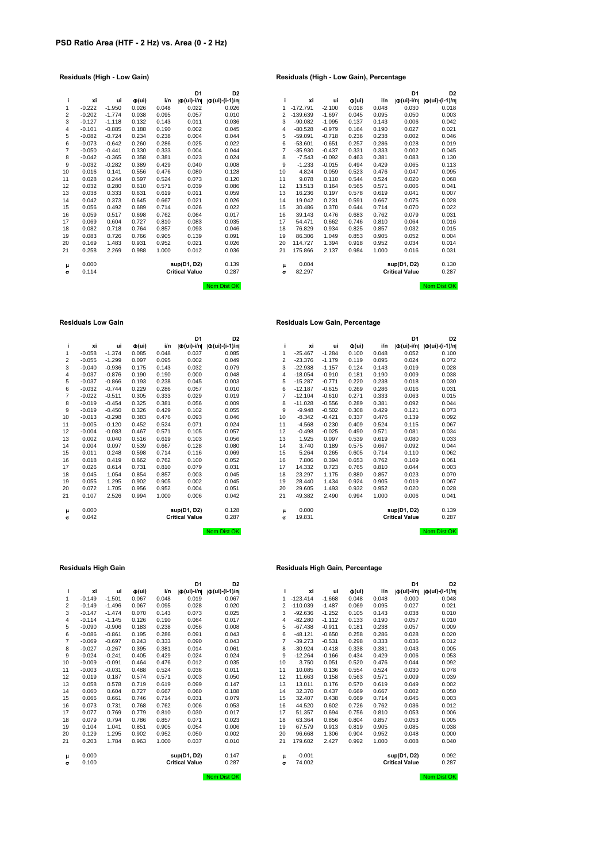|                |          |          |                              |       | D <sub>1</sub>             | D <sub>2</sub>                |                |            |          |                              |       | D <sub>1</sub>          | D2                  |
|----------------|----------|----------|------------------------------|-------|----------------------------|-------------------------------|----------------|------------|----------|------------------------------|-------|-------------------------|---------------------|
| ÷              | xi       | ui       | $\Phi(\mathsf{u}\mathsf{i})$ | i/n   | $  \Phi(\mathsf{ui})$ -i/n | $  \Phi(\text{ui})-(i-1)/n  $ | i.             | xi         | ui       | $\Phi(\mathsf{u}\mathsf{i})$ | i/n   | $ \Phi(\text{ui})-i/n $ | $ \Phi(ui)-(i-1)/n$ |
| 1              | $-0.222$ | $-1.950$ | 0.026                        | 0.048 | 0.022                      | 0.026                         | 1.             | $-172.791$ | $-2.100$ | 0.018                        | 0.048 | 0.030                   | 0.018               |
| 2              | $-0.202$ | $-1.774$ | 0.038                        | 0.095 | 0.057                      | 0.010                         | $\overline{2}$ | $-139.639$ | $-1.697$ | 0.045                        | 0.095 | 0.050                   | 0.003               |
| 3              | $-0.127$ | $-1.118$ | 0.132                        | 0.143 | 0.011                      | 0.036                         | 3              | $-90.082$  | $-1.095$ | 0.137                        | 0.143 | 0.006                   | 0.042               |
| 4              | $-0.101$ | $-0.885$ | 0.188                        | 0.190 | 0.002                      | 0.045                         | 4              | $-80.528$  | $-0.979$ | 0.164                        | 0.190 | 0.027                   | 0.021               |
| 5              | $-0.082$ | $-0.724$ | 0.234                        | 0.238 | 0.004                      | 0.044                         | 5              | $-59.091$  | $-0.718$ | 0.236                        | 0.238 | 0.002                   | 0.046               |
| 6              | $-0.073$ | $-0.642$ | 0.260                        | 0.286 | 0.025                      | 0.022                         | 6              | $-53.601$  | $-0.651$ | 0.257                        | 0.286 | 0.028                   | 0.019               |
| $\overline{7}$ | $-0.050$ | $-0.441$ | 0.330                        | 0.333 | 0.004                      | 0.044                         | 7              | $-35.930$  | $-0.437$ | 0.331                        | 0.333 | 0.002                   | 0.045               |
| 8              | $-0.042$ | $-0.365$ | 0.358                        | 0.381 | 0.023                      | 0.024                         | 8              | $-7.543$   | $-0.092$ | 0.463                        | 0.381 | 0.083                   | 0.130               |
| 9              | $-0.032$ | $-0.282$ | 0.389                        | 0.429 | 0.040                      | 0.008                         | 9              | $-1.233$   | $-0.015$ | 0.494                        | 0.429 | 0.065                   | 0.113               |
| 10             | 0.016    | 0.141    | 0.556                        | 0.476 | 0.080                      | 0.128                         | 10             | 4.824      | 0.059    | 0.523                        | 0.476 | 0.047                   | 0.095               |
| 11             | 0.028    | 0.244    | 0.597                        | 0.524 | 0.073                      | 0.120                         | 11             | 9.078      | 0.110    | 0.544                        | 0.524 | 0.020                   | 0.068               |
| 12             | 0.032    | 0.280    | 0.610                        | 0.571 | 0.039                      | 0.086                         | 12             | 13.513     | 0.164    | 0.565                        | 0.571 | 0.006                   | 0.041               |
| 13             | 0.038    | 0.333    | 0.631                        | 0.619 | 0.011                      | 0.059                         | 13             | 16.236     | 0.197    | 0.578                        | 0.619 | 0.041                   | 0.007               |
| 14             | 0.042    | 0.373    | 0.645                        | 0.667 | 0.021                      | 0.026                         | 14             | 19.042     | 0.231    | 0.591                        | 0.667 | 0.075                   | 0.028               |
| 15             | 0.056    | 0.492    | 0.689                        | 0.714 | 0.026                      | 0.022                         | 15             | 30.486     | 0.370    | 0.644                        | 0.714 | 0.070                   | 0.022               |
| 16             | 0.059    | 0.517    | 0.698                        | 0.762 | 0.064                      | 0.017                         | 16             | 39.143     | 0.476    | 0.683                        | 0.762 | 0.079                   | 0.031               |
| 17             | 0.069    | 0.604    | 0.727                        | 0.810 | 0.083                      | 0.035                         | 17             | 54.471     | 0.662    | 0.746                        | 0.810 | 0.064                   | 0.016               |
| 18             | 0.082    | 0.718    | 0.764                        | 0.857 | 0.093                      | 0.046                         | 18             | 76.829     | 0.934    | 0.825                        | 0.857 | 0.032                   | 0.015               |
| 19             | 0.083    | 0.726    | 0.766                        | 0.905 | 0.139                      | 0.091                         | 19             | 86.306     | 1.049    | 0.853                        | 0.905 | 0.052                   | 0.004               |
| 20             | 0.169    | 1.483    | 0.931                        | 0.952 | 0.021                      | 0.026                         | 20             | 114.727    | 1.394    | 0.918                        | 0.952 | 0.034                   | 0.014               |
| 21             | 0.258    | 2.269    | 0.988                        | 1.000 | 0.012                      | 0.036                         | 21             | 175.866    | 2.137    | 0.984                        | 1.000 | 0.016                   | 0.031               |
| μ              | 0.000    |          |                              |       | sup(D1, D2)                | 0.139                         | μ              | 0.004      |          |                              |       | sup(D1, D2)             | 0.130               |
| σ              | 0.114    |          |                              |       | <b>Critical Value</b>      | 0.287                         | σ              | 82.297     |          |                              |       | <b>Critical Value</b>   | 0.287               |
|                |          |          |                              |       |                            | Now Dist OV                   |                |            |          |                              |       |                         | Now Dist Ob         |

|                |          |          |                   |       | D <sub>1</sub>            | D <sub>2</sub>       |    |            |          |                              |       | D <sub>1</sub>          | D <sub>2</sub>       |
|----------------|----------|----------|-------------------|-------|---------------------------|----------------------|----|------------|----------|------------------------------|-------|-------------------------|----------------------|
| i.             | хi       | ui       | $\Phi(\text{ui})$ | i/n   | $ \Phi(\mathsf{ui})$ -i/n | $ \Phi(ui)-(i-1)/n $ | i. | xi         | ui       | $\Phi(\mathsf{u}\mathsf{i})$ | i/n   | $ \Phi(\text{ui})-i/n $ | $ \Phi(ui)-(i-1)/n $ |
| 1              | $-0.222$ | $-1.950$ | 0.026             | 0.048 | 0.022                     | 0.026                | 1  | $-172.791$ | $-2.100$ | 0.018                        | 0.048 | 0.030                   | 0.018                |
| 2              | $-0.202$ | $-1.774$ | 0.038             | 0.095 | 0.057                     | 0.010                | 2  | $-139.639$ | $-1.697$ | 0.045                        | 0.095 | 0.050                   | 0.003                |
| 3              | $-0.127$ | $-1.118$ | 0.132             | 0.143 | 0.011                     | 0.036                | 3  | $-90.082$  | $-1.095$ | 0.137                        | 0.143 | 0.006                   | 0.042                |
| 4              | $-0.101$ | $-0.885$ | 0.188             | 0.190 | 0.002                     | 0.045                | 4  | $-80.528$  | $-0.979$ | 0.164                        | 0.190 | 0.027                   | 0.021                |
| 5              | $-0.082$ | $-0.724$ | 0.234             | 0.238 | 0.004                     | 0.044                | 5  | $-59.091$  | $-0.718$ | 0.236                        | 0.238 | 0.002                   | 0.046                |
| 6              | $-0.073$ | $-0.642$ | 0.260             | 0.286 | 0.025                     | 0.022                | 6  | $-53.601$  | $-0.651$ | 0.257                        | 0.286 | 0.028                   | 0.019                |
| 7              | $-0.050$ | $-0.441$ | 0.330             | 0.333 | 0.004                     | 0.044                | 7  | $-35.930$  | $-0.437$ | 0.331                        | 0.333 | 0.002                   | 0.045                |
| 8              | $-0.042$ | $-0.365$ | 0.358             | 0.381 | 0.023                     | 0.024                | 8  | $-7.543$   | $-0.092$ | 0.463                        | 0.381 | 0.083                   | 0.130                |
| 9              | $-0.032$ | $-0.282$ | 0.389             | 0.429 | 0.040                     | 0.008                | 9  | $-1.233$   | $-0.015$ | 0.494                        | 0.429 | 0.065                   | 0.113                |
| 0              | 0.016    | 0.141    | 0.556             | 0.476 | 0.080                     | 0.128                | 10 | 4.824      | 0.059    | 0.523                        | 0.476 | 0.047                   | 0.095                |
| 1              | 0.028    | 0.244    | 0.597             | 0.524 | 0.073                     | 0.120                | 11 | 9.078      | 0.110    | 0.544                        | 0.524 | 0.020                   | 0.068                |
| 2              | 0.032    | 0.280    | 0.610             | 0.571 | 0.039                     | 0.086                | 12 | 13.513     | 0.164    | 0.565                        | 0.571 | 0.006                   | 0.041                |
| 3              | 0.038    | 0.333    | 0.631             | 0.619 | 0.011                     | 0.059                | 13 | 16.236     | 0.197    | 0.578                        | 0.619 | 0.041                   | 0.007                |
| 4              | 0.042    | 0.373    | 0.645             | 0.667 | 0.021                     | 0.026                | 14 | 19.042     | 0.231    | 0.591                        | 0.667 | 0.075                   | 0.028                |
| 5              | 0.056    | 0.492    | 0.689             | 0.714 | 0.026                     | 0.022                | 15 | 30.486     | 0.370    | 0.644                        | 0.714 | 0.070                   | 0.022                |
| 6              | 0.059    | 0.517    | 0.698             | 0.762 | 0.064                     | 0.017                | 16 | 39.143     | 0.476    | 0.683                        | 0.762 | 0.079                   | 0.031                |
| $\overline{7}$ | 0.069    | 0.604    | 0.727             | 0.810 | 0.083                     | 0.035                | 17 | 54.471     | 0.662    | 0.746                        | 0.810 | 0.064                   | 0.016                |
| 8              | 0.082    | 0.718    | 0.764             | 0.857 | 0.093                     | 0.046                | 18 | 76.829     | 0.934    | 0.825                        | 0.857 | 0.032                   | 0.015                |
| 9              | 0.083    | 0.726    | 0.766             | 0.905 | 0.139                     | 0.091                | 19 | 86.306     | 1.049    | 0.853                        | 0.905 | 0.052                   | 0.004                |
| 0              | 0.169    | 1.483    | 0.931             | 0.952 | 0.021                     | 0.026                | 20 | 114.727    | 1.394    | 0.918                        | 0.952 | 0.034                   | 0.014                |
| 1              | 0.258    | 2.269    | 0.988             | 1.000 | 0.012                     | 0.036                | 21 | 175.866    | 2.137    | 0.984                        | 1.000 | 0.016                   | 0.031                |
| μ              | 0.000    |          |                   |       | sup(D1, D2)               | 0.139                | μ  | 0.004      |          |                              |       | sup(D1, D2)             | 0.130                |
| σ              | 0.114    |          |                   |       | <b>Critical Value</b>     | 0.287                | σ  | 82.297     |          |                              |       | <b>Critical Value</b>   | 0.287                |
|                |          |          |                   |       |                           | Nom Dist OK          |    |            |          |                              |       |                         | Nom Dist OK          |

### **Residuals Low Gain Residuals Low Gain, Percentage**

|    |          |          |                              |       | D <sub>1</sub>                                     | D <sub>2</sub>        |                |           |          |                              |       | D <sub>1</sub>                                              | D <sub>2</sub>        |
|----|----------|----------|------------------------------|-------|----------------------------------------------------|-----------------------|----------------|-----------|----------|------------------------------|-------|-------------------------------------------------------------|-----------------------|
| j. | хi       | ui       | $\Phi(\mathsf{u}\mathsf{i})$ | i/n   | $ \Phi(\mathsf{ui})\text{-}\mathsf{i}/\mathsf{n} $ | $ \Phi (ui)-(i-1)/n $ | i              | xi        | ui       | $\Phi(\mathsf{u}\mathsf{i})$ | i/n   | $ \Phi(\mathsf{u}\mathsf{i})\text{-}\mathsf{i}/\mathsf{n} $ | $ \Phi (ui)-(i-1)/n $ |
| 1  | $-0.058$ | $-1.374$ | 0.085                        | 0.048 | 0.037                                              | 0.085                 | 1              | $-25.467$ | $-1.284$ | 0.100                        | 0.048 | 0.052                                                       | 0.100                 |
| 2  | $-0.055$ | $-1.299$ | 0.097                        | 0.095 | 0.002                                              | 0.049                 | 2              | $-23.376$ | $-1.179$ | 0.119                        | 0.095 | 0.024                                                       | 0.072                 |
| 3  | $-0.040$ | $-0.936$ | 0.175                        | 0.143 | 0.032                                              | 0.079                 | 3              | $-22.938$ | $-1.157$ | 0.124                        | 0.143 | 0.019                                                       | 0.028                 |
| 4  | $-0.037$ | $-0.876$ | 0.190                        | 0.190 | 0.000                                              | 0.048                 | 4              | $-18.054$ | $-0.910$ | 0.181                        | 0.190 | 0.009                                                       | 0.038                 |
| 5  | $-0.037$ | $-0.866$ | 0.193                        | 0.238 | 0.045                                              | 0.003                 | 5              | $-15.287$ | $-0.771$ | 0.220                        | 0.238 | 0.018                                                       | 0.030                 |
| 6  | $-0.032$ | $-0.744$ | 0.229                        | 0.286 | 0.057                                              | 0.010                 | 6              | $-12.187$ | $-0.615$ | 0.269                        | 0.286 | 0.016                                                       | 0.031                 |
| 7  | $-0.022$ | $-0.511$ | 0.305                        | 0.333 | 0.029                                              | 0.019                 | $\overline{7}$ | $-12.104$ | $-0.610$ | 0.271                        | 0.333 | 0.063                                                       | 0.015                 |
| 8  | $-0.019$ | $-0.454$ | 0.325                        | 0.381 | 0.056                                              | 0.009                 | 8              | $-11.028$ | $-0.556$ | 0.289                        | 0.381 | 0.092                                                       | 0.044                 |
| 9  | $-0.019$ | $-0.450$ | 0.326                        | 0.429 | 0.102                                              | 0.055                 | 9              | $-9.948$  | $-0.502$ | 0.308                        | 0.429 | 0.121                                                       | 0.073                 |
| 10 | $-0.013$ | $-0.298$ | 0.383                        | 0.476 | 0.093                                              | 0.046                 | 10             | $-8.342$  | $-0.421$ | 0.337                        | 0.476 | 0.139                                                       | 0.092                 |
| 11 | $-0.005$ | $-0.120$ | 0.452                        | 0.524 | 0.071                                              | 0.024                 | 11             | $-4.568$  | $-0.230$ | 0.409                        | 0.524 | 0.115                                                       | 0.067                 |
| 12 | $-0.004$ | $-0.083$ | 0.467                        | 0.571 | 0.105                                              | 0.057                 | 12             | $-0.498$  | $-0.025$ | 0.490                        | 0.571 | 0.081                                                       | 0.034                 |
| 13 | 0.002    | 0.040    | 0.516                        | 0.619 | 0.103                                              | 0.056                 | 13             | 1.925     | 0.097    | 0.539                        | 0.619 | 0.080                                                       | 0.033                 |
| 14 | 0.004    | 0.097    | 0.539                        | 0.667 | 0.128                                              | 0.080                 | 14             | 3.740     | 0.189    | 0.575                        | 0.667 | 0.092                                                       | 0.044                 |
| 15 | 0.011    | 0.248    | 0.598                        | 0.714 | 0.116                                              | 0.069                 | 15             | 5.264     | 0.265    | 0.605                        | 0.714 | 0.110                                                       | 0.062                 |
| 16 | 0.018    | 0.419    | 0.662                        | 0.762 | 0.100                                              | 0.052                 | 16             | 7.806     | 0.394    | 0.653                        | 0.762 | 0.109                                                       | 0.061                 |
| 17 | 0.026    | 0.614    | 0.731                        | 0.810 | 0.079                                              | 0.031                 | 17             | 14.332    | 0.723    | 0.765                        | 0.810 | 0.044                                                       | 0.003                 |
| 18 | 0.045    | 1.054    | 0.854                        | 0.857 | 0.003                                              | 0.045                 | 18             | 23.297    | 1.175    | 0.880                        | 0.857 | 0.023                                                       | 0.070                 |
| 19 | 0.055    | 1.295    | 0.902                        | 0.905 | 0.002                                              | 0.045                 | 19             | 28.440    | 1.434    | 0.924                        | 0.905 | 0.019                                                       | 0.067                 |
| 20 | 0.072    | 1.705    | 0.956                        | 0.952 | 0.004                                              | 0.051                 | 20             | 29.605    | 1.493    | 0.932                        | 0.952 | 0.020                                                       | 0.028                 |
| 21 | 0.107    | 2.526    | 0.994                        | 1.000 | 0.006                                              | 0.042                 | 21             | 49.382    | 2.490    | 0.994                        | 1.000 | 0.006                                                       | 0.041                 |
| μ  | 0.000    |          |                              |       | sup(D1, D2)                                        | 0.128                 | μ              | 0.000     |          |                              |       | sup(D1, D2)                                                 | 0.139                 |
| σ  | 0.042    |          |                              |       | <b>Critical Value</b>                              | 0.287                 | $\sigma$       | 19.831    |          |                              |       | <b>Critical Value</b>                                       | 0.287                 |
|    |          |          |                              |       |                                                    | Nom Dist OK           |                |           |          |                              |       |                                                             | Nom Dist OK           |

| i              | хi       | ui       | $\Phi(\mathsf{ui})$ | i/n   | Ф(ui)-i/n             | $  \Phi(\text{ui}) - (i-1)/n  $ |
|----------------|----------|----------|---------------------|-------|-----------------------|---------------------------------|
| 1              | $-0.058$ | $-1.374$ | 0.085               | 0.048 | 0.037                 | 0.085                           |
| $\overline{c}$ | $-0.055$ | $-1.299$ | 0.097               | 0.095 | 0.002                 | 0.049                           |
| 3              | $-0.040$ | $-0.936$ | 0.175               | 0.143 | 0.032                 | 0.079                           |
| $\overline{4}$ | $-0.037$ | $-0.876$ | 0.190               | 0.190 | 0.000                 | 0.048                           |
| 5              | $-0.037$ | $-0.866$ | 0.193               | 0.238 | 0.045                 | 0.003                           |
| 6              | $-0.032$ | $-0.744$ | 0.229               | 0.286 | 0.057                 | 0.010                           |
| $\overline{7}$ | $-0.022$ | $-0.511$ | 0.305               | 0.333 | 0.029                 | 0.019                           |
| 8              | $-0.019$ | $-0.454$ | 0.325               | 0.381 | 0.056                 | 0.009                           |
| 9              | $-0.019$ | $-0.450$ | 0.326               | 0.429 | 0.102                 | 0.055                           |
| 10             | $-0.013$ | $-0.298$ | 0.383               | 0.476 | 0.093                 | 0.046                           |
| 11             | $-0.005$ | $-0.120$ | 0.452               | 0.524 | 0.071                 | 0.024                           |
| 12             | $-0.004$ | $-0.083$ | 0.467               | 0.571 | 0.105                 | 0.057                           |
| 13             | 0.002    | 0.040    | 0.516               | 0.619 | 0.103                 | 0.056                           |
| 14             | 0.004    | 0.097    | 0.539               | 0.667 | 0.128                 | 0.080                           |
| 15             | 0.011    | 0.248    | 0.598               | 0.714 | 0.116                 | 0.069                           |
| 16             | 0.018    | 0.419    | 0.662               | 0.762 | 0.100                 | 0.052                           |
| 17             | 0.026    | 0.614    | 0.731               | 0.810 | 0.079                 | 0.031                           |
| 18             | 0.045    | 1.054    | 0.854               | 0.857 | 0.003                 | 0.045                           |
| 19             | 0.055    | 1.295    | 0.902               | 0.905 | 0.002                 | 0.045                           |
| 20             | 0.072    | 1.705    | 0.956               | 0.952 | 0.004                 | 0.051                           |
| 21             | 0.107    | 2.526    | 0.994               | 1.000 | 0.006                 | 0.042                           |
|                |          |          |                     |       |                       |                                 |
| μ              | 0.000    |          |                     |       | sup(D1, D2)           | 0.128                           |
| $\sigma$       | 0.042    |          |                     |       | <b>Critical Value</b> | 0.287                           |
|                |          |          |                     |       |                       |                                 |

|          |          |          |                              |       | וט                    | צע                    |    |            |          |                     |       | דע                                                          | u,                  |
|----------|----------|----------|------------------------------|-------|-----------------------|-----------------------|----|------------|----------|---------------------|-------|-------------------------------------------------------------|---------------------|
| i        | хi       | ui       | $\Phi(\mathsf{u}\mathsf{i})$ | i/n   | Ф(ui)-i/n             | $ \Phi (ui)-(i-1)/n $ | i. | xi         | ui       | $\Phi(\mathsf{ui})$ | i/n   | $ \Phi(\mathsf{u}\mathsf{i})\text{-}\mathsf{i}/\mathsf{n} $ | $ \Phi(ui)-(i-1)/n$ |
| 1        | $-0.149$ | $-1.501$ | 0.067                        | 0.048 | 0.019                 | 0.067                 | 1  | $-123.414$ | $-1.668$ | 0.048               | 0.048 | 0.000                                                       | 0.048               |
| 2        | $-0.149$ | $-1.496$ | 0.067                        | 0.095 | 0.028                 | 0.020                 | 2  | $-110.039$ | $-1.487$ | 0.069               | 0.095 | 0.027                                                       | 0.021               |
| 3        | $-0.147$ | $-1.474$ | 0.070                        | 0.143 | 0.073                 | 0.025                 | 3  | $-92.636$  | $-1.252$ | 0.105               | 0.143 | 0.038                                                       | 0.01C               |
| 4        | $-0.114$ | $-1.145$ | 0.126                        | 0.190 | 0.064                 | 0.017                 | 4  | $-82.280$  | $-1.112$ | 0.133               | 0.190 | 0.057                                                       | 0.01C               |
| 5        | $-0.090$ | $-0.906$ | 0.183                        | 0.238 | 0.056                 | 0.008                 | 5  | $-67.438$  | $-0.911$ | 0.181               | 0.238 | 0.057                                                       | 0.009               |
| 6        | $-0.086$ | $-0.861$ | 0.195                        | 0.286 | 0.091                 | 0.043                 | 6  | $-48.121$  | $-0.650$ | 0.258               | 0.286 | 0.028                                                       | 0.020               |
| 7        | $-0.069$ | $-0.697$ | 0.243                        | 0.333 | 0.090                 | 0.043                 | 7  | $-39.273$  | $-0.531$ | 0.298               | 0.333 | 0.036                                                       | 0.012               |
| 8        | $-0.027$ | $-0.267$ | 0.395                        | 0.381 | 0.014                 | 0.061                 | 8  | $-30.924$  | $-0.418$ | 0.338               | 0.381 | 0.043                                                       | 0.005               |
| 9        | $-0.024$ | $-0.241$ | 0.405                        | 0.429 | 0.024                 | 0.024                 | 9  | $-12.264$  | $-0.166$ | 0.434               | 0.429 | 0.006                                                       | 0.053               |
| 10       | $-0.009$ | $-0.091$ | 0.464                        | 0.476 | 0.012                 | 0.035                 | 10 | 3.750      | 0.051    | 0.520               | 0.476 | 0.044                                                       | 0.092               |
| 11       | $-0.003$ | $-0.031$ | 0.488                        | 0.524 | 0.036                 | 0.011                 | 11 | 10.085     | 0.136    | 0.554               | 0.524 | 0.030                                                       | 0.078               |
| 12       | 0.019    | 0.187    | 0.574                        | 0.571 | 0.003                 | 0.050                 | 12 | 11.663     | 0.158    | 0.563               | 0.571 | 0.009                                                       | 0.039               |
| 13       | 0.058    | 0.578    | 0.719                        | 0.619 | 0.099                 | 0.147                 | 13 | 13.011     | 0.176    | 0.570               | 0.619 | 0.049                                                       | 0.002               |
| 14       | 0.060    | 0.604    | 0.727                        | 0.667 | 0.060                 | 0.108                 | 14 | 32.370     | 0.437    | 0.669               | 0.667 | 0.002                                                       | 0.05C               |
| 15       | 0.066    | 0.661    | 0.746                        | 0.714 | 0.031                 | 0.079                 | 15 | 32.407     | 0.438    | 0.669               | 0.714 | 0.045                                                       | 0.003               |
| 16       | 0.073    | 0.731    | 0.768                        | 0.762 | 0.006                 | 0.053                 | 16 | 44.520     | 0.602    | 0.726               | 0.762 | 0.036                                                       | 0.012               |
| 17       | 0.077    | 0.769    | 0.779                        | 0.810 | 0.030                 | 0.017                 | 17 | 51.357     | 0.694    | 0.756               | 0.810 | 0.053                                                       | 0.006               |
| 18       | 0.079    | 0.794    | 0.786                        | 0.857 | 0.071                 | 0.023                 | 18 | 63.364     | 0.856    | 0.804               | 0.857 | 0.053                                                       | 0.005               |
| 19       | 0.104    | 1.041    | 0.851                        | 0.905 | 0.054                 | 0.006                 | 19 | 67.579     | 0.913    | 0.819               | 0.905 | 0.085                                                       | 0.038               |
| 20       | 0.129    | 1.295    | 0.902                        | 0.952 | 0.050                 | 0.002                 | 20 | 96.668     | 1.306    | 0.904               | 0.952 | 0.048                                                       | 0.000               |
| 21       | 0.203    | 1.784    | 0.963                        | 1.000 | 0.037                 | 0.010                 | 21 | 179.602    | 2.427    | 0.992               | 1.000 | 0.008                                                       | 0.040               |
| μ        | 0.000    |          |                              |       | sup(D1, D2)           | 0.147                 | μ  | $-0.001$   |          |                     |       | sup(D1, D2)                                                 | 0.092               |
| $\sigma$ | 0.100    |          |                              |       | <b>Critical Value</b> | 0.287                 | σ  | 74.002     |          |                     |       | <b>Critical Value</b>                                       | 0.287               |
|          |          |          |                              |       |                       |                       |    |            |          |                     |       |                                                             |                     |

## **Residuals High Gain Residuals High Gain, Percentage**

|    |          |          |                              |       | D <sub>1</sub>          | D <sub>2</sub>        |                |            |          |                              |       | D <sub>1</sub>                      | D <sub>2</sub>        |
|----|----------|----------|------------------------------|-------|-------------------------|-----------------------|----------------|------------|----------|------------------------------|-------|-------------------------------------|-----------------------|
| i. | хi       | ui       | $\Phi(\mathsf{u}\mathsf{i})$ | i/n   | $ \Phi(\text{ui})$ -i/n | $ \Phi (ui)-(i-1)/n $ |                | xi         | ui       | $\Phi(\mathsf{u}\mathsf{i})$ | i/n   | $ \Phi(\mathsf{u} \mathsf{i})$ -i/n | $ \Phi (ui)-(i-1)/n $ |
| 1  | $-0.149$ | $-1.501$ | 0.067                        | 0.048 | 0.019                   | 0.067                 | 1              | $-123.414$ | $-1.668$ | 0.048                        | 0.048 | 0.000                               | 0.048                 |
| 2  | $-0.149$ | $-1.496$ | 0.067                        | 0.095 | 0.028                   | 0.020                 | $\overline{2}$ | $-110.039$ | $-1.487$ | 0.069                        | 0.095 | 0.027                               | 0.021                 |
| 3  | $-0.147$ | $-1.474$ | 0.070                        | 0.143 | 0.073                   | 0.025                 | 3              | $-92.636$  | $-1.252$ | 0.105                        | 0.143 | 0.038                               | 0.010                 |
| 4  | $-0.114$ | $-1.145$ | 0.126                        | 0.190 | 0.064                   | 0.017                 | 4              | $-82.280$  | $-1.112$ | 0.133                        | 0.190 | 0.057                               | 0.010                 |
| 5  | $-0.090$ | $-0.906$ | 0.183                        | 0.238 | 0.056                   | 0.008                 | 5              | $-67.438$  | $-0.911$ | 0.181                        | 0.238 | 0.057                               | 0.009                 |
| 6  | $-0.086$ | $-0.861$ | 0.195                        | 0.286 | 0.091                   | 0.043                 | 6              | $-48.121$  | $-0.650$ | 0.258                        | 0.286 | 0.028                               | 0.020                 |
| 7  | $-0.069$ | $-0.697$ | 0.243                        | 0.333 | 0.090                   | 0.043                 | 7              | $-39.273$  | $-0.531$ | 0.298                        | 0.333 | 0.036                               | 0.012                 |
| 8  | $-0.027$ | $-0.267$ | 0.395                        | 0.381 | 0.014                   | 0.061                 | 8              | $-30.924$  | $-0.418$ | 0.338                        | 0.381 | 0.043                               | 0.005                 |
| 9  | $-0.024$ | $-0.241$ | 0.405                        | 0.429 | 0.024                   | 0.024                 | 9              | $-12.264$  | $-0.166$ | 0.434                        | 0.429 | 0.006                               | 0.053                 |
| 0  | $-0.009$ | $-0.091$ | 0.464                        | 0.476 | 0.012                   | 0.035                 | 10             | 3.750      | 0.051    | 0.520                        | 0.476 | 0.044                               | 0.092                 |
| 1  | $-0.003$ | $-0.031$ | 0.488                        | 0.524 | 0.036                   | 0.011                 | 11             | 10.085     | 0.136    | 0.554                        | 0.524 | 0.030                               | 0.078                 |
| 2  | 0.019    | 0.187    | 0.574                        | 0.571 | 0.003                   | 0.050                 | 12             | 11.663     | 0.158    | 0.563                        | 0.571 | 0.009                               | 0.039                 |
| 3  | 0.058    | 0.578    | 0.719                        | 0.619 | 0.099                   | 0.147                 | 13             | 13.011     | 0.176    | 0.570                        | 0.619 | 0.049                               | 0.002                 |
| 4  | 0.060    | 0.604    | 0.727                        | 0.667 | 0.060                   | 0.108                 | 14             | 32,370     | 0.437    | 0.669                        | 0.667 | 0.002                               | 0.050                 |
| 5  | 0.066    | 0.661    | 0.746                        | 0.714 | 0.031                   | 0.079                 | 15             | 32.407     | 0.438    | 0.669                        | 0.714 | 0.045                               | 0.003                 |
| 6  | 0.073    | 0.731    | 0.768                        | 0.762 | 0.006                   | 0.053                 | 16             | 44.520     | 0.602    | 0.726                        | 0.762 | 0.036                               | 0.012                 |
| 7  | 0.077    | 0.769    | 0.779                        | 0.810 | 0.030                   | 0.017                 | 17             | 51.357     | 0.694    | 0.756                        | 0.810 | 0.053                               | 0.006                 |
| 8  | 0.079    | 0.794    | 0.786                        | 0.857 | 0.071                   | 0.023                 | 18             | 63.364     | 0.856    | 0.804                        | 0.857 | 0.053                               | 0.005                 |
| 9  | 0.104    | 1.041    | 0.851                        | 0.905 | 0.054                   | 0.006                 | 19             | 67.579     | 0.913    | 0.819                        | 0.905 | 0.085                               | 0.038                 |
| 0  | 0.129    | 1.295    | 0.902                        | 0.952 | 0.050                   | 0.002                 | 20             | 96.668     | 1.306    | 0.904                        | 0.952 | 0.048                               | 0.000                 |
| 1  | 0.203    | 1.784    | 0.963                        | 1.000 | 0.037                   | 0.010                 | 21             | 179.602    | 2.427    | 0.992                        | 1.000 | 0.008                               | 0.040                 |
| μ  | 0.000    |          |                              |       | sup(D1, D2)             | 0.147                 | μ              | $-0.001$   |          |                              |       | sup(D1, D2)                         | 0.092                 |
| σ  | 0.100    |          |                              |       | <b>Critical Value</b>   | 0.287                 | σ              | 74.002     |          |                              |       | <b>Critical Value</b>               | 0.287                 |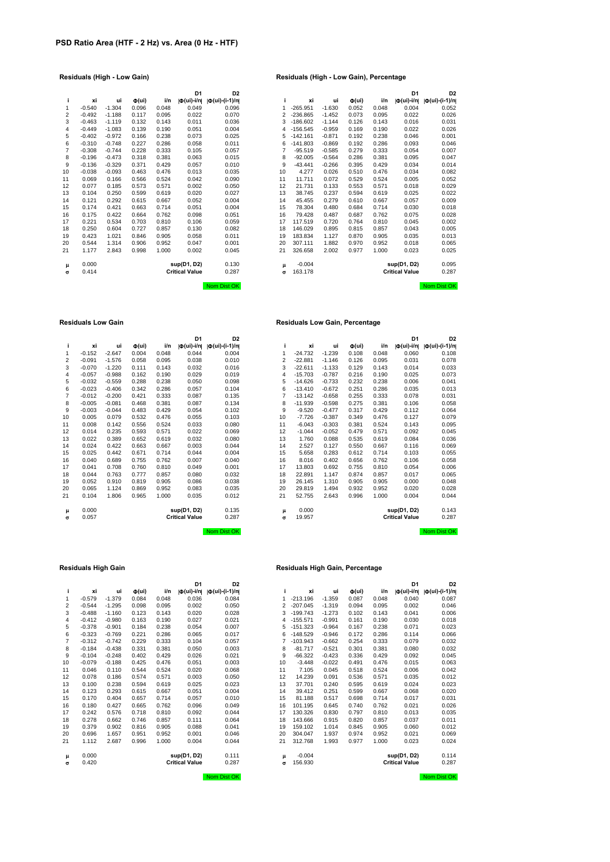|    |          |          |                              |       | D <sub>1</sub>        | D <sub>2</sub>                |                |            |          |                              |       | D <sub>1</sub>          | D2                  |
|----|----------|----------|------------------------------|-------|-----------------------|-------------------------------|----------------|------------|----------|------------------------------|-------|-------------------------|---------------------|
| i. | xi       | ui       | $\Phi(\mathsf{u}\mathsf{i})$ | i/n   | Ф(ui)-i/n             | $  \Phi(\text{ui})-(i-1)/n  $ | i.             | xi         | ui       | $\Phi(\mathsf{u}\mathsf{i})$ | i/n   | $ \Phi(\text{ui})-i/n $ | $ \Phi(ui)-(i-1)/n$ |
| 1  | $-0.540$ | $-1.304$ | 0.096                        | 0.048 | 0.049                 | 0.096                         | 1              | $-265.951$ | $-1.630$ | 0.052                        | 0.048 | 0.004                   | 0.052               |
| 2  | $-0.492$ | $-1.188$ | 0.117                        | 0.095 | 0.022                 | 0.070                         | $\overline{2}$ | $-236.865$ | $-1.452$ | 0.073                        | 0.095 | 0.022                   | 0.026               |
| 3  | $-0.463$ | $-1.119$ | 0.132                        | 0.143 | 0.011                 | 0.036                         | 3              | $-186.602$ | $-1.144$ | 0.126                        | 0.143 | 0.016                   | 0.031               |
| 4  | $-0.449$ | $-1.083$ | 0.139                        | 0.190 | 0.051                 | 0.004                         | 4              | $-156.545$ | $-0.959$ | 0.169                        | 0.190 | 0.022                   | 0.026               |
| 5  | $-0.402$ | $-0.972$ | 0.166                        | 0.238 | 0.073                 | 0.025                         | 5              | $-142.161$ | $-0.871$ | 0.192                        | 0.238 | 0.046                   | 0.001               |
| 6  | $-0.310$ | $-0.748$ | 0.227                        | 0.286 | 0.058                 | 0.011                         | 6              | $-141.803$ | $-0.869$ | 0.192                        | 0.286 | 0.093                   | 0.046               |
| 7  | $-0.308$ | $-0.744$ | 0.228                        | 0.333 | 0.105                 | 0.057                         | 7              | $-95.519$  | $-0.585$ | 0.279                        | 0.333 | 0.054                   | 0.007               |
| 8  | $-0.196$ | $-0.473$ | 0.318                        | 0.381 | 0.063                 | 0.015                         | 8              | $-92.005$  | $-0.564$ | 0.286                        | 0.381 | 0.095                   | 0.047               |
| 9  | $-0.136$ | $-0.329$ | 0.371                        | 0.429 | 0.057                 | 0.010                         | 9              | $-43.441$  | $-0.266$ | 0.395                        | 0.429 | 0.034                   | 0.014               |
| 10 | $-0.038$ | $-0.093$ | 0.463                        | 0.476 | 0.013                 | 0.035                         | 10             | 4.277      | 0.026    | 0.510                        | 0.476 | 0.034                   | 0.082               |
| 11 | 0.069    | 0.166    | 0.566                        | 0.524 | 0.042                 | 0.090                         | 11             | 11.711     | 0.072    | 0.529                        | 0.524 | 0.005                   | 0.052               |
| 12 | 0.077    | 0.185    | 0.573                        | 0.571 | 0.002                 | 0.050                         | 12             | 21.731     | 0.133    | 0.553                        | 0.571 | 0.018                   | 0.029               |
| 13 | 0.104    | 0.250    | 0.599                        | 0.619 | 0.020                 | 0.027                         | 13             | 38.745     | 0.237    | 0.594                        | 0.619 | 0.025                   | 0.022               |
| 14 | 0.121    | 0.292    | 0.615                        | 0.667 | 0.052                 | 0.004                         | 14             | 45.455     | 0.279    | 0.610                        | 0.667 | 0.057                   | 0.009               |
| 15 | 0.174    | 0.421    | 0.663                        | 0.714 | 0.051                 | 0.004                         | 15             | 78.304     | 0.480    | 0.684                        | 0.714 | 0.030                   | 0.018               |
| 16 | 0.175    | 0.422    | 0.664                        | 0.762 | 0.098                 | 0.051                         | 16             | 79.428     | 0.487    | 0.687                        | 0.762 | 0.075                   | 0.028               |
| 17 | 0.221    | 0.534    | 0.703                        | 0.810 | 0.106                 | 0.059                         | 17             | 117.519    | 0.720    | 0.764                        | 0.810 | 0.045                   | 0.002               |
| 18 | 0.250    | 0.604    | 0.727                        | 0.857 | 0.130                 | 0.082                         | 18             | 146.029    | 0.895    | 0.815                        | 0.857 | 0.043                   | 0.005               |
| 19 | 0.423    | 1.021    | 0.846                        | 0.905 | 0.058                 | 0.011                         | 19             | 183.834    | 1.127    | 0.870                        | 0.905 | 0.035                   | 0.013               |
| 20 | 0.544    | 1.314    | 0.906                        | 0.952 | 0.047                 | 0.001                         | 20             | 307.111    | 1.882    | 0.970                        | 0.952 | 0.018                   | 0.065               |
| 21 | 1.177    | 2.843    | 0.998                        | 1.000 | 0.002                 | 0.045                         | 21             | 326.658    | 2.002    | 0.977                        | 1.000 | 0.023                   | 0.025               |
| μ  | 0.000    |          |                              |       | sup(D1, D2)           | 0.130                         | μ              | $-0.004$   |          |                              |       | sup(D1, D2)             | 0.095               |
| σ  | 0.414    |          |                              |       | <b>Critical Value</b> | 0.287                         | $\sigma$       | 163.178    |          |                              |       | <b>Critical Value</b>   | 0.287               |
|    |          |          |                              |       |                       | Nom Dist OK                   |                |            |          |                              |       |                         | Nom Dist Ok         |

|    |          |          |                              |       | D <sub>1</sub>                      | D <sub>2</sub>    |                |            |          |                              |       | D <sub>1</sub>            | D <sub>2</sub>       |
|----|----------|----------|------------------------------|-------|-------------------------------------|-------------------|----------------|------------|----------|------------------------------|-------|---------------------------|----------------------|
| i. | xi       | ui       | $\Phi(\mathsf{u}\mathsf{i})$ | i/n   | $ \Phi(\mathsf{u} \mathsf{i})$ -i/n | $ D(ui)-(i-1)/n $ | i              | xi         | ui       | $\Phi(\mathsf{u}\mathsf{i})$ | i/n   | $ \Phi(\mathsf{ui})$ -i/n | $ \Phi(ui)-(i-1)/n $ |
| 1  | $-0.540$ | $-1.304$ | 0.096                        | 0.048 | 0.049                               | 0.096             | 1              | $-265.951$ | $-1.630$ | 0.052                        | 0.048 | 0.004                     | 0.052                |
| 2  | $-0.492$ | $-1.188$ | 0.117                        | 0.095 | 0.022                               | 0.070             | $\overline{2}$ | $-236.865$ | $-1.452$ | 0.073                        | 0.095 | 0.022                     | 0.026                |
| 3  | $-0.463$ | $-1.119$ | 0.132                        | 0.143 | 0.011                               | 0.036             | 3              | $-186.602$ | $-1.144$ | 0.126                        | 0.143 | 0.016                     | 0.031                |
| 4  | $-0.449$ | $-1.083$ | 0.139                        | 0.190 | 0.051                               | 0.004             | 4              | $-156.545$ | $-0.959$ | 0.169                        | 0.190 | 0.022                     | 0.026                |
| 5  | $-0.402$ | $-0.972$ | 0.166                        | 0.238 | 0.073                               | 0.025             | 5              | $-142.161$ | $-0.871$ | 0.192                        | 0.238 | 0.046                     | 0.001                |
| 6  | $-0.310$ | $-0.748$ | 0.227                        | 0.286 | 0.058                               | 0.011             | 6              | $-141.803$ | $-0.869$ | 0.192                        | 0.286 | 0.093                     | 0.046                |
| 7  | $-0.308$ | $-0.744$ | 0.228                        | 0.333 | 0.105                               | 0.057             | 7              | $-95.519$  | $-0.585$ | 0.279                        | 0.333 | 0.054                     | 0.007                |
| 8  | $-0.196$ | $-0.473$ | 0.318                        | 0.381 | 0.063                               | 0.015             | 8              | $-92.005$  | $-0.564$ | 0.286                        | 0.381 | 0.095                     | 0.047                |
| 9  | $-0.136$ | $-0.329$ | 0.371                        | 0.429 | 0.057                               | 0.010             | 9              | $-43.441$  | $-0.266$ | 0.395                        | 0.429 | 0.034                     | 0.014                |
| 0  | $-0.038$ | $-0.093$ | 0.463                        | 0.476 | 0.013                               | 0.035             | 10             | 4.277      | 0.026    | 0.510                        | 0.476 | 0.034                     | 0.082                |
| 1  | 0.069    | 0.166    | 0.566                        | 0.524 | 0.042                               | 0.090             | 11             | 11.711     | 0.072    | 0.529                        | 0.524 | 0.005                     | 0.052                |
| 2  | 0.077    | 0.185    | 0.573                        | 0.571 | 0.002                               | 0.050             | 12             | 21.731     | 0.133    | 0.553                        | 0.571 | 0.018                     | 0.029                |
| 3  | 0.104    | 0.250    | 0.599                        | 0.619 | 0.020                               | 0.027             | 13             | 38.745     | 0.237    | 0.594                        | 0.619 | 0.025                     | 0.022                |
| 4  | 0.121    | 0.292    | 0.615                        | 0.667 | 0.052                               | 0.004             | 14             | 45.455     | 0.279    | 0.610                        | 0.667 | 0.057                     | 0.009                |
| 5  | 0.174    | 0.421    | 0.663                        | 0.714 | 0.051                               | 0.004             | 15             | 78.304     | 0.480    | 0.684                        | 0.714 | 0.030                     | 0.018                |
| 6  | 0.175    | 0.422    | 0.664                        | 0.762 | 0.098                               | 0.051             | 16             | 79.428     | 0.487    | 0.687                        | 0.762 | 0.075                     | 0.028                |
| 7  | 0.221    | 0.534    | 0.703                        | 0.810 | 0.106                               | 0.059             | 17             | 117.519    | 0.720    | 0.764                        | 0.810 | 0.045                     | 0.002                |
| 8  | 0.250    | 0.604    | 0.727                        | 0.857 | 0.130                               | 0.082             | 18             | 146.029    | 0.895    | 0.815                        | 0.857 | 0.043                     | 0.005                |
| 9  | 0.423    | 1.021    | 0.846                        | 0.905 | 0.058                               | 0.011             | 19             | 183.834    | 1.127    | 0.870                        | 0.905 | 0.035                     | 0.013                |
| 0  | 0.544    | 1.314    | 0.906                        | 0.952 | 0.047                               | 0.001             | 20             | 307.111    | 1.882    | 0.970                        | 0.952 | 0.018                     | 0.065                |
| 1  | 1.177    | 2.843    | 0.998                        | 1.000 | 0.002                               | 0.045             | 21             | 326.658    | 2.002    | 0.977                        | 1.000 | 0.023                     | 0.025                |
| μ  | 0.000    |          |                              |       | sup(D1, D2)                         | 0.130             | μ              | $-0.004$   |          |                              |       | sup(D1, D2)               | 0.095                |
| σ  | 0.414    |          |                              |       | <b>Critical Value</b>               | 0.287             | $\sigma$       | 163.178    |          |                              |       | <b>Critical Value</b>     | 0.287                |
|    |          |          |                              |       |                                     | Nom Dist OK       |                |            |          |                              |       |                           | Nom Dist OK          |

### **Residuals Low Gain Residuals Low Gain, Percentage**

|    |          |          |                              |       | D <sub>1</sub>                                     | D <sub>2</sub>        |                |           |          |                              |       | D <sub>1</sub>                      | D <sub>2</sub>       |
|----|----------|----------|------------------------------|-------|----------------------------------------------------|-----------------------|----------------|-----------|----------|------------------------------|-------|-------------------------------------|----------------------|
| j. | хi       | ui       | $\Phi(\mathsf{u}\mathsf{i})$ | i/n   | $ \Phi(\mathsf{ui})\text{-}\mathsf{i}/\mathsf{n} $ | $ \Phi (ui)-(i-1)/n $ | i              | xi        | ui       | $\Phi(\mathsf{u}\mathsf{i})$ | i/n   | $ \Phi(\mathsf{u} \mathsf{i})$ -i/n | $ \Phi(ui)-(i-1)/n $ |
| 1  | $-0.152$ | $-2.647$ | 0.004                        | 0.048 | 0.044                                              | 0.004                 | 1              | $-24.732$ | $-1.239$ | 0.108                        | 0.048 | 0.060                               | 0.108                |
| 2  | $-0.091$ | $-1.576$ | 0.058                        | 0.095 | 0.038                                              | 0.010                 | 2              | $-22.881$ | $-1.146$ | 0.126                        | 0.095 | 0.031                               | 0.078                |
| 3  | $-0.070$ | $-1.220$ | 0.111                        | 0.143 | 0.032                                              | 0.016                 | 3              | $-22.611$ | $-1.133$ | 0.129                        | 0.143 | 0.014                               | 0.033                |
| 4  | $-0.057$ | $-0.988$ | 0.162                        | 0.190 | 0.029                                              | 0.019                 | 4              | $-15.703$ | $-0.787$ | 0.216                        | 0.190 | 0.025                               | 0.073                |
| 5  | $-0.032$ | $-0.559$ | 0.288                        | 0.238 | 0.050                                              | 0.098                 | 5              | $-14.626$ | $-0.733$ | 0.232                        | 0.238 | 0.006                               | 0.041                |
| 6  | $-0.023$ | $-0.406$ | 0.342                        | 0.286 | 0.057                                              | 0.104                 | 6              | $-13.410$ | $-0.672$ | 0.251                        | 0.286 | 0.035                               | 0.013                |
| 7  | $-0.012$ | $-0.200$ | 0.421                        | 0.333 | 0.087                                              | 0.135                 | $\overline{7}$ | $-13.142$ | $-0.658$ | 0.255                        | 0.333 | 0.078                               | 0.031                |
| 8  | $-0.005$ | $-0.081$ | 0.468                        | 0.381 | 0.087                                              | 0.134                 | 8              | $-11.939$ | $-0.598$ | 0.275                        | 0.381 | 0.106                               | 0.058                |
| 9  | $-0.003$ | $-0.044$ | 0.483                        | 0.429 | 0.054                                              | 0.102                 | 9              | $-9.520$  | $-0.477$ | 0.317                        | 0.429 | 0.112                               | 0.064                |
| 10 | 0.005    | 0.079    | 0.532                        | 0.476 | 0.055                                              | 0.103                 | 10             | $-7.726$  | $-0.387$ | 0.349                        | 0.476 | 0.127                               | 0.079                |
| 11 | 0.008    | 0.142    | 0.556                        | 0.524 | 0.033                                              | 0.080                 | 11             | $-6.043$  | $-0.303$ | 0.381                        | 0.524 | 0.143                               | 0.095                |
| 12 | 0.014    | 0.235    | 0.593                        | 0.571 | 0.022                                              | 0.069                 | 12             | $-1.044$  | $-0.052$ | 0.479                        | 0.571 | 0.092                               | 0.045                |
| 13 | 0.022    | 0.389    | 0.652                        | 0.619 | 0.032                                              | 0.080                 | 13             | 1.760     | 0.088    | 0.535                        | 0.619 | 0.084                               | 0.036                |
| 14 | 0.024    | 0.422    | 0.663                        | 0.667 | 0.003                                              | 0.044                 | 14             | 2.527     | 0.127    | 0.550                        | 0.667 | 0.116                               | 0.069                |
| 15 | 0.025    | 0.442    | 0.671                        | 0.714 | 0.044                                              | 0.004                 | 15             | 5.658     | 0.283    | 0.612                        | 0.714 | 0.103                               | 0.055                |
| 16 | 0.040    | 0.689    | 0.755                        | 0.762 | 0.007                                              | 0.040                 | 16             | 8.016     | 0.402    | 0.656                        | 0.762 | 0.106                               | 0.058                |
| 17 | 0.041    | 0.708    | 0.760                        | 0.810 | 0.049                                              | 0.001                 | 17             | 13.803    | 0.692    | 0.755                        | 0.810 | 0.054                               | 0.006                |
| 18 | 0.044    | 0.763    | 0.777                        | 0.857 | 0.080                                              | 0.032                 | 18             | 22.891    | 1.147    | 0.874                        | 0.857 | 0.017                               | 0.065                |
| 19 | 0.052    | 0.910    | 0.819                        | 0.905 | 0.086                                              | 0.038                 | 19             | 26.145    | 1.310    | 0.905                        | 0.905 | 0.000                               | 0.048                |
| 20 | 0.065    | 1.124    | 0.869                        | 0.952 | 0.083                                              | 0.035                 | 20             | 29,819    | 1.494    | 0.932                        | 0.952 | 0.020                               | 0.028                |
| 21 | 0.104    | 1.806    | 0.965                        | 1.000 | 0.035                                              | 0.012                 | 21             | 52.755    | 2.643    | 0.996                        | 1.000 | 0.004                               | 0.044                |
| μ  | 0.000    |          |                              |       | sup(D1, D2)                                        | 0.135                 | μ              | 0.000     |          |                              |       | sup(D1, D2)                         | 0.143                |
| σ  | 0.057    |          |                              |       | <b>Critical Value</b>                              | 0.287                 | $\sigma$       | 19.957    |          |                              |       | <b>Critical Value</b>               | 0.287                |
|    |          |          |                              |       |                                                    | Nom Dist OK           |                |           |          |                              |       |                                     | Nom Dist OK          |

| i              | хi       | ui       | $\Phi(\mathsf{ui})$ | i/n   | p(ui)-i/n             | $  \Phi(\text{ui}) - (i-1)/n  $ |
|----------------|----------|----------|---------------------|-------|-----------------------|---------------------------------|
| 1              | $-0.152$ | $-2.647$ | 0.004               | 0.048 | 0.044                 | 0.004                           |
| $\overline{2}$ | $-0.091$ | $-1.576$ | 0.058               | 0.095 | 0.038                 | 0.010                           |
| 3              | $-0.070$ | $-1.220$ | 0.111               | 0.143 | 0.032                 | 0.016                           |
| 4              | $-0.057$ | $-0.988$ | 0.162               | 0.190 | 0.029                 | 0.019                           |
| 5              | $-0.032$ | $-0.559$ | 0.288               | 0.238 | 0.050                 | 0.098                           |
| 6              | $-0.023$ | $-0.406$ | 0.342               | 0.286 | 0.057                 | 0.104                           |
| $\overline{7}$ | $-0.012$ | $-0.200$ | 0.421               | 0.333 | 0.087                 | 0.135                           |
| 8              | $-0.005$ | $-0.081$ | 0.468               | 0.381 | 0.087                 | 0.134                           |
| 9              | $-0.003$ | $-0.044$ | 0.483               | 0.429 | 0.054                 | 0.102                           |
| 10             | 0.005    | 0.079    | 0.532               | 0.476 | 0.055                 | 0.103                           |
| 11             | 0.008    | 0.142    | 0.556               | 0.524 | 0.033                 | 0.080                           |
| 12             | 0.014    | 0.235    | 0.593               | 0.571 | 0.022                 | 0.069                           |
| 13             | 0.022    | 0.389    | 0.652               | 0.619 | 0.032                 | 0.080                           |
| 14             | 0.024    | 0.422    | 0.663               | 0.667 | 0.003                 | 0.044                           |
| 15             | 0.025    | 0.442    | 0.671               | 0.714 | 0.044                 | 0.004                           |
| 16             | 0.040    | 0.689    | 0.755               | 0.762 | 0.007                 | 0.040                           |
| 17             | 0.041    | 0.708    | 0.760               | 0.810 | 0.049                 | 0.001                           |
| 18             | 0.044    | 0.763    | 0.777               | 0.857 | 0.080                 | 0.032                           |
| 19             | 0.052    | 0.910    | 0.819               | 0.905 | 0.086                 | 0.038                           |
| 20             | 0.065    | 1.124    | 0.869               | 0.952 | 0.083                 | 0.035                           |
| 21             | 0.104    | 1.806    | 0.965               | 1.000 | 0.035                 | 0.012                           |
| μ              | 0.000    |          |                     |       | sup(D1, D2)           | 0.135                           |
| σ              | 0.057    |          |                     |       | <b>Critical Value</b> | 0.287                           |

## **Residuals High Gain Residuals High Gain, Percentage**

|                |          |          |                              |       | D <sub>1</sub>          | D <sub>2</sub>                    |                |            |          |                              |       | D <sub>1</sub>                                              | D <sub>2</sub>       |
|----------------|----------|----------|------------------------------|-------|-------------------------|-----------------------------------|----------------|------------|----------|------------------------------|-------|-------------------------------------------------------------|----------------------|
| j.             | xi       | ui       | $\Phi(\mathsf{u}\mathsf{i})$ | i/n   | $ \Phi(\text{ui})$ -i/n | $  \Phi(\text{ui}) - (i - 1)/n  $ | i              | xi         | ui       | $\Phi(\mathsf{u}\mathsf{i})$ | i/n   | $ \Phi(\mathsf{u}\mathsf{i})\text{-}\mathsf{i}/\mathsf{n} $ | $ \Phi(ui)-(i-1)/n $ |
| $\mathbf{1}$   | $-0.579$ | $-1.379$ | 0.084                        | 0.048 | 0.036                   | 0.084                             |                | $-213.196$ | $-1.359$ | 0.087                        | 0.048 | 0.040                                                       | 0.087                |
| 2              | $-0.544$ | $-1.295$ | 0.098                        | 0.095 | 0.002                   | 0.050                             | $\overline{2}$ | $-207.045$ | $-1.319$ | 0.094                        | 0.095 | 0.002                                                       | 0.046                |
| 3              | $-0.488$ | $-1.160$ | 0.123                        | 0.143 | 0.020                   | 0.028                             | 3              | $-199.743$ | $-1.273$ | 0.102                        | 0.143 | 0.041                                                       | 0.006                |
| 4              | $-0.412$ | $-0.980$ | 0.163                        | 0.190 | 0.027                   | 0.021                             | 4              | $-155.571$ | $-0.991$ | 0.161                        | 0.190 | 0.030                                                       | 0.018                |
| 5              | $-0.378$ | $-0.901$ | 0.184                        | 0.238 | 0.054                   | 0.007                             | 5              | $-151.323$ | $-0.964$ | 0.167                        | 0.238 | 0.071                                                       | 0.023                |
| 6              | $-0.323$ | $-0.769$ | 0.221                        | 0.286 | 0.065                   | 0.017                             | 6              | $-148.529$ | $-0.946$ | 0.172                        | 0.286 | 0.114                                                       | 0.066                |
| $\overline{7}$ | $-0.312$ | $-0.742$ | 0.229                        | 0.333 | 0.104                   | 0.057                             |                | $-103.943$ | $-0.662$ | 0.254                        | 0.333 | 0.079                                                       | 0.032                |
| 8              | $-0.184$ | $-0.438$ | 0.331                        | 0.381 | 0.050                   | 0.003                             | 8              | $-81.717$  | $-0.521$ | 0.301                        | 0.381 | 0.080                                                       | 0.032                |
| 9              | $-0.104$ | $-0.248$ | 0.402                        | 0.429 | 0.026                   | 0.021                             | 9              | $-66.322$  | $-0.423$ | 0.336                        | 0.429 | 0.092                                                       | 0.045                |
| 10             | $-0.079$ | $-0.188$ | 0.425                        | 0.476 | 0.051                   | 0.003                             | 10             | $-3.448$   | $-0.022$ | 0.491                        | 0.476 | 0.015                                                       | 0.063                |
| 11             | 0.046    | 0.110    | 0.544                        | 0.524 | 0.020                   | 0.068                             | 11             | 7.105      | 0.045    | 0.518                        | 0.524 | 0.006                                                       | 0.042                |
| 12             | 0.078    | 0.186    | 0.574                        | 0.571 | 0.003                   | 0.050                             | 12             | 14.239     | 0.091    | 0.536                        | 0.571 | 0.035                                                       | 0.012                |
| 13             | 0.100    | 0.238    | 0.594                        | 0.619 | 0.025                   | 0.023                             | 13             | 37.701     | 0.240    | 0.595                        | 0.619 | 0.024                                                       | 0.023                |
| 14             | 0.123    | 0.293    | 0.615                        | 0.667 | 0.051                   | 0.004                             | 14             | 39.412     | 0.251    | 0.599                        | 0.667 | 0.068                                                       | 0.020                |
| 15             | 0.170    | 0.404    | 0.657                        | 0.714 | 0.057                   | 0.010                             | 15             | 81.188     | 0.517    | 0.698                        | 0.714 | 0.017                                                       | 0.031                |
| 16             | 0.180    | 0.427    | 0.665                        | 0.762 | 0.096                   | 0.049                             | 16             | 101.195    | 0.645    | 0.740                        | 0.762 | 0.021                                                       | 0.026                |
| 17             | 0.242    | 0.576    | 0.718                        | 0.810 | 0.092                   | 0.044                             | 17             | 130.326    | 0.830    | 0.797                        | 0.810 | 0.013                                                       | 0.035                |
| 18             | 0.278    | 0.662    | 0.746                        | 0.857 | 0.111                   | 0.064                             | 18             | 143.666    | 0.915    | 0.820                        | 0.857 | 0.037                                                       | 0.011                |
| 19             | 0.379    | 0.902    | 0.816                        | 0.905 | 0.088                   | 0.041                             | 19             | 159.102    | 1.014    | 0.845                        | 0.905 | 0.060                                                       | 0.012                |
| 20             | 0.696    | 1.657    | 0.951                        | 0.952 | 0.001                   | 0.046                             | 20             | 304.047    | 1.937    | 0.974                        | 0.952 | 0.021                                                       | 0.069                |
| 21             | 1.112    | 2.687    | 0.996                        | 1.000 | 0.004                   | 0.044                             | 21             | 312.768    | 1.993    | 0.977                        | 1.000 | 0.023                                                       | 0.024                |
| μ              | 0.000    |          |                              |       | sup(D1, D2)             | 0.111                             | μ              | $-0.004$   |          |                              |       | sup(D1, D2)                                                 | 0.114                |
| σ              | 0.420    |          |                              |       | <b>Critical Value</b>   | 0.287                             | $\sigma$       | 156.930    |          |                              |       | <b>Critical Value</b>                                       | 0.287                |

| Residuais riigii Galli |  |
|------------------------|--|
|                        |  |

|                |          |          |                     |       | וש                    | יי                    |
|----------------|----------|----------|---------------------|-------|-----------------------|-----------------------|
| i              | xi       | ui       | $\Phi(\mathsf{ui})$ | i/n   | O(ui)-i/n             | $ \Phi (ui)-(i-1)/n $ |
| 1              | $-0.579$ | $-1.379$ | 0.084               | 0.048 | 0.036                 | 0.084                 |
| $\overline{2}$ | $-0.544$ | $-1.295$ | 0.098               | 0.095 | 0.002                 | 0.050                 |
| 3              | $-0.488$ | $-1.160$ | 0.123               | 0.143 | 0.020                 | 0.028                 |
| 4              | $-0.412$ | $-0.980$ | 0.163               | 0.190 | 0.027                 | 0.021                 |
| 5              | $-0.378$ | $-0.901$ | 0.184               | 0.238 | 0.054                 | 0.007                 |
| 6              | $-0.323$ | $-0.769$ | 0.221               | 0.286 | 0.065                 | 0.017                 |
| $\overline{7}$ | $-0.312$ | $-0.742$ | 0.229               | 0.333 | 0.104                 | 0.057                 |
| 8              | $-0.184$ | $-0.438$ | 0.331               | 0.381 | 0.050                 | 0.003                 |
| 9              | $-0.104$ | $-0.248$ | 0.402               | 0.429 | 0.026                 | 0.021                 |
| 10             | $-0.079$ | $-0.188$ | 0.425               | 0.476 | 0.051                 | 0.003                 |
| 11             | 0.046    | 0.110    | 0.544               | 0.524 | 0.020                 | 0.068                 |
| 12             | 0.078    | 0.186    | 0.574               | 0.571 | 0.003                 | 0.050                 |
| 13             | 0.100    | 0.238    | 0.594               | 0.619 | 0.025                 | 0.023                 |
| 14             | 0.123    | 0.293    | 0.615               | 0.667 | 0.051                 | 0.004                 |
| 15             | 0.170    | 0.404    | 0.657               | 0.714 | 0.057                 | 0.010                 |
| 16             | 0.180    | 0.427    | 0.665               | 0.762 | 0.096                 | 0.049                 |
| 17             | 0.242    | 0.576    | 0.718               | 0.810 | 0.092                 | 0.044                 |
| 18             | 0.278    | 0.662    | 0.746               | 0.857 | 0.111                 | 0.064                 |
| 19             | 0.379    | 0.902    | 0.816               | 0.905 | 0.088                 | 0.041                 |
| 20             | 0.696    | 1.657    | 0.951               | 0.952 | 0.001                 | 0.046                 |
| 21             | 1.112    | 2.687    | 0.996               | 1.000 | 0.004                 | 0.044                 |
| μ              | 0.000    |          |                     |       | sup(D1, D2)           | 0.111                 |
| $\sigma$       | 0.420    |          |                     |       | <b>Critical Value</b> | 0.287                 |
|                |          |          |                     |       |                       |                       |